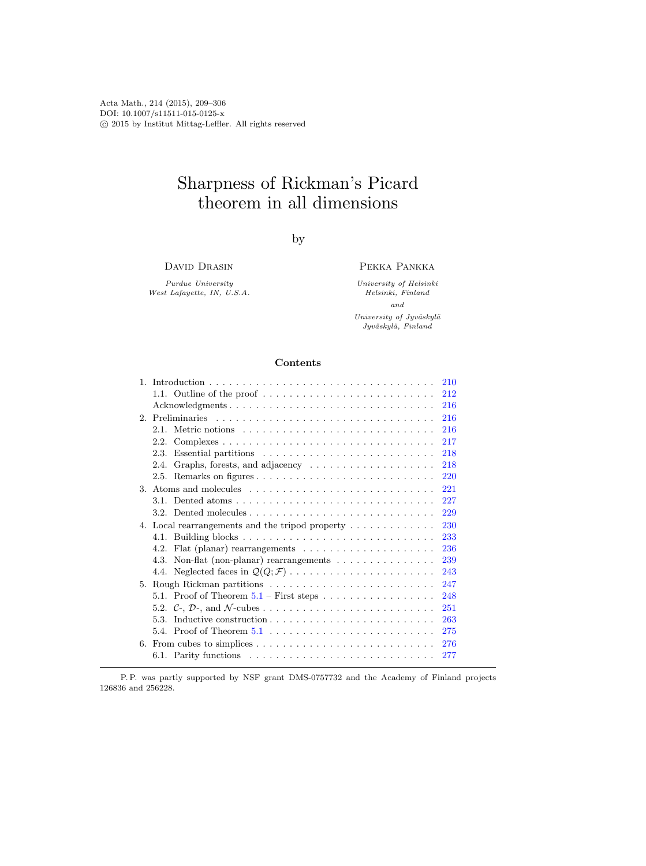Acta Math., 214 (2015), 209–306 DOI: 10.1007/s11511-015-0125-x  $\odot$  2015 by Institut Mittag-Leffler. All rights reserved

# Sharpness of Rickman's Picard theorem in all dimensions

by

DAVID DRASIN

Purdue University West Lafayette, IN, U.S.A.

## Pekka Pankka

University of Helsinki Helsinki, Finland and University of Jyväskylä Jyväskylä, Finland

## Contents

|         |                                                                                                      | 210 |
|---------|------------------------------------------------------------------------------------------------------|-----|
|         | 1.1. Outline of the proof $\dots \dots \dots \dots \dots \dots \dots \dots \dots$                    | 212 |
|         | Acknowledgments                                                                                      | 216 |
|         |                                                                                                      | 216 |
|         | Metric notions<br>2.1.                                                                               | 216 |
|         | $Complexes \ldots \ldots \ldots \ldots \ldots \ldots \ldots \ldots \ldots \ldots \ldots$<br>2.2.     | 217 |
|         | 2.3.                                                                                                 | 218 |
|         |                                                                                                      | 218 |
|         | Graphs, forests, and adjacency $\dots \dots \dots \dots \dots \dots$<br>2.4.                         |     |
|         |                                                                                                      | 220 |
| $3_{-}$ |                                                                                                      | 221 |
|         |                                                                                                      | 227 |
|         |                                                                                                      | 229 |
|         | 4. Local rearrangements and the tripod property $\dots \dots \dots \dots$                            | 230 |
|         |                                                                                                      | 233 |
|         | Flat (planar) rearrangements $\dots \dots \dots \dots \dots \dots \dots$<br>4.2.                     | 236 |
|         | Non-flat (non-planar) rearrangements $\dots \dots \dots \dots \dots$<br>4.3.                         | 239 |
|         | 4.4. Neglected faces in $\mathcal{Q}(Q;\mathcal{F})\ldots\ldots\ldots\ldots\ldots\ldots\ldots\ldots$ | 243 |
|         | 5. Rough Rickman partitions                                                                          | 247 |
|         |                                                                                                      | 248 |
|         |                                                                                                      | 251 |
|         | 5.3. Inductive construction $\ldots \ldots \ldots \ldots \ldots \ldots \ldots \ldots \ldots$         | 263 |
|         |                                                                                                      |     |
|         |                                                                                                      | 275 |
| 6.      |                                                                                                      | 276 |
|         | 6.1. Parity functions                                                                                | 277 |
|         |                                                                                                      |     |

P. P. was partly supported by NSF grant DMS-0757732 and the Academy of Finland projects 126836 and 256228.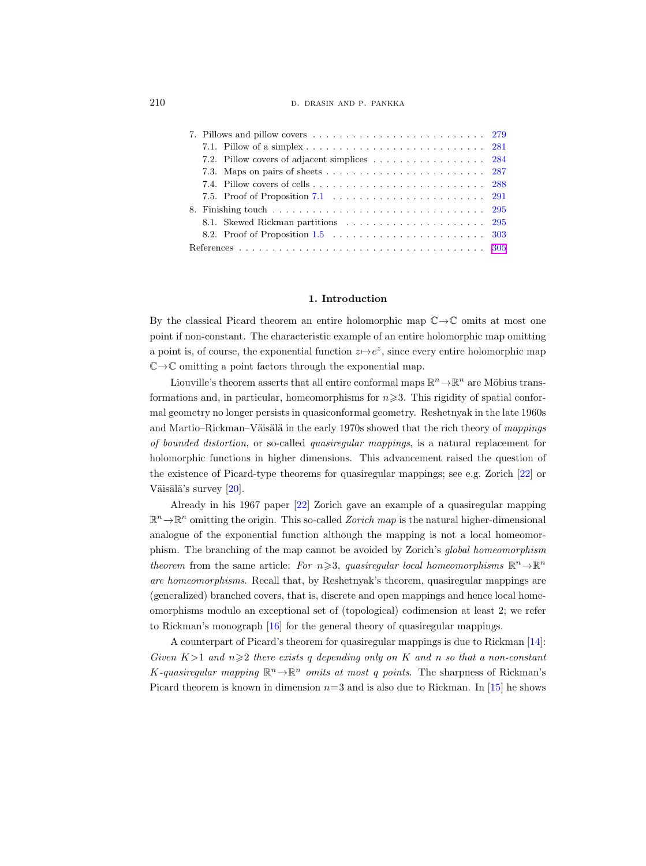210 D. DRASIN AND P. PANKKA

| 7.2. Pillow covers of adjacent simplices $\ldots \ldots \ldots \ldots \ldots \ldots$ 284    |  |
|---------------------------------------------------------------------------------------------|--|
|                                                                                             |  |
|                                                                                             |  |
| 7.5. Proof of Proposition 7.1 $\ldots \ldots \ldots \ldots \ldots \ldots \ldots \ldots 291$ |  |
|                                                                                             |  |
|                                                                                             |  |
|                                                                                             |  |
|                                                                                             |  |

### 1. Introduction

<span id="page-1-0"></span>By the classical Picard theorem an entire holomorphic map  $\mathbb{C} \rightarrow \mathbb{C}$  omits at most one point if non-constant. The characteristic example of an entire holomorphic map omitting a point is, of course, the exponential function  $z \mapsto e^z$ , since every entire holomorphic map  $\mathbb{C} \rightarrow \mathbb{C}$  omitting a point factors through the exponential map.

Liouville's theorem asserts that all entire conformal maps  $\mathbb{R}^n \to \mathbb{R}^n$  are Möbius transformations and, in particular, homeomorphisms for  $n\geqslant3$ . This rigidity of spatial conformal geometry no longer persists in quasiconformal geometry. Reshetnyak in the late 1960s and Martio–Rickman–Väisälä in the early 1970s showed that the rich theory of mappings of bounded distortion, or so-called quasiregular mappings, is a natural replacement for holomorphic functions in higher dimensions. This advancement raised the question of the existence of Picard-type theorems for quasiregular mappings; see e.g. Zorich [\[22\]](#page-97-0) or Väisälä's survey  $[20]$ .

Already in his 1967 paper [\[22\]](#page-97-0) Zorich gave an example of a quasiregular mapping  $\mathbb{R}^n \to \mathbb{R}^n$  omitting the origin. This so-called *Zorich map* is the natural higher-dimensional analogue of the exponential function although the mapping is not a local homeomorphism. The branching of the map cannot be avoided by Zorich's global homeomorphism theorem from the same article: For  $n \ge 3$ , quasiregular local homeomorphisms  $\mathbb{R}^n \to \mathbb{R}^n$ are homeomorphisms. Recall that, by Reshetnyak's theorem, quasiregular mappings are (generalized) branched covers, that is, discrete and open mappings and hence local homeomorphisms modulo an exceptional set of (topological) codimension at least 2; we refer to Rickman's monograph [\[16\]](#page-96-0) for the general theory of quasiregular mappings.

A counterpart of Picard's theorem for quasiregular mappings is due to Rickman [\[14\]](#page-96-1): Given  $K>1$  and  $n\geqslant 2$  there exists q depending only on K and n so that a non-constant K-quasiregular mapping  $\mathbb{R}^n \to \mathbb{R}^n$  omits at most q points. The sharpness of Rickman's Picard theorem is known in dimension  $n=3$  and is also due to Rickman. In [\[15\]](#page-96-2) he shows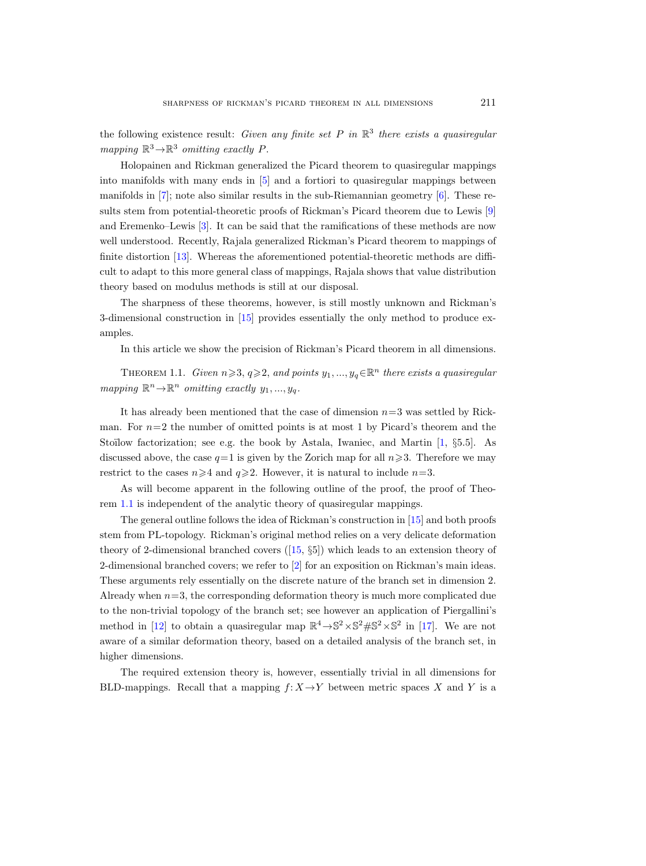the following existence result: Given any finite set  $P$  in  $\mathbb{R}^3$  there exists a quasiregular mapping  $\mathbb{R}^3 \rightarrow \mathbb{R}^3$  omitting exactly P.

Holopainen and Rickman generalized the Picard theorem to quasiregular mappings into manifolds with many ends in [\[5\]](#page-96-4) and a fortiori to quasiregular mappings between manifolds in [\[7\]](#page-96-5); note also similar results in the sub-Riemannian geometry [\[6\]](#page-96-6). These results stem from potential-theoretic proofs of Rickman's Picard theorem due to Lewis [\[9\]](#page-96-7) and Eremenko–Lewis [\[3\]](#page-96-8). It can be said that the ramifications of these methods are now well understood. Recently, Rajala generalized Rickman's Picard theorem to mappings of finite distortion [\[13\]](#page-96-9). Whereas the aforementioned potential-theoretic methods are difficult to adapt to this more general class of mappings, Rajala shows that value distribution theory based on modulus methods is still at our disposal.

The sharpness of these theorems, however, is still mostly unknown and Rickman's 3-dimensional construction in [\[15\]](#page-96-2) provides essentially the only method to produce examples.

In this article we show the precision of Rickman's Picard theorem in all dimensions.

<span id="page-2-0"></span>THEOREM 1.1. Given  $n \ge 3$ ,  $q \ge 2$ , and points  $y_1, ..., y_q \in \mathbb{R}^n$  there exists a quasiregular mapping  $\mathbb{R}^n \to \mathbb{R}^n$  omitting exactly  $y_1, ..., y_q$ .

It has already been mentioned that the case of dimension  $n=3$  was settled by Rickman. For  $n=2$  the number of omitted points is at most 1 by Picard's theorem and the Stoïlow factorization; see e.g. the book by Astala, Iwaniec, and Martin [\[1,](#page-96-10) §5.5]. As discussed above, the case  $q=1$  is given by the Zorich map for all  $n\geqslant 3$ . Therefore we may restrict to the cases  $n \geq 4$  and  $q \geq 2$ . However, it is natural to include  $n=3$ .

As will become apparent in the following outline of the proof, the proof of Theorem [1.1](#page-2-0) is independent of the analytic theory of quasiregular mappings.

The general outline follows the idea of Rickman's construction in [\[15\]](#page-96-2) and both proofs stem from PL-topology. Rickman's original method relies on a very delicate deformation theory of 2-dimensional branched covers([\[15,](#page-96-2) §5]) which leads to an extension theory of 2-dimensional branched covers; we refer to [\[2\]](#page-96-11) for an exposition on Rickman's main ideas. These arguments rely essentially on the discrete nature of the branch set in dimension 2. Already when  $n=3$ , the corresponding deformation theory is much more complicated due to the non-trivial topology of the branch set; see however an application of Piergallini's method in [\[12\]](#page-96-12) to obtain a quasiregular map  $\mathbb{R}^4 \to \mathbb{S}^2 \times \mathbb{S}^2 \# \mathbb{S}^2 \times \mathbb{S}^2$  in [\[17\]](#page-97-2). We are not aware of a similar deformation theory, based on a detailed analysis of the branch set, in higher dimensions.

The required extension theory is, however, essentially trivial in all dimensions for BLD-mappings. Recall that a mapping  $f: X \rightarrow Y$  between metric spaces X and Y is a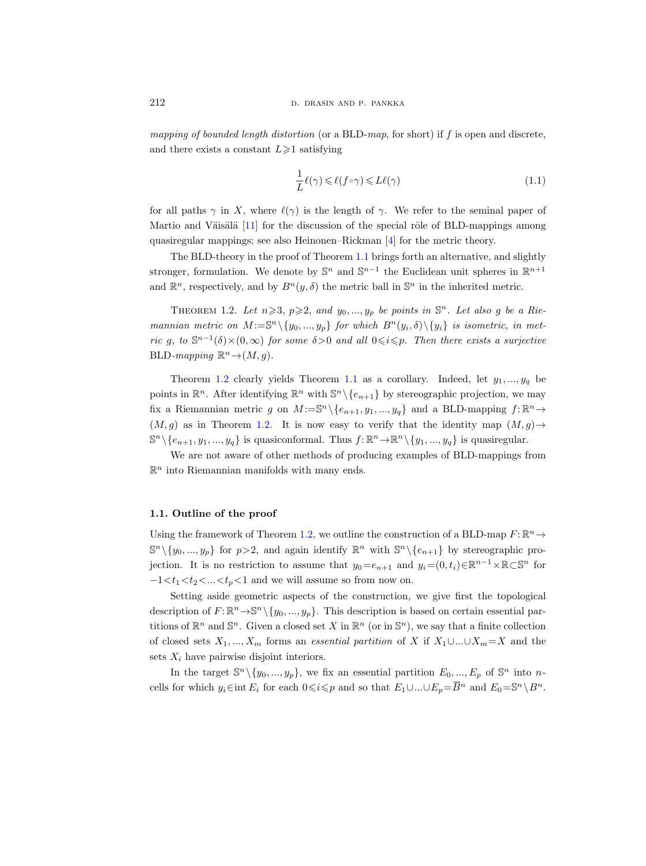mapping of bounded length distortion (or a BLD-map, for short) if f is open and discrete, and there exists a constant  $L\geq 1$  satisfying

$$
\frac{1}{L}\ell(\gamma) \leq \ell(f \circ \gamma) \leq L\ell(\gamma) \tag{1.1}
$$

for all paths  $\gamma$  in X, where  $\ell(\gamma)$  is the length of  $\gamma$ . We refer to the seminal paper of Martio and Väisälä  $[11]$  for the discussion of the special rôle of BLD-mappings among quasiregular mappings; see also Heinonen–Rickman [\[4\]](#page-96-14) for the metric theory.

The BLD-theory in the proof of Theorem [1.1](#page-2-0) brings forth an alternative, and slightly stronger, formulation. We denote by  $\mathbb{S}^n$  and  $\mathbb{S}^{n-1}$  the Euclidean unit spheres in  $\mathbb{R}^{n+1}$ and  $\mathbb{R}^n$ , respectively, and by  $B^n(y,\delta)$  the metric ball in  $\mathbb{S}^n$  in the inherited metric.

<span id="page-3-1"></span>THEOREM 1.2. Let  $n \ge 3$ ,  $p \ge 2$ , and  $y_0, ..., y_p$  be points in  $\mathbb{S}^n$ . Let also g be a Riemannian metric on  $M := \mathbb{S}^n \setminus \{y_0, ..., y_p\}$  for which  $B^n(y_i, \delta) \setminus \{y_i\}$  is isometric, in metric g, to  $\mathbb{S}^{n-1}(\delta) \times (0,\infty)$  for some  $\delta > 0$  and all  $0 \leq i \leq p$ . Then there exists a surjective BLD-mapping  $\mathbb{R}^n \to (M, g)$ .

Theorem [1.2](#page-3-1) clearly yields Theorem [1.1](#page-2-0) as a corollary. Indeed, let  $y_1, ..., y_q$  be points in  $\mathbb{R}^n$ . After identifying  $\mathbb{R}^n$  with  $\mathbb{S}^n \setminus \{e_{n+1}\}$  by stereographic projection, we may fix a Riemannian metric g on  $M := \mathbb{S}^n \setminus \{e_{n+1}, y_1, ..., y_q\}$  and a BLD-mapping  $f: \mathbb{R}^n \to$  $(M, g)$  as in Theorem [1.2.](#page-3-1) It is now easy to verify that the identity map  $(M, g) \rightarrow$  $\mathbb{S}^n \setminus \{e_{n+1}, y_1, ..., y_q\}$  is quasiconformal. Thus  $f: \mathbb{R}^n \to \mathbb{R}^n \setminus \{y_1, ..., y_q\}$  is quasiregular.

We are not aware of other methods of producing examples of BLD-mappings from  $\mathbb{R}^n$  into Riemannian manifolds with many ends.

## <span id="page-3-0"></span>1.1. Outline of the proof

Using the framework of Theorem [1.2,](#page-3-1) we outline the construction of a BLD-map  $F: \mathbb{R}^n \to$  $\mathbb{S}^n \setminus \{y_0, ..., y_p\}$  for  $p > 2$ , and again identify  $\mathbb{R}^n$  with  $\mathbb{S}^n \setminus \{e_{n+1}\}$  by stereographic projection. It is no restriction to assume that  $y_0 = e_{n+1}$  and  $y_i = (0, t_i) \in \mathbb{R}^{n-1} \times \mathbb{R} \subset \mathbb{S}^n$  for  $-1\lt t_1\lt t_2\lt \ldots \lt t_p\lt 1$  and we will assume so from now on.

Setting aside geometric aspects of the construction, we give first the topological description of  $F: \mathbb{R}^n \to \mathbb{S}^n \setminus \{y_0, ..., y_p\}$ . This description is based on certain essential partitions of  $\mathbb{R}^n$  and  $\mathbb{S}^n$ . Given a closed set X in  $\mathbb{R}^n$  (or in  $\mathbb{S}^n$ ), we say that a finite collection of closed sets  $X_1, ..., X_m$  forms an *essential partition* of X if  $X_1 \cup ... \cup X_m = X$  and the sets  $X_i$  have pairwise disjoint interiors.

In the target  $\mathbb{S}^n \setminus \{y_0, ..., y_p\}$ , we fix an essential partition  $E_0, ..., E_p$  of  $\mathbb{S}^n$  into ncells for which  $y_i \in \text{int } E_i$  for each  $0 \le i \le p$  and so that  $E_1 \cup ... \cup E_p = \overline{B}^n$  and  $E_0 = \mathbb{S}^n \setminus B^n$ .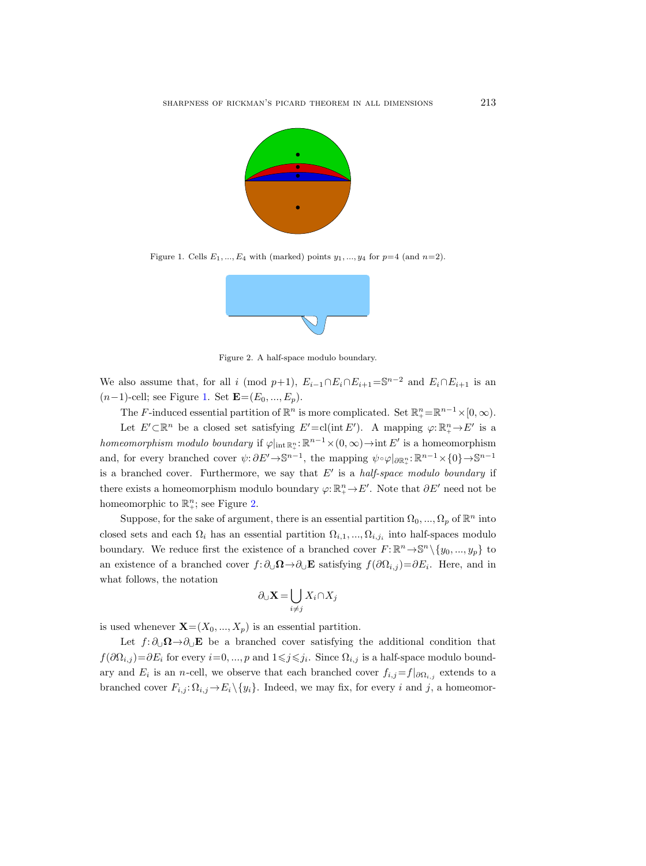

Figure 1. Cells  $E_1, ..., E_4$  with (marked) points  $y_1, ..., y_4$  for  $p=4$  (and  $n=2$ ).

<span id="page-4-0"></span>

<span id="page-4-1"></span>Figure 2. A half-space modulo boundary.

We also assume that, for all i (mod p+1),  $E_{i-1} \cap E_i \cap E_{i+1} = \mathbb{S}^{n-2}$  and  $E_i \cap E_{i+1}$  is an  $(n-1)$ -cell; see Figure [1.](#page-4-0) Set  $\mathbf{E}=(E_0, ..., E_p)$ .

The F-induced essential partition of  $\mathbb{R}^n$  is more complicated. Set  $\mathbb{R}^n_+ = \mathbb{R}^{n-1} \times [0, \infty)$ . Let  $E' \subset \mathbb{R}^n$  be a closed set satisfying  $E' = cl(int E')$ . A mapping  $\varphi: \mathbb{R}^n_+ \to E'$  is a homeomorphism modulo boundary if  $\varphi|_{int \mathbb{R}^n_+}: \mathbb{R}^{n-1} \times (0, \infty) \to \text{int } E'$  is a homeomorphism and, for every branched cover  $\psi: \partial E' \to \mathbb{S}^{n-1}$ , the mapping  $\psi \circ \varphi|_{\partial \mathbb{R}^n_+}: \mathbb{R}^{n-1} \times \{0\} \to \mathbb{S}^{n-1}$ is a branched cover. Furthermore, we say that  $E'$  is a half-space modulo boundary if there exists a homeomorphism modulo boundary  $\varphi: \mathbb{R}^n_+ \to E'$ . Note that  $\partial E'$  need not be homeomorphic to  $\mathbb{R}^n_+$ ; see Figure [2.](#page-4-1)

Suppose, for the sake of argument, there is an essential partition  $\Omega_0, ..., \Omega_p$  of  $\mathbb{R}^n$  into closed sets and each  $\Omega_i$  has an essential partition  $\Omega_{i,1},...,\Omega_{i,j_i}$  into half-spaces modulo boundary. We reduce first the existence of a branched cover  $F: \mathbb{R}^n \to \mathbb{S}^n \setminus \{y_0, ..., y_p\}$  to an existence of a branched cover  $f: \partial_{\cup} \Omega \to \partial_{\cup} E$  satisfying  $f(\partial \Omega_{i,j}) = \partial E_i$ . Here, and in what follows, the notation

$$
\partial_\cup \mathbf{X} = \bigcup_{i \neq j} X_i \cap X_j
$$

is used whenever  $\mathbf{X}=(X_0, ..., X_n)$  is an essential partition.

Let  $f: \partial_{\cup} \Omega \rightarrow \partial_{\cup} E$  be a branched cover satisfying the additional condition that  $f(\partial\Omega_{i,j})=\partial E_i$  for every  $i=0,\dots,p$  and  $1\leqslant j\leqslant j_i$ . Since  $\Omega_{i,j}$  is a half-space modulo boundary and  $E_i$  is an *n*-cell, we observe that each branched cover  $f_{i,j}=f|_{\partial\Omega_{i,j}}$  extends to a branched cover  $F_{i,j}: \Omega_{i,j} \to E_i \setminus \{y_i\}$ . Indeed, we may fix, for every i and j, a homeomor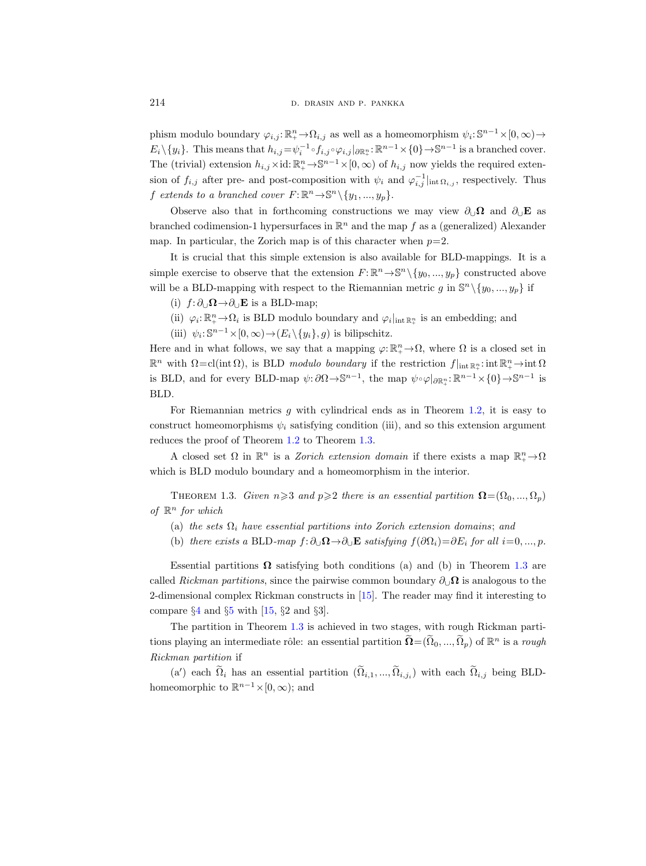phism modulo boundary  $\varphi_{i,j} : \mathbb{R}^n_+ \to \Omega_{i,j}$  as well as a homeomorphism  $\psi_i : \mathbb{S}^{n-1} \times [0, \infty) \to$  $E_i \setminus \{y_i\}.$  This means that  $h_{i,j} = \psi_i^{-1} \circ f_{i,j} \circ \varphi_{i,j} |_{\partial \mathbb{R}^n_+}: \mathbb{R}^{n-1} \times \{0\} \to \mathbb{S}^{n-1}$  is a branched cover. The (trivial) extension  $h_{i,j} \times id: \mathbb{R}^n_+ \to \mathbb{S}^{n-1} \times [0, \infty)$  of  $h_{i,j}$  now yields the required extension of  $f_{i,j}$  after pre- and post-composition with  $\psi_i$  and  $\varphi_{i,j}^{-1}|_{\text{int }\Omega_{i,j}}$ , respectively. Thus f extends to a branched cover  $F: \mathbb{R}^n \to \mathbb{S}^n \setminus \{y_1, ..., y_p\}.$ 

Observe also that in forthcoming constructions we may view  $\partial_{\mathbf{U}}\mathbf{\Omega}$  and  $\partial_{\mathbf{U}}\mathbf{E}$  as branched codimension-1 hypersurfaces in  $\mathbb{R}^n$  and the map f as a (generalized) Alexander map. In particular, the Zorich map is of this character when  $p=2$ .

It is crucial that this simple extension is also available for BLD-mappings. It is a simple exercise to observe that the extension  $F: \mathbb{R}^n \to \mathbb{S}^n \setminus \{y_0, ..., y_p\}$  constructed above will be a BLD-mapping with respect to the Riemannian metric g in  $\mathbb{S}^n \setminus \{y_0, ..., y_p\}$  if

- (i)  $f: \partial_{\cup} \Omega \rightarrow \partial_{\cup} E$  is a BLD-map;
- (ii)  $\varphi_i: \mathbb{R}^n_+ \to \Omega_i$  is BLD modulo boundary and  $\varphi_i|_{\text{int } \mathbb{R}^n_+}$  is an embedding; and
- (iii)  $\psi_i: \mathbb{S}^{n-1} \times [0, \infty) \to (E_i \setminus \{y_i\}, g)$  is bilipschitz.

Here and in what follows, we say that a mapping  $\varphi: \mathbb{R}^n_+ \to \Omega$ , where  $\Omega$  is a closed set in  $\mathbb{R}^n$  with  $\Omega = \text{cl}(\text{int }\Omega)$ , is BLD modulo boundary if the restriction  $f|_{\text{int }\mathbb{R}^n_+}: \text{int }\mathbb{R}^n_+ \to \text{int }\Omega$ is BLD, and for every BLD-map  $\psi: \partial\Omega \to \mathbb{S}^{n-1}$ , the map  $\psi \circ \varphi|_{\partial \mathbb{R}^n_+}: \mathbb{R}^{n-1} \times \{0\} \to \mathbb{S}^{n-1}$  is BLD.

For Riemannian metrics  $q$  with cylindrical ends as in Theorem [1.2,](#page-3-1) it is easy to construct homeomorphisms  $\psi_i$  satisfying condition (iii), and so this extension argument reduces the proof of Theorem [1.2](#page-3-1) to Theorem [1.3.](#page-5-0)

A closed set  $\Omega$  in  $\mathbb{R}^n$  is a *Zorich extension domain* if there exists a map  $\mathbb{R}^n_+ \to \Omega$ which is BLD modulo boundary and a homeomorphism in the interior.

<span id="page-5-0"></span>THEOREM 1.3. Given  $n\geqslant3$  and  $p\geqslant2$  there is an essential partition  $\mathbf{\Omega}=(\Omega_0, ..., \Omega_p)$ of  $\mathbb{R}^n$  for which

- (a) the sets  $\Omega_i$  have essential partitions into Zorich extension domains; and
- (b) there exists a BLD-map  $f: \partial_{\cup} \Omega \to \partial_{\cup} \mathbf{E}$  satisfying  $f(\partial \Omega_i)=\partial E_i$  for all  $i=0, ..., p$ .

Essential partitions  $\Omega$  satisfying both conditions (a) and (b) in Theorem [1.3](#page-5-0) are called Rickman partitions, since the pairwise common boundary  $\partial_{\cup}\Omega$  is analogous to the 2-dimensional complex Rickman constructs in [\[15\]](#page-96-2). The reader may find it interesting to compare  $\S 4$  $\S 4$  and  $\S 5$  $\S 5$  with [\[15,](#page-96-2)  $\S 2$  and  $\S 3$ ].

The partition in Theorem [1.3](#page-5-0) is achieved in two stages, with rough Rickman partitions playing an intermediate rôle: an essential partition  $\widetilde{\Omega} = (\widetilde{\Omega}_0, ..., \widetilde{\Omega}_p)$  of  $\mathbb{R}^n$  is a *rough* Rickman partition if

(a') each  $\Omega_i$  has an essential partition  $(\Omega_{i,1},...,\Omega_{i,j_i})$  with each  $\Omega_{i,j}$  being BLDhomeomorphic to  $\mathbb{R}^{n-1} \times [0, \infty)$ ; and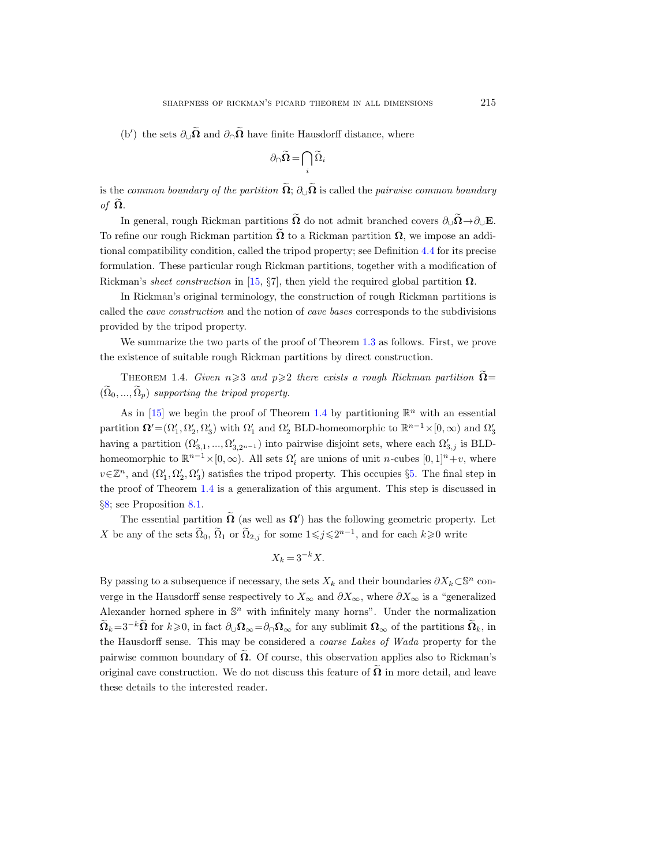(b') the sets  $\partial_{\cup} \Omega$  and  $\partial_{\cap} \Omega$  have finite Hausdorff distance, where

$$
\partial_{\cap}\widetilde{\Omega} = \bigcap_i \widetilde{\Omega}_i
$$

is the common boundary of the partition  $\widetilde{\Omega}$ :  $\partial_{\perp} \widetilde{\Omega}$  is called the pairwise common boundary of  $\Omega$ .

In general, rough Rickman partitions  $\widetilde{\Omega}$  do not admit branched covers  $\partial_{\mathbf{U}}\widetilde{\Omega} \rightarrow \partial_{\mathbf{U}}\mathbf{E}$ . To refine our rough Rickman partition  $\Omega$  to a Rickman partition  $\Omega$ , we impose an additional compatibility condition, called the tripod property; see Definition [4.4](#page-23-0) for its precise formulation. These particular rough Rickman partitions, together with a modification of Rickman's sheet construction in [\[15,](#page-96-2) §7], then yield the required global partition  $\Omega$ .

In Rickman's original terminology, the construction of rough Rickman partitions is called the cave construction and the notion of cave bases corresponds to the subdivisions provided by the tripod property.

We summarize the two parts of the proof of Theorem [1.3](#page-5-0) as follows. First, we prove the existence of suitable rough Rickman partitions by direct construction.

<span id="page-6-0"></span>THEOREM 1.4. Given  $n\geqslant 3$  and  $p\geqslant 2$  there exists a rough Rickman partition  $\Omega =$  $(\Omega_0, ..., \Omega_n)$  supporting the tripod property.

As in [\[15\]](#page-96-2) we begin the proof of Theorem [1.4](#page-6-0) by partitioning  $\mathbb{R}^n$  with an essential partition  $\mathbf{\Omega}' = (\Omega'_1, \Omega'_2, \Omega'_3)$  with  $\Omega'_1$  and  $\Omega'_2$  BLD-homeomorphic to  $\mathbb{R}^{n-1} \times [0, \infty)$  and  $\Omega'_3$ having a partition  $(\Omega'_{3,1}, ..., \Omega'_{3,2^{n-1}})$  into pairwise disjoint sets, where each  $\Omega'_{3,j}$  is BLDhomeomorphic to  $\mathbb{R}^{n-1}\times[0,\infty)$ . All sets  $\Omega'_i$  are unions of unit *n*-cubes  $[0,1]^n+v$ , where  $v \in \mathbb{Z}^n$ , and  $(\Omega'_1, \Omega'_2, \Omega'_3)$  satisfies the tripod property. This occupies §[5.](#page-38-0) The final step in the proof of Theorem [1.4](#page-6-0) is a generalization of this argument. This step is discussed in §[8;](#page-86-0) see Proposition [8.1.](#page-87-0)

The essential partition  $\Omega$  (as well as  $\Omega'$ ) has the following geometric property. Let X be any of the sets  $\tilde{\Omega}_0$ ,  $\tilde{\Omega}_1$  or  $\tilde{\Omega}_{2,j}$  for some  $1 \leq j \leq 2^{n-1}$ , and for each  $k \geq 0$  write

$$
X_k = 3^{-k} X.
$$

By passing to a subsequence if necessary, the sets  $X_k$  and their boundaries  $\partial X_k \subset \mathbb{S}^n$  converge in the Hausdorff sense respectively to  $X_{\infty}$  and  $\partial X_{\infty}$ , where  $\partial X_{\infty}$  is a "generalized" Alexander horned sphere in  $\mathbb{S}^n$  with infinitely many horns". Under the normalization  $\widetilde{\mathbf{\Omega}}_k=3^{-k}\widetilde{\mathbf{\Omega}}$  for  $k\geqslant0$ , in fact  $\partial_{\cup}\mathbf{\Omega}_{\infty}=\partial_{\cap}\mathbf{\Omega}_{\infty}$  for any sublimit  $\mathbf{\Omega}_{\infty}$  of the partitions  $\widetilde{\mathbf{\Omega}}_k$ , in the Hausdorff sense. This may be considered a coarse Lakes of Wada property for the pairwise common boundary of  $\Omega$ . Of course, this observation applies also to Rickman's original cave construction. We do not discuss this feature of  $\Omega$  in more detail, and leave these details to the interested reader.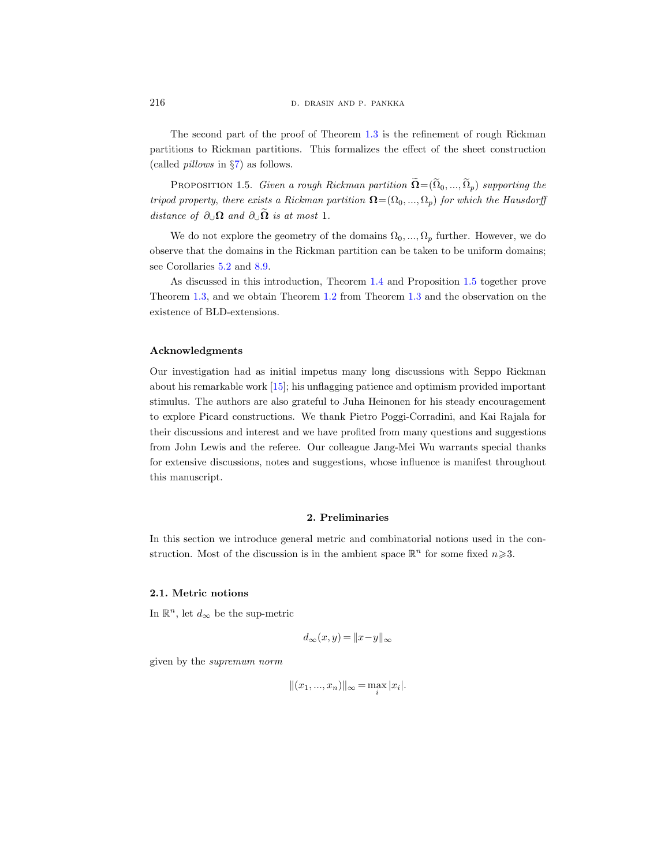216 **d. drasin D. DRASIN AND P. PANKKA** 

The second part of the proof of Theorem [1.3](#page-5-0) is the refinement of rough Rickman partitions to Rickman partitions. This formalizes the effect of the sheet construction (called pillows in §[7\)](#page-70-0) as follows.

<span id="page-7-0"></span>PROPOSITION 1.5. Given a rough Rickman partition  $\widetilde{\mathbf{\Omega}} = (\widetilde{\Omega}_0, ..., \widetilde{\Omega}_p)$  supporting the tripod property, there exists a Rickman partition  $\mathbf{\Omega} = (\Omega_0, ..., \Omega_n)$  for which the Hausdorff distance of  $\partial_{\cup}\Omega$  and  $\partial_{\cup}\widetilde{\Omega}$  is at most 1.

We do not explore the geometry of the domains  $\Omega_0, ..., \Omega_p$  further. However, we do observe that the domains in the Rickman partition can be taken to be uniform domains; see Corollaries [5.2](#page-39-1) and [8.9.](#page-95-0)

As discussed in this introduction, Theorem [1.4](#page-6-0) and Proposition [1.5](#page-7-0) together prove Theorem [1.3,](#page-5-0) and we obtain Theorem [1.2](#page-3-1) from Theorem [1.3](#page-5-0) and the observation on the existence of BLD-extensions.

## Acknowledgments

Our investigation had as initial impetus many long discussions with Seppo Rickman about his remarkable work [\[15\]](#page-96-2); his unflagging patience and optimism provided important stimulus. The authors are also grateful to Juha Heinonen for his steady encouragement to explore Picard constructions. We thank Pietro Poggi-Corradini, and Kai Rajala for their discussions and interest and we have profited from many questions and suggestions from John Lewis and the referee. Our colleague Jang-Mei Wu warrants special thanks for extensive discussions, notes and suggestions, whose influence is manifest throughout this manuscript.

## 2. Preliminaries

<span id="page-7-1"></span>In this section we introduce general metric and combinatorial notions used in the construction. Most of the discussion is in the ambient space  $\mathbb{R}^n$  for some fixed  $n \geq 3$ .

#### <span id="page-7-2"></span>2.1. Metric notions

In  $\mathbb{R}^n$ , let  $d_{\infty}$  be the sup-metric

$$
d_{\infty}(x, y) = ||x - y||_{\infty}
$$

given by the supremum norm

$$
||(x_1, ..., x_n)||_{\infty} = \max_i |x_i|.
$$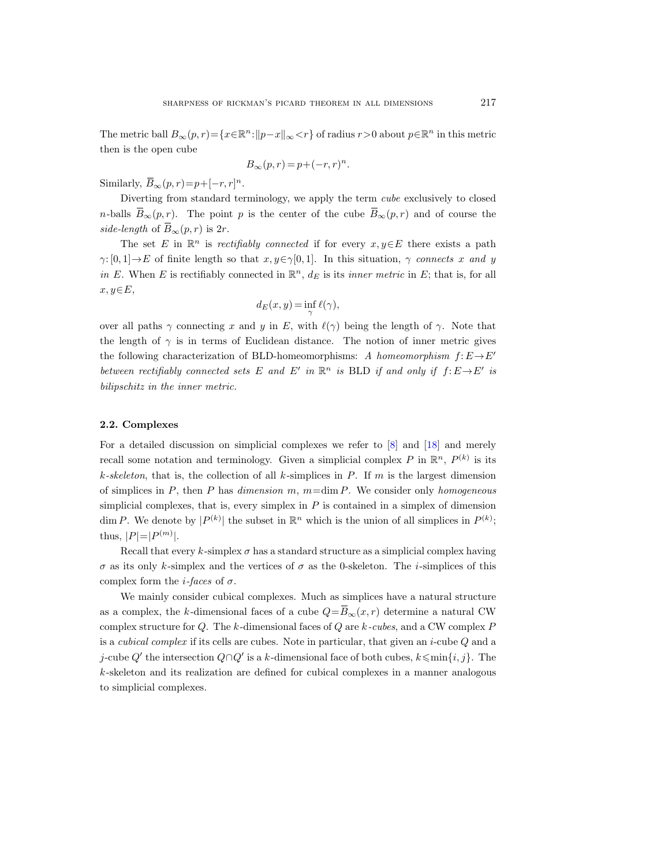The metric ball  $B_{\infty}(p,r) = \{x \in \mathbb{R}^n : ||p-x||_{\infty} < r\}$  of radius  $r > 0$  about  $p \in \mathbb{R}^n$  in this metric then is the open cube

$$
B_{\infty}(p,r) = p + (-r,r)^n.
$$

Similarly,  $\overline{B}_{\infty}(p,r) = p + [-r, r]^n$ .

Diverting from standard terminology, we apply the term cube exclusively to closed *n*-balls  $\overline{B}_{\infty}(p,r)$ . The point *p* is the center of the cube  $\overline{B}_{\infty}(p,r)$  and of course the side-length of  $\overline{B}_{\infty}(p,r)$  is  $2r$ .

The set E in  $\mathbb{R}^n$  is rectifiably connected if for every  $x, y \in E$  there exists a path  $\gamma:[0,1]\to E$  of finite length so that  $x, y \in \gamma[0,1]$ . In this situation,  $\gamma$  connects x and y in E. When E is rectifiably connected in  $\mathbb{R}^n$ ,  $d_E$  is its inner metric in E; that is, for all  $x, y \in E$ ,

$$
d_E(x, y) = \inf_{\gamma} \ell(\gamma),
$$

over all paths  $\gamma$  connecting x and y in E, with  $\ell(\gamma)$  being the length of  $\gamma$ . Note that the length of  $\gamma$  is in terms of Euclidean distance. The notion of inner metric gives the following characterization of BLD-homeomorphisms: A homeomorphism  $f: E \to E'$ between rectifiably connected sets E and E' in  $\mathbb{R}^n$  is BLD if and only if  $f: E \rightarrow E'$  is bilipschitz in the inner metric.

## <span id="page-8-0"></span>2.2. Complexes

For a detailed discussion on simplicial complexes we refer to [\[8\]](#page-96-15) and [\[18\]](#page-97-3) and merely recall some notation and terminology. Given a simplicial complex P in  $\mathbb{R}^n$ ,  $P^{(k)}$  is its k-skeleton, that is, the collection of all k-simplices in P. If m is the largest dimension of simplices in  $P$ , then  $P$  has dimension  $m$ ,  $m=\dim P$ . We consider only homogeneous simplicial complexes, that is, every simplex in  $P$  is contained in a simplex of dimension dim P. We denote by  $|P^{(k)}|$  the subset in  $\mathbb{R}^n$  which is the union of all simplices in  $P^{(k)}$ ; thus,  $|P|=|P^{(m)}|$ .

Recall that every k-simplex  $\sigma$  has a standard structure as a simplicial complex having  $\sigma$  as its only k-simplex and the vertices of  $\sigma$  as the 0-skeleton. The *i*-simplices of this complex form the *i*-faces of  $\sigma$ .

We mainly consider cubical complexes. Much as simplices have a natural structure as a complex, the k-dimensional faces of a cube  $Q = \overline{B}_{\infty}(x, r)$  determine a natural CW complex structure for  $Q$ . The k-dimensional faces of  $Q$  are  $k$ -cubes, and a CW complex  $P$ is a cubical complex if its cells are cubes. Note in particular, that given an i-cube Q and a j-cube Q' the intersection  $Q \cap Q'$  is a k-dimensional face of both cubes,  $k \leq \min\{i, j\}$ . The k-skeleton and its realization are defined for cubical complexes in a manner analogous to simplicial complexes.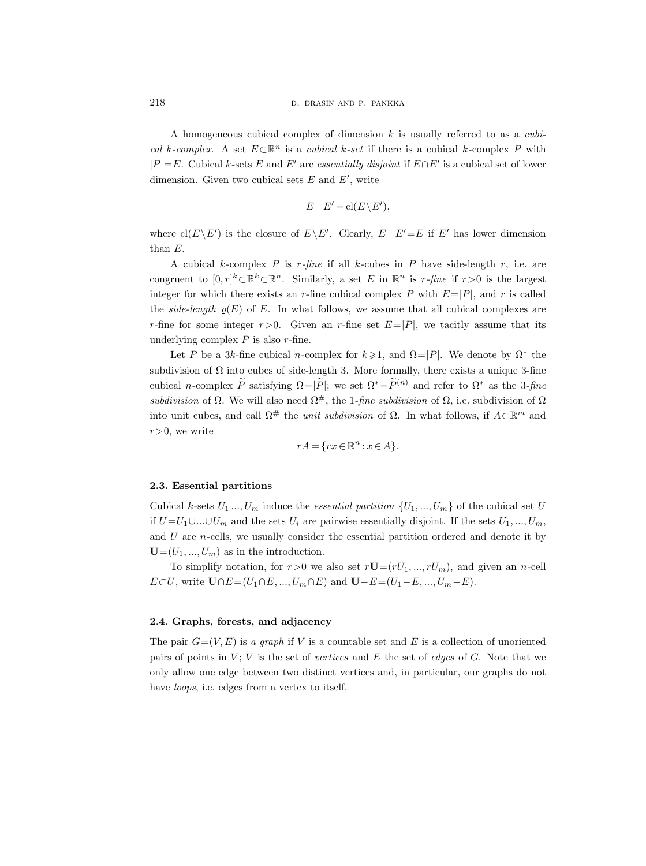A homogeneous cubical complex of dimension  $k$  is usually referred to as a *cubi*cal k-complex. A set  $E \subset \mathbb{R}^n$  is a cubical k-set if there is a cubical k-complex P with  $|P|=E$ . Cubical k-sets E and E' are essentially disjoint if  $E \cap E'$  is a cubical set of lower dimension. Given two cubical sets  $E$  and  $E'$ , write

$$
E - E' = \text{cl}(E \setminus E'),
$$

where  $\text{cl}(E\backslash E')$  is the closure of  $E\backslash E'$ . Clearly,  $E-E'=E$  if E' has lower dimension than E.

A cubical k-complex P is  $r$ -fine if all k-cubes in P have side-length r, i.e. are congruent to  $[0,r]^k \subset \mathbb{R}^k \subset \mathbb{R}^n$ . Similarly, a set E in  $\mathbb{R}^n$  is r-fine if  $r>0$  is the largest integer for which there exists an r-fine cubical complex P with  $E=|P|$ , and r is called the side-length  $\rho(E)$  of E. In what follows, we assume that all cubical complexes are r-fine for some integer  $r>0$ . Given an r-fine set  $E=|P|$ , we tacitly assume that its underlying complex  $P$  is also  $r$ -fine.

Let P be a 3k-fine cubical n-complex for  $k \geq 1$ , and  $\Omega = |P|$ . We denote by  $\Omega^*$  the subdivision of  $\Omega$  into cubes of side-length 3. More formally, there exists a unique 3-fine cubical n-complex  $\tilde{P}$  satisfying  $\Omega=|\tilde{P}|$ ; we set  $\Omega^*=\tilde{P}^{(n)}$  and refer to  $\Omega^*$  as the 3-fine subdivision of  $\Omega$ . We will also need  $\Omega^{\#}$ , the 1-fine subdivision of  $\Omega$ , i.e. subdivision of  $\Omega$ into unit cubes, and call  $\Omega^{\#}$  the *unit subdivision* of  $\Omega$ . In what follows, if  $A\subset\mathbb{R}^m$  and  $r>0$ , we write

$$
rA = \{ rx \in \mathbb{R}^n : x \in A \}.
$$

## <span id="page-9-0"></span>2.3. Essential partitions

Cubical k-sets  $U_1 \dots, U_m$  induce the *essential partition*  $\{U_1, \dots, U_m\}$  of the cubical set U if  $U = U_1 \cup \ldots \cup U_m$  and the sets  $U_i$  are pairwise essentially disjoint. If the sets  $U_1, \ldots, U_m$ , and  $U$  are  $n$ -cells, we usually consider the essential partition ordered and denote it by  $\mathbf{U}=(U_1,...,U_m)$  as in the introduction.

To simplify notation, for  $r>0$  we also set  $r\mathbf{U}=(rU_1, ..., rU_m)$ , and given an *n*-cell  $E\subset U$ , write  $\mathbf{U}\cap E=(U_1\cap E,...,U_m\cap E)$  and  $\mathbf{U}-E=(U_1-E,...,U_m-E)$ .

#### <span id="page-9-1"></span>2.4. Graphs, forests, and adjacency

The pair  $G=(V, E)$  is a graph if V is a countable set and E is a collection of unoriented pairs of points in  $V$ ; V is the set of vertices and E the set of edges of G. Note that we only allow one edge between two distinct vertices and, in particular, our graphs do not have loops, i.e. edges from a vertex to itself.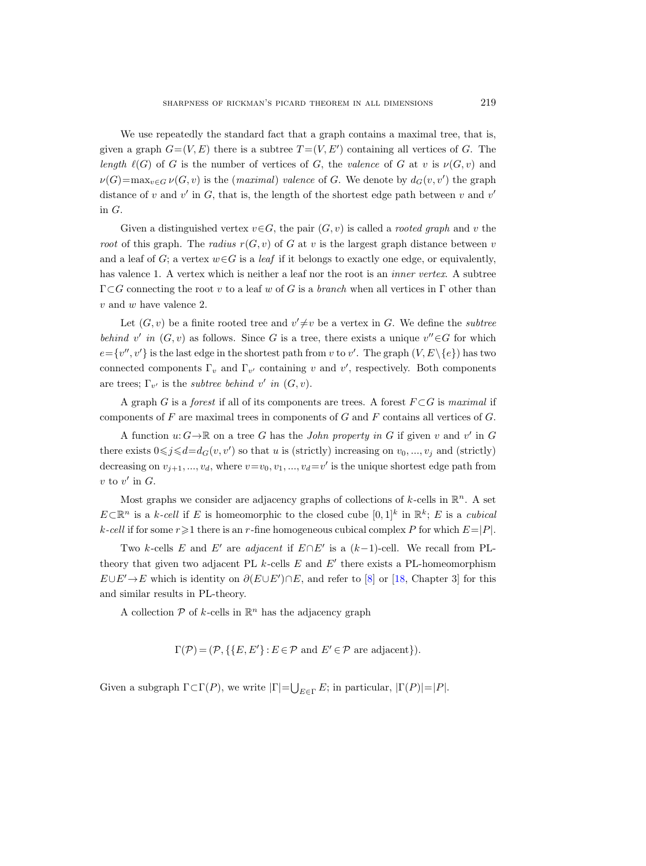We use repeatedly the standard fact that a graph contains a maximal tree, that is, given a graph  $G=(V, E)$  there is a subtree  $T=(V, E')$  containing all vertices of G. The length  $\ell(G)$  of G is the number of vertices of G, the valence of G at v is  $\nu(G, v)$  and  $\nu(G) = \max_{v \in G} \nu(G, v)$  is the (maximal) valence of G. We denote by  $d_G(v, v')$  the graph distance of v and v' in  $G$ , that is, the length of the shortest edge path between v and v' in G.

Given a distinguished vertex  $v \in G$ , the pair  $(G, v)$  is called a *rooted graph* and v the root of this graph. The radius  $r(G, v)$  of G at v is the largest graph distance between v and a leaf of G; a vertex  $w \in G$  is a *leaf* if it belongs to exactly one edge, or equivalently, has valence 1. A vertex which is neither a leaf nor the root is an *inner vertex*. A subtree  $\Gamma \subset G$  connecting the root v to a leaf w of G is a branch when all vertices in  $\Gamma$  other than v and w have valence 2.

Let  $(G, v)$  be a finite rooted tree and  $v' \neq v$  be a vertex in G. We define the *subtree* behind v' in  $(G, v)$  as follows. Since G is a tree, there exists a unique  $v'' \in G$  for which  $e = \{v'', v'\}$  is the last edge in the shortest path from v to v'. The graph  $(V, E \setminus \{e\})$  has two connected components  $\Gamma_v$  and  $\Gamma_{v'}$  containing v and v', respectively. Both components are trees;  $\Gamma_{v'}$  is the *subtree behind*  $v'$  in  $(G, v)$ .

A graph G is a *forest* if all of its components are trees. A forest  $F \subset G$  is maximal if components of  $F$  are maximal trees in components of  $G$  and  $F$  contains all vertices of  $G$ .

A function  $u: G \to \mathbb{R}$  on a tree G has the *John property in G* if given v and v' in G there exists  $0 \leq j \leq d = d_G(v, v')$  so that u is (strictly) increasing on  $v_0, ..., v_j$  and (strictly) decreasing on  $v_{j+1},...,v_d$ , where  $v=v_0, v_1, ..., v_d=v'$  is the unique shortest edge path from  $v$  to  $v'$  in  $G$ .

Most graphs we consider are adjacency graphs of collections of  $k$ -cells in  $\mathbb{R}^n$ . A set  $E\subset\mathbb{R}^n$  is a k-cell if E is homeomorphic to the closed cube  $[0,1]^k$  in  $\mathbb{R}^k$ ; E is a cubical  $k\text{-}cell$  if for some  $r\geq 1$  there is an r-fine homogeneous cubical complex P for which  $E=|P|$ .

Two k-cells E and E' are adjacent if  $E \cap E'$  is a  $(k-1)$ -cell. We recall from PLtheory that given two adjacent PL  $k$ -cells  $E$  and  $E'$  there exists a PL-homeomorphism  $E \cup E' \rightarrow E$  which is identity on  $\partial (E \cup E') \cap E$ , and refer to [\[8\]](#page-96-15) or [\[18,](#page-97-3) Chapter 3] for this and similar results in PL-theory.

A collection  $P$  of k-cells in  $\mathbb{R}^n$  has the adjacency graph

$$
\Gamma(\mathcal{P}) = (\mathcal{P}, \{ \{ E, E' \} : E \in \mathcal{P} \text{ and } E' \in \mathcal{P} \text{ are adjacent} \}).
$$

Given a subgraph  $\Gamma \subset \Gamma(P)$ , we write  $|\Gamma| = \bigcup_{E \in \Gamma} E$ ; in particular,  $|\Gamma(P)| = |P|$ .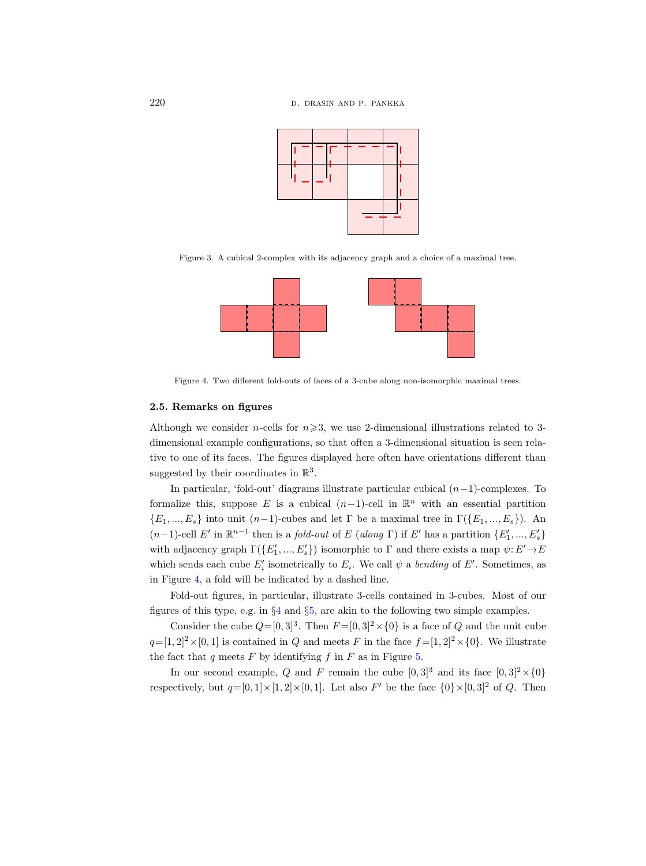

Figure 3. A cubical 2-complex with its adjacency graph and a choice of a maximal tree.



<span id="page-11-1"></span>Figure 4. Two different fold-outs of faces of a 3-cube along non-isomorphic maximal trees.

## <span id="page-11-0"></span>2.5. Remarks on figures

Although we consider *n*-cells for  $n \ge 3$ , we use 2-dimensional illustrations related to 3dimensional example configurations, so that often a 3-dimensional situation is seen relative to one of its faces. The figures displayed here often have orientations different than suggested by their coordinates in  $\mathbb{R}^3$ .

In particular, 'fold-out' diagrams illustrate particular cubical (n−1)-complexes. To formalize this, suppose E is a cubical  $(n-1)$ -cell in  $\mathbb{R}^n$  with an essential partition  ${E_1, ..., E_s}$  into unit  $(n-1)$ -cubes and let Γ be a maximal tree in  $\Gamma({E_1, ..., E_s})$ . An (n-1)-cell E' in ℝ<sup>n-1</sup> then is a *fold-out* of E (along Γ) if E' has a partition  ${E'_1, ..., E'_s}$ with adjacency graph  $\Gamma(\lbrace E'_1, ..., E'_s \rbrace)$  isomorphic to  $\Gamma$  and there exists a map  $\psi: E' \to E$ which sends each cube  $E'_i$  isometrically to  $E_i$ . We call  $\psi$  a bending of  $E'$ . Sometimes, as in Figure [4,](#page-11-1) a fold will be indicated by a dashed line.

Fold-out figures, in particular, illustrate 3-cells contained in 3-cubes. Most of our figures of this type, e.g. in §[4](#page-21-0) and §[5,](#page-38-0) are akin to the following two simple examples.

Consider the cube  $Q=[0,3]^3$ . Then  $F=[0,3]^2\times\{0\}$  is a face of Q and the unit cube  $q=[1, 2]^2\times[0, 1]$  is contained in Q and meets F in the face  $f=[1, 2]^2\times[0]$ . We illustrate the fact that q meets  $F$  by identifying  $f$  in  $F$  as in Figure [5.](#page-12-1)

In our second example, Q and F remain the cube  $[0,3]^3$  and its face  $[0,3]^2 \times \{0\}$ respectively, but  $q=[0,1]\times[1,2]\times[0,1]$ . Let also F' be the face  $\{0\}\times[0,3]^2$  of Q. Then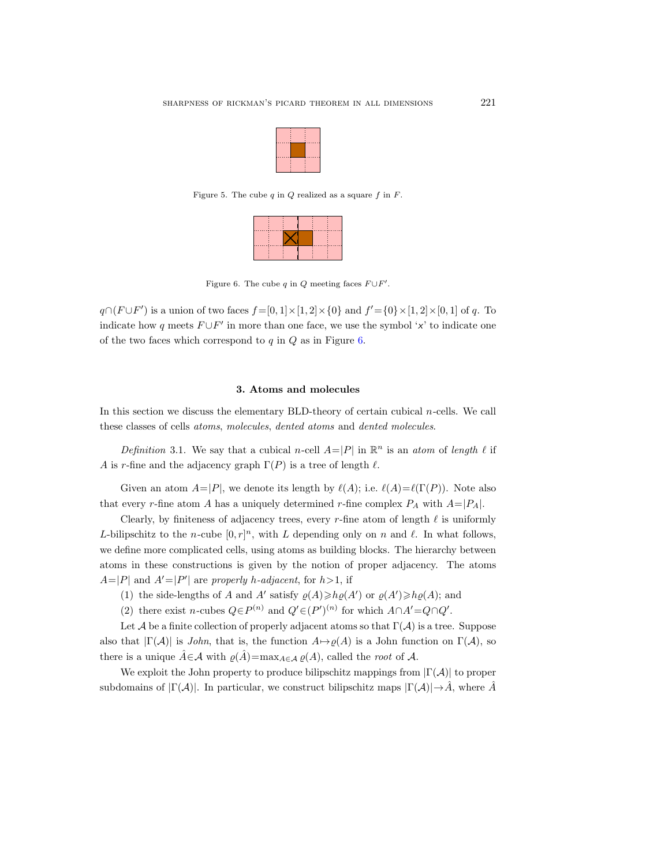

Figure 5. The cube  $q$  in  $Q$  realized as a square  $f$  in  $F$ .

<span id="page-12-1"></span>

<span id="page-12-2"></span>Figure 6. The cube q in Q meeting faces  $F \cup F'$ .

 $q \cap (F \cup F')$  is a union of two faces  $f = [0, 1] \times [1, 2] \times \{0\}$  and  $f' = \{0\} \times [1, 2] \times [0, 1]$  of q. To indicate how q meets  $F \cup F'$  in more than one face, we use the symbol 'x' to indicate one of the two faces which correspond to  $q$  in  $Q$  as in Figure [6.](#page-12-2)

## 3. Atoms and molecules

<span id="page-12-0"></span>In this section we discuss the elementary BLD-theory of certain cubical  $n$ -cells. We call these classes of cells atoms, molecules, dented atoms and dented molecules.

Definition 3.1. We say that a cubical n-cell  $A=|P|$  in  $\mathbb{R}^n$  is an atom of length  $\ell$  if A is r-fine and the adjacency graph  $\Gamma(P)$  is a tree of length  $\ell$ .

Given an atom  $A=|P|$ , we denote its length by  $\ell(A)$ ; i.e.  $\ell(A)=\ell(\Gamma(P))$ . Note also that every r-fine atom A has a uniquely determined r-fine complex  $P_A$  with  $A=|P_A|$ .

Clearly, by finiteness of adjacency trees, every r-fine atom of length  $\ell$  is uniformly L-bilipschitz to the n-cube  $[0, r]^n$ , with L depending only on n and  $\ell$ . In what follows, we define more complicated cells, using atoms as building blocks. The hierarchy between atoms in these constructions is given by the notion of proper adjacency. The atoms  $A=|P|$  and  $A'=|P'|$  are properly h-adjacent, for  $h>1$ , if

- (1) the side-lengths of A and A' satisfy  $\varrho(A) \geq h\varrho(A')$  or  $\varrho(A') \geq h\varrho(A)$ ; and
- (2) there exist n-cubes  $Q \in P^{(n)}$  and  $Q' \in (P')^{(n)}$  for which  $A \cap A' = Q \cap Q'$ .

Let A be a finite collection of properly adjacent atoms so that  $\Gamma(\mathcal{A})$  is a tree. Suppose also that  $|\Gamma(\mathcal{A})|$  is *John*, that is, the function  $A \mapsto \varrho(A)$  is a John function on  $\Gamma(\mathcal{A})$ , so there is a unique  $\hat{A} \in \mathcal{A}$  with  $\varrho(\hat{A}) = \max_{A \in \mathcal{A}} \varrho(A)$ , called the root of  $\mathcal{A}$ .

We exploit the John property to produce bilipschitz mappings from  $|\Gamma(\mathcal{A})|$  to proper subdomains of  $|\Gamma(\mathcal{A})|$ . In particular, we construct bilipschitz maps  $|\Gamma(\mathcal{A})| \rightarrow \hat{A}$ , where  $\hat{A}$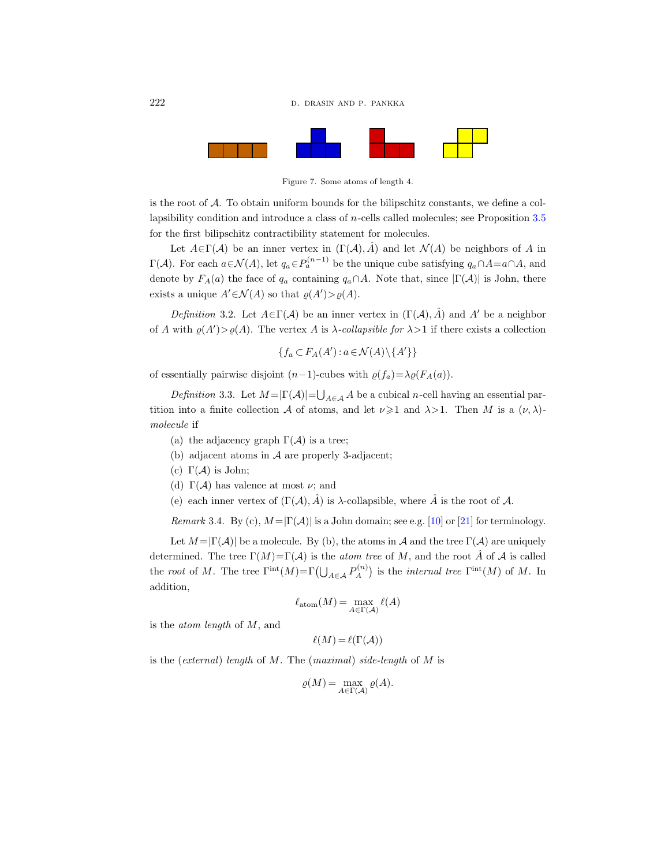

Figure 7. Some atoms of length 4.

is the root of  $A$ . To obtain uniform bounds for the bilipschitz constants, we define a collapsibility condition and introduce a class of n-cells called molecules; see Proposition [3.5](#page-14-0) for the first bilipschitz contractibility statement for molecules.

Let  $A \in \Gamma(\mathcal{A})$  be an inner vertex in  $(\Gamma(\mathcal{A}), \hat{A})$  and let  $\mathcal{N}(A)$  be neighbors of A in  $\Gamma(\mathcal{A})$ . For each  $a \in \mathcal{N}(A)$ , let  $q_a \in P_a^{(n-1)}$  be the unique cube satisfying  $q_a \cap A = a \cap A$ , and denote by  $F_A(a)$  the face of  $q_a$  containing  $q_a \cap A$ . Note that, since  $|\Gamma(A)|$  is John, there exists a unique  $A' \in \mathcal{N}(A)$  so that  $\varrho(A') > \varrho(A)$ .

Definition 3.2. Let  $A \in \Gamma(\mathcal{A})$  be an inner vertex in  $(\Gamma(\mathcal{A}), \hat{A})$  and A' be a neighbor of A with  $\varrho(A') > \varrho(A)$ . The vertex A is  $\lambda$ -collapsible for  $\lambda > 1$  if there exists a collection

$$
\{f_a \subset F_A(A'): a \in \mathcal{N}(A) \setminus \{A'\}\}\
$$

of essentially pairwise disjoint  $(n-1)$ -cubes with  $\rho(f_a)=\lambda \rho(F_A(a)).$ 

Definition 3.3. Let  $M = |\Gamma(\mathcal{A})| = \bigcup_{A \in \mathcal{A}} A$  be a cubical n-cell having an essential partition into a finite collection A of atoms, and let  $\nu \geq 1$  and  $\lambda > 1$ . Then M is a  $(\nu, \lambda)$ molecule if

- (a) the adjacency graph  $\Gamma(\mathcal{A})$  is a tree;
- (b) adjacent atoms in  $A$  are properly 3-adjacent;
- (c)  $\Gamma(\mathcal{A})$  is John;
- (d)  $\Gamma(\mathcal{A})$  has valence at most  $\nu$ ; and
- (e) each inner vertex of  $(\Gamma(\mathcal{A}), \hat{A})$  is  $\lambda$ -collapsible, where  $\hat{A}$  is the root of  $\mathcal{A}$ .

Remark 3.4. By (c),  $M = |\Gamma(A)|$  is a John domain; see e.g. [\[10\]](#page-96-16) or [\[21\]](#page-97-4) for terminology.

Let  $M = |\Gamma(\mathcal{A})|$  be a molecule. By (b), the atoms in A and the tree  $\Gamma(\mathcal{A})$  are uniquely determined. The tree  $\Gamma(M)=\Gamma(\mathcal{A})$  is the *atom tree* of M, and the root  $\hat{A}$  of  $\mathcal{A}$  is called the root of M. The tree  $\Gamma^{\text{int}}(M) = \Gamma(\bigcup_{A \in \mathcal{A}} P_A^{(n)}$  $\Lambda^{(n)}$  is the *internal tree*  $\Gamma^{\text{int}}(M)$  of M. In addition,

$$
\ell_{\mathrm{atom}}(M) = \max_{A \in \Gamma(\mathcal{A})} \ell(A)
$$

is the atom length of M, and

$$
\ell(M) = \ell(\Gamma(\mathcal{A}))
$$

is the (external) length of M. The (maximal) side-length of M is

$$
\varrho(M) = \max_{A \in \Gamma(\mathcal{A})} \varrho(A).
$$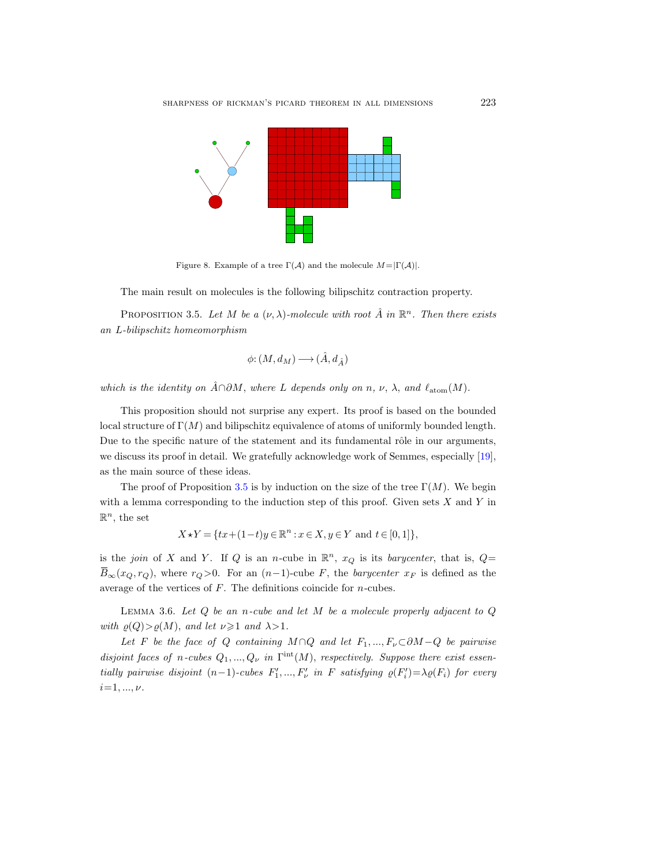

Figure 8. Example of a tree  $\Gamma(\mathcal{A})$  and the molecule  $M=|\Gamma(\mathcal{A})|$ .

The main result on molecules is the following bilipschitz contraction property.

<span id="page-14-0"></span>PROPOSITION 3.5. Let M be a  $(\nu, \lambda)$ -molecule with root  $\hat{A}$  in  $\mathbb{R}^n$ . Then there exists an L-bilipschitz homeomorphism

$$
\phi\text{:}\left(M,d_{M}\right)\longrightarrow\left(\hat{A},d_{\hat{A}}\right)
$$

which is the identity on  $\hat{A} \cap \partial M$ , where L depends only on n, v,  $\lambda$ , and  $\ell_{\text{atom}}(M)$ .

This proposition should not surprise any expert. Its proof is based on the bounded local structure of  $\Gamma(M)$  and bilipschitz equivalence of atoms of uniformly bounded length. Due to the specific nature of the statement and its fundamental rôle in our arguments, we discuss its proof in detail. We gratefully acknowledge work of Semmes, especially [\[19\]](#page-97-5), as the main source of these ideas.

The proof of Proposition [3.5](#page-14-0) is by induction on the size of the tree  $\Gamma(M)$ . We begin with a lemma corresponding to the induction step of this proof. Given sets  $X$  and  $Y$  in  $\mathbb{R}^n$ , the set

$$
X \star Y = \{ tx + (1-t)y \in \mathbb{R}^n : x \in X, y \in Y \text{ and } t \in [0,1] \},
$$

is the join of X and Y. If Q is an n-cube in  $\mathbb{R}^n$ ,  $x_Q$  is its barycenter, that is,  $Q=$  $\overline{B}_{\infty}(x_Q, r_Q)$ , where  $r_Q > 0$ . For an  $(n-1)$ -cube F, the *barycenter*  $x_F$  is defined as the average of the vertices of  $F$ . The definitions coincide for  $n$ -cubes.

<span id="page-14-1"></span>LEMMA 3.6. Let  $Q$  be an n-cube and let  $M$  be a molecule properly adjacent to  $Q$ with  $\varrho(Q) > \varrho(M)$ , and let  $\nu \geq 1$  and  $\lambda > 1$ .

Let F be the face of Q containing M ∩Q and let  $F_1, ..., F_{\nu} \subset \partial M - Q$  be pairwise disjoint faces of n-cubes  $Q_1, ..., Q_{\nu}$  in  $\Gamma^{\text{int}}(M)$ , respectively. Suppose there exist essentially pairwise disjoint  $(n-1)$ -cubes  $F'_1, ..., F'_{\nu}$  in F satisfying  $\rho(F'_i) = \lambda \rho(F_i)$  for every  $i=1, ..., \nu$ .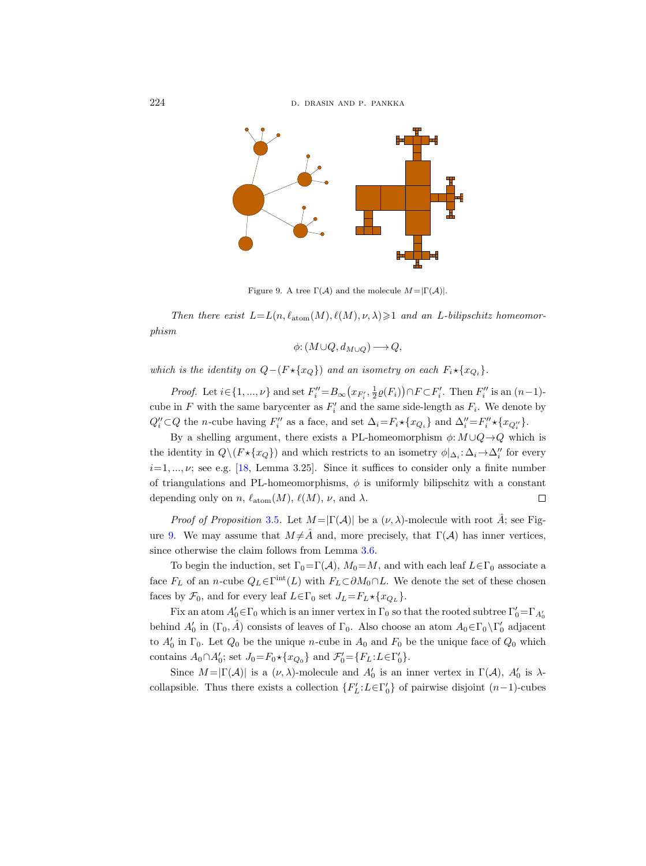

<span id="page-15-0"></span>Figure 9. A tree  $\Gamma(\mathcal{A})$  and the molecule  $M=|\Gamma(\mathcal{A})|$ .

Then there exist  $L = L(n, \ell_{\text{atom}}(M), \ell(M), \nu, \lambda) \geq 1$  and an L-bilipschitz homeomorphism

$$
\phi\colon (M\cup Q, d_{M\cup Q})\longrightarrow Q,
$$

which is the identity on  $Q-(F \star \{x_Q\})$  and an isometry on each  $F_i \star \{x_{Q_i}\}.$ 

*Proof.* Let  $i \in \{1, ..., \nu\}$  and set  $F''_i = B_{\infty}(x_{F'_i}, \frac{1}{2}\varrho(F_i)) \cap F \subset F'_i$ . Then  $F''_i$  is an  $(n-1)$ cube in F with the same barycenter as  $F_i'$  and the same side-length as  $F_i$ . We denote by  $Q''_i \subset Q$  the *n*-cube having  $F''_i$  as a face, and set  $\Delta_i = F_i \star \{x_{Q_i}\}\$  and  $\Delta''_i = F''_i \star \{x_{Q''_i}\}.$ 

By a shelling argument, there exists a PL-homeomorphism  $\phi: M \cup Q \rightarrow Q$  which is the identity in  $Q \setminus (F \star \{x_Q\})$  and which restricts to an isometry  $\phi|_{\Delta_i} : \Delta_i \to \Delta_i''$  for every  $i=1, ..., \nu$ ; see e.g. [\[18,](#page-97-3) Lemma 3.25]. Since it suffices to consider only a finite number of triangulations and PL-homeomorphisms,  $\phi$  is uniformly bilipschitz with a constant depending only on n,  $\ell_{\text{atom}}(M)$ ,  $\ell(M)$ ,  $\nu$ , and  $\lambda$ .  $\Box$ 

*Proof of Proposition* [3.5](#page-14-0). Let  $M = |\Gamma(A)|$  be a  $(\nu, \lambda)$ -molecule with root  $\hat{A}$ ; see Fig-ure [9.](#page-15-0) We may assume that  $M \neq \hat{A}$  and, more precisely, that  $\Gamma(\mathcal{A})$  has inner vertices, since otherwise the claim follows from Lemma [3.6.](#page-14-1)

To begin the induction, set  $\Gamma_0=\Gamma(\mathcal{A}), M_0=M$ , and with each leaf  $L\in\Gamma_0$  associate a face  $F_L$  of an n-cube  $Q_L \in \Gamma^{\text{int}}(L)$  with  $F_L \subset \partial M_0 \cap L$ . We denote the set of these chosen faces by  $\mathcal{F}_0$ , and for every leaf  $L \in \Gamma_0$  set  $J_L = F_L \star \{x_{Q_L}\}.$ 

Fix an atom  $A'_0 \in \Gamma_0$  which is an inner vertex in  $\Gamma_0$  so that the rooted subtree  $\Gamma'_0 = \Gamma_{A'_0}$ behind  $A'_0$  in  $(\Gamma_0, \hat{A})$  consists of leaves of  $\Gamma_0$ . Also choose an atom  $A_0 \in \Gamma_0 \setminus \Gamma'_0$  adjacent to  $A'_0$  in  $\Gamma_0$ . Let  $Q_0$  be the unique n-cube in  $A_0$  and  $F_0$  be the unique face of  $Q_0$  which contains  $A_0 \cap A'_0$ ; set  $J_0 = F_0 \star \{x_{Q_0}\}$  and  $\mathcal{F}'_0 = \{F_L : L \in \Gamma'_0\}.$ 

Since  $M = |\Gamma(\mathcal{A})|$  is a  $(\nu, \lambda)$ -molecule and  $A'_0$  is an inner vertex in  $\Gamma(\mathcal{A})$ ,  $A'_0$  is  $\lambda$ collapsible. Thus there exists a collection  $\{F'_{L}: L \in \Gamma'_{0}\}$  of pairwise disjoint  $(n-1)$ -cubes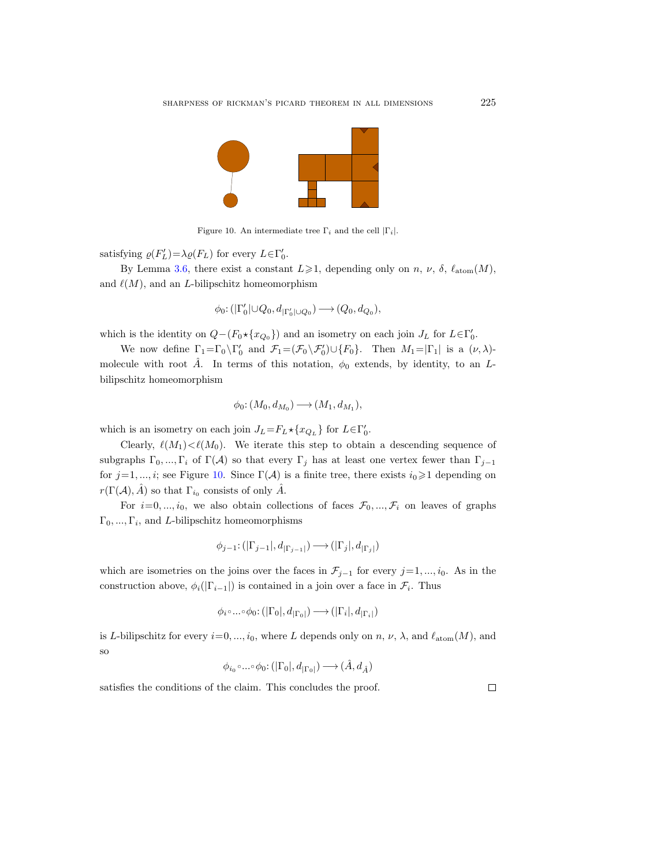

<span id="page-16-0"></span>Figure 10. An intermediate tree  $\Gamma_i$  and the cell  $|\Gamma_i|$ .

satisfying  $\varrho(F'_L) = \lambda \varrho(F_L)$  for every  $L \in \Gamma'_0$ .

By Lemma [3.6,](#page-14-1) there exist a constant  $L \ge 1$ , depending only on n, v,  $\delta$ ,  $\ell_{\text{atom}}(M)$ , and  $\ell(M)$ , and an L-bilipschitz homeomorphism

$$
\phi_0\colon (|\Gamma'_0|\cup Q_0, d_{|\Gamma'_0|\cup Q_0})\longrightarrow (Q_0, d_{Q_0}),
$$

which is the identity on  $Q - (F_0 \star \{x_{Q_0}\})$  and an isometry on each join  $J_L$  for  $L \in \Gamma'_0$ .

We now define  $\Gamma_1 = \Gamma_0 \backslash \Gamma'_0$  and  $\mathcal{F}_1 = (\mathcal{F}_0 \backslash \mathcal{F}'_0) \cup \{F_0\}$ . Then  $M_1 = |\Gamma_1|$  is a  $(\nu, \lambda)$ molecule with root  $\hat{A}$ . In terms of this notation,  $\phi_0$  extends, by identity, to an Lbilipschitz homeomorphism

$$
\phi_0\colon (M_0,d_{M_0})\longrightarrow (M_1,d_{M_1}),
$$

which is an isometry on each join  $J_L = F_L \star \{x_{Q_L}\}\)$  for  $L \in \Gamma'_0$ .

Clearly,  $\ell(M_1) < \ell(M_0)$ . We iterate this step to obtain a descending sequence of subgraphs  $\Gamma_0, ..., \Gamma_i$  of  $\Gamma(\mathcal{A})$  so that every  $\Gamma_j$  has at least one vertex fewer than  $\Gamma_{j-1}$ for  $j=1, ..., i$ ; see Figure [10.](#page-16-0) Since  $\Gamma(\mathcal{A})$  is a finite tree, there exists  $i_0 \geq 1$  depending on  $r(\Gamma(\mathcal{A}), \hat{A})$  so that  $\Gamma_{i_0}$  consists of only  $\hat{A}$ .

For  $i=0, ..., i_0$ , we also obtain collections of faces  $\mathcal{F}_0, ..., \mathcal{F}_i$  on leaves of graphs  $\Gamma_0, ..., \Gamma_i$ , and *L*-bilipschitz homeomorphisms

$$
\phi_{j-1} : (|\Gamma_{j-1}|, d_{|\Gamma_{j-1}|}) \longrightarrow (|\Gamma_j|, d_{|\Gamma_j|})
$$

which are isometries on the joins over the faces in  $\mathcal{F}_{j-1}$  for every  $j=1, ..., i_0$ . As in the construction above,  $\phi_i(|\Gamma_{i-1}|)$  is contained in a join over a face in  $\mathcal{F}_i$ . Thus

$$
\phi_i \circ \dots \circ \phi_0 \colon (|\Gamma_0|, d_{|\Gamma_0|}) \longrightarrow (|\Gamma_i|, d_{|\Gamma_i|})
$$

is L-bilipschitz for every  $i=0, ..., i_0$ , where L depends only on n,  $\nu$ ,  $\lambda$ , and  $\ell_{\text{atom}}(M)$ , and so

$$
\phi_{i_0} \circ \dots \circ \phi_0 \colon (|\Gamma_0|, d_{|\Gamma_0|}) \longrightarrow (\hat{A}, d_{\hat{A}})
$$

satisfies the conditions of the claim. This concludes the proof.

 $\Box$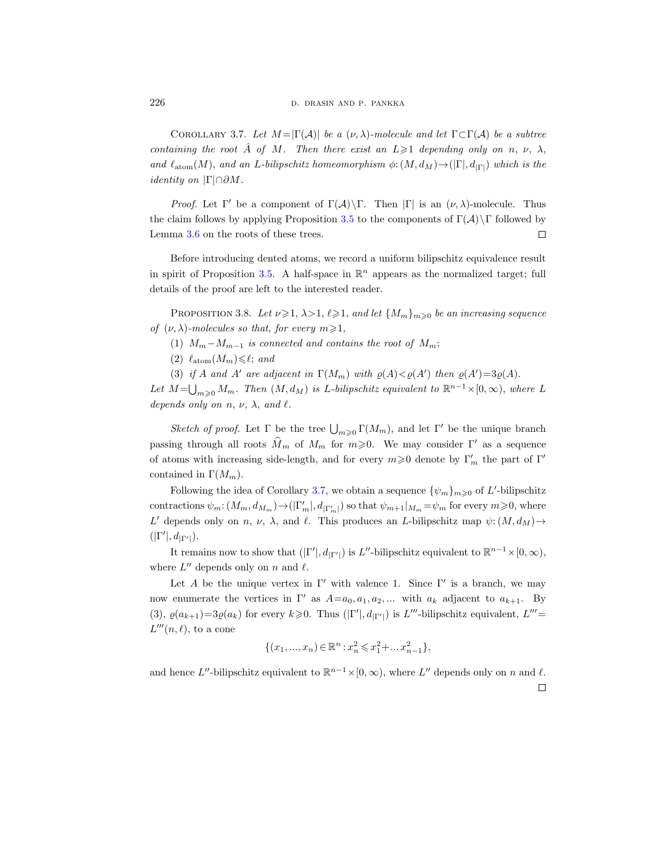<span id="page-17-0"></span>COROLLARY 3.7. Let  $M = |\Gamma(\mathcal{A})|$  be a  $(\nu, \lambda)$ -molecule and let  $\Gamma \subset \Gamma(\mathcal{A})$  be a subtree containing the root  $\hat{A}$  of M. Then there exist an  $L \geq 1$  depending only on n, v,  $\lambda$ , and  $\ell_{\text{atom}}(M)$ , and an L-bilipschitz homeomorphism  $\phi: (M, d_M) \to (|\Gamma|, d_{|\Gamma|})$  which is the *identity on*  $|\Gamma| \cap \partial M$ .

*Proof.* Let  $\Gamma'$  be a component of  $\Gamma(\mathcal{A})\backslash\Gamma$ . Then  $|\Gamma|$  is an  $(\nu, \lambda)$ -molecule. Thus the claim follows by applying Proposition [3.5](#page-14-0) to the components of  $\Gamma(\mathcal{A})\backslash\Gamma$  followed by Lemma [3.6](#page-14-1) on the roots of these trees.  $\Box$ 

Before introducing dented atoms, we record a uniform bilipschitz equivalence result in spirit of Proposition [3.5.](#page-14-0) A half-space in  $\mathbb{R}^n$  appears as the normalized target; full details of the proof are left to the interested reader.

PROPOSITION 3.8. Let  $\nu \geq 1$ ,  $\lambda > 1$ ,  $\ell \geq 1$ , and let  ${M_m}_{m \geq 0}$  be an increasing sequence of  $(\nu, \lambda)$ -molecules so that, for every  $m \geq 1$ ,

- (1)  $M_m M_{m-1}$  is connected and contains the root of  $M_m$ ;
- (2)  $\ell_{\text{atom}}(M_m)\leq \ell$ ; and
- (3) if A and A' are adjacent in  $\Gamma(M_m)$  with  $\varrho(A) < \varrho(A')$  then  $\varrho(A') = 3\varrho(A)$ .

Let  $M=\bigcup_{m\geqslant 0}M_m$ . Then  $(M,d_M)$  is L-bilipschitz equivalent to  $\mathbb{R}^{n-1}\times [0,\infty)$ , where L depends only on  $n, \nu, \lambda$ , and  $\ell$ .

Sketch of proof. Let  $\Gamma$  be the tree  $\bigcup_{m\geqslant 0} \Gamma(M_m)$ , and let  $\Gamma'$  be the unique branch passing through all roots  $\widehat{M}_m$  of  $M_m$  for  $m \geq 0$ . We may consider Γ' as a sequence of atoms with increasing side-length, and for every  $m \geq 0$  denote by  $\Gamma'_m$  the part of  $\Gamma'$ contained in  $\Gamma(M_m)$ .

Following the idea of Corollary [3.7,](#page-17-0) we obtain a sequence  $\{\psi_m\}_{m\geqslant 0}$  of L'-bilipschitz contractions  $\psi_m: (M_m, d_{M_m}) \to (|\Gamma'_m|, d_{|\Gamma'_m|})$  so that  $\psi_{m+1}|_{M_m} = \psi_m$  for every  $m \geq 0$ , where L' depends only on n, v,  $\lambda$ , and  $\ell$ . This produces an L-bilipschitz map  $\psi: (M, d_M) \to$  $(|\Gamma'|, d_{|\Gamma'|}).$ 

It remains now to show that  $(|\Gamma'|, d_{|\Gamma'|})$  is L''-bilipschitz equivalent to  $\mathbb{R}^{n-1} \times [0, \infty)$ , where  $L''$  depends only on n and  $\ell$ .

Let A be the unique vertex in  $\Gamma'$  with valence 1. Since  $\Gamma'$  is a branch, we may now enumerate the vertices in  $\Gamma'$  as  $A=a_0, a_1, a_2, ...$  with  $a_k$  adjacent to  $a_{k+1}$ . By (3),  $\varrho(a_{k+1})=3\varrho(a_k)$  for every  $k\geqslant 0$ . Thus  $(|\Gamma'|, d_{|\Gamma'|})$  is L'''-bilipschitz equivalent, L'''=  $L'''(n, \ell)$ , to a cone

$$
\{(x_1, ..., x_n) \in \mathbb{R}^n : x_n^2 \leq x_1^2 + ... x_{n-1}^2\},\
$$

and hence L''-bilipschitz equivalent to  $\mathbb{R}^{n-1} \times [0, \infty)$ , where L'' depends only on n and  $\ell$ .  $\Box$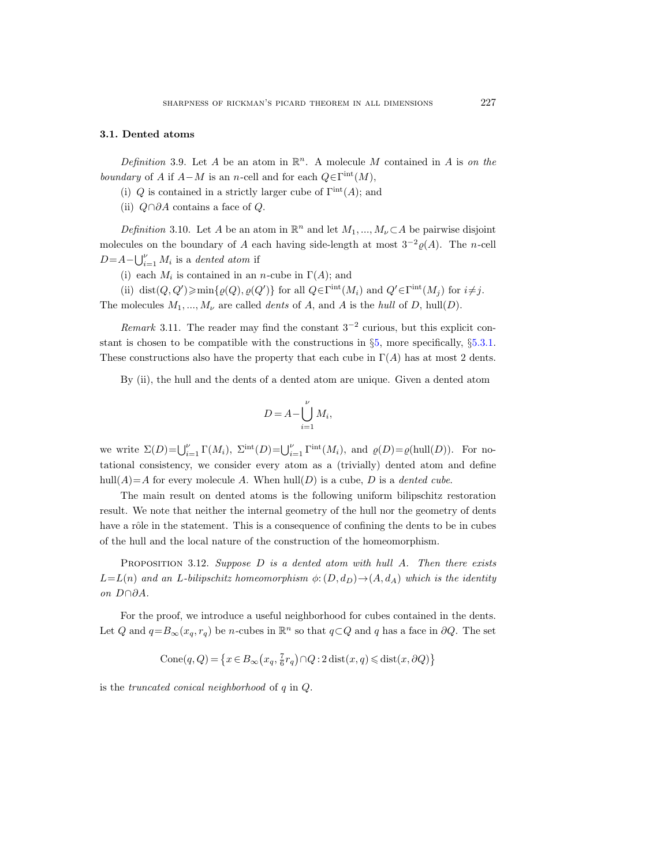#### <span id="page-18-0"></span>3.1. Dented atoms

<span id="page-18-1"></span>Definition 3.9. Let A be an atom in  $\mathbb{R}^n$ . A molecule M contained in A is on the boundary of A if  $A - M$  is an n-cell and for each  $Q \in \Gamma^{\text{int}}(M)$ ,

(i) Q is contained in a strictly larger cube of  $\Gamma^{int}(A)$ ; and

(ii)  $Q \cap \partial A$  contains a face of  $Q$ .

<span id="page-18-2"></span>Definition 3.10. Let A be an atom in  $\mathbb{R}^n$  and let  $M_1, ..., M_{\nu} \subset A$  be pairwise disjoint molecules on the boundary of A each having side-length at most  $3^{-2}\rho(A)$ . The n-cell  $D = A - \bigcup_{i=1}^{P} M_i$  is a dented atom if

(i) each  $M_i$  is contained in an *n*-cube in  $\Gamma(A)$ ; and

(ii) dist $(Q, Q') \ge \min\{ \varrho(Q), \varrho(Q') \}$  for all  $Q \in \Gamma^{\rm int}(M_i)$  and  $Q' \in \Gamma^{\rm int}(M_j)$  for  $i \ne j$ . The molecules  $M_1, ..., M_{\nu}$  are called *dents* of A, and A is the *hull* of D, hull(D).

*Remark* 3.11. The reader may find the constant  $3^{-2}$  curious, but this explicit constant is chosen to be compatible with the constructions in §[5,](#page-38-0) more specifically, §[5.3.1.](#page-54-1) These constructions also have the property that each cube in  $\Gamma(A)$  has at most 2 dents.

By (ii), the hull and the dents of a dented atom are unique. Given a dented atom

$$
D = A - \bigcup_{i=1}^{\nu} M_i,
$$

we write  $\Sigma(D) = \bigcup_{i=1}^{\nu} \Gamma(M_i)$ ,  $\Sigma^{\text{int}}(D) = \bigcup_{i=1}^{\nu} \Gamma^{\text{int}}(M_i)$ , and  $\varrho(D) = \varrho(\text{hull}(D))$ . For notational consistency, we consider every atom as a (trivially) dented atom and define hull $(A)=A$  for every molecule A. When hull $(D)$  is a cube, D is a *dented cube*.

The main result on dented atoms is the following uniform bilipschitz restoration result. We note that neither the internal geometry of the hull nor the geometry of dents have a rôle in the statement. This is a consequence of confining the dents to be in cubes of the hull and the local nature of the construction of the homeomorphism.

<span id="page-18-3"></span>PROPOSITION 3.12. Suppose  $D$  is a dented atom with hull  $A$ . Then there exists  $L=L(n)$  and an L-bilipschitz homeomorphism  $\phi: (D, d_D) \to (A, d_A)$  which is the identity on D∩∂A.

For the proof, we introduce a useful neighborhood for cubes contained in the dents. Let Q and  $q = B_{\infty}(x_q, r_q)$  be n-cubes in  $\mathbb{R}^n$  so that  $q \subset Q$  and q has a face in  $\partial Q$ . The set

$$
\operatorname{Cone}(q,Q) \,{=}\, \left\{x \,{\in}\, B_\infty\!\left(x_q, \tfrac{7}{6} r_q\right) \cap\,! Q \,{:}\, 2 \, \text{dist}(x,q) \,{\leqslant}\, \text{dist}(x,\partial Q)\right\}
$$

<span id="page-18-4"></span>is the truncated conical neighborhood of q in Q.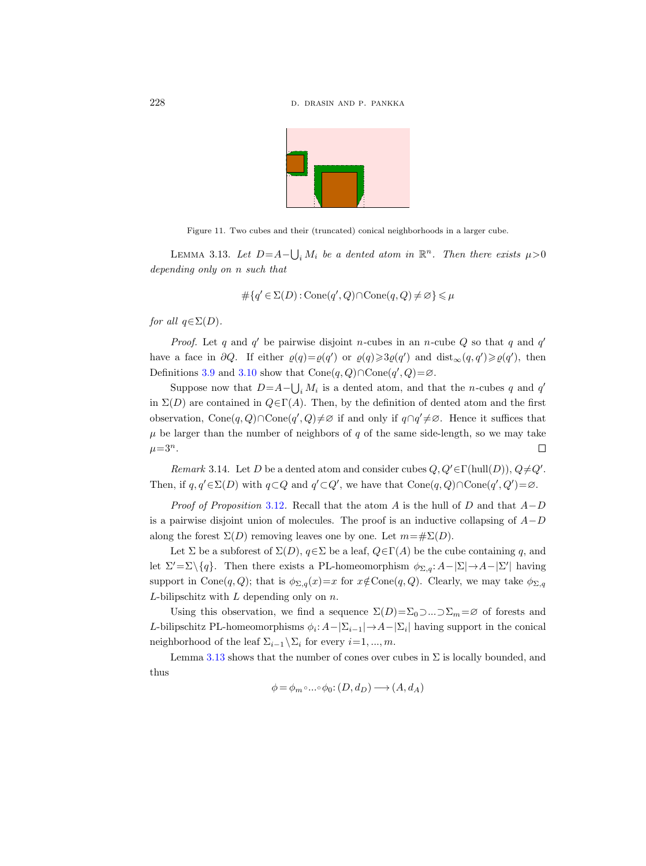

Figure 11. Two cubes and their (truncated) conical neighborhoods in a larger cube.

LEMMA 3.13. Let  $D = A - \bigcup_i M_i$  be a dented atom in  $\mathbb{R}^n$ . Then there exists  $\mu > 0$ depending only on n such that

$$
\#\{q' \in \Sigma(D) : \text{Cone}(q', Q) \cap \text{Cone}(q, Q) \neq \varnothing\} \leq \mu
$$

for all  $q \in \Sigma(D)$ .

*Proof.* Let q and q' be pairwise disjoint n-cubes in an n-cube Q so that q and  $q'$ have a face in  $\partial Q$ . If either  $\varrho(q) = \varrho(q')$  or  $\varrho(q) \geq \varrho(q')$  and  $dist_{\infty}(q, q') \geq \varrho(q')$ , then Definitions [3.9](#page-18-1) and [3.10](#page-18-2) show that  $Cone(q, Q) \cap Cone(q', Q) = \emptyset$ .

Suppose now that  $D = A - \bigcup_i M_i$  is a dented atom, and that the *n*-cubes q and q' in  $\Sigma(D)$  are contained in  $Q \in \Gamma(A)$ . Then, by the definition of dented atom and the first observation, Cone $(q, Q) \cap \text{Cone}(q', Q) \neq \emptyset$  if and only if  $q \cap q' \neq \emptyset$ . Hence it suffices that  $\mu$  be larger than the number of neighbors of q of the same side-length, so we may take  $\mu = 3^n$ .  $\Box$ 

Remark 3.14. Let D be a dented atom and consider cubes  $Q, Q' \in \Gamma(\text{hull}(D)), Q \neq Q'.$ Then, if  $q, q' \in \Sigma(D)$  with  $q \subset Q$  and  $q' \subset Q'$ , we have that  $Cone(q, Q) \cap Cone(q', Q') = \emptyset$ .

*Proof of Proposition* [3.12](#page-18-3). Recall that the atom A is the hull of D and that  $A-D$ is a pairwise disjoint union of molecules. The proof is an inductive collapsing of  $A-D$ along the forest  $\Sigma(D)$  removing leaves one by one. Let  $m=\#\Sigma(D)$ .

Let  $\Sigma$  be a subforest of  $\Sigma(D)$ ,  $q \in \Sigma$  be a leaf,  $Q \in \Gamma(A)$  be the cube containing q, and let  $\Sigma' = \Sigma \setminus \{q\}$ . Then there exists a PL-homeomorphism  $\phi_{\Sigma,q}: A - |\Sigma| \to A - |\Sigma'|$  having support in Cone $(q, Q)$ ; that is  $\phi_{\Sigma, q}(x) = x$  for  $x \notin \text{Cone}(q, Q)$ . Clearly, we may take  $\phi_{\Sigma, q}(x)$  $L$ -bilipschitz with  $L$  depending only on  $n$ .

Using this observation, we find a sequence  $\Sigma(D)=\Sigma_0\supset\ldots\supset\Sigma_m=\varnothing$  of forests and L-bilipschitz PL-homeomorphisms  $\phi_i: A-|\Sigma_{i-1}| \to A-|\Sigma_i|$  having support in the conical neighborhood of the leaf  $\Sigma_{i-1} \backslash \Sigma_i$  for every  $i=1, ..., m$ .

Lemma [3.13](#page-18-4) shows that the number of cones over cubes in  $\Sigma$  is locally bounded, and thus

$$
\phi = \phi_m \circ \dots \circ \phi_0 \colon (D, d_D) \longrightarrow (A, d_A)
$$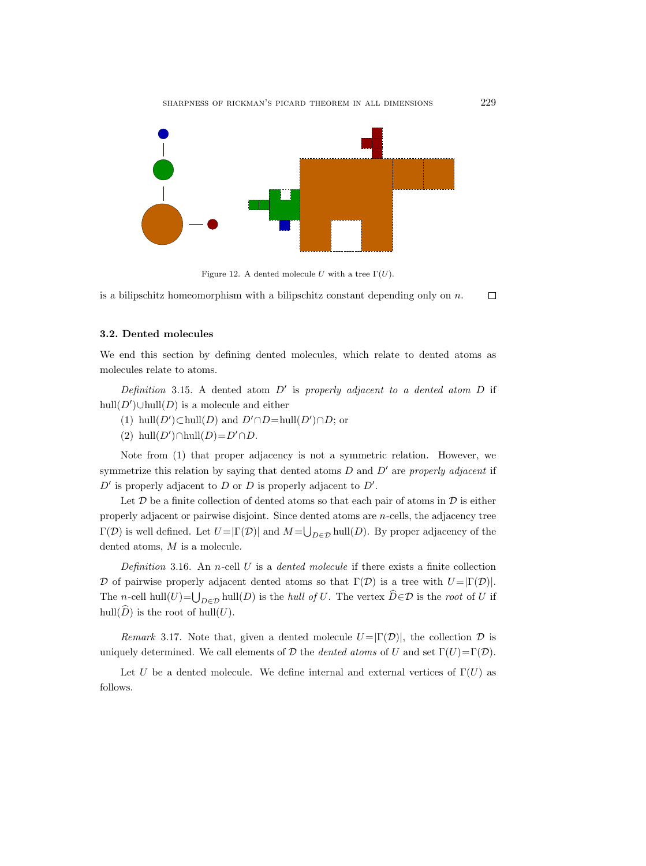

Figure 12. A dented molecule U with a tree  $\Gamma(U)$ .

is a bilipschitz homeomorphism with a bilipschitz constant depending only on  $n$ .  $\Box$ 

## <span id="page-20-0"></span>3.2. Dented molecules

We end this section by defining dented molecules, which relate to dented atoms as molecules relate to atoms.

Definition 3.15. A dented atom  $D'$  is properly adjacent to a dented atom  $D$  if hull $(D')$  $\cup$ hull $(D)$  is a molecule and either

- (1) hull(D')⊂hull(D) and  $D' \cap D=$ hull(D')∩D; or
- (2) hull $(D') \cap \text{hull}(D) = D' \cap D$ .

Note from (1) that proper adjacency is not a symmetric relation. However, we symmetrize this relation by saying that dented atoms  $D$  and  $D'$  are properly adjacent if  $D'$  is properly adjacent to  $D$  or  $D$  is properly adjacent to  $D'$ .

Let  $D$  be a finite collection of dented atoms so that each pair of atoms in  $D$  is either properly adjacent or pairwise disjoint. Since dented atoms are n-cells, the adjacency tree  $\Gamma(\mathcal{D})$  is well defined. Let  $U = |\Gamma(\mathcal{D})|$  and  $M = \bigcup_{D \in \mathcal{D}} \text{hull}(D)$ . By proper adjacency of the dented atoms, M is a molecule.

Definition 3.16. An n-cell U is a dented molecule if there exists a finite collection D of pairwise properly adjacent dented atoms so that  $\Gamma(\mathcal{D})$  is a tree with  $U = |\Gamma(\mathcal{D})|$ . The n-cell hull(U)= $\bigcup_{D\in\mathcal{D}}$  hull(D) is the hull of U. The vertex  $D\in\mathcal{D}$  is the root of U if hull( $\widehat{D}$ ) is the root of hull(U).

Remark 3.17. Note that, given a dented molecule  $U = |\Gamma(\mathcal{D})|$ , the collection  $\mathcal D$  is uniquely determined. We call elements of D the dented atoms of U and set  $\Gamma(U)=\Gamma(\mathcal{D})$ .

Let U be a dented molecule. We define internal and external vertices of  $\Gamma(U)$  as follows.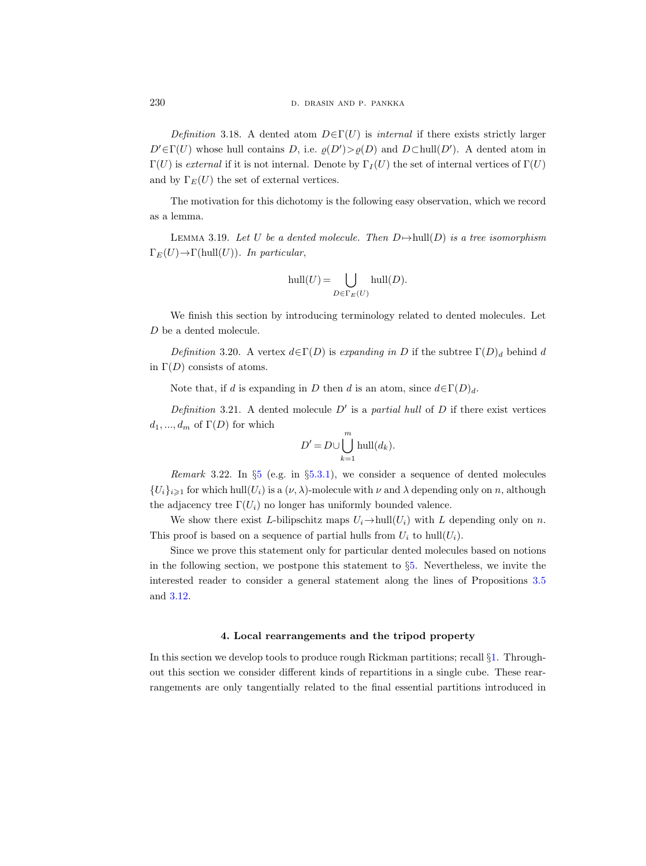Definition 3.18. A dented atom  $D \in \Gamma(U)$  is internal if there exists strictly larger  $D' \in \Gamma(U)$  whose hull contains D, i.e.  $\varrho(D') > \varrho(D)$  and  $D \subset \text{hull}(D')$ . A dented atom in  $\Gamma(U)$  is *external* if it is not internal. Denote by  $\Gamma_I(U)$  the set of internal vertices of  $\Gamma(U)$ and by  $\Gamma_E(U)$  the set of external vertices.

The motivation for this dichotomy is the following easy observation, which we record as a lemma.

LEMMA 3.19. Let U be a dented molecule. Then  $D \mapsto \text{hull}(D)$  is a tree isomorphism  $\Gamma_E(U) \to \Gamma(\text{hull}(U))$ . In particular,

$$
\operatorname{hull}(U) = \bigcup_{D \in \Gamma_E(U)} \operatorname{hull}(D).
$$

We finish this section by introducing terminology related to dented molecules. Let  $\boldsymbol{D}$  be a dented molecule.

Definition 3.20. A vertex  $d \in \Gamma(D)$  is expanding in D if the subtree  $\Gamma(D)_d$  behind d in  $\Gamma(D)$  consists of atoms.

Note that, if d is expanding in D then d is an atom, since  $d \in \Gamma(D)_d$ .

Definition 3.21. A dented molecule  $D'$  is a partial hull of  $D$  if there exist vertices  $d_1, ..., d_m$  of  $\Gamma(D)$  for which

$$
D' = D \cup \bigcup_{k=1}^{m} \text{hull}(d_k).
$$

Remark 3.22. In §[5](#page-38-0) (e.g. in §[5.3.1\)](#page-54-1), we consider a sequence of dented molecules  $\{U_i\}_{i\geqslant1}$  for which hull $(U_i)$  is a  $(\nu,\lambda)$ -molecule with  $\nu$  and  $\lambda$  depending only on n, although the adjacency tree  $\Gamma(U_i)$  no longer has uniformly bounded valence.

We show there exist L-bilipschitz maps  $U_i \rightarrow \text{hull}(U_i)$  with L depending only on n. This proof is based on a sequence of partial hulls from  $U_i$  to hull $(U_i)$ .

Since we prove this statement only for particular dented molecules based on notions in the following section, we postpone this statement to  $\S5$ . Nevertheless, we invite the interested reader to consider a general statement along the lines of Propositions [3.5](#page-14-0) and [3.12.](#page-18-3)

#### 4. Local rearrangements and the tripod property

<span id="page-21-0"></span>In this section we develop tools to produce rough Rickman partitions; recall §[1.](#page-1-0) Throughout this section we consider different kinds of repartitions in a single cube. These rearrangements are only tangentially related to the final essential partitions introduced in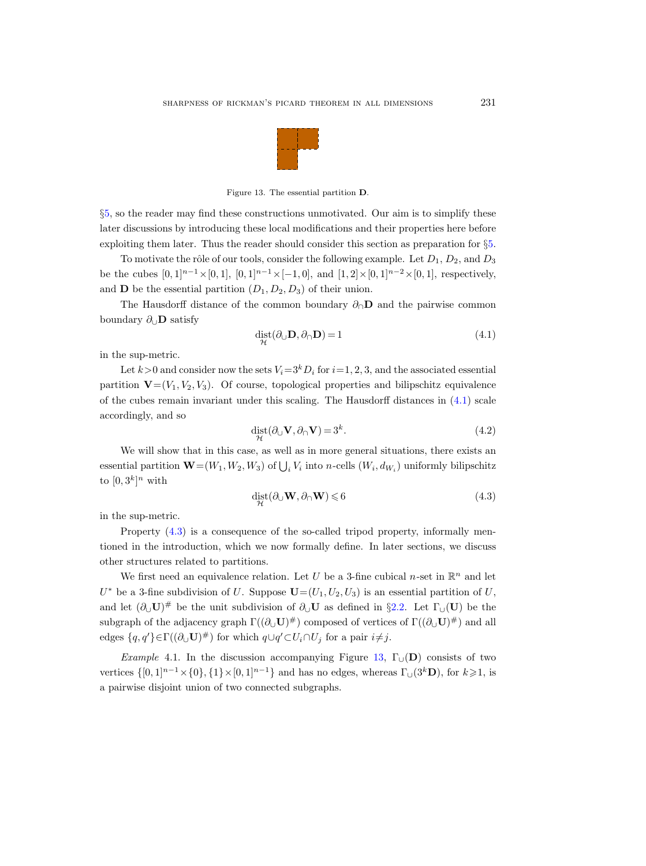

<span id="page-22-2"></span>Figure 13. The essential partition D.

§[5,](#page-38-0) so the reader may find these constructions unmotivated. Our aim is to simplify these later discussions by introducing these local modifications and their properties here before exploiting them later. Thus the reader should consider this section as preparation for §[5.](#page-38-0)

To motivate the rôle of our tools, consider the following example. Let  $D_1, D_2$ , and  $D_3$ be the cubes  $[0, 1]^{n-1} \times [0, 1]$ ,  $[0, 1]^{n-1} \times [-1, 0]$ , and  $[1, 2] \times [0, 1]^{n-2} \times [0, 1]$ , respectively, and **D** be the essential partition  $(D_1, D_2, D_3)$  of their union.

The Hausdorff distance of the common boundary  $\partial_{\Omega}$  and the pairwise common boundary  $\partial_{\cup}$ **D** satisfy

<span id="page-22-0"></span>
$$
\det_{\mathcal{H}} (\partial_{\cup} \mathbf{D}, \partial_{\cap} \mathbf{D}) = 1 \tag{4.1}
$$

in the sup-metric.

Let  $k>0$  and consider now the sets  $V_i=3^kD_i$  for  $i=1, 2, 3$ , and the associated essential partition  $\mathbf{V}=(V_1, V_2, V_3)$ . Of course, topological properties and bilipschitz equivalence of the cubes remain invariant under this scaling. The Hausdorff distances in  $(4.1)$  scale accordingly, and so

$$
\det_{\mathcal{H}} (\partial_{\cup} \mathbf{V}, \partial_{\cap} \mathbf{V}) = 3^k. \tag{4.2}
$$

We will show that in this case, as well as in more general situations, there exists an essential partition  $\mathbf{W} = (W_1, W_2, W_3)$  of  $\bigcup_i V_i$  into *n*-cells  $(W_i, d_{W_i})$  uniformly bilipschitz to  $[0,3^k]^n$  with

<span id="page-22-1"></span>
$$
\text{dist}_{\mathcal{H}}(\partial_{\cup} \mathbf{W}, \partial_{\cap} \mathbf{W}) \leqslant 6 \tag{4.3}
$$

in the sup-metric.

Property [\(4.3\)](#page-22-1) is a consequence of the so-called tripod property, informally mentioned in the introduction, which we now formally define. In later sections, we discuss other structures related to partitions.

We first need an equivalence relation. Let U be a 3-fine cubical n-set in  $\mathbb{R}^n$  and let  $U^*$  be a 3-fine subdivision of U. Suppose  $\mathbf{U}=(U_1,U_2,U_3)$  is an essential partition of U, and let  $(\partial_U U)^{\#}$  be the unit subdivision of  $\partial_U U$  as defined in §[2.2.](#page-8-0) Let  $\Gamma_U(U)$  be the subgraph of the adjacency graph  $\Gamma((\partial_\cup \mathbf{U})^\#)$  composed of vertices of  $\Gamma((\partial_\cup \mathbf{U})^\#)$  and all edges  $\{q, q'\}\in \Gamma((\partial_{\cup} \mathbf{U})^{\#})$  for which  $q\cup q'\subset U_i\cap U_j$  for a pair  $i\neq j$ .

Example 4.1. In the discussion accompanying Figure [13,](#page-22-2)  $\Gamma_{\cup}(\mathbf{D})$  consists of two vertices  $\{[0,1]^{n-1}\times\{0\},\{1\}\times[0,1]^{n-1}\}$  and has no edges, whereas  $\Gamma_{\cup}(3^k\mathbf{D})$ , for  $k\geqslant 1$ , is a pairwise disjoint union of two connected subgraphs.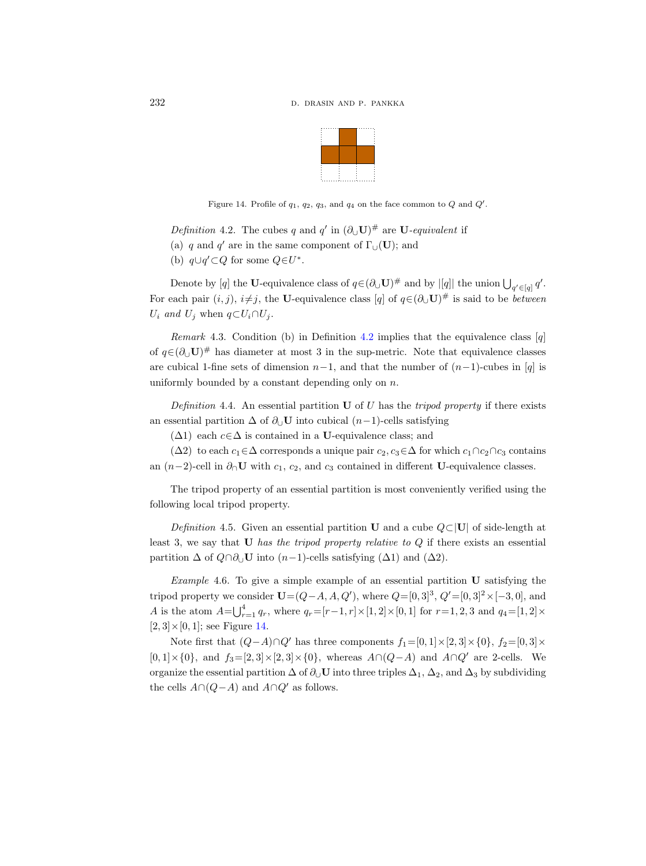

<span id="page-23-2"></span>Figure 14. Profile of  $q_1$ ,  $q_2$ ,  $q_3$ , and  $q_4$  on the face common to  $Q$  and  $Q'$ .

<span id="page-23-1"></span>Definition 4.2. The cubes q and q' in  $(\partial_{\cup} \mathbf{U})^{\#}$  are  $\mathbf{U}$ -equivalent if

(a) q and q' are in the same component of  $\Gamma_{\cup}(\mathbf{U})$ ; and

(b)  $q \cup q' \subset Q$  for some  $Q \in U^*$ .

Denote by [q] the U-equivalence class of  $q \in (\partial_U U)^{\#}$  and by  $|[q]|$  the union  $\bigcup_{q' \in [q]} q'$ . For each pair  $(i, j)$ ,  $i \neq j$ , the U-equivalence class  $[q]$  of  $q \in (\partial_{\cup} \mathbf{U})^{\#}$  is said to be *between*  $U_i$  and  $U_j$  when  $q \subset U_i \cap U_j$ .

Remark 4.3. Condition (b) in Definition [4.2](#page-23-1) implies that the equivalence class  $[q]$ of  $q \in (\partial_{\cup} U)^{\#}$  has diameter at most 3 in the sup-metric. Note that equivalence classes are cubical 1-fine sets of dimension  $n-1$ , and that the number of  $(n-1)$ -cubes in [q] is uniformly bounded by a constant depending only on  $n$ .

<span id="page-23-0"></span>Definition 4.4. An essential partition  $U$  of U has the tripod property if there exists an essential partition  $\Delta$  of  $\partial_{\cup}$ **U** into cubical  $(n-1)$ -cells satisfying

 $(\Delta 1)$  each  $c \in \Delta$  is contained in a U-equivalence class; and

( $\Delta 2$ ) to each  $c_1 \in \Delta$  corresponds a unique pair  $c_2, c_3 \in \Delta$  for which  $c_1 \cap c_2 \cap c_3$  contains an  $(n-2)$ -cell in  $\partial_{\Omega}$ U with  $c_1, c_2$ , and  $c_3$  contained in different U-equivalence classes.

The tripod property of an essential partition is most conveniently verified using the following local tripod property.

Definition 4.5. Given an essential partition U and a cube  $Q\subset|U|$  of side-length at least 3, we say that  **has the tripod property relative to**  $Q$  **if there exists an essential** partition  $\Delta$  of  $Q \cap \partial_U U$  into  $(n-1)$ -cells satisfying  $(\Delta 1)$  and  $(\Delta 2)$ .

<span id="page-23-3"></span>Example 4.6. To give a simple example of an essential partition U satisfying the tripod property we consider  $U = (Q - A, A, Q')$ , where  $Q = [0, 3]^3$ ,  $Q' = [0, 3]^2 \times [-3, 0]$ , and A is the atom  $A = \bigcup_{r=1}^{4} q_r$ , where  $q_r = [r-1, r] \times [1, 2] \times [0, 1]$  for  $r = 1, 2, 3$  and  $q_4 = [1, 2] \times$  $[2, 3] \times [0, 1]$ ; see Figure [14.](#page-23-2)

Note first that  $(Q-A)\cap Q'$  has three components  $f_1=[0,1]\times[2,3]\times\{0\}, f_2=[0,3]\times\{0\}$  $[0, 1] \times \{0\}$ , and  $f_3 = [2, 3] \times [2, 3] \times \{0\}$ , whereas  $A \cap (Q - A)$  and  $A \cap Q'$  are 2-cells. We organize the essential partition  $\Delta$  of  $\partial_U \mathbf{U}$  into three triples  $\Delta_1$ ,  $\Delta_2$ , and  $\Delta_3$  by subdividing the cells  $A \cap (Q - A)$  and  $A \cap Q'$  as follows.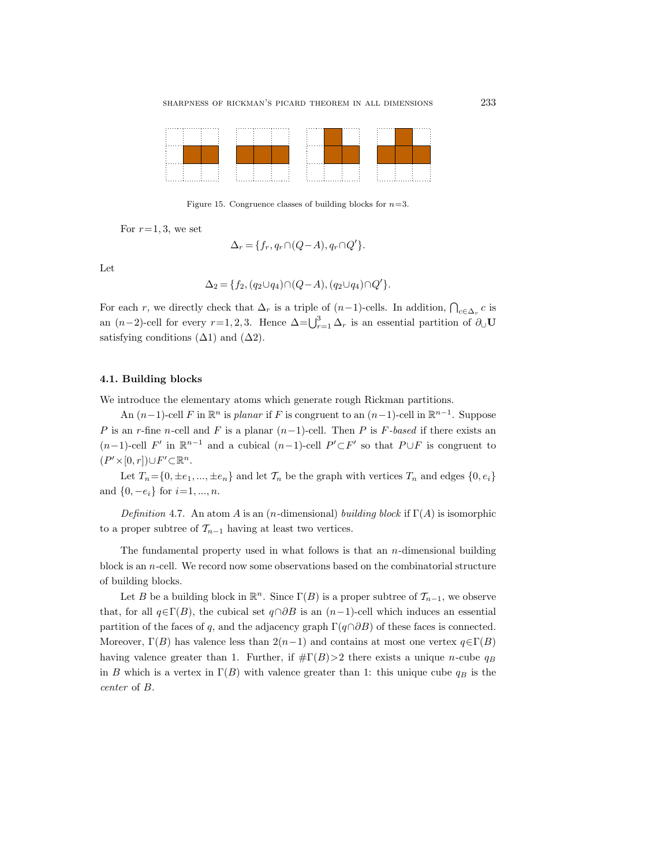

Figure 15. Congruence classes of building blocks for  $n=3$ .

For  $r=1, 3$ , we set

<span id="page-24-1"></span>
$$
\Delta_r = \{f_r, q_r \cap (Q - A), q_r \cap Q'\}.
$$

Let

$$
\Delta_2 = \{ f_2, (q_2 \cup q_4) \cap (Q - A), (q_2 \cup q_4) \cap Q' \}.
$$

For each r, we directly check that  $\Delta_r$  is a triple of  $(n-1)$ -cells. In addition,  $\bigcap_{c \in \Delta_r} c$  is an  $(n-2)$ -cell for every  $r=1, 2, 3$ . Hence  $\Delta = \bigcup_{r=1}^{3} \Delta_r$  is an essential partition of  $\partial_{\cup} \mathbf{U}$ satisfying conditions  $(\Delta 1)$  and  $(\Delta 2)$ .

## <span id="page-24-0"></span>4.1. Building blocks

We introduce the elementary atoms which generate rough Rickman partitions.

An  $(n-1)$ -cell F in  $\mathbb{R}^n$  is planar if F is congruent to an  $(n-1)$ -cell in  $\mathbb{R}^{n-1}$ . Suppose P is an r-fine n-cell and F is a planar  $(n-1)$ -cell. Then P is F-based if there exists an  $(n-1)$ -cell F' in  $\mathbb{R}^{n-1}$  and a cubical  $(n-1)$ -cell  $P' \subset F'$  so that  $P \cup F$  is congruent to  $(P' \times [0, r]) \cup F' \subset \mathbb{R}^n$ .

Let  $T_n = \{0, \pm e_1, ..., \pm e_n\}$  and let  $\mathcal{T}_n$  be the graph with vertices  $T_n$  and edges  $\{0, e_i\}$ and  $\{0, -e_i\}$  for  $i=1, ..., n$ .

<span id="page-24-2"></span>Definition 4.7. An atom A is an (n-dimensional) building block if  $\Gamma(A)$  is isomorphic to a proper subtree of  $\mathcal{T}_{n-1}$  having at least two vertices.

The fundamental property used in what follows is that an  $n$ -dimensional building block is an  $n$ -cell. We record now some observations based on the combinatorial structure of building blocks.

Let B be a building block in  $\mathbb{R}^n$ . Since  $\Gamma(B)$  is a proper subtree of  $\mathcal{T}_{n-1}$ , we observe that, for all  $q \in \Gamma(B)$ , the cubical set  $q \cap \partial B$  is an  $(n-1)$ -cell which induces an essential partition of the faces of q, and the adjacency graph  $\Gamma(q\cap\partial B)$  of these faces is connected. Moreover,  $\Gamma(B)$  has valence less than  $2(n-1)$  and contains at most one vertex  $q \in \Gamma(B)$ having valence greater than 1. Further, if  $\#\Gamma(B) > 2$  there exists a unique *n*-cube  $q_B$ in B which is a vertex in  $\Gamma(B)$  with valence greater than 1: this unique cube  $q_B$  is the center of B.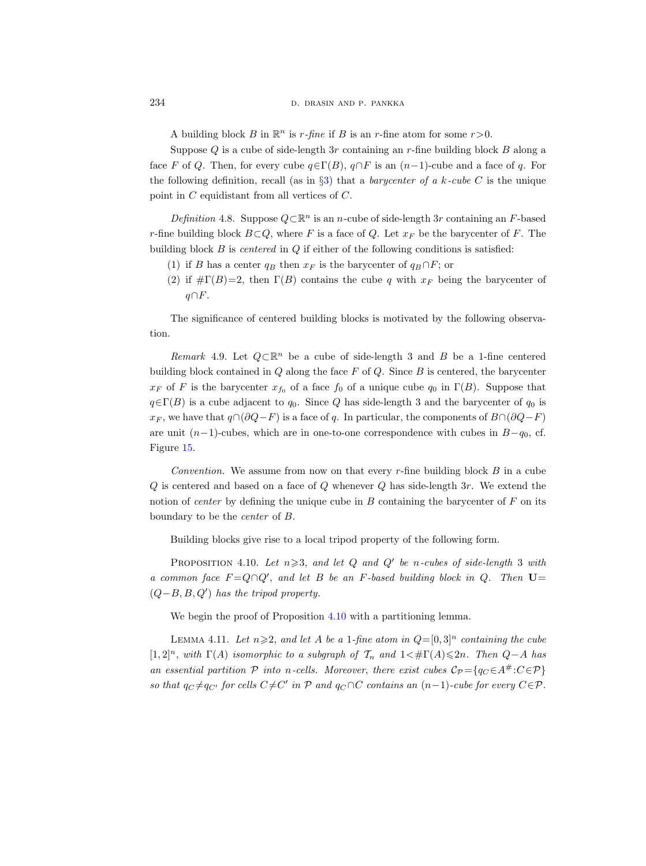A building block B in  $\mathbb{R}^n$  is  $r$ -fine if B is an r-fine atom for some  $r > 0$ .

Suppose  $Q$  is a cube of side-length 3r containing an r-fine building block  $B$  along a face F of Q. Then, for every cube  $q \in \Gamma(B)$ ,  $q \cap F$  is an  $(n-1)$ -cube and a face of q. For the following definition, recall (as in  $\S3$ ) that a *barycenter of a k-cube C* is the unique point in C equidistant from all vertices of C.

Definition 4.8. Suppose  $Q \subset \mathbb{R}^n$  is an n-cube of side-length 3r containing an F-based r-fine building block  $B\subset Q$ , where F is a face of Q. Let  $x_F$  be the barycenter of F. The building block  $B$  is *centered* in  $Q$  if either of the following conditions is satisfied:

- (1) if B has a center  $q_B$  then  $x_F$  is the barycenter of  $q_B \cap F$ ; or
- (2) if  $\#\Gamma(B)=2$ , then  $\Gamma(B)$  contains the cube q with  $x_F$  being the barycenter of  $q \cap F$ .

The significance of centered building blocks is motivated by the following observation.

Remark 4.9. Let  $Q \subset \mathbb{R}^n$  be a cube of side-length 3 and B be a 1-fine centered building block contained in  $Q$  along the face  $F$  of  $Q$ . Since  $B$  is centered, the barycenter  $x_F$  of F is the barycenter  $x_{f_0}$  of a face  $f_0$  of a unique cube  $q_0$  in  $\Gamma(B)$ . Suppose that  $q \in \Gamma(B)$  is a cube adjacent to  $q_0$ . Since Q has side-length 3 and the barycenter of  $q_0$  is  $x_F$ , we have that  $q \cap (\partial Q - F)$  is a face of q. In particular, the components of  $B \cap (\partial Q - F)$ are unit  $(n-1)$ -cubes, which are in one-to-one correspondence with cubes in  $B-q_0$ , cf. Figure [15.](#page-24-1)

*Convention.* We assume from now on that every  $r$ -fine building block  $B$  in a cube  $Q$  is centered and based on a face of  $Q$  whenever  $Q$  has side-length  $3r$ . We extend the notion of *center* by defining the unique cube in  $B$  containing the barycenter of  $F$  on its boundary to be the center of B.

Building blocks give rise to a local tripod property of the following form.

<span id="page-25-0"></span>PROPOSITION 4.10. Let  $n \geqslant 3$ , and let Q and Q' be n-cubes of side-length 3 with a common face  $F = Q \cap Q'$ , and let B be an F-based building block in Q. Then  $U =$  $(Q - B, B, Q')$  has the tripod property.

We begin the proof of Proposition [4.10](#page-25-0) with a partitioning lemma.

<span id="page-25-1"></span>LEMMA 4.11. Let  $n \geqslant 2$ , and let A be a 1-fine atom in  $Q=[0,3]^n$  containing the cube [1,2]<sup>n</sup>, with  $\Gamma(A)$  isomorphic to a subgraph of  $\mathcal{T}_n$  and  $1 \lt \# \Gamma(A) \leq 2n$ . Then  $Q-A$  has an essential partition  $P$  into n-cells. Moreover, there exist cubes  $C_P = \{q_C \in A^{\#}: C \in \mathcal{P}\}\$ so that  $q_C \neq q_{C'}$  for cells  $C \neq C'$  in  $P$  and  $q_C \cap C$  contains an  $(n-1)$ -cube for every  $C \in \mathcal{P}$ .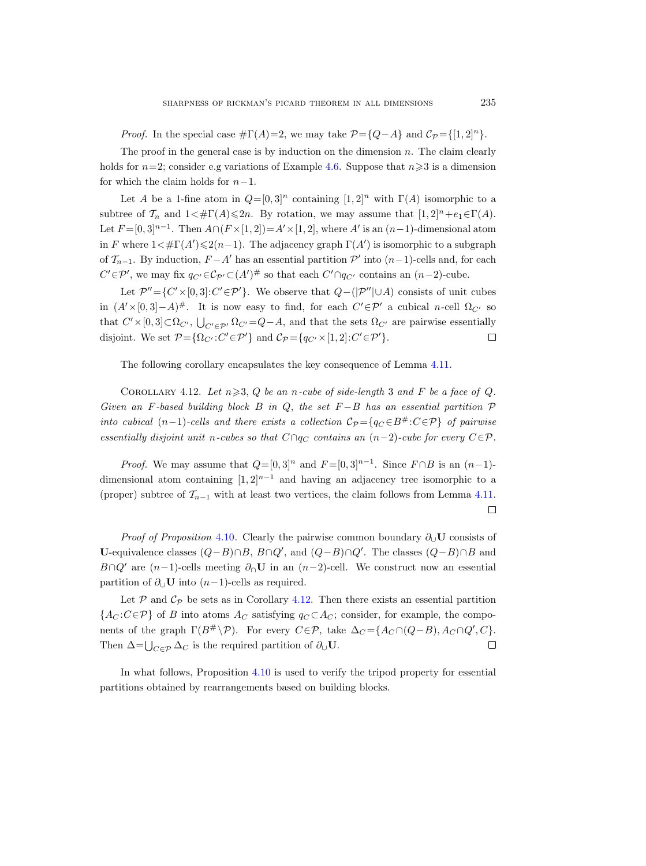*Proof.* In the special case  $\#\Gamma(A)=2$ , we may take  $\mathcal{P} = \{Q-A\}$  and  $\mathcal{C}_{\mathcal{P}} = \{[1,2]^n\}.$ 

The proof in the general case is by induction on the dimension  $n$ . The claim clearly holds for  $n=2$ ; consider e.g variations of Example [4.6.](#page-23-3) Suppose that  $n\geqslant 3$  is a dimension for which the claim holds for  $n-1$ .

Let A be a 1-fine atom in  $Q=[0,3]^n$  containing  $[1,2]^n$  with  $\Gamma(A)$  isomorphic to a subtree of  $\mathcal{T}_n$  and  $1 \lt \# \Gamma(A) \leq 2n$ . By rotation, we may assume that  $[1, 2]^n + e_1 \in \Gamma(A)$ . Let  $F = [0, 3]^{n-1}$ . Then  $A \cap (F \times [1, 2]) = A' \times [1, 2]$ , where A' is an  $(n-1)$ -dimensional atom in F where  $1 < \#\Gamma(A') \leq 2(n-1)$ . The adjacency graph  $\Gamma(A')$  is isomorphic to a subgraph of  $\mathcal{T}_{n-1}$ . By induction,  $F - A'$  has an essential partition  $\mathcal{P}'$  into  $(n-1)$ -cells and, for each  $C' \in \mathcal{P}'$ , we may fix  $q_{C'} \in \mathcal{C}_{\mathcal{P}'} \subset (A')^{\#}$  so that each  $C' \cap q_{C'}$  contains an  $(n-2)$ -cube.

Let  $\mathcal{P}'' = \{C' \times [0,3]: C' \in \mathcal{P}'\}$ . We observe that  $Q-(\mathcal{P}'' \cup A)$  consists of unit cubes in  $(A' \times [0, 3] - A)^{\#}$ . It is now easy to find, for each  $C' \in \mathcal{P}'$  a cubical n-cell  $\Omega_{C'}$  so that  $C' \times [0,3] \subset \Omega_{C'}$ ,  $\bigcup_{C' \in \mathcal{P'}} \Omega_{C'} = Q - A$ , and that the sets  $\Omega_{C'}$  are pairwise essentially disjoint. We set  $\mathcal{P} = \{ \Omega_{C'} : C' \in \mathcal{P}' \}$  and  $\mathcal{C}_{\mathcal{P}} = \{ q_{C'} \times [1, 2] : C' \in \mathcal{P}' \}.$ П

The following corollary encapsulates the key consequence of Lemma [4.11.](#page-25-1)

<span id="page-26-0"></span>COROLLARY 4.12. Let  $n \geqslant 3$ , Q be an n-cube of side-length 3 and F be a face of Q. Given an F-based building block B in Q, the set  $F - B$  has an essential partition  $\mathcal P$ into cubical  $(n-1)$ -cells and there exists a collection  $C_{\mathcal{P}} = \{q_C \in B^{\#}: C \in \mathcal{P}\}\$  of pairwise essentially disjoint unit n-cubes so that  $C \cap q_C$  contains an  $(n-2)$ -cube for every  $C \in \mathcal{P}$ .

*Proof.* We may assume that  $Q=[0,3]^n$  and  $F=[0,3]^{n-1}$ . Since  $F \cap B$  is an  $(n-1)$ dimensional atom containing  $[1,2]^{n-1}$  and having an adjacency tree isomorphic to a (proper) subtree of  $\mathcal{T}_{n-1}$  with at least two vertices, the claim follows from Lemma [4.11.](#page-25-1)  $\Box$ 

*Proof of Proposition* [4.10](#page-25-0). Clearly the pairwise common boundary  $\partial_U U$  consists of U-equivalence classes  $(Q - B) \cap B$ ,  $B \cap Q'$ , and  $(Q - B) \cap Q'$ . The classes  $(Q - B) \cap B$  and B∩Q' are  $(n-1)$ -cells meeting  $\partial_0$ U in an  $(n-2)$ -cell. We construct now an essential partition of  $\partial_{\mathfrak{g}} U$  into  $(n-1)$ -cells as required.

Let  $P$  and  $C_P$  be sets as in Corollary [4.12.](#page-26-0) Then there exists an essential partition  ${A_C : C \in \mathcal{P}}$  of B into atoms  $A_C$  satisfying  $q_C \subset A_C$ ; consider, for example, the components of the graph  $\Gamma(B^{\#}\backslash \mathcal{P})$ . For every  $C\in \mathcal{P}$ , take  $\Delta_C = \{A_C \cap (Q-B), A_C \cap Q', C\}$ . Then  $\Delta = \bigcup_{C \in \mathcal{P}} \Delta_C$  is the required partition of  $\partial_{\cup} \mathbf{U}$ .  $\Box$ 

In what follows, Proposition [4.10](#page-25-0) is used to verify the tripod property for essential partitions obtained by rearrangements based on building blocks.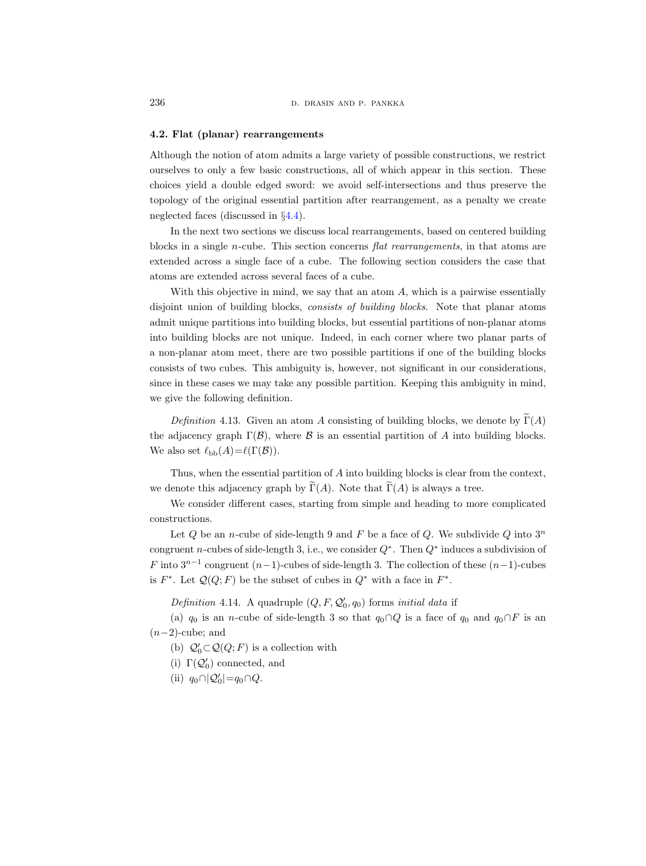## <span id="page-27-0"></span>4.2. Flat (planar) rearrangements

Although the notion of atom admits a large variety of possible constructions, we restrict ourselves to only a few basic constructions, all of which appear in this section. These choices yield a double edged sword: we avoid self-intersections and thus preserve the topology of the original essential partition after rearrangement, as a penalty we create neglected faces (discussed in §[4.4\)](#page-34-0).

In the next two sections we discuss local rearrangements, based on centered building blocks in a single *n*-cube. This section concerns *flat rearrangements*, in that atoms are extended across a single face of a cube. The following section considers the case that atoms are extended across several faces of a cube.

With this objective in mind, we say that an atom  $A$ , which is a pairwise essentially disjoint union of building blocks, consists of building blocks. Note that planar atoms admit unique partitions into building blocks, but essential partitions of non-planar atoms into building blocks are not unique. Indeed, in each corner where two planar parts of a non-planar atom meet, there are two possible partitions if one of the building blocks consists of two cubes. This ambiguity is, however, not significant in our considerations, since in these cases we may take any possible partition. Keeping this ambiguity in mind, we give the following definition.

Definition 4.13. Given an atom A consisting of building blocks, we denote by  $\widetilde{\Gamma}(A)$ the adjacency graph  $\Gamma(\mathcal{B})$ , where  $\mathcal B$  is an essential partition of A into building blocks. We also set  $\ell_{\text{bb}}(A)=\ell(\Gamma(\mathcal{B})).$ 

Thus, when the essential partition of A into building blocks is clear from the context, we denote this adjacency graph by  $\tilde{\Gamma}(A)$ . Note that  $\tilde{\Gamma}(A)$  is always a tree.

We consider different cases, starting from simple and heading to more complicated constructions.

Let  $Q$  be an *n*-cube of side-length 9 and F be a face of  $Q$ . We subdivide  $Q$  into  $3<sup>n</sup>$ congruent n-cubes of side-length 3, i.e., we consider  $Q^*$ . Then  $Q^*$  induces a subdivision of F into  $3^{n-1}$  congruent  $(n-1)$ -cubes of side-length 3. The collection of these  $(n-1)$ -cubes is  $F^*$ . Let  $\mathcal{Q}(Q; F)$  be the subset of cubes in  $Q^*$  with a face in  $F^*$ .

<span id="page-27-2"></span>Definition 4.14. A quadruple  $(Q, F, \mathcal{Q}'_0, q_0)$  forms initial data if

(a)  $q_0$  is an *n*-cube of side-length 3 so that  $q_0 \cap Q$  is a face of  $q_0$  and  $q_0 \cap F$  is an  $(n-2)$ -cube; and

- (b)  $\mathcal{Q}'_0 \subset \mathcal{Q}(Q;F)$  is a collection with
- (i)  $\Gamma(\mathcal{Q}'_0)$  connected, and
- <span id="page-27-1"></span>(ii)  $q_0 \cap |\mathcal{Q}_0'| = q_0 \cap Q$ .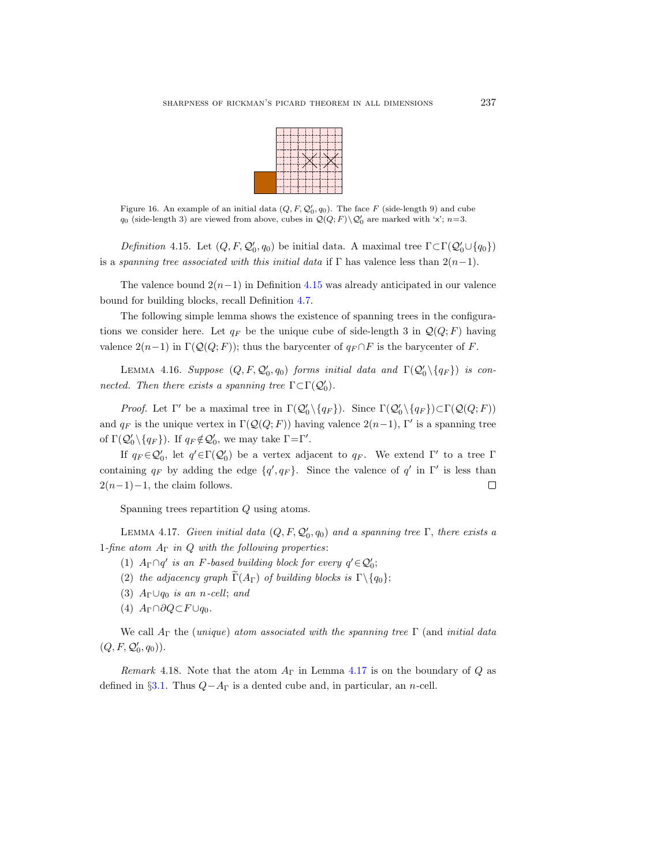

<span id="page-28-1"></span>Figure 16. An example of an initial data  $(Q, F, \mathcal{Q}'_0, q_0)$ . The face F (side-length 9) and cube  $q_0$  (side-length 3) are viewed from above, cubes in  $\mathcal{Q}(Q;F) \backslash \mathcal{Q}'_0$  are marked with 'x';  $n=3$ .

Definition 4.15. Let  $(Q, F, \mathcal{Q}'_0, q_0)$  be initial data. A maximal tree  $\Gamma \subset \Gamma(\mathcal{Q}'_0 \cup \{q_0\})$ is a spanning tree associated with this initial data if  $\Gamma$  has valence less than  $2(n-1)$ .

The valence bound  $2(n-1)$  in Definition [4.15](#page-27-1) was already anticipated in our valence bound for building blocks, recall Definition [4.7.](#page-24-2)

The following simple lemma shows the existence of spanning trees in the configurations we consider here. Let  $q_F$  be the unique cube of side-length 3 in  $\mathcal{Q}(Q; F)$  having valence  $2(n-1)$  in  $\Gamma(\mathcal{Q}(Q; F))$ ; thus the barycenter of  $q_F \cap F$  is the barycenter of F.

<span id="page-28-2"></span>LEMMA 4.16. Suppose  $(Q, F, Q'_0, q_0)$  forms initial data and  $\Gamma(Q'_0 \setminus {q_F})$  is connected. Then there exists a spanning tree  $\Gamma \subset \Gamma(\mathcal{Q}'_0)$ .

*Proof.* Let  $\Gamma'$  be a maximal tree in  $\Gamma(\mathcal{Q}'_0 \setminus \{q_F\})$ . Since  $\Gamma(\mathcal{Q}'_0 \setminus \{q_F\}) \subset \Gamma(\mathcal{Q}(Q; F))$ and  $q_F$  is the unique vertex in  $\Gamma(\mathcal{Q}(Q; F))$  having valence  $2(n-1)$ , Γ' is a spanning tree of  $\Gamma(\mathcal{Q}'_0 \setminus \{q_F\})$ . If  $q_F \notin \mathcal{Q}'_0$ , we may take  $\Gamma = \Gamma'$ .

If  $q_F \in \mathcal{Q}'_0$ , let  $q' \in \Gamma(\mathcal{Q}'_0)$  be a vertex adjacent to  $q_F$ . We extend  $\Gamma'$  to a tree  $\Gamma$ containing  $q_F$  by adding the edge  $\{q', q_F\}$ . Since the valence of  $q'$  in  $\Gamma'$  is less than  $2(n-1)-1$ , the claim follows.  $\Box$ 

Spanning trees repartition Q using atoms.

<span id="page-28-0"></span>LEMMA 4.17. Given initial data  $(Q, F, \mathcal{Q}'_0, q_0)$  and a spanning tree  $\Gamma$ , there exists a 1-fine atom  $A_{\Gamma}$  in Q with the following properties:

- (1)  $A_{\Gamma} \cap q'$  is an F-based building block for every  $q' \in \mathcal{Q}'_0$ ;
- (2) the adjacency graph  $\widetilde{\Gamma}(A_{\Gamma})$  of building blocks is  $\Gamma \backslash \{q_0\};$
- (3)  $A_{\Gamma} \cup q_0$  is an n-cell; and
- (4)  $A_{\Gamma} \cap \partial Q \subset F \cup q_0$ .

We call  $A_{\Gamma}$  the (unique) atom associated with the spanning tree  $\Gamma$  (and initial data  $(Q, F, \mathcal{Q}'_0, q_0)$ .

<span id="page-28-3"></span>Remark 4.18. Note that the atom  $A_{\Gamma}$  in Lemma [4.17](#page-28-0) is on the boundary of Q as defined in  $\S3.1$ . Thus  $Q-A<sub>Γ</sub>$  is a dented cube and, in particular, an n-cell.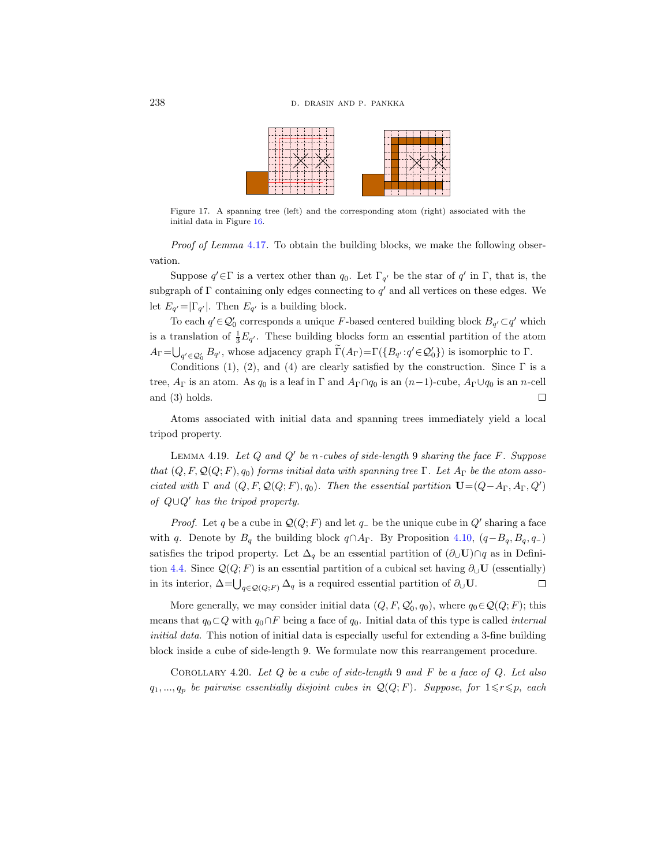

Figure 17. A spanning tree (left) and the corresponding atom (right) associated with the initial data in Figure [16.](#page-28-1)

Proof of Lemma [4.17](#page-28-0). To obtain the building blocks, we make the following observation.

Suppose  $q' \in \Gamma$  is a vertex other than  $q_0$ . Let  $\Gamma_{q'}$  be the star of  $q'$  in  $\Gamma$ , that is, the subgraph of  $\Gamma$  containing only edges connecting to  $q'$  and all vertices on these edges. We let  $E_{q'} = |\Gamma_{q'}|$ . Then  $E_{q'}$  is a building block.

To each  $q' \in \mathcal{Q}'_0$  corresponds a unique F-based centered building block  $B_{q'} \subset q'$  which is a translation of  $\frac{1}{3}E_{q'}$ . These building blocks form an essential partition of the atom  $A_{\Gamma} = \bigcup_{q' \in \mathcal{Q}'_0} B_{q'}$ , whose adjacency graph  $\Gamma(A_{\Gamma}) = \Gamma(\{B_{q'} : q' \in \mathcal{Q}'_0\})$  is isomorphic to  $\Gamma$ .

Conditions (1), (2), and (4) are clearly satisfied by the construction. Since  $\Gamma$  is a tree,  $A_{\Gamma}$  is an atom. As  $q_0$  is a leaf in  $\Gamma$  and  $A_{\Gamma} \cap q_0$  is an  $(n-1)$ -cube,  $A_{\Gamma} \cup q_0$  is an n-cell and (3) holds.  $\Box$ 

Atoms associated with initial data and spanning trees immediately yield a local tripod property.

<span id="page-29-0"></span>LEMMA 4.19. Let  $Q$  and  $Q'$  be n-cubes of side-length 9 sharing the face  $F$ . Suppose that  $(Q, F, Q(Q; F), q_0)$  forms initial data with spanning tree  $\Gamma$ . Let  $A_{\Gamma}$  be the atom associated with  $\Gamma$  and  $(Q, F, Q(Q; F), q_0)$ . Then the essential partition  $\mathbf{U} = (Q - A_{\Gamma}, A_{\Gamma}, Q')$ of  $Q \cup Q'$  has the tripod property.

*Proof.* Let q be a cube in  $\mathcal{Q}(Q; F)$  and let q<sub>−</sub> be the unique cube in  $Q'$  sharing a face with q. Denote by  $B_q$  the building block  $q \cap A_\Gamma$ . By Proposition [4.10,](#page-25-0)  $(q-B_q, B_q, q_-)$ satisfies the tripod property. Let  $\Delta_q$  be an essential partition of  $(\partial_{\cup} \mathbf{U}) \cap q$  as in Defini-tion [4.4.](#page-23-0) Since  $\mathcal{Q}(Q; F)$  is an essential partition of a cubical set having  $\partial_U \mathbf{U}$  (essentially)  $\Box$ in its interior,  $\Delta = \bigcup_{q \in \mathcal{Q}(Q;F)} \Delta_q$  is a required essential partition of  $\partial_{\cup} \mathbf{U}$ .

More generally, we may consider initial data  $(Q, F, \mathcal{Q}'_0, q_0)$ , where  $q_0 \in \mathcal{Q}(Q; F)$ ; this means that  $q_0 \subset Q$  with  $q_0 \cap F$  being a face of  $q_0$ . Initial data of this type is called *internal* initial data. This notion of initial data is especially useful for extending a 3-fine building block inside a cube of side-length 9. We formulate now this rearrangement procedure.

<span id="page-29-1"></span>COROLLARY 4.20. Let  $Q$  be a cube of side-length 9 and  $F$  be a face of  $Q$ . Let also  $q_1, ..., q_p$  be pairwise essentially disjoint cubes in  $\mathcal{Q}(Q; F)$ . Suppose, for  $1 \leq r \leq p$ , each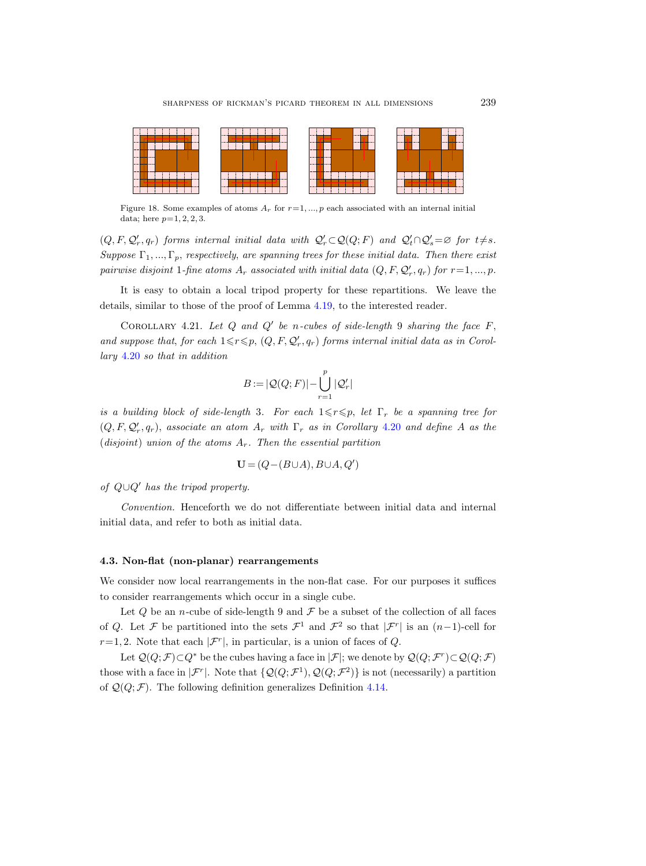

Figure 18. Some examples of atoms  $A_r$  for  $r=1, ..., p$  each associated with an internal initial data; here  $p=1, 2, 2, 3$ .

 $(Q, F, \mathcal{Q}'_r, q_r)$  forms internal initial data with  $\mathcal{Q}'_r \subset \mathcal{Q}(Q; F)$  and  $\mathcal{Q}'_t \cap \mathcal{Q}'_s = \varnothing$  for  $t \neq s$ . Suppose  $\Gamma_1, ..., \Gamma_p$ , respectively, are spanning trees for these initial data. Then there exist pairwise disjoint 1-fine atoms  $A_r$  associated with initial data  $(Q, F, \mathcal{Q}'_r, q_r)$  for  $r = 1, ..., p$ .

It is easy to obtain a local tripod property for these repartitions. We leave the details, similar to those of the proof of Lemma [4.19,](#page-29-0) to the interested reader.

COROLLARY 4.21. Let  $Q$  and  $Q'$  be n-cubes of side-length 9 sharing the face  $F$ , and suppose that, for each  $1 \leq r \leq p$ ,  $(Q, F, Q'_r, q_r)$  forms internal initial data as in Corollary [4.20](#page-29-1) so that in addition

$$
B := |\mathcal{Q}(Q;F)| - \bigcup_{r=1}^{p} |\mathcal{Q}'_r|
$$

is a building block of side-length 3. For each  $1 \leq r \leq p$ , let  $\Gamma_r$  be a spanning tree for  $(Q, F, Q'_r, q_r)$ , associate an atom  $A_r$  with  $\Gamma_r$  as in Corollary [4.20](#page-29-1) and define A as the (disjoint) union of the atoms  $A_r$ . Then the essential partition

$$
\mathbf{U} = (Q - (B \cup A), B \cup A, Q')
$$

of  $Q\cup Q'$  has the tripod property.

Convention. Henceforth we do not differentiate between initial data and internal initial data, and refer to both as initial data.

#### <span id="page-30-0"></span>4.3. Non-flat (non-planar) rearrangements

We consider now local rearrangements in the non-flat case. For our purposes it suffices to consider rearrangements which occur in a single cube.

Let  $Q$  be an *n*-cube of side-length 9 and  $\mathcal F$  be a subset of the collection of all faces of Q. Let F be partitioned into the sets  $\mathcal{F}^1$  and  $\mathcal{F}^2$  so that  $|\mathcal{F}^r|$  is an  $(n-1)$ -cell for  $r=1, 2$ . Note that each  $|\mathcal{F}^r|$ , in particular, is a union of faces of Q.

<span id="page-30-1"></span>Let  $\mathcal{Q}(Q;\mathcal{F})\subset Q^*$  be the cubes having a face in  $|\mathcal{F}|$ ; we denote by  $\mathcal{Q}(Q;\mathcal{F}^r)\subset\mathcal{Q}(Q;\mathcal{F})$ those with a face in  $|\mathcal{F}^r|$ . Note that  $\{Q(Q;\mathcal{F}^1),Q(Q;\mathcal{F}^2)\}\$ is not (necessarily) a partition of  $\mathcal{Q}(Q; \mathcal{F})$ . The following definition generalizes Definition [4.14.](#page-27-2)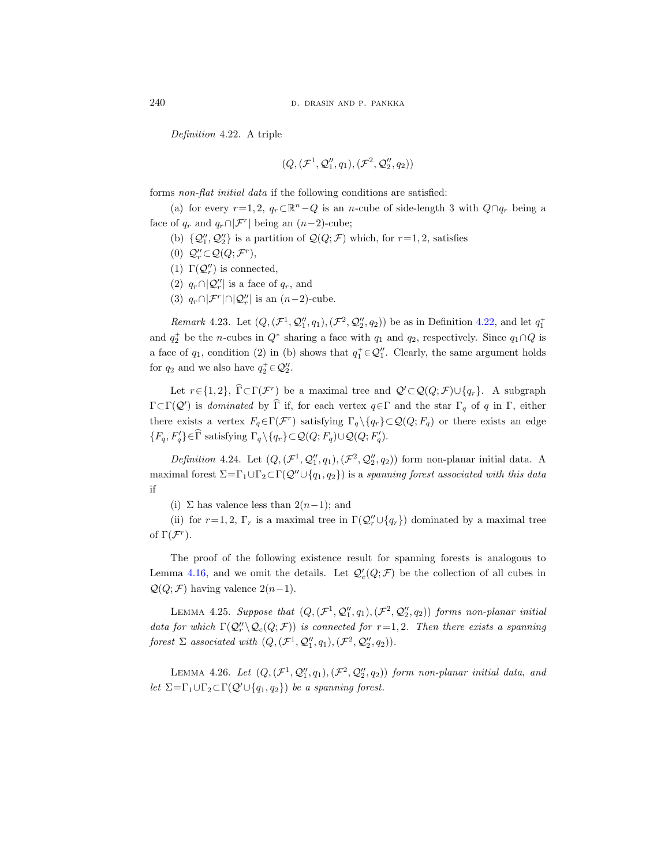Definition 4.22. A triple

$$
(Q,(\mathcal{F}^1,\mathcal{Q}''_1,q_1),(\mathcal{F}^2,\mathcal{Q}''_2,q_2))
$$

forms non-flat initial data if the following conditions are satisfied:

(a) for every  $r=1, 2, q_r \subset \mathbb{R}^n - Q$  is an n-cube of side-length 3 with  $Q \cap q_r$  being a face of  $q_r$  and  $q_r \cap |\mathcal{F}^r|$  being an  $(n-2)$ -cube;

- (b)  $\{Q''_1, Q''_2\}$  is a partition of  $\mathcal{Q}(Q; \mathcal{F})$  which, for  $r=1, 2$ , satisfies
- (0)  $Q''_r \subset Q(Q; \mathcal{F}^r)$ ,
- (1)  $\Gamma(\mathcal{Q}''_r)$  is connected,
- (2)  $q_r \cap |\mathcal{Q}''_r|$  is a face of  $q_r$ , and
- (3)  $q_r \cap |\mathcal{F}^r| \cap |\mathcal{Q}''_r|$  is an  $(n-2)$ -cube.

*Remark* 4.23. Let  $(Q, (\mathcal{F}^1, Q''_1, q_1), (\mathcal{F}^2, Q''_2, q_2))$  be as in Definition [4.22,](#page-30-1) and let  $q_1^+$ and  $q_2^+$  be the *n*-cubes in  $Q^*$  sharing a face with  $q_1$  and  $q_2$ , respectively. Since  $q_1 \cap Q$  is a face of  $q_1$ , condition (2) in (b) shows that  $q_1^+ \in \mathcal{Q}_1''$ . Clearly, the same argument holds for  $q_2$  and we also have  $q_2^+\in \mathcal{Q}_2''$ .

Let  $r \in \{1, 2\}$ ,  $\Gamma \subset \Gamma(\mathcal{F}^r)$  be a maximal tree and  $\mathcal{Q}' \subset \mathcal{Q}(Q; \mathcal{F}) \cup \{q_r\}$ . A subgraph  $\Gamma \subset \Gamma(\mathcal{Q}')$  is dominated by  $\tilde{\Gamma}$  if, for each vertex  $q \in \Gamma$  and the star  $\Gamma_q$  of q in  $\Gamma$ , either there exists a vertex  $F_q \in \Gamma(\mathcal{F}^r)$  satisfying  $\Gamma_q \setminus \{q_r\} \subset \mathcal{Q}(Q; F_q)$  or there exists an edge  $\{F_q, F'_q\} \in \widehat{\Gamma}$  satisfying  $\Gamma_q \setminus \{q_r\} \subset \mathcal{Q}(Q; F_q) \cup \mathcal{Q}(Q; F'_q)$ .

<span id="page-31-1"></span>Definition 4.24. Let  $(Q, (\mathcal{F}^1, \mathcal{Q}_1'', q_1), (\mathcal{F}^2, \mathcal{Q}_2'', q_2))$  form non-planar initial data. A maximal forest  $\Sigma = \Gamma_1 \cup \Gamma_2 \subset \Gamma(\mathcal{Q}'' \cup \{q_1, q_2\})$  is a spanning forest associated with this data if

(i) ∑ has valence less than  $2(n-1)$ ; and

(ii) for  $r=1, 2, \Gamma_r$  is a maximal tree in  $\Gamma(\mathcal{Q}_r'' \cup \{q_r\})$  dominated by a maximal tree of  $\Gamma(\mathcal{F}^r)$ .

The proof of the following existence result for spanning forests is analogous to Lemma [4.16,](#page-28-2) and we omit the details. Let  $\mathcal{Q}'_c(Q;\mathcal{F})$  be the collection of all cubes in  $Q(Q; \mathcal{F})$  having valence  $2(n-1)$ .

LEMMA 4.25. Suppose that  $(Q, (\mathcal{F}^1, \mathcal{Q}''_1, q_1), (\mathcal{F}^2, \mathcal{Q}''_2, q_2))$  forms non-planar initial data for which  $\Gamma(\mathcal{Q}''_r \backslash \mathcal{Q}_c(Q; \mathcal{F}))$  is connected for  $r=1, 2$ . Then there exists a spanning forest  $\Sigma$  associated with  $(Q, (\mathcal{F}^1, \mathcal{Q}''_1, q_1), (\mathcal{F}^2, \mathcal{Q}''_2, q_2)).$ 

<span id="page-31-0"></span>LEMMA 4.26. Let  $(Q, (\mathcal{F}^1, \mathcal{Q}''_1, q_1), (\mathcal{F}^2, \mathcal{Q}''_2, q_2))$  form non-planar initial data, and let  $\Sigma = \Gamma_1 \cup \Gamma_2 \subset \Gamma(\mathcal{Q}' \cup \{q_1, q_2\})$  be a spanning forest.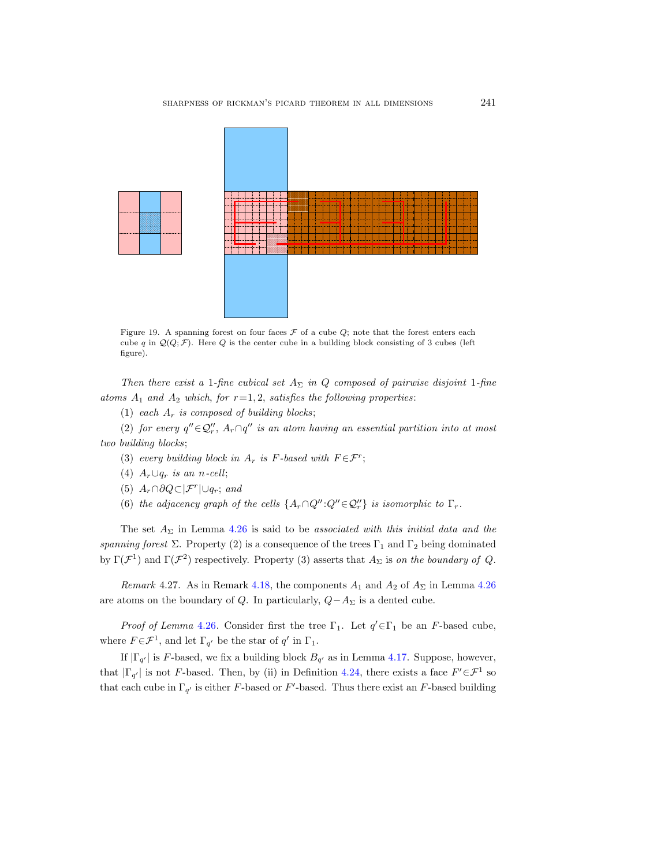

<span id="page-32-0"></span>Figure 19. A spanning forest on four faces  $\mathcal F$  of a cube  $\mathcal Q$ ; note that the forest enters each cube q in  $\mathcal{Q}(Q;\mathcal{F})$ . Here Q is the center cube in a building block consisting of 3 cubes (left figure).

Then there exist a 1-fine cubical set  $A_{\Sigma}$  in Q composed of pairwise disjoint 1-fine atoms  $A_1$  and  $A_2$  which, for  $r=1, 2$ , satisfies the following properties:

(1) each  $A_r$  is composed of building blocks;

(2) for every  $q'' \in \mathcal{Q}''$ ,  $A_r \cap q''$  is an atom having an essential partition into at most two building blocks;

- (3) every building block in  $A_r$  is F-based with  $F \in \mathcal{F}^r$ ;
- (4)  $A_r \cup q_r$  is an n-cell;
- (5)  $A_r \cap \partial Q \subset |\mathcal{F}^r| \cup q_r$ ; and
- (6) the adjacency graph of the cells  $\{A_r \cap Q'' : Q'' \in \mathcal{Q}_r''\}$  is isomorphic to  $\Gamma_r$ .

The set  $A_{\Sigma}$  in Lemma [4.26](#page-31-0) is said to be associated with this initial data and the spanning forest  $\Sigma$ . Property (2) is a consequence of the trees  $\Gamma_1$  and  $\Gamma_2$  being dominated by  $\Gamma(\mathcal{F}^1)$  and  $\Gamma(\mathcal{F}^2)$  respectively. Property (3) asserts that  $A_{\Sigma}$  is on the boundary of Q.

Remark 4.27. As in Remark [4.18,](#page-28-3) the components  $A_1$  and  $A_2$  of  $A_\Sigma$  in Lemma [4.26](#page-31-0) are atoms on the boundary of Q. In particularly,  $Q-A_{\Sigma}$  is a dented cube.

*Proof of Lemma [4.26](#page-31-0).* Consider first the tree  $\Gamma_1$ . Let  $q' \in \Gamma_1$  be an F-based cube, where  $F \in \mathcal{F}^1$ , and let  $\Gamma_{q'}$  be the star of  $q'$  in  $\Gamma_1$ .

If  $|\Gamma_{q'}|$  is F-based, we fix a building block  $B_{q'}$  as in Lemma [4.17.](#page-28-0) Suppose, however, that  $|\Gamma_{q'}|$  is not F-based. Then, by (ii) in Definition [4.24,](#page-31-1) there exists a face  $F' \in \mathcal{F}^1$  so that each cube in  $\Gamma_{q'}$  is either F-based or F'-based. Thus there exist an F-based building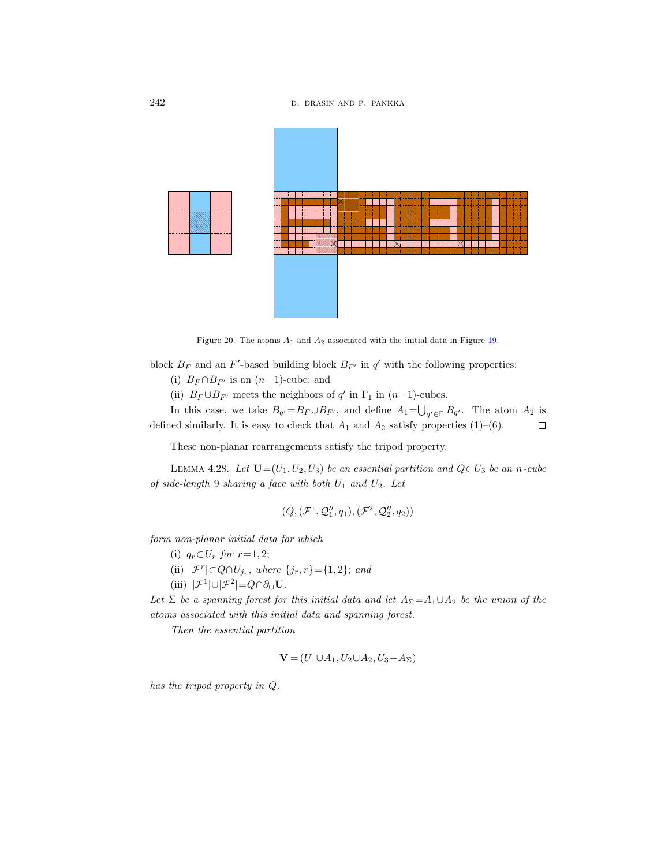

<span id="page-33-0"></span>Figure 20. The atoms  $A_1$  and  $A_2$  associated with the initial data in Figure [19.](#page-32-0)

block  $B_F$  and an F'-based building block  $B_{F'}$  in  $q'$  with the following properties:

(i)  $B_F \cap B_{F'}$  is an  $(n-1)$ -cube; and

(ii)  $B_F \cup B_{F'}$  meets the neighbors of  $q'$  in  $\Gamma_1$  in  $(n-1)$ -cubes.

In this case, we take  $B_{q'}=B_F\cup B_{F'}$ , and define  $A_1=\bigcup_{q'\in\Gamma}B_{q'}$ . The atom  $A_2$  is defined similarly. It is easy to check that  $A_1$  and  $A_2$  satisfy properties (1)–(6).  $\Box$ 

These non-planar rearrangements satisfy the tripod property.

LEMMA 4.28. Let  $\mathbf{U}=(U_1, U_2, U_3)$  be an essential partition and  $Q\subset U_3$  be an n-cube of side-length 9 sharing a face with both  $U_1$  and  $U_2$ . Let

$$
(Q,(\mathcal{F}^1,\mathcal{Q}''_1,q_1),(\mathcal{F}^2,\mathcal{Q}''_2,q_2))
$$

form non-planar initial data for which

(i)  $q_r \subset U_r$  for  $r=1, 2;$ 

(ii)  $|\mathcal{F}^r| \subset Q \cap U_{j_r}$ , where  $\{j_r, r\} = \{1, 2\}$ ; and

(iii)  $|\mathcal{F}^1| \cup |\mathcal{F}^2| = Q \cap \partial_{\cup} \mathbf{U}$ .

Let  $\Sigma$  be a spanning forest for this initial data and let  $A_{\Sigma} = A_1 \cup A_2$  be the union of the atoms associated with this initial data and spanning forest.

Then the essential partition

$$
\mathbf{V} = (U_1 \cup A_1, U_2 \cup A_2, U_3 - A_{\Sigma})
$$

has the tripod property in Q.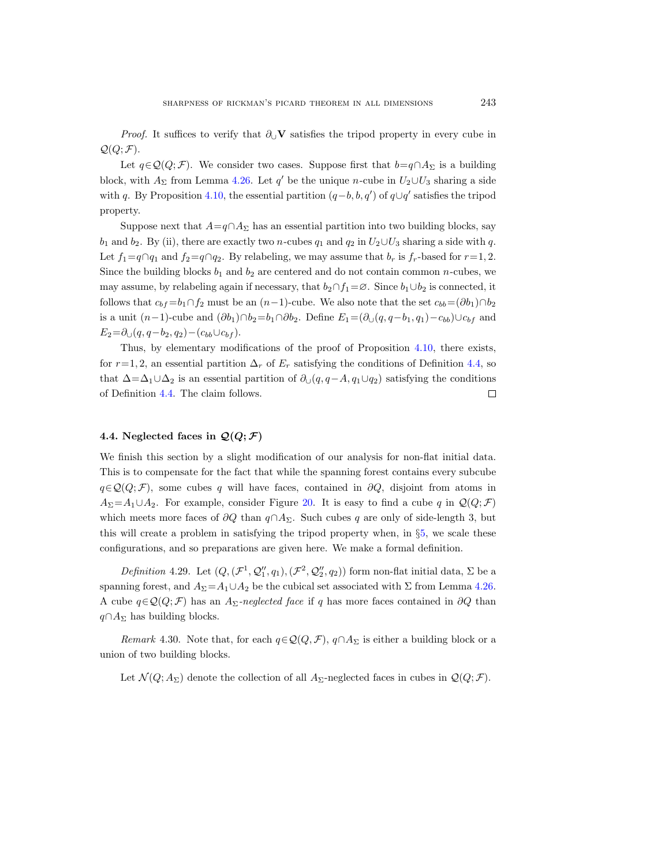*Proof.* It suffices to verify that  $\partial_{\mathsf{U}}\mathbf{V}$  satisfies the tripod property in every cube in  $\mathcal{Q}(Q; \mathcal{F}).$ 

Let  $q \in \mathcal{Q}(Q; \mathcal{F})$ . We consider two cases. Suppose first that  $b=q \cap A_{\Sigma}$  is a building block, with  $A_{\Sigma}$  from Lemma [4.26.](#page-31-0) Let q' be the unique n-cube in  $U_2 \cup U_3$  sharing a side with q. By Proposition [4.10,](#page-25-0) the essential partition  $(q-b, b, q')$  of  $q\cup q'$  satisfies the tripod property.

Suppose next that  $A=q\cap A_\Sigma$  has an essential partition into two building blocks, say  $b_1$  and  $b_2$ . By (ii), there are exactly two *n*-cubes  $q_1$  and  $q_2$  in  $U_2\cup U_3$  sharing a side with q. Let  $f_1=q\cap q_1$  and  $f_2=q\cap q_2$ . By relabeling, we may assume that  $b_r$  is  $f_r$ -based for  $r=1, 2$ . Since the building blocks  $b_1$  and  $b_2$  are centered and do not contain common n-cubes, we may assume, by relabeling again if necessary, that  $b_2 \cap f_1 = \emptyset$ . Since  $b_1 \cup b_2$  is connected, it follows that  $c_{bf} = b_1 \cap f_2$  must be an  $(n-1)$ -cube. We also note that the set  $c_{bb} = (\partial b_1) \cap b_2$ is a unit  $(n-1)$ -cube and  $(\partial b_1) \cap b_2 = b_1 \cap \partial b_2$ . Define  $E_1 = (\partial_{\cup} (q, q-b_1, q_1) - c_{bb}) \cup c_{bf}$  and  $E_2 = \partial_U(q, q-b_2, q_2) - (c_{bb} \cup c_{bf}).$ 

Thus, by elementary modifications of the proof of Proposition [4.10,](#page-25-0) there exists, for  $r=1, 2$ , an essential partition  $\Delta_r$  of  $E_r$  satisfying the conditions of Definition [4.4,](#page-23-0) so that  $\Delta = \Delta_1 \cup \Delta_2$  is an essential partition of  $\partial_{\cup}(q, q-A, q_1 \cup q_2)$  satisfying the conditions of Definition [4.4.](#page-23-0) The claim follows.  $\Box$ 

## <span id="page-34-0"></span>4.4. Neglected faces in  $\mathcal{Q}(Q; \mathcal{F})$

We finish this section by a slight modification of our analysis for non-flat initial data. This is to compensate for the fact that while the spanning forest contains every subcube  $q \in \mathcal{Q}(Q;\mathcal{F})$ , some cubes q will have faces, contained in ∂Q, disjoint from atoms in  $A_{\Sigma} = A_1 \cup A_2$ . For example, consider Figure [20.](#page-33-0) It is easy to find a cube q in  $\mathcal{Q}(Q;\mathcal{F})$ which meets more faces of  $\partial Q$  than  $q \cap A_{\Sigma}$ . Such cubes q are only of side-length 3, but this will create a problem in satisfying the tripod property when, in §[5,](#page-38-0) we scale these configurations, and so preparations are given here. We make a formal definition.

Definition 4.29. Let  $(Q, (\mathcal{F}^1, \mathcal{Q}_1'', q_1), (\mathcal{F}^2, \mathcal{Q}_2'', q_2))$  form non-flat initial data,  $\Sigma$  be a spanning forest, and  $A_{\Sigma} = A_1 \cup A_2$  be the cubical set associated with  $\Sigma$  from Lemma [4.26.](#page-31-0) A cube  $q \in \mathcal{Q}(Q; \mathcal{F})$  has an A<sub>Σ</sub>-neglected face if q has more faces contained in ∂Q than  $q \cap A_{\Sigma}$  has building blocks.

Remark 4.30. Note that, for each  $q \in \mathcal{Q}(Q, \mathcal{F})$ ,  $q \cap A_{\Sigma}$  is either a building block or a union of two building blocks.

<span id="page-34-1"></span>Let  $\mathcal{N}(Q; A_{\Sigma})$  denote the collection of all  $A_{\Sigma}$ -neglected faces in cubes in  $\mathcal{Q}(Q; \mathcal{F})$ .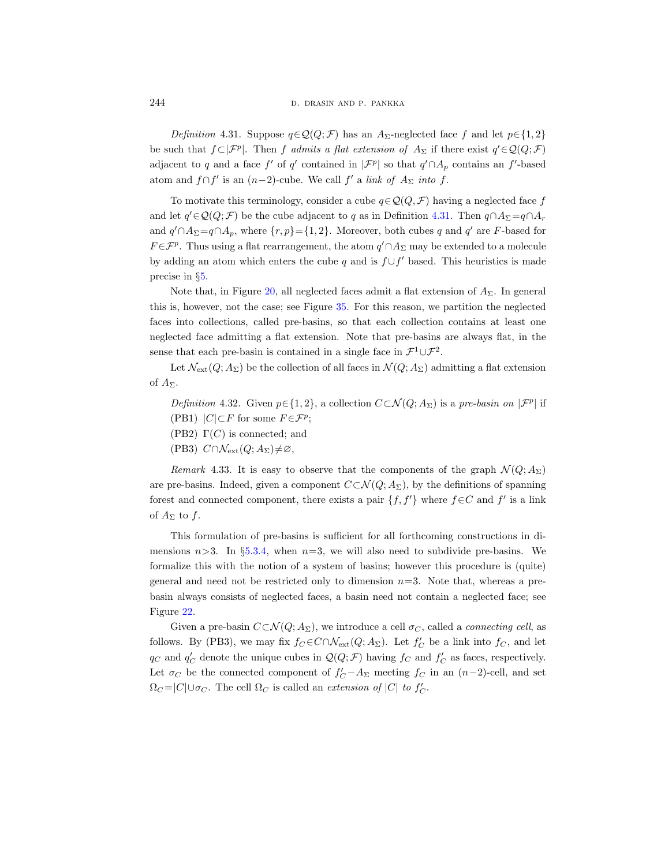Definition 4.31. Suppose  $q \in \mathcal{Q}(Q; \mathcal{F})$  has an A<sub>Σ</sub>-neglected face f and let  $p \in \{1, 2\}$ be such that  $f \subset |\mathcal{F}^p|$ . Then f admits a flat extension of  $A_{\Sigma}$  if there exist  $q' \in \mathcal{Q}(Q; \mathcal{F})$ adjacent to q and a face  $f'$  of  $q'$  contained in  $|\mathcal{F}^p|$  so that  $q' \cap A_p$  contains an  $f'$ -based atom and  $f \cap f'$  is an  $(n-2)$ -cube. We call  $f'$  a *link of*  $A_{\Sigma}$  *into*  $f$ .

To motivate this terminology, consider a cube  $q \in \mathcal{Q}(Q, \mathcal{F})$  having a neglected face f and let  $q' \in \mathcal{Q}(Q;\mathcal{F})$  be the cube adjacent to q as in Definition [4.31.](#page-34-1) Then  $q \cap A_{\Sigma} = q \cap A_{r}$ and  $q' \cap A_{\Sigma} = q \cap A_p$ , where  $\{r, p\} = \{1, 2\}$ . Moreover, both cubes q and q' are F-based for  $F \in \mathcal{F}^p$ . Thus using a flat rearrangement, the atom  $q' \cap A_\Sigma$  may be extended to a molecule by adding an atom which enters the cube q and is  $f \cup f'$  based. This heuristics is made precise in §[5.](#page-38-0)

Note that, in Figure [20,](#page-33-0) all neglected faces admit a flat extension of  $A_{\Sigma}$ . In general this is, however, not the case; see Figure [35.](#page-64-0) For this reason, we partition the neglected faces into collections, called pre-basins, so that each collection contains at least one neglected face admitting a flat extension. Note that pre-basins are always flat, in the sense that each pre-basin is contained in a single face in  $\mathcal{F}^1 \cup \mathcal{F}^2$ .

Let  $\mathcal{N}_{ext}(Q; A_{\Sigma})$  be the collection of all faces in  $\mathcal{N}(Q; A_{\Sigma})$  admitting a flat extension of  $A_{\Sigma}$ .

- Definition 4.32. Given  $p \in \{1, 2\}$ , a collection  $C \subset \mathcal{N}(Q; A_{\Sigma})$  is a pre-basin on  $|\mathcal{F}^p|$  if (PB1)  $|C| \subset F$  for some  $F \in \mathcal{F}^p$ ;
- (PB2)  $\Gamma(C)$  is connected; and
- (PB3)  $C \cap \mathcal{N}_{ext}(Q; A_{\Sigma}) \neq \emptyset$ ,

Remark 4.33. It is easy to observe that the components of the graph  $\mathcal{N}(Q; A_{\Sigma})$ are pre-basins. Indeed, given a component  $C\subset \mathcal{N}(Q; A_{\Sigma})$ , by the definitions of spanning forest and connected component, there exists a pair  $\{f, f'\}$  where  $f \in C$  and f' is a link of  $A_{\Sigma}$  to f.

This formulation of pre-basins is sufficient for all forthcoming constructions in dimensions  $n>3$ . In §[5.3.4,](#page-61-0) when  $n=3$ , we will also need to subdivide pre-basins. We formalize this with the notion of a system of basins; however this procedure is (quite) general and need not be restricted only to dimension  $n=3$ . Note that, whereas a prebasin always consists of neglected faces, a basin need not contain a neglected face; see Figure [22.](#page-37-0)

Given a pre-basin  $C \subset \mathcal{N}(Q; A_{\Sigma})$ , we introduce a cell  $\sigma_C$ , called a *connecting cell*, as follows. By (PB3), we may fix  $f_C \in C \cap \mathcal{N}_{ext}(Q; A_{\Sigma})$ . Let  $f'_C$  be a link into  $f_C$ , and let  $q_C$  and  $q_C'$  denote the unique cubes in  $\mathcal{Q}(Q;\mathcal{F})$  having  $f_C$  and  $f_C'$  as faces, respectively. Let  $\sigma_C$  be the connected component of  $f'_C - A_\Sigma$  meeting  $f_C$  in an  $(n-2)$ -cell, and set  $\Omega_C = |C| \cup \sigma_C$ . The cell  $\Omega_C$  is called an *extension of* |C| to  $f'_C$ .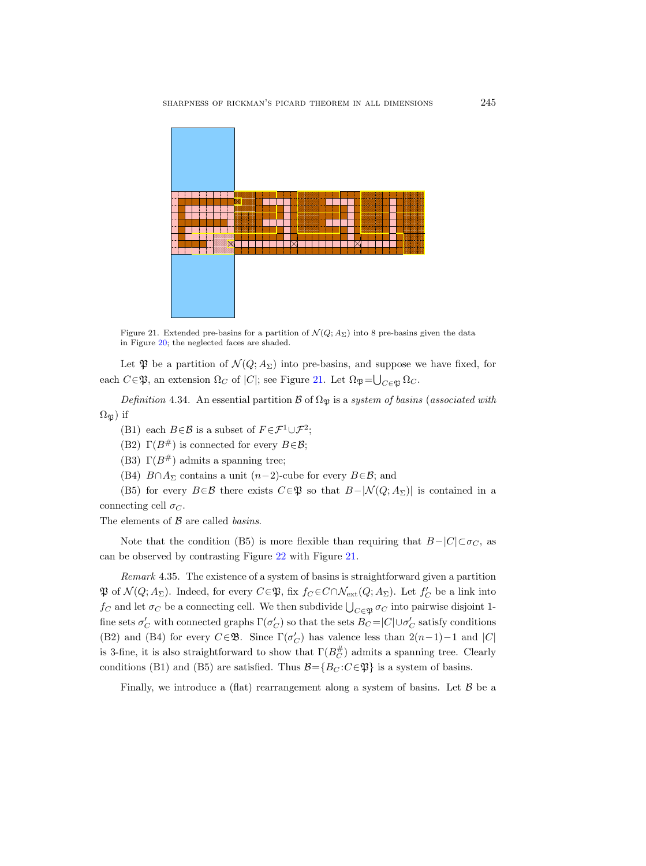

<span id="page-36-0"></span>Figure 21. Extended pre-basins for a partition of  $\mathcal{N}(Q; A_{\Sigma})$  into 8 pre-basins given the data in Figure [20;](#page-33-0) the neglected faces are shaded.

Let  $\mathfrak P$  be a partition of  $\mathcal N(Q;A_\Sigma)$  into pre-basins, and suppose we have fixed, for each  $C \in \mathfrak{P}$ , an extension  $\Omega_C$  of  $|C|$ ; see Figure [21.](#page-36-0) Let  $\Omega_{\mathfrak{P}} = \bigcup_{C \in \mathfrak{P}} \Omega_C$ .

Definition 4.34. An essential partition  $\mathcal{B}$  of  $\Omega_{\mathfrak{P}}$  is a system of basins (associated with  $\Omega_{\mathfrak{B}}$ ) if

- (B1) each  $B \in \mathcal{B}$  is a subset of  $F \in \mathcal{F}^1 \cup \mathcal{F}^2$ ;
- (B2)  $\Gamma(B^{\#})$  is connected for every  $B \in \mathcal{B}$ ;
- (B3)  $\Gamma(B^{\#})$  admits a spanning tree;
- (B4)  $B \cap A_{\Sigma}$  contains a unit  $(n-2)$ -cube for every  $B \in \mathcal{B}$ ; and

(B5) for every  $B \in \mathcal{B}$  there exists  $C \in \mathfrak{P}$  so that  $B-|\mathcal{N}(Q; A_{\Sigma})|$  is contained in a connecting cell  $\sigma_C$ .

The elements of  $\beta$  are called *basins*.

Note that the condition (B5) is more flexible than requiring that  $B-|C|\subset \sigma_C$ , as can be observed by contrasting Figure [22](#page-37-0) with Figure [21.](#page-36-0)

Remark 4.35. The existence of a system of basins is straightforward given a partition  $\mathfrak P$  of  $\mathcal N(Q;A_\Sigma)$ . Indeed, for every  $C \in \mathfrak P$ , fix  $f_C \in C \cap \mathcal N_{\rm ext}(Q;A_\Sigma)$ . Let  $f'_C$  be a link into  $f_C$  and let  $\sigma_C$  be a connecting cell. We then subdivide  $\bigcup_{C \in \mathfrak{P}} \sigma_C$  into pairwise disjoint 1fine sets  $\sigma_C'$  with connected graphs  $\Gamma(\sigma_C')$  so that the sets  $B_C = |C| \cup \sigma_C'$  satisfy conditions (B2) and (B4) for every  $C \in \mathfrak{B}$ . Since  $\Gamma(\sigma_C')$  has valence less than  $2(n-1)-1$  and  $|C|$ is 3-fine, it is also straightforward to show that  $\Gamma(B_C^{\#})$  admits a spanning tree. Clearly conditions (B1) and (B5) are satisfied. Thus  $\mathcal{B} = \{B_C : C \in \mathfrak{P}\}\$ is a system of basins.

Finally, we introduce a (flat) rearrangement along a system of basins. Let  $\beta$  be a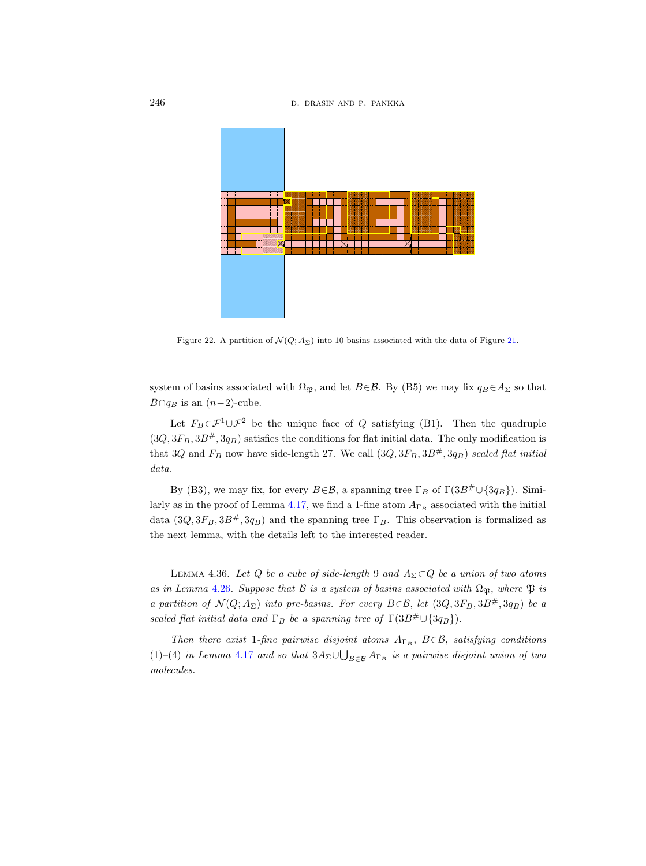246 **d. drasin and p. pankka d. drasin and p. pankka** 



<span id="page-37-0"></span>Figure 22. A partition of  $\mathcal{N}(Q; A_{\Sigma})$  into 10 basins associated with the data of Figure [21.](#page-36-0)

system of basins associated with  $\Omega_{\mathfrak{P}}$ , and let  $B \in \mathcal{B}$ . By (B5) we may fix  $q_B \in A_{\Sigma}$  so that  $B \cap q_B$  is an  $(n-2)$ -cube.

Let  $F_B \in \mathcal{F}^1 \cup \mathcal{F}^2$  be the unique face of Q satisfying (B1). Then the quadruple  $(3Q, 3F_B, 3B^{\#}, 3q_B)$  satisfies the conditions for flat initial data. The only modification is that 3Q and  $F_B$  now have side-length 27. We call  $(3Q, 3F_B, 3B^{\#}, 3q_B)$  scaled flat initial data.

By (B3), we may fix, for every  $B\in\mathcal{B}$ , a spanning tree  $\Gamma_B$  of  $\Gamma(3B^{\#}\cup\{3q_B\})$ . Simi-larly as in the proof of Lemma [4.17,](#page-28-0) we find a 1-fine atom  $A_{\Gamma_B}$  associated with the initial data  $(3Q, 3F_B, 3B^*, 3q_B)$  and the spanning tree  $\Gamma_B$ . This observation is formalized as the next lemma, with the details left to the interested reader.

<span id="page-37-1"></span>LEMMA 4.36. Let Q be a cube of side-length 9 and  $A_{\Sigma} \subset Q$  be a union of two atoms as in Lemma [4.26](#page-31-0). Suppose that B is a system of basins associated with  $\Omega_{\mathfrak{B}}$ , where  $\mathfrak{P}$  is a partition of  $\mathcal{N}(Q; A_{\Sigma})$  into pre-basins. For every  $B \in \mathcal{B}$ , let  $(3Q, 3F_B, 3B^{\#}, 3q_B)$  be a scaled flat initial data and  $\Gamma_B$  be a spanning tree of  $\Gamma(3B^{\#}\cup\{3q_B\})$ .

Then there exist 1-fine pairwise disjoint atoms  $A_{\Gamma_B}$ ,  $B \in \mathcal{B}$ , satisfying conditions (1)–(4) in Lemma [4.17](#page-28-0) and so that  $3A_{\Sigma} \cup \bigcup_{B \in \mathcal{B}} A_{\Gamma_B}$  is a pairwise disjoint union of two molecules.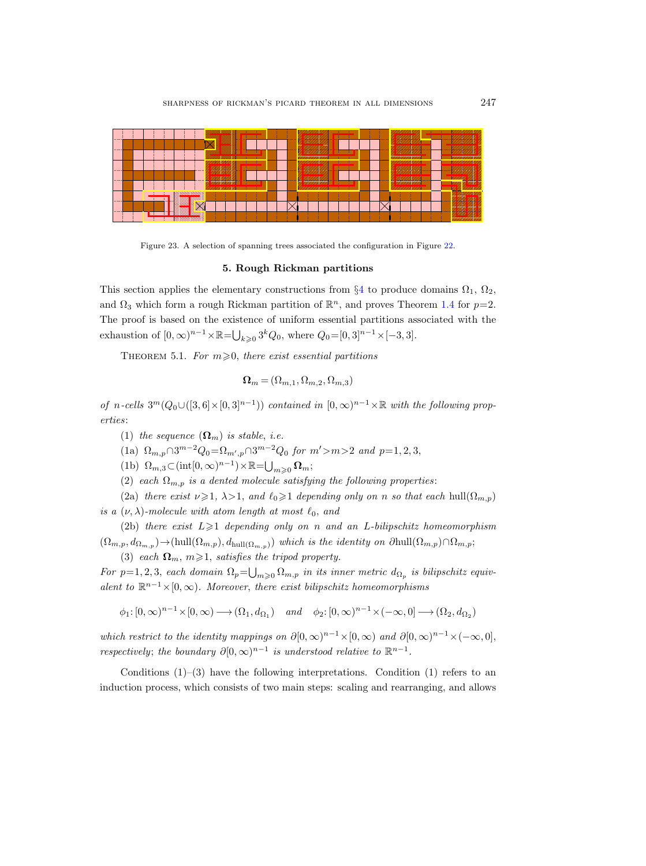

Figure 23. A selection of spanning trees associated the configuration in Figure [22.](#page-37-0)

#### 5. Rough Rickman partitions

<span id="page-38-1"></span>This section applies the elementary constructions from  $\S 4$  $\S 4$  to produce domains  $\Omega_1$ ,  $\Omega_2$ , and  $\Omega_3$  which form a rough Rickman partition of  $\mathbb{R}^n$ , and proves Theorem [1.4](#page-6-0) for  $p=2$ . The proof is based on the existence of uniform essential partitions associated with the exhaustion of  $[0, \infty)^{n-1} \times \mathbb{R} = \bigcup_{k \geq 0} 3^k Q_0$ , where  $Q_0 = [0, 3]^{n-1} \times [-3, 3]$ .

<span id="page-38-0"></span>THEOREM 5.1. For  $m \ge 0$ , there exist essential partitions

$$
\pmb{\Omega}_m\!=\!(\Omega_{m,1},\Omega_{m,2},\Omega_{m,3})
$$

of n-cells  $3^m(Q_0 \cup (0.3]^{n}) \times (0.3]^{n-1})$  contained in  $(0, \infty)^{n-1} \times \mathbb{R}$  with the following properties:

- (1) the sequence  $(\mathbf{\Omega}_m)$  is stable, i.e.
- (1a)  $\Omega_{m,p} \cap 3^{m-2} Q_0 = \Omega_{m',p} \cap 3^{m-2} Q_0$  for  $m' > m > 2$  and  $p = 1, 2, 3$ ,
- (1b)  $\Omega_{m,3} \subset (\text{int}[0,\infty)^{n-1}) \times \mathbb{R} = \bigcup_{m \geq 0} \Omega_m;$

(2) each  $\Omega_{m,p}$  is a dented molecule satisfying the following properties:

(2a) there exist  $\nu \geq 1$ ,  $\lambda > 1$ , and  $\ell_0 \geq 1$  depending only on n so that each hull $(\Omega_{m,p})$ is a  $(\nu, \lambda)$ -molecule with atom length at most  $\ell_0$ , and

(2b) there exist  $L\geqslant 1$  depending only on n and an L-bilipschitz homeomorphism  $(\Omega_{m,p}, d_{\Omega_{m,p}}) \to (\text{hull}(\Omega_{m,p}), d_{\text{hull}(\Omega_{m,p}}))$  which is the identity on  $\partial \text{hull}(\Omega_{m,p}) \cap \Omega_{m,p}$ ; (3) each  $\Omega_m$ ,  $m \geq 1$ , satisfies the tripod property.

For  $p=1, 2, 3$ , each domain  $\Omega_p = \bigcup_{m\geqslant 0} \Omega_{m,p}$  in its inner metric  $d_{\Omega_p}$  is bilipschitz equivalent to  $\mathbb{R}^{n-1}\times [0,\infty)$ . Moreover, there exist bilipschitz homeomorphisms

 $\phi_1: [0, \infty)^{n-1} \times [0, \infty) \longrightarrow (\Omega_1, d_{\Omega_1})$  and  $\phi_2: [0, \infty)^{n-1} \times (-\infty, 0] \longrightarrow (\Omega_2, d_{\Omega_2})$ 

which restrict to the identity mappings on  $\partial [0,\infty)^{n-1} \times [0,\infty)$  and  $\partial [0,\infty)^{n-1} \times (-\infty,0],$ respectively; the boundary  $\partial [0,\infty)^{n-1}$  is understood relative to  $\mathbb{R}^{n-1}$ .

Conditions  $(1)-(3)$  have the following interpretations. Condition  $(1)$  refers to an induction process, which consists of two main steps: scaling and rearranging, and allows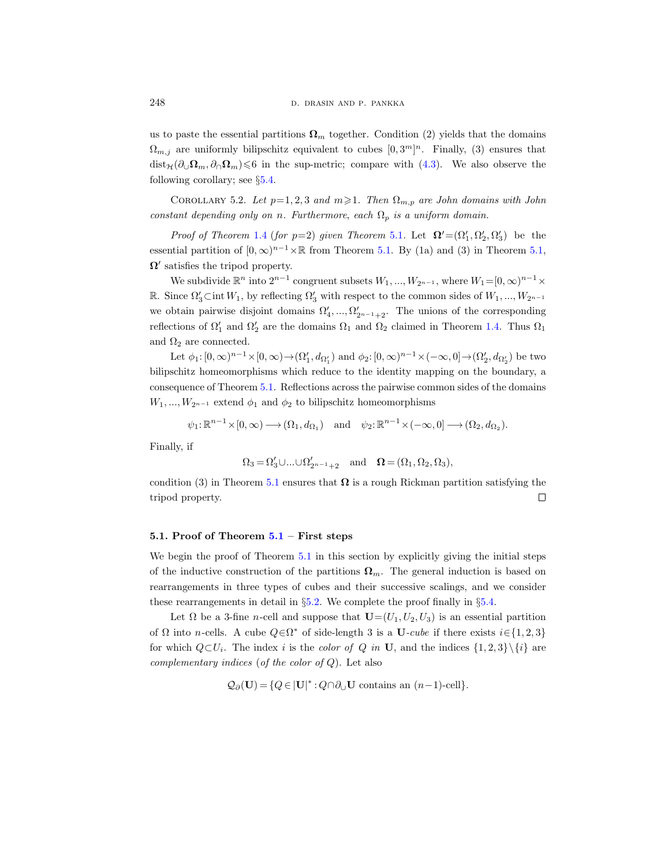us to paste the essential partitions  $\Omega_m$  together. Condition (2) yields that the domains  $\Omega_{m,j}$  are uniformly bilipschitz equivalent to cubes  $[0,3^m]^n$ . Finally, (3) ensures that  $dist_{\mathcal{H}}(\partial_{\cup}\Omega_m, \partial_{\cap}\Omega_m)\leqslant 6$  in the sup-metric; compare with [\(4.3\)](#page-22-0). We also observe the following corollary; see §[5.4.](#page-66-0)

<span id="page-39-0"></span>COROLLARY 5.2. Let  $p=1, 2, 3$  and  $m\geq 1$ . Then  $\Omega_{m,p}$  are John domains with John constant depending only on n. Furthermore, each  $\Omega_p$  is a uniform domain.

*Proof of Theorem [1.4](#page-6-0) (for p=2) given Theorem [5.1](#page-38-0).* Let  $\Omega' = (\Omega'_1, \Omega'_2, \Omega'_3)$  be the essential partition of  $[0, \infty)^{n-1} \times \mathbb{R}$  from Theorem [5.1.](#page-38-0) By (1a) and (3) in Theorem [5.1,](#page-38-0)  $\Omega'$  satisfies the tripod property.

We subdivide  $\mathbb{R}^n$  into  $2^{n-1}$  congruent subsets  $W_1, ..., W_{2^{n-1}}$ , where  $W_1 = [0, \infty)^{n-1} \times$ R. Since  $\Omega'_3 \subset \text{int } W_1$ , by reflecting  $\Omega'_3$  with respect to the common sides of  $W_1, ..., W_{2^{n-1}}$ we obtain pairwise disjoint domains  $\Omega'_4, ..., \Omega'_{2^{n-1}+2}$ . The unions of the corresponding reflections of  $\Omega'_1$  and  $\Omega'_2$  are the domains  $\Omega_1$  and  $\Omega_2$  claimed in Theorem [1.4.](#page-6-0) Thus  $\Omega_1$ and  $\Omega_2$  are connected.

Let  $\phi_1: [0, \infty)^{n-1} \times [0, \infty) \to (\Omega'_1, d_{\Omega'_1})$  and  $\phi_2: [0, \infty)^{n-1} \times (-\infty, 0] \to (\Omega'_2, d_{\Omega'_2})$  be two bilipschitz homeomorphisms which reduce to the identity mapping on the boundary, a consequence of Theorem [5.1.](#page-38-0) Reflections across the pairwise common sides of the domains  $W_1, ..., W_{2n-1}$  extend  $\phi_1$  and  $\phi_2$  to bilipschitz homeomorphisms

 $\psi_1: \mathbb{R}^{n-1} \times [0, \infty) \longrightarrow (\Omega_1, d_{\Omega_1}) \text{ and } \psi_2: \mathbb{R}^{n-1} \times (-\infty, 0] \longrightarrow (\Omega_2, d_{\Omega_2}).$ 

Finally, if

$$
\Omega_3=\Omega_3'\cup\ldots\cup\Omega_{2^{n-1}+2}'\quad\text{and}\quad \Omega=(\Omega_1,\Omega_2,\Omega_3),
$$

condition (3) in Theorem [5.1](#page-38-0) ensures that  $\Omega$  is a rough Rickman partition satisfying the tripod property.  $\Box$ 

## [5.1](#page-38-0). Proof of Theorem  $5.1$  – First steps

We begin the proof of Theorem [5.1](#page-38-0) in this section by explicitly giving the initial steps of the inductive construction of the partitions  $\Omega_m$ . The general induction is based on rearrangements in three types of cubes and their successive scalings, and we consider these rearrangements in detail in §[5.2.](#page-42-0) We complete the proof finally in §[5.4.](#page-66-0)

Let  $\Omega$  be a 3-fine n-cell and suppose that  $\mathbf{U}=(U_1, U_2, U_3)$  is an essential partition of  $\Omega$  into n-cells. A cube  $Q \in \Omega^*$  of side-length 3 is a U-cube if there exists  $i \in \{1, 2, 3\}$ for which  $Q \subset U_i$ . The index i is the color of Q in U, and the indices  $\{1,2,3\} \setminus \{i\}$  are complementary indices (of the color of  $Q$ ). Let also

$$
\mathcal{Q}_{\partial}(\mathbf{U}) = \{Q \in |\mathbf{U}|^* : Q \cap \partial_{\cup} \mathbf{U} \text{ contains an } (n-1)\text{-cell}\}.
$$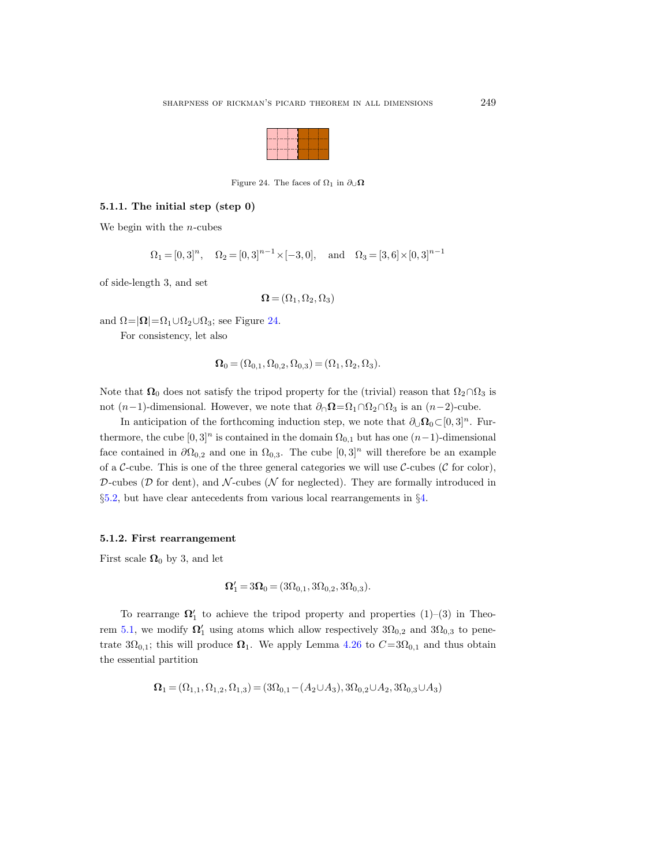

<span id="page-40-0"></span>Figure 24. The faces of  $\Omega_1$  in  $\partial_{\cup} \Omega$ 

## <span id="page-40-1"></span>5.1.1. The initial step (step 0)

We begin with the  $n$ -cubes

$$
\Omega_1 = [0, 3]^n
$$
,  $\Omega_2 = [0, 3]^{n-1} \times [-3, 0]$ , and  $\Omega_3 = [3, 6] \times [0, 3]^{n-1}$ 

of side-length 3, and set

$$
\mathbf{\Omega} = (\Omega_1, \Omega_2, \Omega_3)
$$

and  $\Omega = |\Omega| = \Omega_1 \cup \Omega_2 \cup \Omega_3$ ; see Figure [24.](#page-40-0)

For consistency, let also

$$
\mathbf{\Omega}_0 = (\Omega_{0,1}, \Omega_{0,2}, \Omega_{0,3}) = (\Omega_1, \Omega_2, \Omega_3).
$$

Note that  $\Omega_0$  does not satisfy the tripod property for the (trivial) reason that  $\Omega_2 \cap \Omega_3$  is not (n−1)-dimensional. However, we note that  $\partial_{\cap} \Omega = \Omega_1 \cap \Omega_2 \cap \Omega_3$  is an (n−2)-cube.

In anticipation of the forthcoming induction step, we note that  $\partial_{\mathcal{Q}} \Omega_0 \subset [0, 3]^n$ . Furthermore, the cube  $[0,3]^n$  is contained in the domain  $\Omega_{0,1}$  but has one  $(n-1)$ -dimensional face contained in  $\partial \Omega_{0,2}$  and one in  $\Omega_{0,3}$ . The cube  $[0,3]^n$  will therefore be an example of a C-cube. This is one of the three general categories we will use C-cubes (C for color), D-cubes ( $D$  for dent), and  $N$ -cubes ( $N$  for neglected). They are formally introduced in §[5.2,](#page-42-0) but have clear antecedents from various local rearrangements in §[4.](#page-21-0)

#### <span id="page-40-2"></span>5.1.2. First rearrangement

First scale  $\Omega_0$  by 3, and let

$$
\Omega_1' = 3\Omega_0 = (3\Omega_{0,1}, 3\Omega_{0,2}, 3\Omega_{0,3}).
$$

To rearrange  $\Omega'_1$  to achieve the tripod property and properties  $(1)-(3)$  in Theo-rem [5.1,](#page-38-0) we modify  $\Omega'_1$  using atoms which allow respectively  $3\Omega_{0,2}$  and  $3\Omega_{0,3}$  to penetrate  $3\Omega_{0,1}$ ; this will produce  $\Omega_1$ . We apply Lemma [4.26](#page-31-0) to  $C=3\Omega_{0,1}$  and thus obtain the essential partition

$$
\mathbf{\Omega}_1 = (\Omega_{1,1}, \Omega_{1,2}, \Omega_{1,3}) = (3\Omega_{0,1} - (A_2 \cup A_3), 3\Omega_{0,2} \cup A_2, 3\Omega_{0,3} \cup A_3)
$$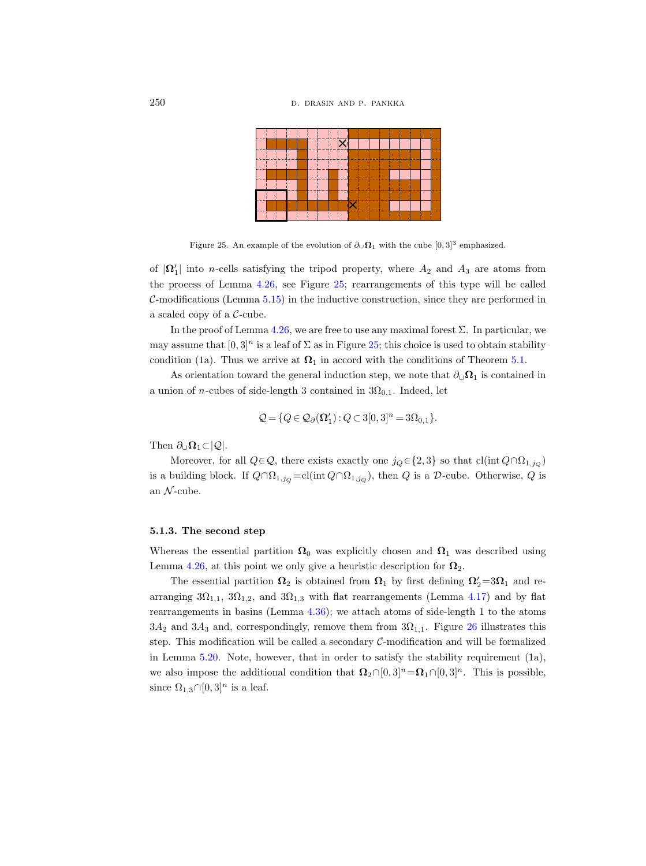

<span id="page-41-0"></span>Figure 25. An example of the evolution of  $\partial_{\cup} \Omega_1$  with the cube [0,3]<sup>3</sup> emphasized.

of  $|\Omega_1'|$  into *n*-cells satisfying the tripod property, where  $A_2$  and  $A_3$  are atoms from the process of Lemma [4.26,](#page-31-0) see Figure [25;](#page-41-0) rearrangements of this type will be called  $C$ -modifications (Lemma  $5.15$ ) in the inductive construction, since they are performed in a scaled copy of a C-cube.

In the proof of Lemma [4.26,](#page-31-0) we are free to use any maximal forest  $\Sigma$ . In particular, we may assume that  $[0, 3]^n$  is a leaf of  $\Sigma$  as in Figure [25;](#page-41-0) this choice is used to obtain stability condition (1a). Thus we arrive at  $\Omega_1$  in accord with the conditions of Theorem [5.1.](#page-38-0)

As orientation toward the general induction step, we note that  $\partial_{\cup} \Omega_1$  is contained in a union of *n*-cubes of side-length 3 contained in  $3\Omega_{0,1}$ . Indeed, let

$$
\mathcal{Q} = \{Q \in \mathcal{Q}_{\partial}(\Omega'_1) : Q \subset 3[0,3]^n = 3\Omega_{0,1}\}.
$$

Then  $\partial_{\cup}\Omega_1\subset|Q|$ .

Moreover, for all  $Q \in \mathcal{Q}$ , there exists exactly one  $j_Q \in \{2,3\}$  so that  $cl(int Q \cap \Omega_{1,j_Q})$ is a building block. If  $Q \cap \Omega_{1,jQ} = cl(int Q \cap \Omega_{1,jQ})$ , then Q is a D-cube. Otherwise, Q is an  $\mathcal{N}\text{-cube}.$ 

## <span id="page-41-1"></span>5.1.3. The second step

Whereas the essential partition  $\Omega_0$  was explicitly chosen and  $\Omega_1$  was described using Lemma [4.26,](#page-31-0) at this point we only give a heuristic description for  $\Omega_2$ .

The essential partition  $\Omega_2$  is obtained from  $\Omega_1$  by first defining  $\Omega'_2 = 3\Omega_1$  and rearranging  $3\Omega_{1,1}$ ,  $3\Omega_{1,2}$ , and  $3\Omega_{1,3}$  with flat rearrangements (Lemma [4.17\)](#page-28-0) and by flat rearrangements in basins (Lemma [4.36\)](#page-37-1); we attach atoms of side-length 1 to the atoms  $3A_2$  and  $3A_3$  and, correspondingly, remove them from  $3\Omega_{1,1}$ . Figure [26](#page-42-1) illustrates this step. This modification will be called a secondary  $C$ -modification and will be formalized in Lemma [5.20.](#page-51-0) Note, however, that in order to satisfy the stability requirement (1a), we also impose the additional condition that  $\Omega_2 \cap [0,3]^n = \Omega_1 \cap [0,3]^n$ . This is possible, since  $\Omega_{1,3} \cap [0,3]^n$  is a leaf.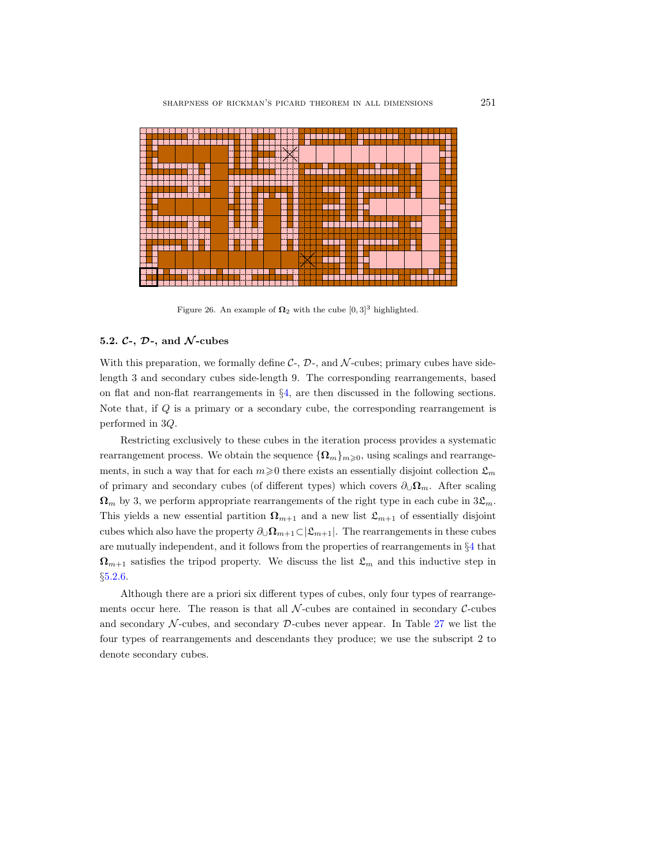

<span id="page-42-1"></span>Figure 26. An example of  $\Omega_2$  with the cube  $[0,3]^3$  highlighted.

# <span id="page-42-0"></span>5.2.  $C$ -,  $D$ -, and  $\mathcal{N}$ -cubes

With this preparation, we formally define  $C_1$ ,  $D_2$ , and  $\mathcal N$ -cubes; primary cubes have sidelength 3 and secondary cubes side-length 9. The corresponding rearrangements, based on flat and non-flat rearrangements in §[4,](#page-21-0) are then discussed in the following sections. Note that, if Q is a primary or a secondary cube, the corresponding rearrangement is performed in 3Q.

Restricting exclusively to these cubes in the iteration process provides a systematic rearrangement process. We obtain the sequence  ${\{\Omega_m\}}_{m\geqslant0}$ , using scalings and rearrangements, in such a way that for each  $m\geqslant 0$  there exists an essentially disjoint collection  $\mathfrak{L}_m$ of primary and secondary cubes (of different types) which covers  $\partial_{\mathbf{U}}\Omega_m$ . After scaling  $\Omega_m$  by 3, we perform appropriate rearrangements of the right type in each cube in  $3\mathfrak{L}_m$ . This yields a new essential partition  $\Omega_{m+1}$  and a new list  $\mathfrak{L}_{m+1}$  of essentially disjoint cubes which also have the property  $\partial_{\mathbf{U}} \Omega_{m+1} \subset |\mathfrak{L}_{m+1}|$ . The rearrangements in these cubes are mutually independent, and it follows from the properties of rearrangements in §[4](#page-21-0) that  $\Omega_{m+1}$  satisfies the tripod property. We discuss the list  $\mathfrak{L}_m$  and this inductive step in §[5.2.6.](#page-52-0)

Although there are a priori six different types of cubes, only four types of rearrangements occur here. The reason is that all  $\mathcal{N}\text{-cubes}$  are contained in secondary C-cubes and secondary  $\mathcal{N}\text{-cubes}$ , and secondary  $\mathcal{D}\text{-cubes}$  never appear. In Table [27](#page-43-0) we list the four types of rearrangements and descendants they produce; we use the subscript 2 to denote secondary cubes.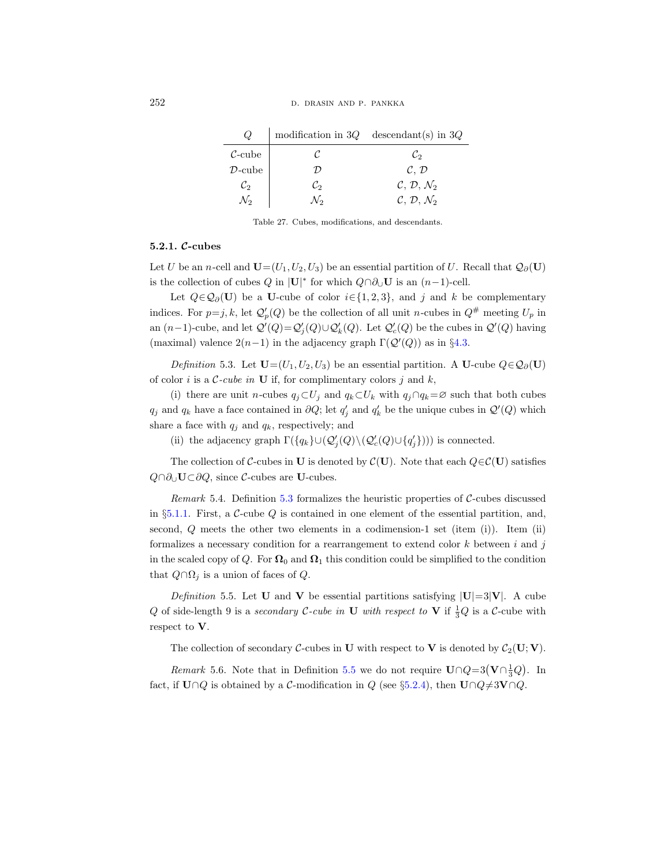|                           |                 | modification in $3Q$ descendant(s) in $3Q$ |
|---------------------------|-----------------|--------------------------------------------|
| $\mathcal{C}\text{-cube}$ |                 | Ľэ                                         |
| $\mathcal{D}\text{-cube}$ |                 | $\mathcal{C}, \mathcal{D}$                 |
| $\mathcal{C}_2$           | $\mathcal{C}_2$ | $\mathcal{C}, \mathcal{D}, \mathcal{N}_2$  |
|                           | No              | $\mathcal{C}, \mathcal{D}, \mathcal{N}_2$  |

<span id="page-43-0"></span>Table 27. Cubes, modifications, and descendants.

### 5.2.1. C-cubes

Let U be an n-cell and  $\mathbf{U}=(U_1, U_2, U_3)$  be an essential partition of U. Recall that  $\mathcal{Q}_{\partial}(\mathbf{U})$ is the collection of cubes  $Q$  in |U|<sup>\*</sup> for which  $Q \cap \partial_{\cup} U$  is an  $(n-1)$ -cell.

Let  $Q \in \mathcal{Q}_{\partial}(\mathbf{U})$  be a U-cube of color  $i \in \{1, 2, 3\}$ , and j and k be complementary indices. For  $p=j, k$ , let  $\mathcal{Q}'_p(Q)$  be the collection of all unit n-cubes in  $Q^{\#}$  meeting  $U_p$  in an  $(n-1)$ -cube, and let  $\mathcal{Q}'(Q) = \mathcal{Q}'_j(Q) \cup \mathcal{Q}'_k(Q)$ . Let  $\mathcal{Q}'_c(Q)$  be the cubes in  $\mathcal{Q}'(Q)$  having (maximal) valence  $2(n-1)$  in the adjacency graph  $\Gamma(\mathcal{Q}'(Q))$  as in §[4.3.](#page-30-0)

<span id="page-43-1"></span>Definition 5.3. Let  $\mathbf{U}=(U_1, U_2, U_3)$  be an essential partition. A U-cube  $Q \in \mathcal{Q}_{\partial}(\mathbf{U})$ of color i is a  $\mathcal{C}\text{-cube}$  in **U** if, for complimentary colors j and k,

(i) there are unit *n*-cubes  $q_j \subset U_j$  and  $q_k \subset U_k$  with  $q_j \cap q_k = \emptyset$  such that both cubes  $q_j$  and  $q_k$  have a face contained in  $\partial Q$ ; let  $q'_j$  and  $q'_k$  be the unique cubes in  $\mathcal{Q}'(Q)$  which share a face with  $q_j$  and  $q_k$ , respectively; and

(ii) the adjacency graph  $\Gamma(\lbrace q_k \rbrace \cup (\mathcal{Q}'_j(Q) \setminus (\mathcal{Q}'_c(Q) \cup \lbrace q'_j \rbrace)))$  is connected.

The collection of C-cubes in U is denoted by  $\mathcal{C}(\mathbf{U})$ . Note that each  $Q \in \mathcal{C}(\mathbf{U})$  satisfies  $Q \cap \partial_U U \subset \partial Q$ , since C-cubes are U-cubes.

Remark 5.4. Definition [5.3](#page-43-1) formalizes the heuristic properties of  $C$ -cubes discussed in §[5.1.1.](#page-40-1) First, a  $\mathcal{C}\text{-cube }Q$  is contained in one element of the essential partition, and, second,  $Q$  meets the other two elements in a codimension-1 set (item (i)). Item (ii) formalizes a necessary condition for a rearrangement to extend color  $k$  between  $i$  and  $j$ in the scaled copy of Q. For  $\Omega_0$  and  $\Omega_1$  this condition could be simplified to the condition that  $Q \cap \Omega_j$  is a union of faces of  $Q$ .

<span id="page-43-2"></span>Definition 5.5. Let **U** and **V** be essential partitions satisfying  $|U|=3|V|$ . A cube Q of side-length 9 is a secondary C-cube in U with respect to V if  $\frac{1}{3}Q$  is a C-cube with respect to V.

The collection of secondary C-cubes in U with respect to V is denoted by  $C_2(U;V)$ .

*Remark* 5.6. Note that in Definition [5.5](#page-43-2) we do not require  $U \cap Q = 3(V \cap \frac{1}{3}Q)$ . In fact, if  $U \cap Q$  is obtained by a C-modification in Q (see §[5.2.4\)](#page-48-1), then  $U \cap Q \neq 3V \cap Q$ .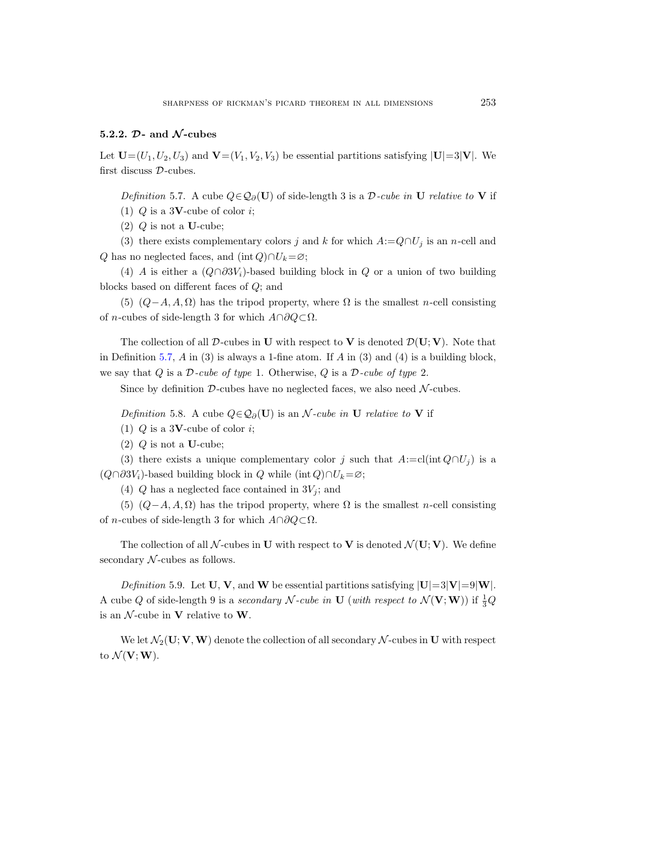# 5.2.2.  $\mathcal{D}$ - and  $\mathcal{N}$ -cubes

<span id="page-44-0"></span>Let  $\mathbf{U}=(U_1, U_2, U_3)$  and  $\mathbf{V}=(V_1, V_2, V_3)$  be essential partitions satisfying  $|\mathbf{U}|=3|\mathbf{V}|$ . We first discuss D-cubes.

Definition 5.7. A cube  $Q \in \mathcal{Q}_{\partial}(\mathbf{U})$  of side-length 3 is a D-cube in U relative to V if (1)  $Q$  is a 3**V**-cube of color *i*;

(2)  $Q$  is not a U-cube;

(3) there exists complementary colors j and k for which  $A:=Q\cap U_j$  is an n-cell and Q has no neglected faces, and (int Q)∩ $U_k = \varnothing$ ;

(4) A is either a  $(Q \cap \partial 3V_i)$ -based building block in Q or a union of two building blocks based on different faces of Q; and

(5)  $(Q-A, A, \Omega)$  has the tripod property, where  $\Omega$  is the smallest n-cell consisting of *n*-cubes of side-length 3 for which  $A \cap \partial Q \subset \Omega$ .

The collection of all  $\mathcal D$ -cubes in U with respect to V is denoted  $\mathcal D(U; V)$ . Note that in Definition [5.7,](#page-44-0)  $A$  in (3) is always a 1-fine atom. If  $A$  in (3) and (4) is a building block, we say that Q is a  $\mathcal{D}$ -cube of type 1. Otherwise, Q is a  $\mathcal{D}$ -cube of type 2.

Since by definition  $D$ -cubes have no neglected faces, we also need  $N$ -cubes.

Definition 5.8. A cube  $Q \in \mathcal{Q}_{\partial}(\mathbf{U})$  is an N-cube in U relative to V if

(1)  $Q$  is a 3**V**-cube of color *i*;

 $(2)$  Q is not a U-cube;

(3) there exists a unique complementary color j such that  $A:=cl(int Q\cap U_j)$  is a  $(Q \cap \partial 3V_i)$ -based building block in Q while (int Q)∩ $U_k = \emptyset$ ;

(4)  $Q$  has a neglected face contained in  $3V_i$ ; and

(5)  $(Q-A, A, \Omega)$  has the tripod property, where  $\Omega$  is the smallest n-cell consisting of *n*-cubes of side-length 3 for which  $A \cap \partial Q \subset \Omega$ .

The collection of all N-cubes in U with respect to V is denoted  $\mathcal{N}(\mathbf{U}; \mathbf{V})$ . We define secondary  $N$ -cubes as follows.

Definition 5.9. Let U, V, and W be essential partitions satisfying  $|U|=3|V|=9|W|$ . A cube Q of side-length 9 is a secondary N-cube in U (with respect to  $\mathcal{N}(\mathbf{V}; \mathbf{W})$ ) if  $\frac{1}{3}Q$ is an  $\mathcal N$ -cube in **V** relative to **W**.

We let  $\mathcal{N}_2(\mathbf{U}; \mathbf{V}, \mathbf{W})$  denote the collection of all secondary  $\mathcal{N}$ -cubes in U with respect to  $\mathcal{N}(\mathbf{V};\mathbf{W})$ .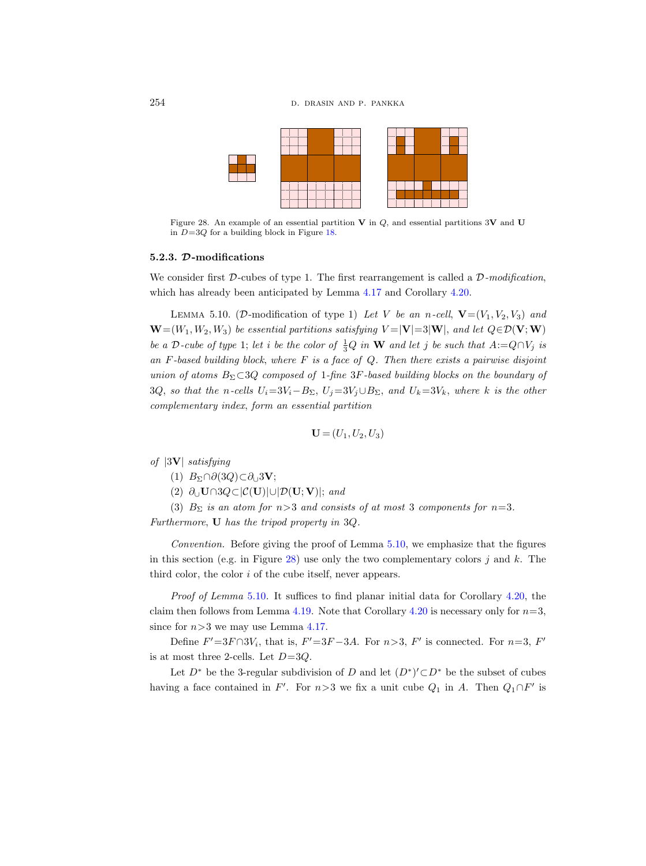

<span id="page-45-1"></span>Figure 28. An example of an essential partition V in  $Q$ , and essential partitions 3V and U in  $D=3Q$  for a building block in Figure [18.](#page-30-1)

#### 5.2.3. D-modifications

We consider first  $\mathcal{D}\text{-cubes}$  of type 1. The first rearrangement is called a  $\mathcal{D}\text{-modification}$ , which has already been anticipated by Lemma [4.17](#page-28-0) and Corollary [4.20.](#page-29-0)

<span id="page-45-0"></span>LEMMA 5.10. (D-modification of type 1) Let V be an n-cell,  $\mathbf{V}=(V_1, V_2, V_3)$  and  $\mathbf{W}=(W_1, W_2, W_3)$  be essential partitions satisfying  $V=|\mathbf{V}|=3|\mathbf{W}|$ , and let  $Q \in \mathcal{D}(\mathbf{V};\mathbf{W})$ be a D-cube of type 1; let i be the color of  $\frac{1}{3}Q$  in W and let j be such that  $A:=Q\cap V_j$  is an  $F$ -based building block, where  $F$  is a face of  $Q$ . Then there exists a pairwise disjoint union of atoms  $B_{\Sigma} \subset 3Q$  composed of 1-fine 3F-based building blocks on the boundary of 3Q, so that the n-cells  $U_i=3V_i-B_{\Sigma}$ ,  $U_j=3V_j\cup B_{\Sigma}$ , and  $U_k=3V_k$ , where k is the other complementary index, form an essential partition

$$
\mathbf{U} = (U_1, U_2, U_3)
$$

of |3V| satisfying

- (1)  $B_{\Sigma} \cap \partial (3Q) \subset \partial_{\cup} 3V;$
- (2)  $\partial$ ∪ U∩3 $Q \subset |C(U)|$ ∪ $|D(U; V)|$ ; and
- (3)  $B_{\Sigma}$  is an atom for  $n>3$  and consists of at most 3 components for  $n=3$ .

Furthermore, U has the tripod property in 3Q.

Convention. Before giving the proof of Lemma [5.10,](#page-45-0) we emphasize that the figures in this section (e.g. in Figure [28\)](#page-45-1) use only the two complementary colors  $j$  and  $k$ . The third color, the color i of the cube itself, never appears.

Proof of Lemma [5.10](#page-45-0). It suffices to find planar initial data for Corollary [4.20,](#page-29-0) the claim then follows from Lemma [4.19.](#page-29-1) Note that Corollary [4.20](#page-29-0) is necessary only for  $n=3$ , since for  $n>3$  we may use Lemma [4.17.](#page-28-0)

Define  $F' = 3F \cap 3V_i$ , that is,  $F' = 3F - 3A$ . For  $n > 3$ ,  $F'$  is connected. For  $n = 3$ ,  $F'$ is at most three 2-cells. Let  $D=3Q$ .

Let  $D^*$  be the 3-regular subdivision of D and let  $(D^*)' \subset D^*$  be the subset of cubes having a face contained in F'. For  $n>3$  we fix a unit cube  $Q_1$  in A. Then  $Q_1 \cap F'$  is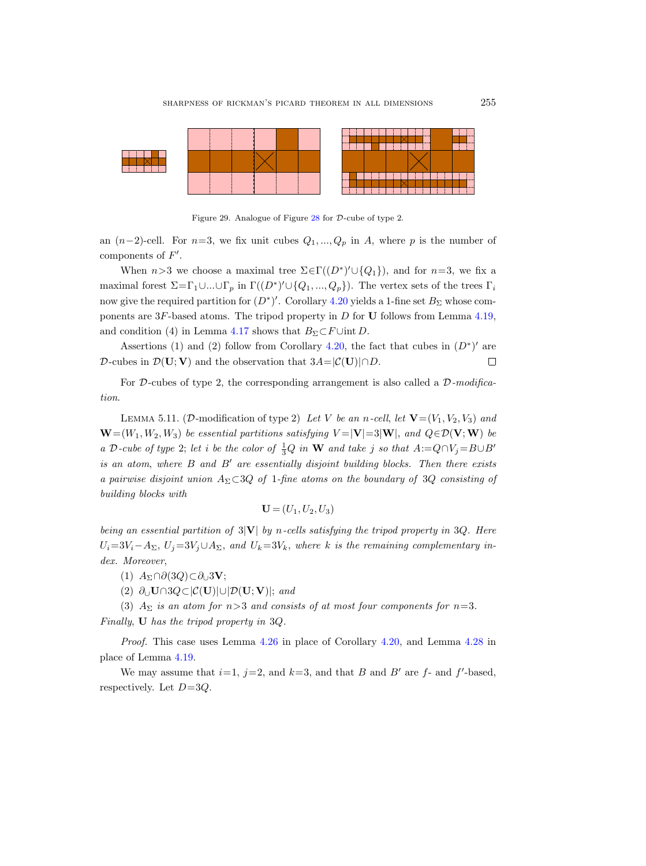

<span id="page-46-0"></span>Figure 29. Analogue of Figure [28](#page-45-1) for D-cube of type 2.

an  $(n-2)$ -cell. For  $n=3$ , we fix unit cubes  $Q_1, ..., Q_p$  in A, where p is the number of components of  $F'$ .

When  $n>3$  we choose a maximal tree  $\Sigma \in \Gamma((D^*)' \cup \{Q_1\})$ , and for  $n=3$ , we fix a maximal forest  $\Sigma = \Gamma_1 \cup ... \cup \Gamma_p$  in  $\Gamma((D^*)' \cup \{Q_1, ..., Q_p\})$ . The vertex sets of the trees  $\Gamma_i$ now give the required partition for  $(D^*)'$ . Corollary [4.20](#page-29-0) yields a 1-fine set  $B_\Sigma$  whose components are  $3F$ -based atoms. The tripod property in D for U follows from Lemma [4.19,](#page-29-1) and condition (4) in Lemma [4.17](#page-28-0) shows that  $B_{\Sigma} \subset F \cup \text{int } D$ .

Assertions (1) and (2) follow from Corollary [4.20,](#page-29-0) the fact that cubes in  $(D^*)'$  are D-cubes in  $\mathcal{D}(\mathbf{U}; \mathbf{V})$  and the observation that  $3A=|\mathcal{C}(\mathbf{U})| \cap D$ .  $\Box$ 

For D-cubes of type 2, the corresponding arrangement is also called a  $\mathcal{D}\text{-}\text{modified}$ tion.

<span id="page-46-1"></span>LEMMA 5.11. (D-modification of type 2) Let V be an n-cell, let  $\mathbf{V}=(V_1, V_2, V_3)$  and  $\mathbf{W}=(W_1, W_2, W_3)$  be essential partitions satisfying  $V=|\mathbf{V}|=3|\mathbf{W}|$ , and  $Q\in\mathcal{D}(\mathbf{V};\mathbf{W})$  be a D-cube of type 2; let i be the color of  $\frac{1}{3}Q$  in W and take j so that  $A:=Q\cap V_j=B\cup B'$ is an atom, where  $B$  and  $B'$  are essentially disjoint building blocks. Then there exists a pairwise disjoint union  $A_{\Sigma} \subset \mathcal{S}Q$  of 1-fine atoms on the boundary of 3Q consisting of building blocks with

$$
\mathbf{U} = (U_1, U_2, U_3)
$$

being an essential partition of  $3|V|$  by n-cells satisfying the tripod property in 3Q. Here  $U_i=3V_i-A_{\Sigma}, U_j=3V_j\cup A_{\Sigma}$ , and  $U_k=3V_k$ , where k is the remaining complementary index. Moreover,

 $(1)$   $A_{\Sigma} \cap \partial (3Q) \subset \partial_{\square} 3V;$ 

(2)  $\partial_{\mathbf{U}} \mathbf{U} \cap 3Q \subset |\mathcal{C}(\mathbf{U})| \cup |\mathcal{D}(\mathbf{U}; \mathbf{V})|$ ; and

(3)  $A_{\Sigma}$  is an atom for n>3 and consists of at most four components for n=3. Finally, U has the tripod property in 3Q.

Proof. This case uses Lemma [4.26](#page-31-0) in place of Corollary [4.20,](#page-29-0) and Lemma [4.28](#page-33-1) in place of Lemma [4.19.](#page-29-1)

We may assume that  $i=1$ ,  $j=2$ , and  $k=3$ , and that B and B' are f- and f'-based, respectively. Let  $D=3Q$ .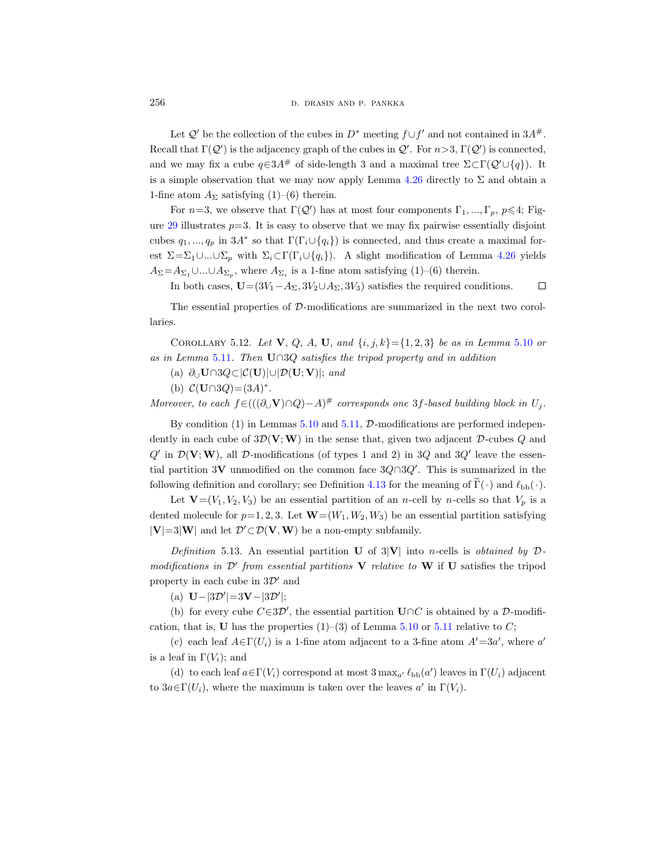Let  $\mathcal{Q}'$  be the collection of the cubes in  $D^*$  meeting  $f \cup f'$  and not contained in  $3A^{\#}$ . Recall that  $\Gamma(\mathcal{Q}')$  is the adjacency graph of the cubes in  $\mathcal{Q}'$ . For  $n>3$ ,  $\Gamma(\mathcal{Q}')$  is connected, and we may fix a cube  $q \in 3A^{\#}$  of side-length 3 and a maximal tree  $\Sigma \subset \Gamma(\mathcal{Q} \cup \{q\})$ . It is a simple observation that we may now apply Lemma  $4.26$  directly to  $\Sigma$  and obtain a 1-fine atom  $A_{\Sigma}$  satisfying (1)–(6) therein.

For  $n=3$ , we observe that  $\Gamma(\mathcal{Q}')$  has at most four components  $\Gamma_1, ..., \Gamma_p$ ,  $p \leq 4$ ; Fig-ure [29](#page-46-0) illustrates  $p=3$ . It is easy to observe that we may fix pairwise essentially disjoint cubes  $q_1, ..., q_p$  in 3A<sup>\*</sup> so that  $\Gamma(\Gamma_i \cup \{q_i\})$  is connected, and thus create a maximal forest  $\Sigma = \Sigma_1 \cup ... \cup \Sigma_p$  with  $\Sigma_i \subset \Gamma(\Gamma_i \cup \{q_i\})$ . A slight modification of Lemma [4.26](#page-31-0) yields  $A_{\Sigma} = A_{\Sigma_1} \cup ... \cup A_{\Sigma_p}$ , where  $A_{\Sigma_i}$  is a 1-fine atom satisfying (1)–(6) therein.

In both cases,  $\mathbf{U}=(3V_1-A_{\Sigma}, 3V_2\cup A_{\Sigma}, 3V_3)$  satisfies the required conditions.  $\Box$ 

The essential properties of D-modifications are summarized in the next two corollaries.

COROLLARY 5.12. Let **V**, Q, A, **U**, and  $\{i, j, k\} = \{1, 2, 3\}$  be as in Lemma [5.10](#page-45-0) or as in Lemma [5.11](#page-46-1). Then  $U \cap 3Q$  satisfies the tripod property and in addition

(a)  $∂<sub>∪</sub> **U** ∩ 3Q ⊂ |C(**U**)| ∪ |D(**U**; **V**)|; and$ 

(b)  $C(\mathbf{U} \cap 3Q) = (3A)^*$ .

Moreover, to each  $f \in (((\partial_{\cup} \mathbf{V}) \cap Q) - A)^{\#}$  corresponds one 3f-based building block in  $U_j$ .

By condition  $(1)$  in Lemmas [5.10](#page-45-0) and [5.11,](#page-46-1) D-modifications are performed independently in each cube of  $3\mathcal{D}(\mathbf{V};\mathbf{W})$  in the sense that, given two adjacent  $\mathcal{D}$ -cubes Q and  $Q'$  in  $\mathcal{D}(\mathbf{V}; \mathbf{W})$ , all  $\mathcal{D}\text{-modifications}$  (of types 1 and 2) in 3Q and 3Q' leave the essential partition 3V unmodified on the common face  $3Q \cap 3Q'$ . This is summarized in the following definition and corollary; see Definition [4.13](#page-27-0) for the meaning of  $\tilde{\Gamma}(\cdot)$  and  $\ell_{\text{bb}}(\cdot)$ .

Let  $\mathbf{V}=(V_1, V_2, V_3)$  be an essential partition of an *n*-cell by *n*-cells so that  $V_p$  is a dented molecule for  $p=1, 2, 3$ . Let  $\mathbf{W}=(W_1, W_2, W_3)$  be an essential partition satisfying  $|V|=3|W|$  and let  $\mathcal{D}'\subset\mathcal{D}(V,W)$  be a non-empty subfamily.

Definition 5.13. An essential partition U of  $3|V|$  into n-cells is obtained by  $D$ modifications in  $\mathcal{D}'$  from essential partitions V relative to W if U satisfies the tripod property in each cube in  $3\mathcal{D}'$  and

(a)  $\mathbf{U} - |3\mathcal{D}'| = 3\mathbf{V} - |3\mathcal{D}'|;$ 

(b) for every cube  $C \in 3\mathcal{D}'$ , the essential partition  $\mathbf{U} \cap C$  is obtained by a  $\mathcal{D}$ -modification, that is, U has the properties  $(1)$ – $(3)$  of Lemma [5.10](#page-45-0) or [5.11](#page-46-1) relative to C;

(c) each leaf  $A \in \Gamma(U_i)$  is a 1-fine atom adjacent to a 3-fine atom  $A' = 3a'$ , where a' is a leaf in  $\Gamma(V_i)$ ; and

(d) to each leaf  $a \in \Gamma(V_i)$  correspond at most  $3 \max_{a'} \ell_{bb}(a')$  leaves in  $\Gamma(U_i)$  adjacent to  $3a \in \Gamma(U_i)$ , where the maximum is taken over the leaves  $a'$  in  $\Gamma(V_i)$ .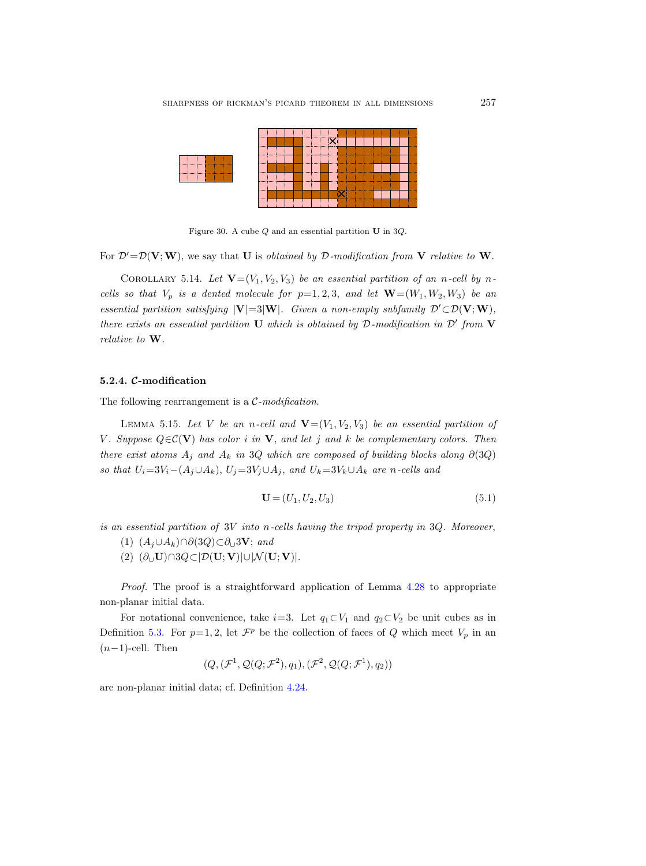<span id="page-48-2"></span>

Figure 30. A cube Q and an essential partition U in 3Q.

For  $\mathcal{D}'=\mathcal{D}(\mathbf{V};\mathbf{W})$ , we say that U is *obtained by D-modification from* V relative to W.

COROLLARY 5.14. Let  $\mathbf{V}=(V_1, V_2, V_3)$  be an essential partition of an n-cell by ncells so that  $V_p$  is a dented molecule for  $p=1, 2, 3$ , and let  $\mathbf{W}=(W_1, W_2, W_3)$  be an essential partition satisfying  $|V|=3|W|$ . Given a non-empty subfamily  $\mathcal{D}'\subset \mathcal{D}(V;W)$ , there exists an essential partition U which is obtained by  $D$ -modification in  $D'$  from V relative to W.

## <span id="page-48-1"></span>5.2.4. C-modification

The following rearrangement is a  $C$ -modification.

<span id="page-48-0"></span>LEMMA 5.15. Let V be an n-cell and  $\mathbf{V}=(V_1, V_2, V_3)$  be an essential partition of V. Suppose  $Q \in \mathcal{C}(\mathbf{V})$  has color i in  $\mathbf{V}$ , and let j and k be complementary colors. Then there exist atoms  $A_i$  and  $A_k$  in 3Q which are composed of building blocks along  $\partial(3Q)$ so that  $U_i=3V_i-(A_j\cup A_k), U_j=3V_j\cup A_j$ , and  $U_k=3V_k\cup A_k$  are n-cells and

$$
\mathbf{U} = (U_1, U_2, U_3) \tag{5.1}
$$

is an essential partition of  $3V$  into n-cells having the tripod property in  $3Q$ . Moreover,

- (1)  $(A_j \cup A_k) \cap \partial(3Q) \subset \partial_{\cup} 3V$ ; and
- (2)  $(\partial_∪\mathbf{U})\cap 3Q\subset |\mathcal{D}(\mathbf{U};\mathbf{V})|\cup |\mathcal{N}(\mathbf{U};\mathbf{V})|.$

Proof. The proof is a straightforward application of Lemma [4.28](#page-33-1) to appropriate non-planar initial data.

For notational convenience, take  $i=3$ . Let  $q_1\subset V_1$  and  $q_2\subset V_2$  be unit cubes as in Definition [5.3.](#page-43-1) For  $p=1,2$ , let  $\mathcal{F}^p$  be the collection of faces of Q which meet  $V_p$  in an  $(n-1)$ -cell. Then

$$
(Q, (\mathcal{F}^1, \mathcal{Q}(Q; \mathcal{F}^2), q_1), (\mathcal{F}^2, \mathcal{Q}(Q; \mathcal{F}^1), q_2))
$$

are non-planar initial data; cf. Definition [4.24.](#page-31-1)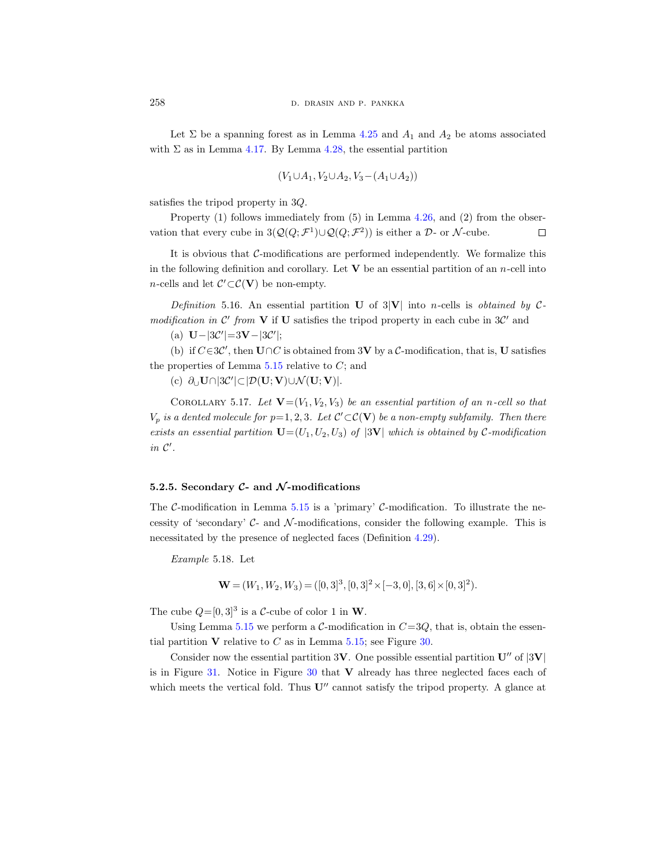Let  $\Sigma$  be a spanning forest as in Lemma [4.25](#page-31-2) and  $A_1$  and  $A_2$  be atoms associated with  $\Sigma$  as in Lemma [4.17.](#page-28-0) By Lemma [4.28,](#page-33-1) the essential partition

$$
(V_1 \cup A_1, V_2 \cup A_2, V_3 - (A_1 \cup A_2))
$$

satisfies the tripod property in 3Q.

Property (1) follows immediately from (5) in Lemma [4.26,](#page-31-0) and (2) from the observation that every cube in  $3(Q(Q; \mathcal{F}^1) \cup Q(Q; \mathcal{F}^2))$  is either a  $\mathcal{D}$ - or N-cube.  $\Box$ 

It is obvious that  $C$ -modifications are performed independently. We formalize this in the following definition and corollary. Let  $V$  be an essential partition of an *n*-cell into *n*-cells and let  $\mathcal{C}' \subset \mathcal{C}(\mathbf{V})$  be non-empty.

Definition 5.16. An essential partition U of  $3|V|$  into n-cells is obtained by Cmodification in  $\mathcal{C}'$  from **V** if **U** satisfies the tripod property in each cube in  $3\mathcal{C}'$  and

(a)  $\mathbf{U} - |3\mathcal{C}'| = 3\mathbf{V} - |3\mathcal{C}'|;$ 

(b) if  $C \in 3\mathcal{C}'$ , then  $\mathbf{U} \cap C$  is obtained from 3V by a  $\mathcal{C}$ -modification, that is, U satisfies the properties of Lemma  $5.15$  relative to  $C$ ; and

(c)  $\partial_{\cup} \mathbf{U} \cap |3\mathcal{C}'| \subset |\mathcal{D}(\mathbf{U}; \mathbf{V}) \cup \mathcal{N}(\mathbf{U}; \mathbf{V})|$ .

COROLLARY 5.17. Let  $\mathbf{V}=(V_1, V_2, V_3)$  be an essential partition of an n-cell so that  $V_p$  is a dented molecule for  $p=1,2,3$ . Let  $\mathcal{C}'\subset\mathcal{C}(\mathbf{V})$  be a non-empty subfamily. Then there exists an essential partition  $\mathbf{U}=(U_1, U_2, U_3)$  of  $|3\mathbf{V}|$  which is obtained by C-modification in  $\mathcal{C}'$ .

# 5.2.5. Secondary  $C$ - and  $\mathcal{N}$ -modifications

The C-modification in Lemma [5.15](#page-48-0) is a 'primary' C-modification. To illustrate the necessity of 'secondary'  $\mathcal{C}$ - and  $\mathcal{N}$ -modifications, consider the following example. This is necessitated by the presence of neglected faces (Definition [4.29\)](#page-34-0).

<span id="page-49-0"></span>Example 5.18. Let

$$
\mathbf{W} = (W_1, W_2, W_3) = ([0, 3]^3, [0, 3]^2 \times [-3, 0], [3, 6] \times [0, 3]^2).
$$

The cube  $Q=[0,3]^3$  is a C-cube of color 1 in W.

Using Lemma [5.15](#page-48-0) we perform a C-modification in  $C=3Q$ , that is, obtain the essential partition  $V$  relative to  $C$  as in Lemma [5.15;](#page-48-0) see Figure [30.](#page-48-2)

Consider now the essential partition  $3V$ . One possible essential partition  $U''$  of  $|3V|$ is in Figure [31.](#page-50-0) Notice in Figure [30](#page-48-2) that V already has three neglected faces each of which meets the vertical fold. Thus  $U''$  cannot satisfy the tripod property. A glance at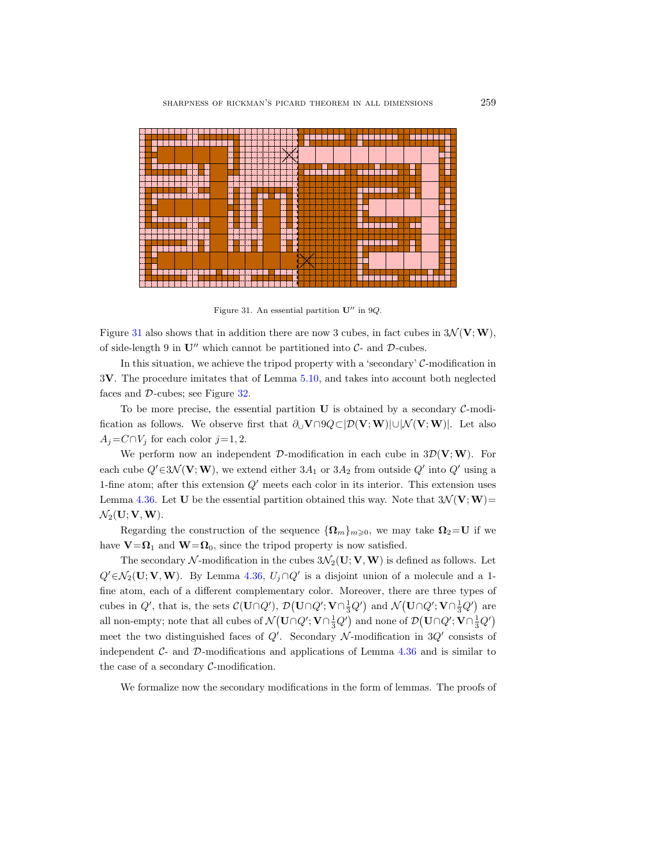

<span id="page-50-0"></span>Figure 31. An essential partition  $\mathbf{U}^{\prime\prime}$  in 9 $Q$ .

Figure [31](#page-50-0) also shows that in addition there are now 3 cubes, in fact cubes in  $3\mathcal{N}(\mathbf{V};\mathbf{W})$ , of side-length 9 in  $\mathbf{U}''$  which cannot be partitioned into  $\mathcal{C}$ - and  $\mathcal{D}$ -cubes.

In this situation, we achieve the tripod property with a 'secondary'  $C$ -modification in 3V. The procedure imitates that of Lemma [5.10,](#page-45-0) and takes into account both neglected faces and D-cubes; see Figure [32.](#page-51-1)

To be more precise, the essential partition  $U$  is obtained by a secondary  $\mathcal{C}\text{-modi-}$ fication as follows. We observe first that  $\partial_U V \cap Q \subset [D(V;W)|\cup |\mathcal{N}(V;W)|]$ . Let also  $A_j = C \cap V_j$  for each color  $j = 1, 2$ .

We perform now an independent  $\mathcal{D}$ -modification in each cube in  $3\mathcal{D}(\mathbf{V};\mathbf{W})$ . For each cube  $Q' \in 3\mathcal{N}(\mathbf{V}; \mathbf{W})$ , we extend either  $3A_1$  or  $3A_2$  from outside  $Q'$  into  $Q'$  using a 1-fine atom; after this extension  $Q'$  meets each color in its interior. This extension uses Lemma [4.36.](#page-37-1) Let U be the essential partition obtained this way. Note that  $3\mathcal{N}(\mathbf{V};\mathbf{W})=$  $\mathcal{N}_2(\mathbf{U}; \mathbf{V}, \mathbf{W}).$ 

Regarding the construction of the sequence  $\{\Omega_m\}_{m\geqslant 0}$ , we may take  $\Omega_2=U$  if we have  $V = \Omega_1$  and  $W = \Omega_0$ , since the tripod property is now satisfied.

The secondary N-modification in the cubes  $3\mathcal{N}_2(\mathbf{U}; \mathbf{V}, \mathbf{W})$  is defined as follows. Let  $Q' \in \mathcal{N}_2(\mathbf{U}; \mathbf{V}, \mathbf{W})$ . By Lemma [4.36,](#page-37-1)  $U_j \cap Q'$  is a disjoint union of a molecule and a 1fine atom, each of a different complementary color. Moreover, there are three types of cubes in  $Q'$ , that is, the sets  $\mathcal{C}(\mathbf{U}\cap Q')$ ,  $\mathcal{D}(\mathbf{U}\cap Q';\mathbf{V}\cap \frac{1}{3}Q')$  and  $\mathcal{N}(\mathbf{U}\cap Q';\mathbf{V}\cap \frac{1}{3}Q')$  are all non-empty; note that all cubes of  $\mathcal{N}(\mathbf{U}\cap Q'; \mathbf{V}\cap \frac{1}{3}Q')$  and none of  $\mathcal{D}(\mathbf{U}\cap Q'; \mathbf{V}\cap \frac{1}{3}Q')$ meet the two distinguished faces of  $Q'$ . Secondary  $\mathcal N$ -modification in  $3Q'$  consists of independent  $C$ - and  $D$ -modifications and applications of Lemma [4.36](#page-37-1) and is similar to the case of a secondary  $C$ -modification.

We formalize now the secondary modifications in the form of lemmas. The proofs of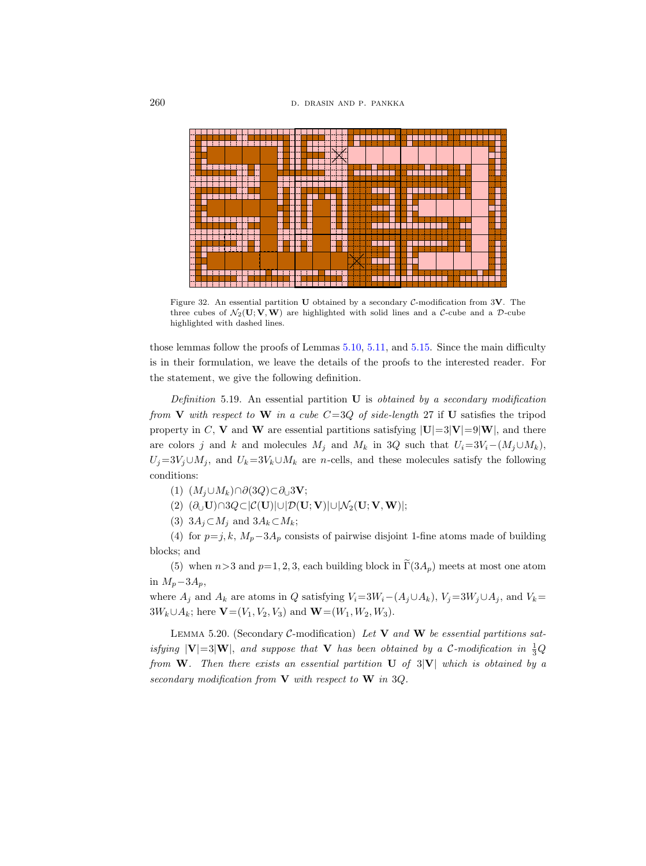

<span id="page-51-1"></span>Figure 32. An essential partition U obtained by a secondary C-modification from 3V. The three cubes of  $\mathcal{N}_2(\mathbf{U}; \mathbf{V}, \mathbf{W})$  are highlighted with solid lines and a C-cube and a D-cube highlighted with dashed lines.

those lemmas follow the proofs of Lemmas [5.10,](#page-45-0) [5.11,](#page-46-1) and [5.15.](#page-48-0) Since the main difficulty is in their formulation, we leave the details of the proofs to the interested reader. For the statement, we give the following definition.

Definition 5.19. An essential partition  $U$  is *obtained by a secondary modification* from V with respect to W in a cube  $C=3Q$  of side-length 27 if U satisfies the tripod property in C, V and W are essential partitions satisfying  $|U|=3|V|=9|W|$ , and there are colors j and k and molecules  $M_i$  and  $M_k$  in 3Q such that  $U_i=3V_i-(M_i\cup M_k)$ ,  $U_j=3V_j\cup M_j$ , and  $U_k=3V_k\cup M_k$  are n-cells, and these molecules satisfy the following conditions:

(1)  $(M_i \cup M_k) \cap \partial (3Q) \subset \partial_{\cup} 3V;$ 

- (2)  $(\partial_{\Box} U) \cap 3Q \subset |\mathcal{C}(U)| \cup |\mathcal{D}(U; V)| \cup |\mathcal{N}_2(U; V, W)|;$
- (3)  $3A_j \subset M_j$  and  $3A_k \subset M_k$ ;

(4) for  $p=j, k, M_p-3A_p$  consists of pairwise disjoint 1-fine atoms made of building blocks; and

(5) when  $n>3$  and  $p=1, 2, 3$ , each building block in  $\widetilde{\Gamma}(3A_p)$  meets at most one atom in  $M_p-3A_p$ ,

where  $A_j$  and  $A_k$  are atoms in Q satisfying  $V_i=3W_i-(A_j\cup A_k)$ ,  $V_j=3W_j\cup A_j$ , and  $V_k=$  $3W_k \cup A_k$ ; here  $\mathbf{V}=(V_1, V_2, V_3)$  and  $\mathbf{W}=(W_1, W_2, W_3)$ .

<span id="page-51-2"></span><span id="page-51-0"></span>LEMMA 5.20. (Secondary C-modification) Let  $V$  and  $W$  be essential partitions satisfying  $|V|=3|W|$ , and suppose that V has been obtained by a C-modification in  $\frac{1}{3}Q$ from W. Then there exists an essential partition U of  $3|V|$  which is obtained by a secondary modification from  $V$  with respect to  $W$  in 3Q.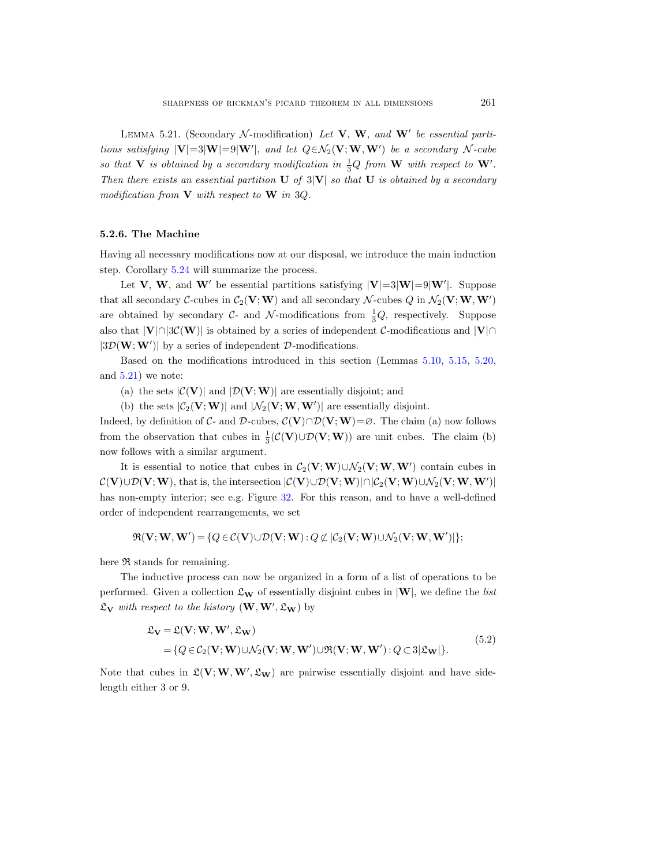LEMMA 5.21. (Secondary  $\mathcal{N}\text{-modification}$ ) Let V, W, and W' be essential partitions satisfying  $|V|=3|W'|$ , and let  $Q \in \mathcal{N}_2(V;W,W')$  be a secondary N-cube so that **V** is obtained by a secondary modification in  $\frac{1}{3}Q$  from **W** with respect to **W**'. Then there exists an essential partition  $\bf{U}$  of 3 $\bf{V}$  so that  $\bf{U}$  is obtained by a secondary modification from  $V$  with respect to  $W$  in 3Q.

#### <span id="page-52-0"></span>5.2.6. The Machine

Having all necessary modifications now at our disposal, we introduce the main induction step. Corollary [5.24](#page-53-0) will summarize the process.

Let V, W, and W' be essential partitions satisfying  $|V|=3|W|=9|W'|$ . Suppose that all secondary  $C$ -cubes in  $C_2(V; W)$  and all secondary  $\mathcal{N}$ -cubes  $Q$  in  $\mathcal{N}_2(V; W, W')$ are obtained by secondary  $C$ - and  $\mathcal{N}$ -modifications from  $\frac{1}{3}Q$ , respectively. Suppose also that  $|V| \cap |\mathcal{SC}(W)|$  is obtained by a series of independent C-modifications and  $|V| \cap$  $|\mathfrak{3D}(\mathbf{W};\mathbf{W}')|$  by a series of independent D-modifications.

Based on the modifications introduced in this section (Lemmas [5.10,](#page-45-0) [5.15,](#page-48-0) [5.20,](#page-51-0) and  $5.21$ ) we note:

- (a) the sets  $|\mathcal{C}(\mathbf{V})|$  and  $|\mathcal{D}(\mathbf{V};\mathbf{W})|$  are essentially disjoint; and
- (b) the sets  $|\mathcal{C}_2(\mathbf{V}; \mathbf{W})|$  and  $|\mathcal{N}_2(\mathbf{V}; \mathbf{W}, \mathbf{W}')|$  are essentially disjoint.

Indeed, by definition of C- and D-cubes,  $\mathcal{C}(\mathbf{V}) \cap \mathcal{D}(\mathbf{V};\mathbf{W}) = \emptyset$ . The claim (a) now follows from the observation that cubes in  $\frac{1}{3}(\mathcal{C}(\mathbf{V}) \cup \mathcal{D}(\mathbf{V}; \mathbf{W}))$  are unit cubes. The claim (b) now follows with a similar argument.

It is essential to notice that cubes in  $\mathcal{C}_2(\mathbf{V}; \mathbf{W}) \cup \mathcal{N}_2(\mathbf{V}; \mathbf{W}, \mathbf{W}')$  contain cubes in  $\mathcal{C}(\mathbf{V}) \cup \mathcal{D}(\mathbf{V}; \mathbf{W})$ , that is, the intersection  $|\mathcal{C}(\mathbf{V}) \cup \mathcal{D}(\mathbf{V}; \mathbf{W})| \cap |\mathcal{C}_2(\mathbf{V}; \mathbf{W}) \cup \mathcal{N}_2(\mathbf{V}; \mathbf{W}, \mathbf{W}')|$ has non-empty interior; see e.g. Figure [32.](#page-51-1) For this reason, and to have a well-defined order of independent rearrangements, we set

$$
\mathfrak{R}(\mathbf{V}; \mathbf{W}, \mathbf{W}') \!=\! \{Q \!\in\! \mathcal{C}(\mathbf{V}) \!\cup\! \mathcal{D}(\mathbf{V}; \mathbf{W}) \!:\! Q \not\subset\! |\mathcal{C}_2(\mathbf{V}; \mathbf{W}) \!\cup\! \mathcal{N}_2(\mathbf{V}; \mathbf{W}, \mathbf{W}')| \};
$$

here  $\Re$  stands for remaining.

The inductive process can now be organized in a form of a list of operations to be performed. Given a collection  $\mathfrak{L}_w$  of essentially disjoint cubes in  $|W|$ , we define the *list*  $\mathfrak{L}_{\mathbf{V}}$  with respect to the history  $(\mathbf{W}, \mathbf{W}', \mathfrak{L}_{\mathbf{W}})$  by

$$
\mathcal{L}_{\mathbf{V}} = \mathcal{L}(\mathbf{V}; \mathbf{W}, \mathbf{W}', \mathcal{L}_{\mathbf{W}})
$$
  
= { $Q \in C_2(\mathbf{V}; \mathbf{W}) \cup \mathcal{N}_2(\mathbf{V}; \mathbf{W}, \mathbf{W}') \cup \mathfrak{R}(\mathbf{V}; \mathbf{W}, \mathbf{W}'): Q \subset 3|\mathcal{L}_{\mathbf{W}}|$  }. (5.2)

<span id="page-52-1"></span>Note that cubes in  $\mathfrak{L}(\mathbf{V}; \mathbf{W}, \mathbf{W}', \mathfrak{L}_{\mathbf{W}})$  are pairwise essentially disjoint and have sidelength either 3 or 9.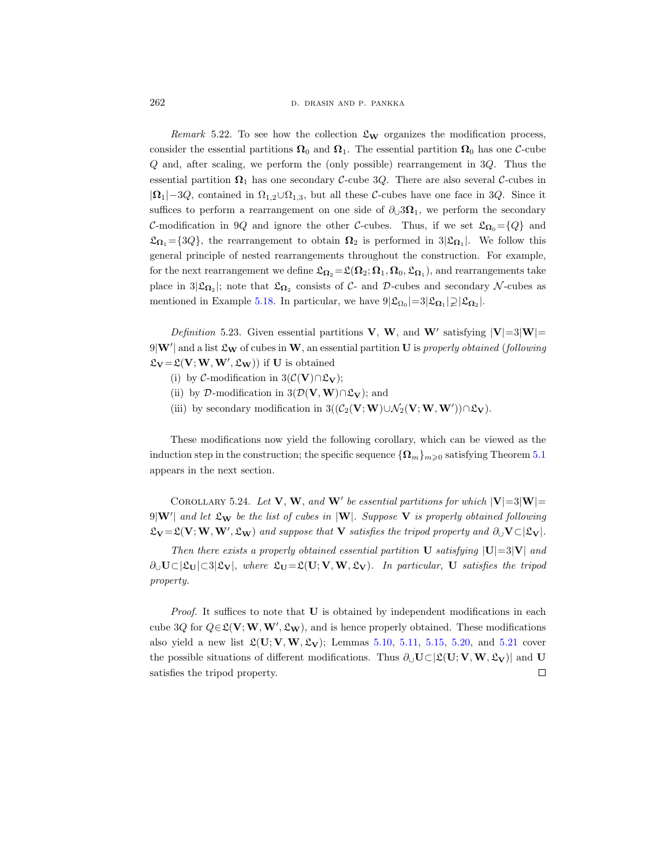262 D. DRASIN AND P. PANKKA

Remark 5.22. To see how the collection  $\mathfrak{L}_w$  organizes the modification process, consider the essential partitions  $\Omega_0$  and  $\Omega_1$ . The essential partition  $\Omega_0$  has one C-cube  $Q$  and, after scaling, we perform the (only possible) rearrangement in  $3Q$ . Thus the essential partition  $\Omega_1$  has one secondary C-cube 3Q. There are also several C-cubes in  $|\Omega_1|$ –3Q, contained in  $\Omega_{1,2}\cup\Omega_{1,3}$ , but all these C-cubes have one face in 3Q. Since it suffices to perform a rearrangement on one side of  $\partial_0$ 3 $\Omega_1$ , we perform the secondary C-modification in 9Q and ignore the other C-cubes. Thus, if we set  $\mathfrak{L}_{\Omega_0} = \{Q\}$  and  $\mathfrak{L}_{\Omega_1} = \{3Q\}$ , the rearrangement to obtain  $\Omega_2$  is performed in  $3|\mathfrak{L}_{\Omega_1}|$ . We follow this general principle of nested rearrangements throughout the construction. For example, for the next rearrangement we define  $\mathfrak{L}_{\mathbf{\Omega}_2} = \mathfrak{L}(\mathbf{\Omega}_2; \mathbf{\Omega}_1, \mathbf{\Omega}_0, \mathfrak{L}_{\mathbf{\Omega}_1}),$  and rearrangements take place in  $3|\mathfrak{L}_{\Omega_2}|$ ; note that  $\mathfrak{L}_{\Omega_2}$  consists of C- and D-cubes and secondary N-cubes as mentioned in Example [5.18.](#page-49-0) In particular, we have  $9|\mathfrak{L}_{\Omega_0}|=3|\mathfrak{L}_{\Omega_1}|\supseteq |\mathfrak{L}_{\Omega_2}|$ .

Definition 5.23. Given essential partitions V, W, and W' satisfying  $|V|=3|W|=$  $9|\mathbf{W}'|$  and a list  $\mathfrak{L}_\mathbf{W}$  of cubes in  $\mathbf{W}$ , an essential partition  $\mathbf{U}$  is properly obtained (following  $\mathfrak{L}_{\mathbf{V}} = \mathfrak{L}(\mathbf{V}; \mathbf{W}, \mathbf{W}', \mathfrak{L}_{\mathbf{W}}))$  if U is obtained

- (i) by  $\mathcal{C}\text{-modification in } 3(\mathcal{C}(\mathbf{V})\cap \mathfrak{L}_{\mathbf{V}});$
- (ii) by D-modification in  $3(\mathcal{D}(\mathbf{V},\mathbf{W})\cap \mathcal{L}_{\mathbf{V}})$ ; and
- (iii) by secondary modification in  $3((C_2(V; W) \cup \mathcal{N}_2(V; W, W')) \cap \mathfrak{L}_V)$ .

These modifications now yield the following corollary, which can be viewed as the induction step in the construction; the specific sequence  ${\Omega_m}_{m\geq 0}$  satisfying Theorem [5.1](#page-38-0) appears in the next section.

<span id="page-53-0"></span>COROLLARY 5.24. Let **V**, **W**, and **W**' be essential partitions for which  $|V|=3|W|=$  $9|\mathbf{W}'|$  and let  $\mathfrak{L}_{\mathbf{W}}$  be the list of cubes in  $|\mathbf{W}|$ . Suppose  $\mathbf {V}$  is properly obtained following  $\mathfrak{L}_{\mathbf{V}} = \mathfrak{L}(\mathbf{V}; \mathbf{W}, \mathbf{W}', \mathfrak{L}_{\mathbf{W}})$  and suppose that  $\mathbf{V}$  satisfies the tripod property and  $\partial_{\cup} \mathbf{V} \subset |\mathfrak{L}_{\mathbf{V}}|$ .

Then there exists a properly obtained essential partition U satisfying  $|U|=3|V|$  and  $\partial_{\mathbf{U}}\mathbf{U}\subset[\mathfrak{L}_{\mathbf{U}}]\subset[\mathfrak{Z}_{\mathbf{V}}],$  where  $\mathfrak{L}_{\mathbf{U}}=\mathfrak{L}(\mathbf{U};\mathbf{V},\mathbf{W},\mathfrak{L}_{\mathbf{V}}).$  In particular, **U** satisfies the tripod property.

Proof. It suffices to note that U is obtained by independent modifications in each cube 3Q for  $Q \in \mathfrak{L}(\mathbf{V}; \mathbf{W}, \mathbf{W}', \mathfrak{L}_{\mathbf{W}})$ , and is hence properly obtained. These modifications also yield a new list  $\mathfrak{L}(\mathbf{U}; \mathbf{V}, \mathbf{W}, \mathfrak{L}_{\mathbf{V}})$ ; Lemmas [5.10,](#page-45-0) [5.11,](#page-46-1) [5.15,](#page-48-0) [5.20,](#page-51-0) and [5.21](#page-51-2) cover the possible situations of different modifications. Thus  $\partial_{\mathbf{U}}\mathbf{U}\subset[\mathfrak{L}(\mathbf{U};\mathbf{V},\mathbf{W},\mathfrak{L}_{\mathbf{V}})]$  and U satisfies the tripod property. $\Box$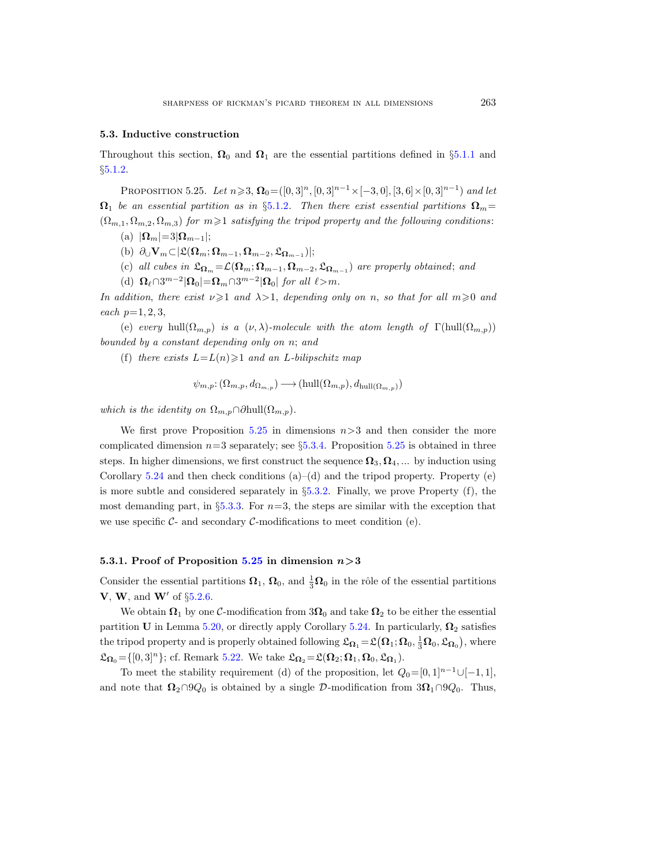#### 5.3. Inductive construction

Throughout this section,  $\Omega_0$  and  $\Omega_1$  are the essential partitions defined in §[5.1.1](#page-40-1) and §[5.1.2.](#page-40-2)

<span id="page-54-0"></span>PROPOSITION 5.25. Let  $n \geqslant 3$ ,  $\Omega_0 = ([0, 3]^n, [0, 3]^{n-1} \times [-3, 0], [3, 6] \times [0, 3]^{n-1})$  and let  $\Omega_1$  be an essential partition as in §[5.1.2](#page-40-2). Then there exist essential partitions  $\Omega_m=$  $(\Omega_{m,1}, \Omega_{m,2}, \Omega_{m,3})$  for  $m \geqslant 1$  satisfying the tripod property and the following conditions:

- (a)  $|\mathbf{\Omega}_m|=3|\mathbf{\Omega}_{m-1}|;$
- (b)  $\partial_{\cup} \mathbf{V}_m \subset |\mathfrak{L}(\mathbf{\Omega}_m; \mathbf{\Omega}_{m-1}, \mathbf{\Omega}_{m-2}, \mathfrak{L}_{\mathbf{\Omega}_{m-1}})|;$
- (c) all cubes in  $\mathfrak{L}_{\mathbf{\Omega}_m} = \mathcal{L}(\mathbf{\Omega}_m; \mathbf{\Omega}_{m-1}, \mathbf{\Omega}_{m-2}, \mathfrak{L}_{\mathbf{\Omega}_{m-1}})$  are properly obtained; and
- (d)  $\Omega_{\ell} \cap 3^{m-2} |\Omega_0| = \Omega_m \cap 3^{m-2} |\Omega_0|$  for all  $\ell > m$ .

In addition, there exist  $\nu \geq 1$  and  $\lambda > 1$ , depending only on n, so that for all  $m \geq 0$  and each  $p=1, 2, 3,$ 

(e) every hull( $\Omega_{m,p}$ ) is a ( $\nu, \lambda$ )-molecule with the atom length of  $\Gamma(\text{hull}(\Omega_{m,p}))$ bounded by a constant depending only on n; and

(f) there exists  $L = L(n) \geq 1$  and an L-bilipschitz map

$$
\psi_{m,p} \colon (\Omega_{m,p}, d_{\Omega_{m,p}}) \longrightarrow (\mathrm{hull}(\Omega_{m,p}), d_{\mathrm{hull}(\Omega_{m,p})})
$$

which is the identity on  $\Omega_{m,p} \cap \partial$ hull $(\Omega_{m,p})$ .

We first prove Proposition [5.25](#page-54-0) in dimensions  $n>3$  and then consider the more complicated dimension  $n=3$  separately; see §[5.3.4.](#page-61-0) Proposition [5.25](#page-54-0) is obtained in three steps. In higher dimensions, we first construct the sequence  $\Omega_3, \Omega_4, ...$  by induction using Corollary [5.24](#page-53-0) and then check conditions  $(a)$ – $(d)$  and the tripod property. Property  $(e)$ is more subtle and considered separately in  $\S 5.3.2$ . Finally, we prove Property  $(f)$ , the most demanding part, in §[5.3.3.](#page-58-0) For  $n=3$ , the steps are similar with the exception that we use specific  $C$ - and secondary  $C$ -modifications to meet condition (e).

## <span id="page-54-1"></span>5.3.1. Proof of Proposition [5.25](#page-54-0) in dimension  $n>3$

Consider the essential partitions  $\Omega_1$ ,  $\Omega_0$ , and  $\frac{1}{3}\Omega_0$  in the rôle of the essential partitions V, W, and W' of  $\S5.2.6$ .

We obtain  $\Omega_1$  by one C-modification from  $3\Omega_0$  and take  $\Omega_2$  to be either the essential partition U in Lemma [5.20,](#page-51-0) or directly apply Corollary [5.24.](#page-53-0) In particularly,  $\Omega_2$  satisfies the tripod property and is properly obtained following  $\mathfrak{L}_{\Omega_1} = \mathfrak{L}(\Omega_1; \Omega_0, \frac{1}{3}\Omega_0, \mathfrak{L}_{\Omega_0})$ , where  $\mathfrak{L}_{\Omega_0} = \{ [0,3]^n \}$ ; cf. Remark [5.22.](#page-52-1) We take  $\mathfrak{L}_{\Omega_2} = \mathfrak{L}(\Omega_2; \Omega_1, \Omega_0, \mathfrak{L}_{\Omega_1})$ .

To meet the stability requirement (d) of the proposition, let  $Q_0=[0,1]^{n-1}\cup[-1,1],$ and note that  $\Omega_2 \cap 9Q_0$  is obtained by a single D-modification from  $3\Omega_1 \cap 9Q_0$ . Thus,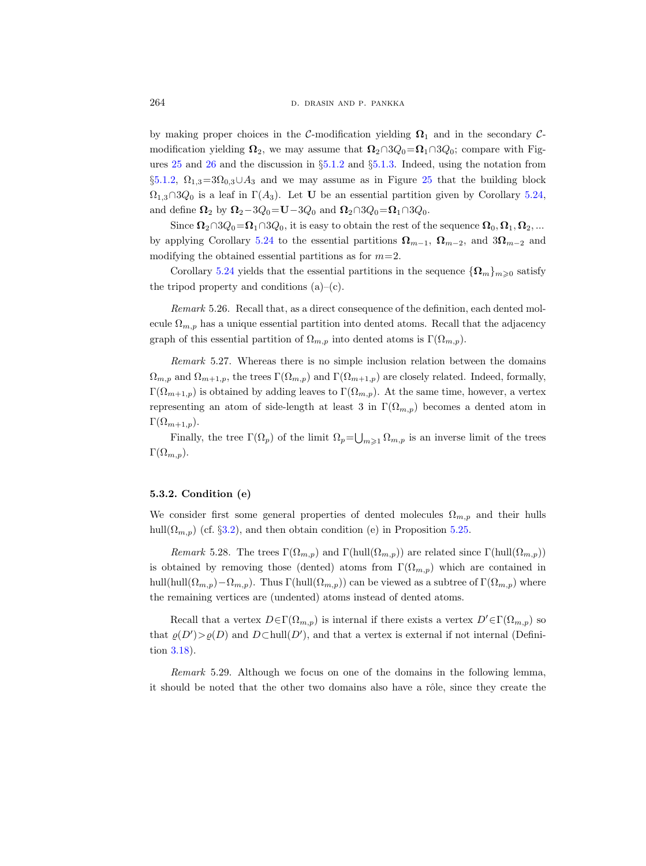by making proper choices in the C-modification yielding  $\Omega_1$  and in the secondary Cmodification yielding  $\Omega_2$ , we may assume that  $\Omega_2 \cap 3Q_0 = \Omega_1 \cap 3Q_0$ ; compare with Figures [25](#page-41-0) and [26](#page-42-1) and the discussion in §[5.1.2](#page-40-2) and §[5.1.3.](#page-41-1) Indeed, using the notation from  $\S5.1.2$ ,  $\Omega_{1,3}=3\Omega_{0,3}\cup A_3$  and we may assume as in Figure [25](#page-41-0) that the building block  $\Omega_{1,3} \cap 3Q_0$  is a leaf in  $\Gamma(A_3)$ . Let U be an essential partition given by Corollary [5.24,](#page-53-0) and define  $\Omega_2$  by  $\Omega_2-3Q_0=U-3Q_0$  and  $\Omega_2\cap 3Q_0=\Omega_1\cap 3Q_0$ .

Since  $\Omega_2 \cap 3Q_0 = \Omega_1 \cap 3Q_0$ , it is easy to obtain the rest of the sequence  $\Omega_0, \Omega_1, \Omega_2, ...$ by applying Corollary [5.24](#page-53-0) to the essential partitions  $\Omega_{m-1}$ ,  $\Omega_{m-2}$ , and  $3\Omega_{m-2}$  and modifying the obtained essential partitions as for  $m=2$ .

Corollary [5.24](#page-53-0) yields that the essential partitions in the sequence  ${\Omega_m}_{m\geq 0}$  satisfy the tripod property and conditions  $(a)$ – $(c)$ .

Remark 5.26. Recall that, as a direct consequence of the definition, each dented molecule  $\Omega_{m,p}$  has a unique essential partition into dented atoms. Recall that the adjacency graph of this essential partition of  $\Omega_{m,p}$  into dented atoms is  $\Gamma(\Omega_{m,p})$ .

Remark 5.27. Whereas there is no simple inclusion relation between the domains  $\Omega_{m,p}$  and  $\Omega_{m+1,p}$ , the trees  $\Gamma(\Omega_{m,p})$  and  $\Gamma(\Omega_{m+1,p})$  are closely related. Indeed, formally,  $\Gamma(\Omega_{m+1,p})$  is obtained by adding leaves to  $\Gamma(\Omega_{m,p})$ . At the same time, however, a vertex representing an atom of side-length at least 3 in  $\Gamma(\Omega_{m,p})$  becomes a dented atom in  $\Gamma(\Omega_{m+1,p}).$ 

Finally, the tree  $\Gamma(\Omega_p)$  of the limit  $\Omega_p = \bigcup_{m \geq 1} \Omega_{m,p}$  is an inverse limit of the trees  $\Gamma(\Omega_{m,p}).$ 

## <span id="page-55-0"></span>5.3.2. Condition (e)

We consider first some general properties of dented molecules  $\Omega_{m,p}$  and their hulls hull $(\Omega_{m,p})$  (cf. §[3.2\)](#page-20-0), and then obtain condition (e) in Proposition [5.25.](#page-54-0)

Remark 5.28. The trees  $\Gamma(\Omega_{m,p})$  and  $\Gamma(\text{hull}(\Omega_{m,p}))$  are related since  $\Gamma(\text{hull}(\Omega_{m,p}))$ is obtained by removing those (dented) atoms from  $\Gamma(\Omega_{m,p})$  which are contained in hull(hull( $\Omega_{m,p}$ )– $\Omega_{m,p}$ ). Thus Γ(hull( $\Omega_{m,p}$ )) can be viewed as a subtree of Γ( $\Omega_{m,p}$ ) where the remaining vertices are (undented) atoms instead of dented atoms.

Recall that a vertex  $D \in \Gamma(\Omega_{m,p})$  is internal if there exists a vertex  $D' \in \Gamma(\Omega_{m,p})$  so that  $\varrho(D') > \varrho(D)$  and  $D \subset \text{hull}(D')$ , and that a vertex is external if not internal (Definition [3.18\)](#page-20-1).

<span id="page-55-1"></span>Remark 5.29. Although we focus on one of the domains in the following lemma, it should be noted that the other two domains also have a rôle, since they create the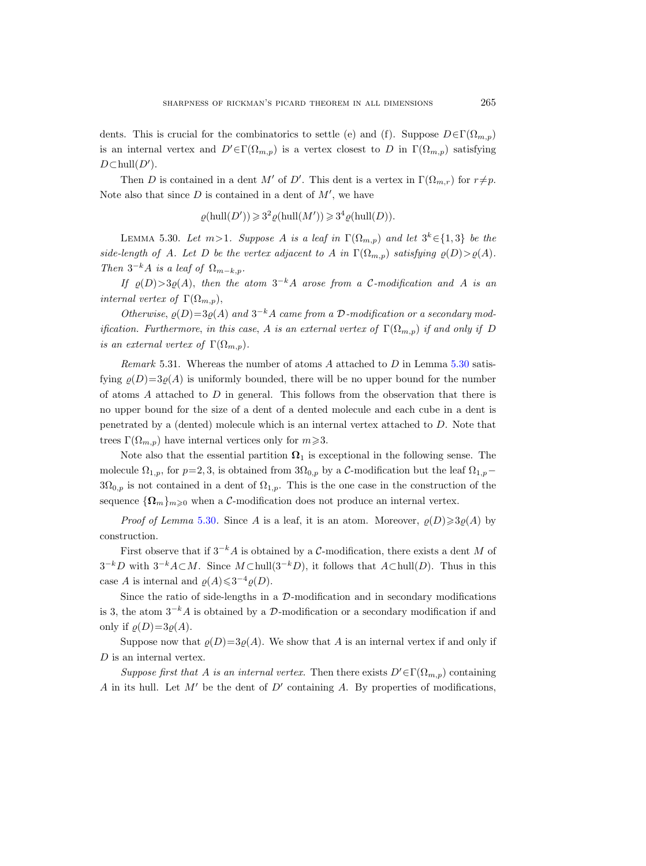dents. This is crucial for the combinatorics to settle (e) and (f). Suppose  $D \in \Gamma(\Omega_{m,p})$ is an internal vertex and  $D' \in \Gamma(\Omega_{m,p})$  is a vertex closest to D in  $\Gamma(\Omega_{m,p})$  satisfying  $D \subset \text{hull}(D').$ 

Then D is contained in a dent M' of D'. This dent is a vertex in  $\Gamma(\Omega_{m,r})$  for  $r \neq p$ . Note also that since  $D$  is contained in a dent of  $M'$ , we have

 $\varrho(\text{hull}(D')) \geqslant 3^2 \varrho(\text{hull}(M')) \geqslant 3^4 \varrho(\text{hull}(D)).$ 

<span id="page-56-0"></span>LEMMA 5.30. Let  $m>1$ . Suppose A is a leaf in  $\Gamma(\Omega_{m,p})$  and let  $3^k \in \{1,3\}$  be the side-length of A. Let D be the vertex adjacent to A in  $\Gamma(\Omega_{m,p})$  satisfying  $\varrho(D) > \varrho(A)$ . Then  $3^{-k}A$  is a leaf of  $\Omega_{m-k,p}$ .

If  $\varrho(D) > 3\varrho(A)$ , then the atom  $3^{-k}A$  arose from a C-modification and A is an internal vertex of  $\Gamma(\Omega_{m,p}),$ 

Otherwise,  $\varrho(D)=3\varrho(A)$  and  $3^{-k}A$  came from a D-modification or a secondary modification. Furthermore, in this case, A is an external vertex of  $\Gamma(\Omega_{m,p})$  if and only if D is an external vertex of  $\Gamma(\Omega_{m,p}).$ 

Remark 5.31. Whereas the number of atoms A attached to  $D$  in Lemma [5.30](#page-56-0) satisfying  $\rho(D)=3\rho(A)$  is uniformly bounded, there will be no upper bound for the number of atoms  $A$  attached to  $D$  in general. This follows from the observation that there is no upper bound for the size of a dent of a dented molecule and each cube in a dent is penetrated by a (dented) molecule which is an internal vertex attached to D. Note that trees  $\Gamma(\Omega_{m,p})$  have internal vertices only for  $m\geqslant 3$ .

Note also that the essential partition  $\Omega_1$  is exceptional in the following sense. The molecule  $\Omega_{1,p}$ , for  $p=2,3$ , is obtained from  $3\Omega_{0,p}$  by a C-modification but the leaf  $\Omega_{1,p}$  $3\Omega_{0,p}$  is not contained in a dent of  $\Omega_{1,p}$ . This is the one case in the construction of the sequence  ${\Omega_m}_{m\geqslant 0}$  when a C-modification does not produce an internal vertex.

*Proof of Lemma* [5.30](#page-56-0). Since A is a leaf, it is an atom. Moreover,  $\varrho(D) \geq 3\varrho(A)$  by construction.

First observe that if  $3^{-k}A$  is obtained by a C-modification, there exists a dent M of  $3^{-k}D$  with  $3^{-k}A\subset M$ . Since  $M\subset \text{hull}(3^{-k}D)$ , it follows that  $A\subset \text{hull}(D)$ . Thus in this case A is internal and  $\varrho(A) \leq 3^{-4} \varrho(D)$ .

Since the ratio of side-lengths in a  $\mathcal{D}$ -modification and in secondary modifications is 3, the atom  $3^{-k}A$  is obtained by a D-modification or a secondary modification if and only if  $\rho(D)=3\rho(A)$ .

Suppose now that  $\varrho(D)=3\varrho(A)$ . We show that A is an internal vertex if and only if D is an internal vertex.

Suppose first that A is an internal vertex. Then there exists  $D' \in \Gamma(\Omega_{m,p})$  containing A in its hull. Let  $M'$  be the dent of  $D'$  containing A. By properties of modifications,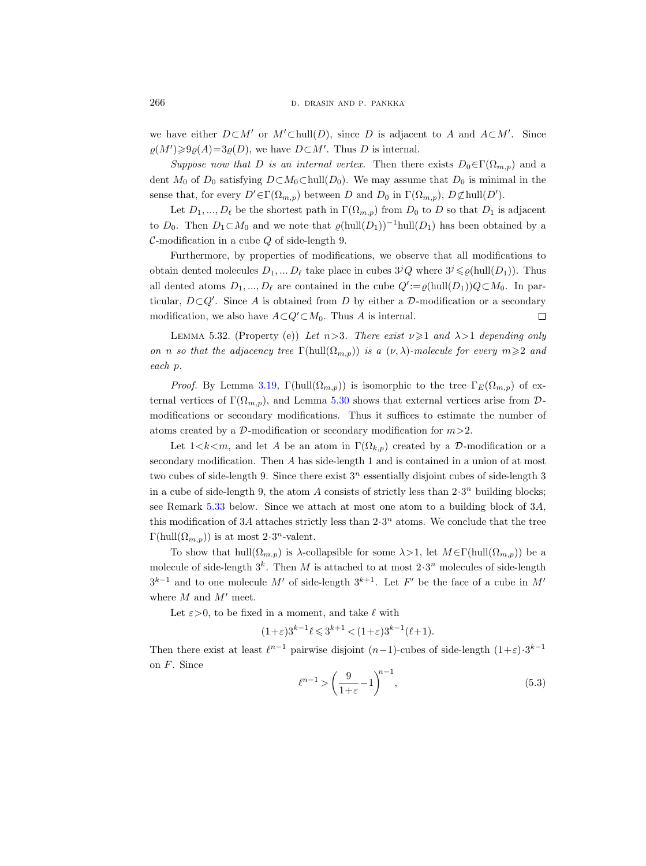we have either  $D\subset M'$  or  $M'\subset \text{hull}(D)$ , since D is adjacent to A and  $A\subset M'$ . Since  $\varrho(M') \geq \varrho(A) = 3\varrho(D)$ , we have  $D \subset M'$ . Thus D is internal.

Suppose now that D is an internal vertex. Then there exists  $D_0 \in \Gamma(\Omega_{m,p})$  and a dent  $M_0$  of  $D_0$  satisfying  $D \subset M_0 \subset \text{hull}(D_0)$ . We may assume that  $D_0$  is minimal in the sense that, for every  $D' \in \Gamma(\Omega_{m,p})$  between D and  $D_0$  in  $\Gamma(\Omega_{m,p}), D \not\subset \text{hull}(D').$ 

Let  $D_1, ..., D_\ell$  be the shortest path in  $\Gamma(\Omega_{m,p})$  from  $D_0$  to D so that  $D_1$  is adjacent to  $D_0$ . Then  $D_1 \subset M_0$  and we note that  $\varrho(\text{hull}(D_1))^{-1}\text{hull}(D_1)$  has been obtained by a  $\mathcal{C}$ -modification in a cube  $Q$  of side-length 9.

Furthermore, by properties of modifications, we observe that all modifications to obtain dented molecules  $D_1, \ldots, D_\ell$  take place in cubes  $3^jQ$  where  $3^j \leq \rho(\text{hull}(D_1))$ . Thus all dented atoms  $D_1, ..., D_\ell$  are contained in the cube  $Q' := \varrho(\text{hull}(D_1))Q \subset M_0$ . In particular,  $D\subset Q'$ . Since A is obtained from D by either a D-modification or a secondary modification, we also have  $A\subset Q'\subset M_0$ . Thus A is internal.  $\Box$ 

<span id="page-57-1"></span>LEMMA 5.32. (Property (e)) Let  $n>3$ . There exist  $\nu \geq 1$  and  $\lambda > 1$  depending only on n so that the adjacency tree  $\Gamma(\text{hull}(\Omega_{m,p}))$  is a  $(\nu,\lambda)$ -molecule for every  $m\geqslant 2$  and each p.

*Proof.* By Lemma [3.19,](#page-21-1)  $\Gamma(\text{hull}(\Omega_{m,p}))$  is isomorphic to the tree  $\Gamma_E(\Omega_{m,p})$  of external vertices of  $\Gamma(\Omega_{m,p})$ , and Lemma [5.30](#page-56-0) shows that external vertices arise from  $\mathcal{D}$ modifications or secondary modifications. Thus it suffices to estimate the number of atoms created by a  $\mathcal{D}$ -modification or secondary modification for  $m > 2$ .

Let  $1 < k < m$ , and let A be an atom in  $\Gamma(\Omega_{k,p})$  created by a D-modification or a secondary modification. Then A has side-length 1 and is contained in a union of at most two cubes of side-length 9. Since there exist  $3<sup>n</sup>$  essentially disjoint cubes of side-length 3 in a cube of side-length 9, the atom A consists of strictly less than  $2 \cdot 3^n$  building blocks; see Remark [5.33](#page-58-1) below. Since we attach at most one atom to a building block of 3A, this modification of 3A attaches strictly less than  $2 \cdot 3^n$  atoms. We conclude that the tree  $\Gamma(\text{hull}(\Omega_{m,p}))$  is at most  $2 \cdot 3^n$ -valent.

To show that hull( $\Omega_{m,p}$ ) is  $\lambda$ -collapsible for some  $\lambda > 1$ , let  $M \in \Gamma(\text{hull}(\Omega_{m,p}))$  be a molecule of side-length  $3^k$ . Then M is attached to at most  $2 \cdot 3^n$  molecules of side-length  $3^{k-1}$  and to one molecule M' of side-length  $3^{k+1}$ . Let F' be the face of a cube in M' where  $M$  and  $M'$  meet.

Let  $\varepsilon > 0$ , to be fixed in a moment, and take  $\ell$  with

$$
(1+\varepsilon)3^{k-1}\ell \leqslant 3^{k+1} < (1+\varepsilon)3^{k-1}(\ell+1).
$$

Then there exist at least  $\ell^{n-1}$  pairwise disjoint  $(n-1)$ -cubes of side-length  $(1+\varepsilon) \cdot 3^{k-1}$ on F. Since

<span id="page-57-0"></span>
$$
\ell^{n-1} > \left(\frac{9}{1+\varepsilon} - 1\right)^{n-1},\tag{5.3}
$$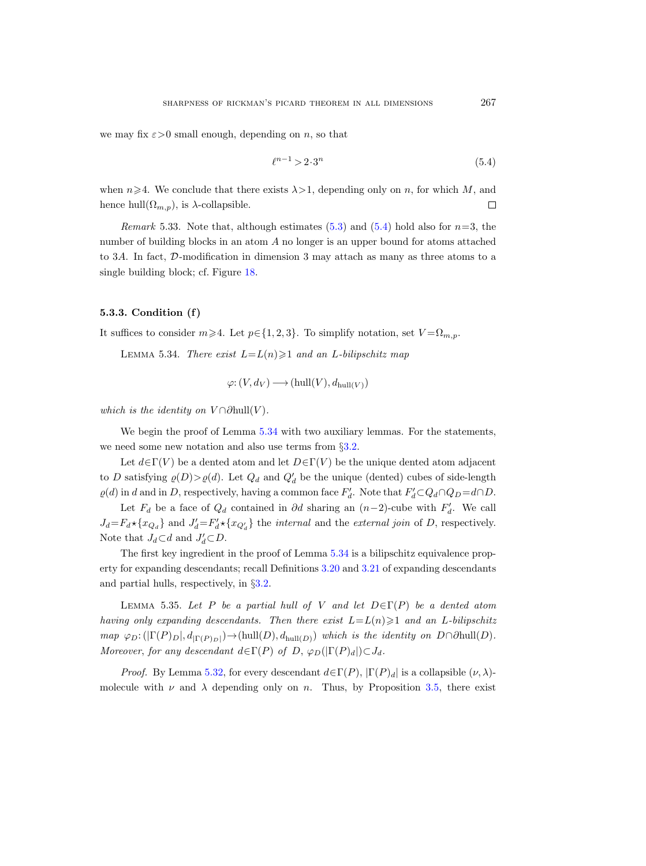we may fix  $\varepsilon > 0$  small enough, depending on n, so that

<span id="page-58-2"></span>
$$
\ell^{n-1} > 2 \cdot 3^n \tag{5.4}
$$

when  $n\geq 4$ . We conclude that there exists  $\lambda>1$ , depending only on n, for which M, and hence hull $(\Omega_{m,p})$ , is  $\lambda$ -collapsible.  $\Box$ 

<span id="page-58-1"></span>*Remark* 5.33. Note that, although estimates [\(5.3\)](#page-57-0) and [\(5.4\)](#page-58-2) hold also for  $n=3$ , the number of building blocks in an atom A no longer is an upper bound for atoms attached to 3A. In fact, D-modification in dimension 3 may attach as many as three atoms to a single building block; cf. Figure [18.](#page-30-1)

# <span id="page-58-0"></span>5.3.3. Condition (f)

<span id="page-58-3"></span>It suffices to consider  $m\geq 4$ . Let  $p\in\{1,2,3\}$ . To simplify notation, set  $V=\Omega_{m,p}$ .

LEMMA 5.34. There exist  $L = L(n) \geq 1$  and an L-bilipschitz map

$$
\varphi: (V, d_V) \longrightarrow (hull(V), d_{hull(V)})
$$

which is the identity on  $V \cap \partial \text{hull}(V)$ .

We begin the proof of Lemma [5.34](#page-58-3) with two auxiliary lemmas. For the statements, we need some new notation and also use terms from  $\S 3.2$ .

Let  $d \in \Gamma(V)$  be a dented atom and let  $D \in \Gamma(V)$  be the unique dented atom adjacent to D satisfying  $\varrho(D) > \varrho(d)$ . Let  $Q_d$  and  $Q'_d$  be the unique (dented) cubes of side-length  $\varrho(d)$  in d and in D, respectively, having a common face  $F'_d$ . Note that  $F'_d \subset Q_d \cap Q_D = d \cap D$ .

Let  $F_d$  be a face of  $Q_d$  contained in ∂d sharing an  $(n-2)$ -cube with  $F'_d$ . We call  $J_d = F_d \star \{x_{Q_d}\}\$ and  $J'_d = F'_d \star \{x_{Q'_d}\}\$ the *internal* and the *external join* of D, respectively. Note that  $J_d \subset d$  and  $J'_d \subset D$ .

The first key ingredient in the proof of Lemma [5.34](#page-58-3) is a bilipschitz equivalence property for expanding descendants; recall Definitions [3.20](#page-21-2) and [3.21](#page-21-3) of expanding descendants and partial hulls, respectively, in §[3.2.](#page-20-0)

<span id="page-58-4"></span>LEMMA 5.35. Let P be a partial hull of V and let  $D \in \Gamma(P)$  be a dented atom having only expanding descendants. Then there exist  $L=L(n)\geq 1$  and an L-bilipschitz map  $\varphi_D: (|\Gamma(P)_D|, d_{|\Gamma(P)_D|}) \to (hull(D), d_{hull(D)})$  which is the identity on  $D \cap \partial hull(D)$ . Moreover, for any descendant  $d \in \Gamma(P)$  of D,  $\varphi_D(|\Gamma(P)_d|) \subset J_d$ .

*Proof.* By Lemma [5.32,](#page-57-1) for every descendant  $d \in \Gamma(P)$ ,  $|\Gamma(P)_d|$  is a collapsible  $(\nu, \lambda)$ molecule with  $\nu$  and  $\lambda$  depending only on n. Thus, by Proposition [3.5,](#page-14-0) there exist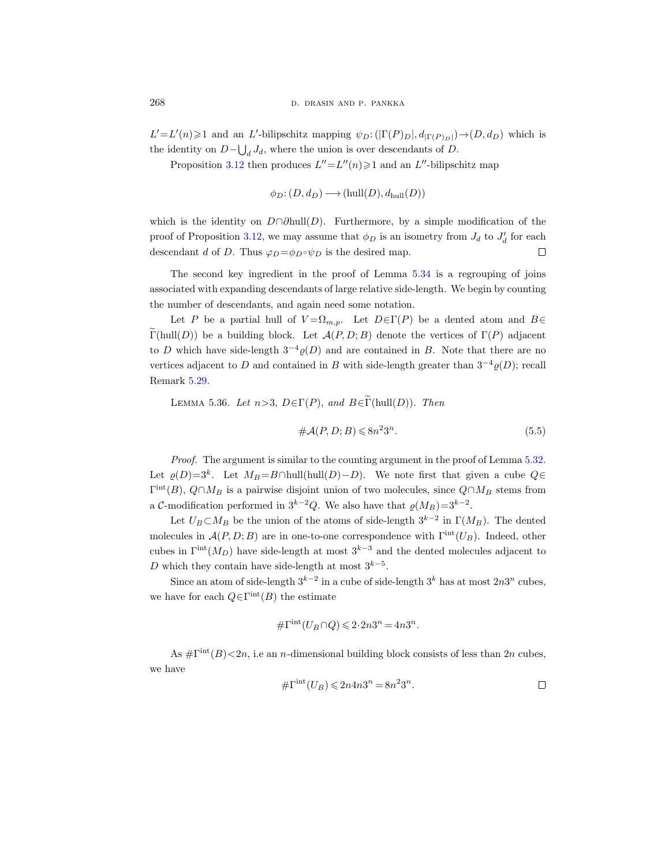$L'=L'(n)\geq 1$  and an L'-bilipschitz mapping  $\psi_D:(|\Gamma(P)_D|, d_{|\Gamma(P)_D|})\to (D, d_D)$  which is the identity on  $D-\bigcup_d J_d$ , where the union is over descendants of D.

Proposition [3.12](#page-18-0) then produces  $L'' = L''(n) \geq 1$  and an  $L''$ -bilipschitz map

 $\phi_D: (D, d_D) \longrightarrow (hull(D), d_{hull}(D))$ 

which is the identity on  $D \cap \partial \text{hull}(D)$ . Furthermore, by a simple modification of the proof of Proposition [3.12,](#page-18-0) we may assume that  $\phi_D$  is an isometry from  $J_d$  to  $J'_d$  for each descendant d of D. Thus  $\varphi_D = \phi_D \circ \psi_D$  is the desired map.  $\Box$ 

The second key ingredient in the proof of Lemma [5.34](#page-58-3) is a regrouping of joins associated with expanding descendants of large relative side-length. We begin by counting the number of descendants, and again need some notation.

Let P be a partial hull of  $V = \Omega_{m,p}$ . Let  $D \in \Gamma(P)$  be a dented atom and  $B \in$  $\widetilde{\Gamma}(\text{hull}(D))$  be a building block. Let  $\mathcal{A}(P, D; B)$  denote the vertices of  $\Gamma(P)$  adjacent to D which have side-length  $3^{-4}\rho(D)$  and are contained in B. Note that there are no vertices adjacent to D and contained in B with side-length greater than  $3^{-4}\rho(D)$ ; recall Remark [5.29.](#page-55-1)

<span id="page-59-0"></span>LEMMA 5.36. Let  $n>3$ ,  $D \in \Gamma(P)$ , and  $B \in \widetilde{\Gamma}(\text{hull}(D))$ . Then

$$
\#\mathcal{A}(P,D;B) \leq 8n^2 3^n. \tag{5.5}
$$

Proof. The argument is similar to the counting argument in the proof of Lemma [5.32.](#page-57-1) Let  $\varrho(D)=3^k$ . Let  $M_B=B\cap \text{hull}(\text{hull}(D)-D)$ . We note first that given a cube  $Q\in$  $\Gamma^{\text{int}}(B)$ ,  $Q \cap M_B$  is a pairwise disjoint union of two molecules, since  $Q \cap M_B$  stems from a C-modification performed in  $3^{k-2}Q$ . We also have that  $\varrho(M_B)=3^{k-2}$ .

Let  $U_B \subset M_B$  be the union of the atoms of side-length  $3^{k-2}$  in  $\Gamma(M_B)$ . The dented molecules in  $\mathcal{A}(P, D; B)$  are in one-to-one correspondence with  $\Gamma^{\text{int}}(U_B)$ . Indeed, other cubes in  $\Gamma^{int}(M_D)$  have side-length at most  $3^{k-3}$  and the dented molecules adjacent to D which they contain have side-length at most  $3^{k-5}$ .

Since an atom of side-length  $3^{k-2}$  in a cube of side-length  $3^k$  has at most  $2n3^n$  cubes, we have for each  $Q \in \Gamma^{\text{int}}(B)$  the estimate

$$
\#\Gamma^{\rm int}(U_B \cap Q) \leqslant 2 \cdot 2n3^n = 4n3^n.
$$

As  $\#\Gamma^{\text{int}}(B) < 2n$ , i.e an *n*-dimensional building block consists of less than 2*n* cubes, we have

$$
\#\Gamma^{\rm int}(U_B) \leq 2n4n3^n = 8n^23^n.
$$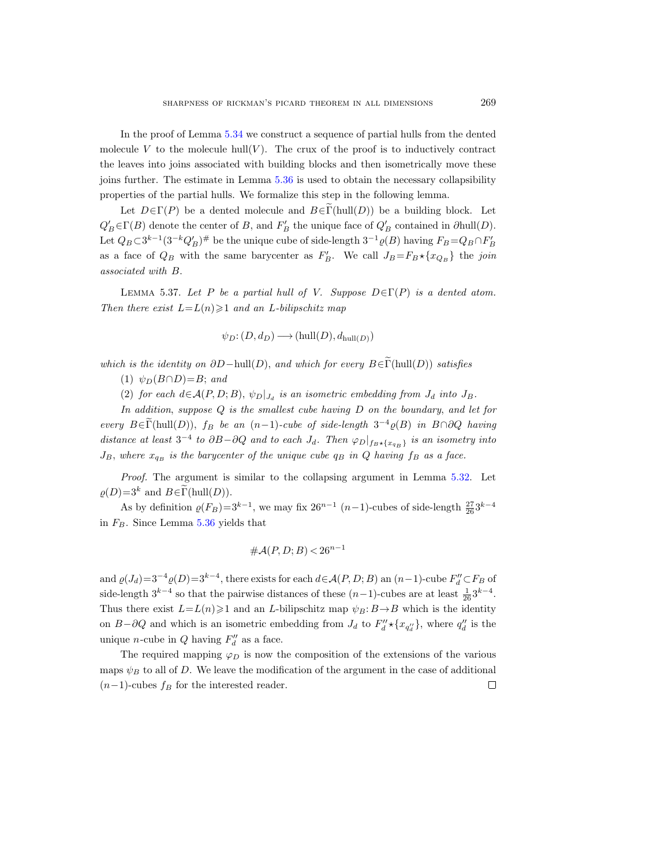In the proof of Lemma [5.34](#page-58-3) we construct a sequence of partial hulls from the dented molecule V to the molecule hull $(V)$ . The crux of the proof is to inductively contract the leaves into joins associated with building blocks and then isometrically move these joins further. The estimate in Lemma [5.36](#page-59-0) is used to obtain the necessary collapsibility properties of the partial hulls. We formalize this step in the following lemma.

Let  $D \in \Gamma(P)$  be a dented molecule and  $B \in \widetilde{\Gamma}(\text{hull}(D))$  be a building block. Let  $Q'_B \in \Gamma(B)$  denote the center of B, and  $F'_B$  the unique face of  $Q'_B$  contained in  $\partial \text{hull}(D)$ . Let  $Q_B \subset 3^{k-1} (3^{-k} Q'_B)^{\#}$  be the unique cube of side-length  $3^{-1} \varrho(B)$  having  $F_B = Q_B \cap F'_B$ as a face of  $Q_B$  with the same barycenter as  $F'_B$ . We call  $J_B = F_B \star \{x_{Q_B}\}\$  the join associated with B.

<span id="page-60-0"></span>LEMMA 5.37. Let P be a partial hull of V. Suppose  $D \in \Gamma(P)$  is a dented atom. Then there exist  $L = L(n) \geq 1$  and an L-bilipschitz map

$$
\psi_D\colon (D,d_D)\longrightarrow ({\rm hull}(D),d_{\rm hull}(D))
$$

which is the identity on  $\partial D-\text{hull}(D)$ , and which for every  $B\in \widetilde{\Gamma}(\text{hull}(D))$  satisfies

(1)  $\psi_D(B \cap D) = B$ ; and

(2) for each  $d \in \mathcal{A}(P, D; B)$ ,  $\psi_D|_{J_d}$  is an isometric embedding from  $J_d$  into  $J_B$ .

In addition, suppose Q is the smallest cube having D on the boundary, and let for every  $B \in \Gamma(\text{hull}(D))$ ,  $f_B$  be an  $(n-1)$ -cube of side-length  $3^{-4}\varrho(B)$  in  $B \cap \partial Q$  having distance at least  $3^{-4}$  to  $\partial B-\partial Q$  and to each  $J_d$ . Then  $\varphi_D|_{f_B\star\{x_{q_B}\}}$  is an isometry into  $J_B$ , where  $x_{q_B}$  is the barycenter of the unique cube  $q_B$  in Q having  $f_B$  as a face.

Proof. The argument is similar to the collapsing argument in Lemma [5.32.](#page-57-1) Let  $\rho(D)=3^k$  and  $B \in \widetilde{\Gamma}(\mathrm{hull}(D)).$ 

As by definition  $\varrho(F_B)=3^{k-1}$ , we may fix  $26^{n-1}$  (n-1)-cubes of side-length  $\frac{27}{26}3^{k-4}$ in  $F_B$ . Since Lemma [5.36](#page-59-0) yields that

$$
\#\mathcal{A}(P,D;B) < 26^{n-1}
$$

and  $\varrho(J_d)=3^{-4}\varrho(D)=3^{k-4}$ , there exists for each  $d\in\mathcal{A}(P,D;B)$  an  $(n-1)$ -cube  $F''_d\subset F_B$  of side-length  $3^{k-4}$  so that the pairwise distances of these  $(n-1)$ -cubes are at least  $\frac{1}{26}3^{k-4}$ . Thus there exist  $L=L(n)\geq 1$  and an L-bilipschitz map  $\psi_B: B\to B$  which is the identity on  $B-\partial Q$  and which is an isometric embedding from  $J_d$  to  $F''_d \star \{x_{q''_d}\}\,$ , where  $q''_d$  is the unique *n*-cube in  $Q$  having  $F''_d$  as a face.

The required mapping  $\varphi_D$  is now the composition of the extensions of the various maps  $\psi_B$  to all of D. We leave the modification of the argument in the case of additional  $(n-1)$ -cubes  $f_B$  for the interested reader.  $\Box$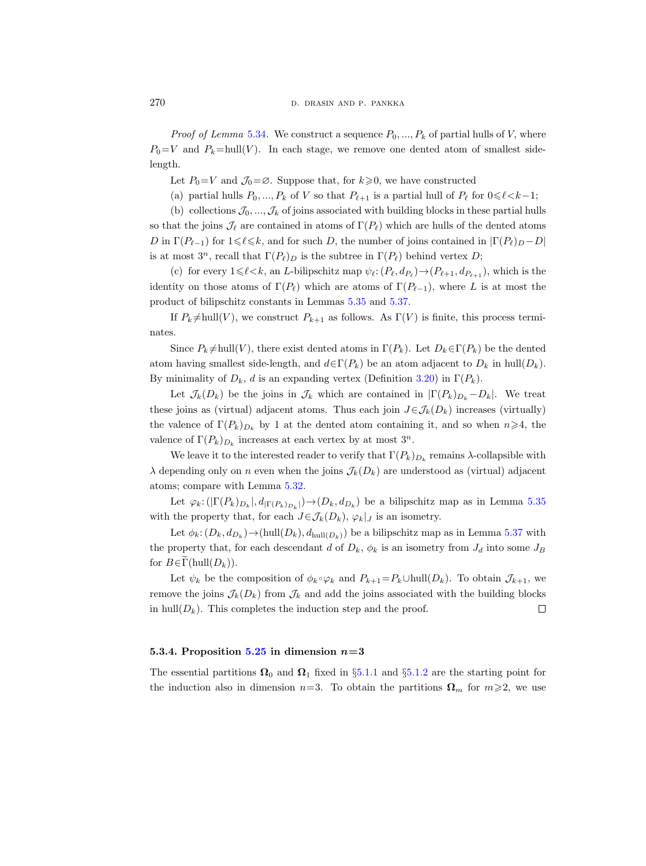*Proof of Lemma* [5.34](#page-58-3). We construct a sequence  $P_0, ..., P_k$  of partial hulls of V, where  $P_0=V$  and  $P_k=\text{hull}(V)$ . In each stage, we remove one dented atom of smallest sidelength.

Let  $P_0=V$  and  $\mathcal{J}_0=\emptyset$ . Suppose that, for  $k\geqslant 0$ , we have constructed

(a) partial hulls  $P_0, ..., P_k$  of V so that  $P_{\ell+1}$  is a partial hull of  $P_{\ell}$  for  $0 \leq \ell < k-1$ ;

(b) collections  $\mathcal{J}_0, \ldots, \mathcal{J}_k$  of joins associated with building blocks in these partial hulls

so that the joins  $\mathcal{J}_{\ell}$  are contained in atoms of  $\Gamma(P_{\ell})$  which are hulls of the dented atoms D in  $\Gamma(P_{\ell-1})$  for  $1\leq \ell \leq k$ , and for such D, the number of joins contained in  $|\Gamma(P_{\ell})_{D} - D|$ is at most  $3^n$ , recall that  $\Gamma(P_\ell)_D$  is the subtree in  $\Gamma(P_\ell)$  behind vertex D;

(c) for every  $1 \leq \ell \leq k$ , an L-bilipschitz map  $\psi_{\ell}: (P_{\ell}, d_{P_{\ell}}) \to (P_{\ell+1}, d_{P_{\ell+1}})$ , which is the identity on those atoms of  $\Gamma(P_\ell)$  which are atoms of  $\Gamma(P_{\ell-1})$ , where L is at most the product of bilipschitz constants in Lemmas [5.35](#page-58-4) and [5.37.](#page-60-0)

If  $P_k \neq \text{hull}(V)$ , we construct  $P_{k+1}$  as follows. As  $\Gamma(V)$  is finite, this process terminates.

Since  $P_k \neq \text{hull}(V)$ , there exist dented atoms in  $\Gamma(P_k)$ . Let  $D_k \in \Gamma(P_k)$  be the dented atom having smallest side-length, and  $d \in \Gamma(P_k)$  be an atom adjacent to  $D_k$  in hull $(D_k)$ . By minimality of  $D_k$ , d is an expanding vertex (Definition [3.20\)](#page-21-2) in  $\Gamma(P_k)$ .

Let  $\mathcal{J}_k(D_k)$  be the joins in  $\mathcal{J}_k$  which are contained in  $|\Gamma(P_k)_{D_k} - D_k|$ . We treat these joins as (virtual) adjacent atoms. Thus each join  $J\in\mathcal{J}_k(D_k)$  increases (virtually) the valence of  $\Gamma(P_k)_{D_k}$  by 1 at the dented atom containing it, and so when  $n \geq 4$ , the valence of  $\Gamma(P_k)_{D_k}$  increases at each vertex by at most  $3^n$ .

We leave it to the interested reader to verify that  $\Gamma(P_k)_{D_k}$  remains  $\lambda$ -collapsible with  $\lambda$  depending only on n even when the joins  $\mathcal{J}_k(D_k)$  are understood as (virtual) adjacent atoms; compare with Lemma [5.32.](#page-57-1)

Let  $\varphi_k$ :  $(|\Gamma(P_k)_{D_k}|, d_{|\Gamma(P_k)_{D_k}|}) \rightarrow (D_k, d_{D_k})$  be a bilipschitz map as in Lemma [5.35](#page-58-4) with the property that, for each  $J \in \mathcal{J}_k(D_k)$ ,  $\varphi_k|_J$  is an isometry.

Let  $\phi_k: (D_k, d_{D_k}) \to (\text{hull}(D_k), d_{\text{hull}(D_k)})$  be a bilipschitz map as in Lemma [5.37](#page-60-0) with the property that, for each descendant d of  $D_k$ ,  $\phi_k$  is an isometry from  $J_d$  into some  $J_B$ for  $B \in \Gamma(\text{hull}(D_k)).$ 

Let  $\psi_k$  be the composition of  $\phi_k \circ \varphi_k$  and  $P_{k+1} = P_k \cup \text{hull}(D_k)$ . To obtain  $\mathcal{J}_{k+1}$ , we remove the joins  $\mathcal{J}_k(D_k)$  from  $\mathcal{J}_k$  and add the joins associated with the building blocks in hull $(D_k)$ . This completes the induction step and the proof.  $\Box$ 

## <span id="page-61-0"></span>5.3.4. Proposition [5.25](#page-54-0) in dimension  $n=3$

The essential partitions  $\Omega_0$  and  $\Omega_1$  fixed in §[5.1.1](#page-40-1) and §[5.1.2](#page-40-2) are the starting point for the induction also in dimension  $n=3$ . To obtain the partitions  $\Omega_m$  for  $m\geq 2$ , we use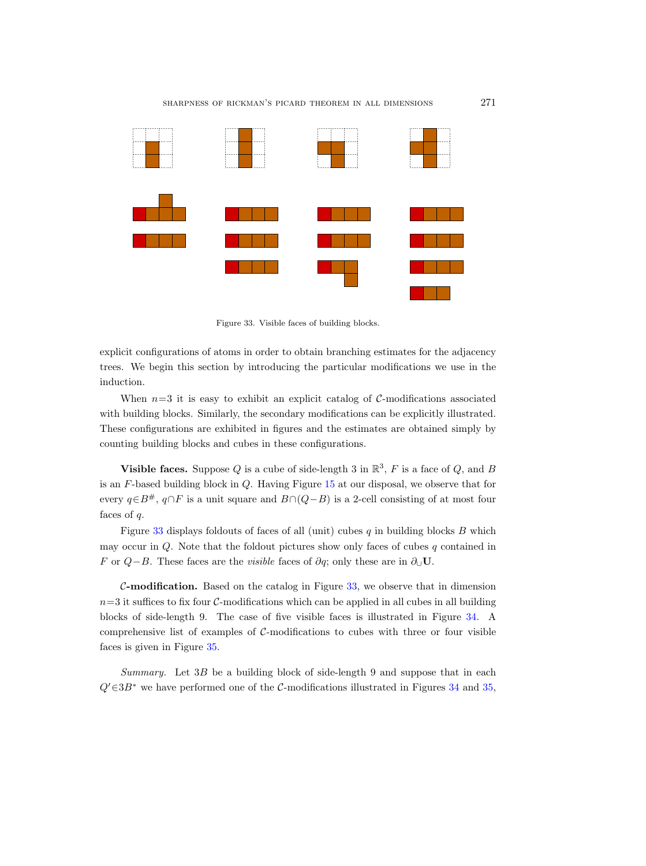sharpness of rickman's picard theorem in all dimensions 271



<span id="page-62-0"></span>Figure 33. Visible faces of building blocks.

explicit configurations of atoms in order to obtain branching estimates for the adjacency trees. We begin this section by introducing the particular modifications we use in the induction.

When  $n=3$  it is easy to exhibit an explicit catalog of C-modifications associated with building blocks. Similarly, the secondary modifications can be explicitly illustrated. These configurations are exhibited in figures and the estimates are obtained simply by counting building blocks and cubes in these configurations.

**Visible faces.** Suppose Q is a cube of side-length 3 in  $\mathbb{R}^3$ , F is a face of Q, and B is an F-based building block in Q. Having Figure [15](#page-24-0) at our disposal, we observe that for every  $q\in B^{\#}$ ,  $q\cap F$  is a unit square and  $B\cap (Q-B)$  is a 2-cell consisting of at most four faces of  $q$ .

Figure [33](#page-62-0) displays foldouts of faces of all (unit) cubes  $q$  in building blocks  $B$  which may occur in  $Q$ . Note that the foldout pictures show only faces of cubes  $q$  contained in F or  $Q-B$ . These faces are the *visible* faces of  $\partial q$ ; only these are in  $\partial_{\cup} U$ .

 $C$ -modification. Based on the catalog in Figure [33,](#page-62-0) we observe that in dimension  $n=3$  it suffices to fix four C-modifications which can be applied in all cubes in all building blocks of side-length 9. The case of five visible faces is illustrated in Figure [34.](#page-63-0) A comprehensive list of examples of  $C$ -modifications to cubes with three or four visible faces is given in Figure [35.](#page-64-0)

Summary. Let  $3B$  be a building block of side-length 9 and suppose that in each  $Q' \in 3B^*$  we have performed one of the C-modifications illustrated in Figures [34](#page-63-0) and [35,](#page-64-0)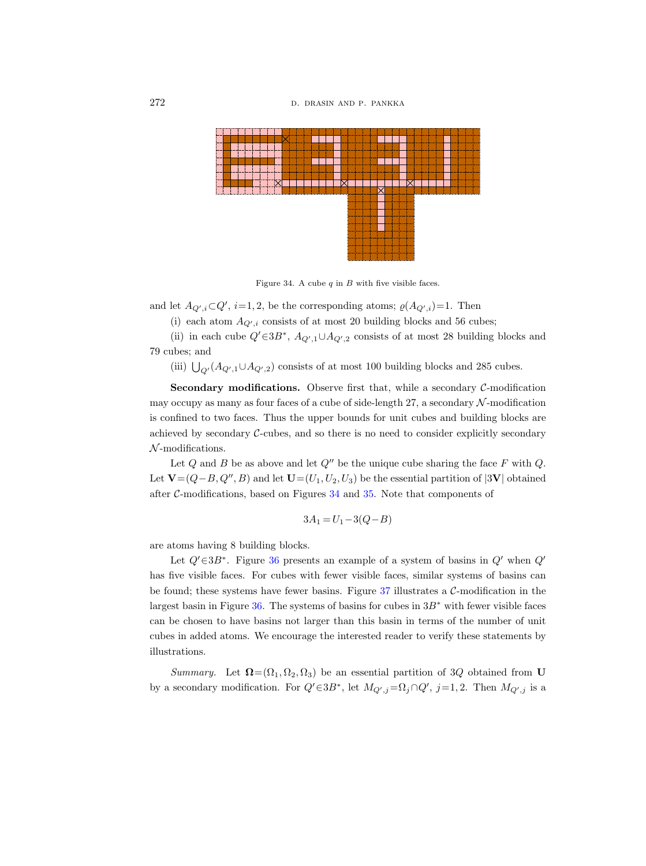

<span id="page-63-0"></span>Figure 34. A cube  $q$  in  $B$  with five visible faces.

and let  $A_{Q',i} \subset Q', i=1,2$ , be the corresponding atoms;  $\varrho(A_{Q',i})=1$ . Then

(i) each atom  $A_{Q',i}$  consists of at most 20 building blocks and 56 cubes;

(ii) in each cube  $Q' \in 3B^*$ ,  $A_{Q',1} \cup A_{Q',2}$  consists of at most 28 building blocks and 79 cubes; and

(iii)  $\bigcup_{Q'} (A_{Q',1} \cup A_{Q',2})$  consists of at most 100 building blocks and 285 cubes.

**Secondary modifications.** Observe first that, while a secondary  $C$ -modification may occupy as many as four faces of a cube of side-length 27, a secondary  $\mathcal N$ -modification is confined to two faces. Thus the upper bounds for unit cubes and building blocks are achieved by secondary C-cubes, and so there is no need to consider explicitly secondary  $N$ -modifications.

Let  $Q$  and  $B$  be as above and let  $Q''$  be the unique cube sharing the face  $F$  with  $Q$ . Let  $\mathbf{V}=(Q-B, Q'', B)$  and let  $\mathbf{U}=(U_1, U_2, U_3)$  be the essential partition of  $|\mathbf{3V}|$  obtained after  $C$ -modifications, based on Figures  $34$  and  $35$ . Note that components of

$$
3A_1 = U_1 - 3(Q - B)
$$

are atoms having 8 building blocks.

Let  $Q' \in 3B^*$ . Figure [36](#page-65-0) presents an example of a system of basins in  $Q'$  when  $Q'$ has five visible faces. For cubes with fewer visible faces, similar systems of basins can be found; these systems have fewer basins. Figure  $37$  illustrates a  $\mathcal{C}\text{-modification}$  in the largest basin in Figure [36.](#page-65-0) The systems of basins for cubes in  $3B^*$  with fewer visible faces can be chosen to have basins not larger than this basin in terms of the number of unit cubes in added atoms. We encourage the interested reader to verify these statements by illustrations.

Summary. Let  $\Omega = (\Omega_1, \Omega_2, \Omega_3)$  be an essential partition of 3Q obtained from U by a secondary modification. For  $Q' \in 3B^*$ , let  $M_{Q',j} = \Omega_j \cap Q', j = 1, 2$ . Then  $M_{Q',j}$  is a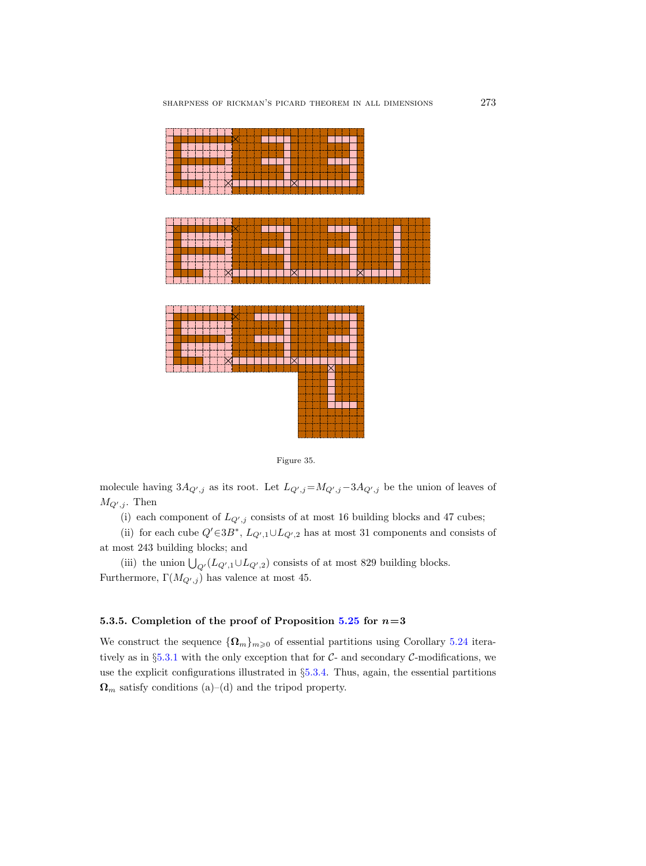

<span id="page-64-0"></span>

molecule having  $3A_{Q',j}$  as its root. Let  $L_{Q',j}=M_{Q',j}-3A_{Q',j}$  be the union of leaves of  $M_{Q',j}$ . Then

(i) each component of  $L_{Q',j}$  consists of at most 16 building blocks and 47 cubes;

(ii) for each cube  $Q' \in 3B^*$ ,  $L_{Q',1} \cup L_{Q',2}$  has at most 31 components and consists of at most 243 building blocks; and

(iii) the union  $\bigcup_{Q'} (L_{Q',1} \cup L_{Q',2})$  consists of at most 829 building blocks. Furthermore,  $\Gamma(M_{Q',j})$  has valence at most 45.

## 5.3.5. Completion of the proof of Proposition [5.25](#page-54-0) for  $n=3$

We construct the sequence  ${\Omega_m}_{m\geq 0}$  of essential partitions using Corollary [5.24](#page-53-0) itera-tively as in §[5.3.1](#page-54-1) with the only exception that for  $C$ - and secondary  $C$ -modifications, we use the explicit configurations illustrated in §[5.3.4.](#page-61-0) Thus, again, the essential partitions  $\Omega_m$  satisfy conditions (a)–(d) and the tripod property.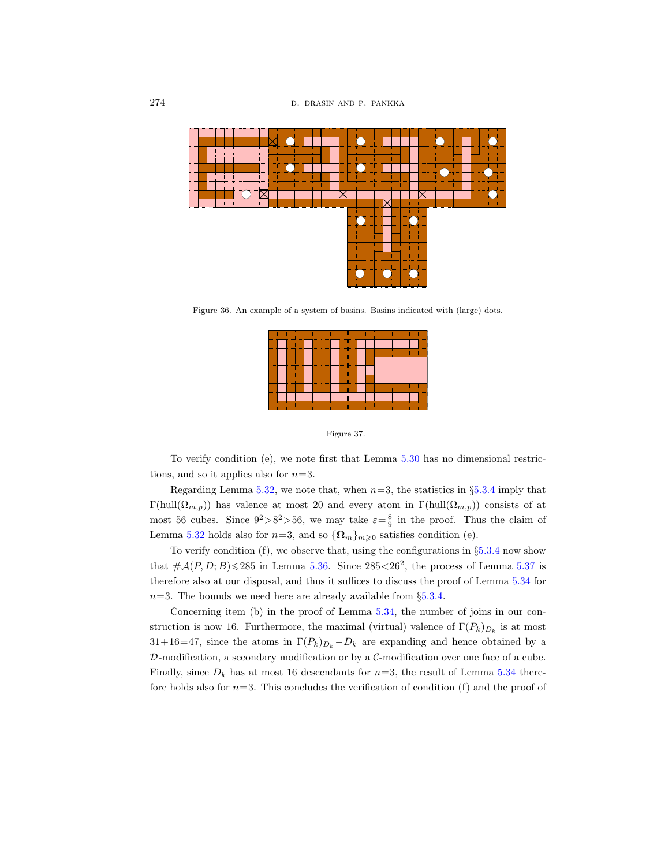

Figure 36. An example of a system of basins. Basins indicated with (large) dots.

<span id="page-65-0"></span>

<span id="page-65-1"></span>Figure 37.

To verify condition (e), we note first that Lemma [5.30](#page-56-0) has no dimensional restrictions, and so it applies also for  $n=3$ .

Regarding Lemma [5.32,](#page-57-1) we note that, when  $n=3$ , the statistics in §[5.3.4](#page-61-0) imply that Γ(hull $(Ω<sub>m,p</sub>)$ ) has valence at most 20 and every atom in Γ(hull $(Ω<sub>m,p</sub>)$ ) consists of at most 56 cubes. Since  $9^2 > 8^2 > 56$ , we may take  $\varepsilon = \frac{8}{9}$  in the proof. Thus the claim of Lemma [5.32](#page-57-1) holds also for  $n=3$ , and so  $\{\Omega_m\}_{m\geq 0}$  satisfies condition (e).

To verify condition  $(f)$ , we observe that, using the configurations in  $\S 5.3.4$  $\S 5.3.4$  now show that  $\#\mathcal{A}(P,D;B) \leq 285$  in Lemma [5.36.](#page-59-0) Since  $285 \leq 26^2$ , the process of Lemma [5.37](#page-60-0) is therefore also at our disposal, and thus it suffices to discuss the proof of Lemma [5.34](#page-58-3) for  $n=3$ . The bounds we need here are already available from §[5.3.4.](#page-61-0)

Concerning item (b) in the proof of Lemma [5.34,](#page-58-3) the number of joins in our construction is now 16. Furthermore, the maximal (virtual) valence of  $\Gamma(P_k)_{D_k}$  is at most  $31+16=47$ , since the atoms in  $\Gamma(P_k)_{D_k}-D_k$  are expanding and hence obtained by a  $\mathcal{D}$ -modification, a secondary modification or by a  $\mathcal{C}$ -modification over one face of a cube. Finally, since  $D_k$  has at most 16 descendants for  $n=3$ , the result of Lemma [5.34](#page-58-3) therefore holds also for  $n=3$ . This concludes the verification of condition (f) and the proof of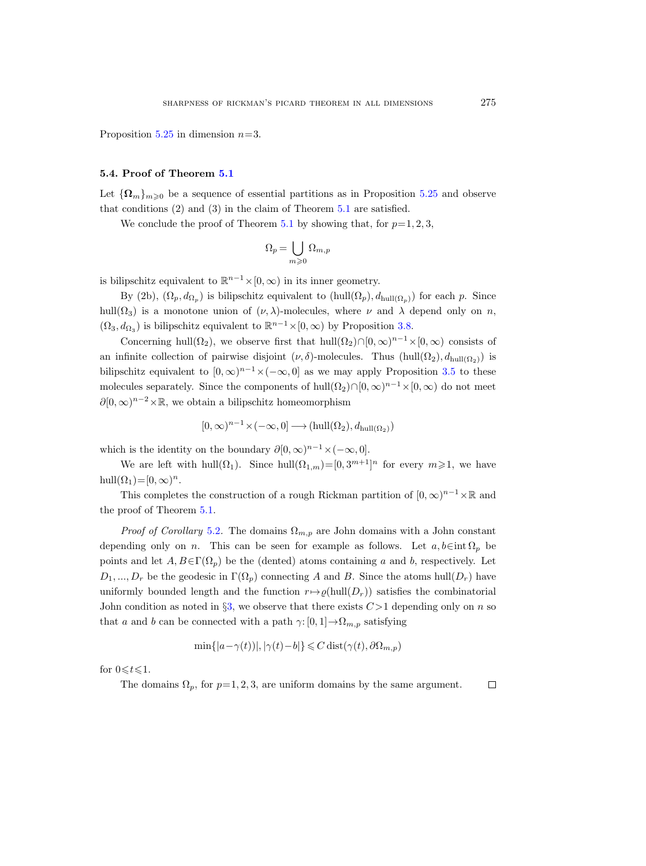Proposition [5.25](#page-54-0) in dimension  $n=3$ .

#### <span id="page-66-0"></span>5.4. Proof of Theorem [5.1](#page-38-0)

Let  $\{\Omega_m\}_{m\geq 0}$  be a sequence of essential partitions as in Proposition [5.25](#page-54-0) and observe that conditions (2) and (3) in the claim of Theorem [5.1](#page-38-0) are satisfied.

We conclude the proof of Theorem [5.1](#page-38-0) by showing that, for  $p=1, 2, 3$ ,

$$
\Omega_p=\bigcup_{m\geqslant 0}\Omega_{m,p}
$$

is bilipschitz equivalent to  $\mathbb{R}^{n-1} \times [0, \infty)$  in its inner geometry.

By (2b),  $(\Omega_p, d_{\Omega_p})$  is bilipschitz equivalent to  $(hull(\Omega_p), d_{hull(\Omega_p)})$  for each p. Since hull( $\Omega_3$ ) is a monotone union of  $(\nu, \lambda)$ -molecules, where  $\nu$  and  $\lambda$  depend only on n,  $(\Omega_3, d_{\Omega_3})$  is bilipschitz equivalent to  $\mathbb{R}^{n-1} \times [0, \infty)$  by Proposition [3.8.](#page-17-0)

Concerning hull( $\Omega_2$ ), we observe first that hull( $\Omega_2$ )∩[0, ∞)<sup>n-1</sup> × [0, ∞) consists of an infinite collection of pairwise disjoint  $(\nu, \delta)$ -molecules. Thus  $(hull(\Omega_2), d_{hull(\Omega_2)})$  is bilipschitz equivalent to  $[0, \infty)^{n-1} \times (-\infty, 0]$  as we may apply Proposition [3.5](#page-14-0) to these molecules separately. Since the components of  $hull(\Omega_2) \cap [0, \infty)^{n-1} \times [0, \infty)$  do not meet  $\partial [0,\infty)^{n-2} \times \mathbb{R}$ , we obtain a bilipschitz homeomorphism

$$
[0,\infty)^{n-1}\times(-\infty,0]\longrightarrow(\operatorname{hull}(\Omega_2),d_{\operatorname{hull}(\Omega_2)})
$$

which is the identity on the boundary  $\partial [0, \infty)^{n-1} \times (-\infty, 0].$ 

We are left with hull( $\Omega_1$ ). Since hull( $\Omega_{1,m}$ )=[0,3<sup>m+1</sup>]<sup>n</sup> for every  $m \geq 1$ , we have hull $(\Omega_1) = [0, \infty)^n$ .

This completes the construction of a rough Rickman partition of  $[0, \infty)^{n-1} \times \mathbb{R}$  and the proof of Theorem [5.1.](#page-38-0)

*Proof of Corollary* [5.2](#page-39-0). The domains  $\Omega_{m,p}$  are John domains with a John constant depending only on n. This can be seen for example as follows. Let  $a, b \in \text{int } \Omega_p$  be points and let  $A, B \in \Gamma(\Omega_p)$  be the (dented) atoms containing a and b, respectively. Let  $D_1, ..., D_r$  be the geodesic in  $\Gamma(\Omega_n)$  connecting A and B. Since the atoms hull $(D_r)$  have uniformly bounded length and the function  $r \mapsto \varrho(\text{hull}(D_r))$  satisfies the combinatorial John condition as noted in  $\S3$ , we observe that there exists  $C>1$  depending only on n so that a and b can be connected with a path  $\gamma: [0, 1] \to \Omega_{m,p}$  satisfying

$$
\min\{|a-\gamma(t))|, |\gamma(t)-b|\} \leq C \operatorname{dist}(\gamma(t), \partial \Omega_{m,p})
$$

for  $0 \leq t \leq 1$ .

The domains  $\Omega_p$ , for  $p=1, 2, 3$ , are uniform domains by the same argument.  $\Box$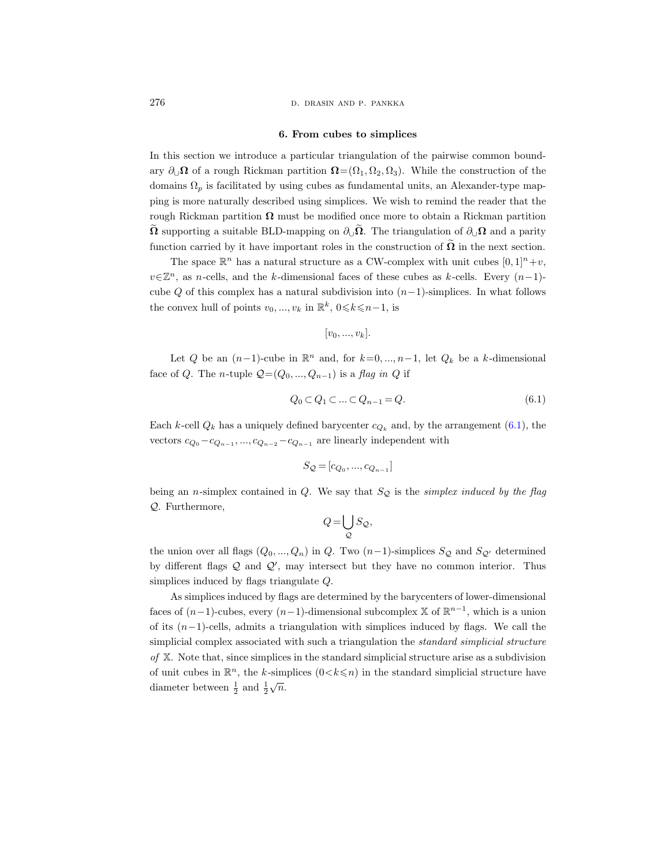276 **d. drasin and p. pankka** d. drasin and p. pankka

#### 6. From cubes to simplices

<span id="page-67-1"></span>In this section we introduce a particular triangulation of the pairwise common boundary  $\partial_{\mathcal{Q}} \Omega$  of a rough Rickman partition  $\Omega = (\Omega_1, \Omega_2, \Omega_3)$ . While the construction of the domains  $\Omega_p$  is facilitated by using cubes as fundamental units, an Alexander-type mapping is more naturally described using simplices. We wish to remind the reader that the rough Rickman partition  $\Omega$  must be modified once more to obtain a Rickman partition  $\Omega$  supporting a suitable BLD-mapping on  $\partial_{\mathcal{U}}\Omega$ . The triangulation of  $\partial_{\mathcal{U}}\Omega$  and a parity function carried by it have important roles in the construction of  $\Omega$  in the next section.

The space  $\mathbb{R}^n$  has a natural structure as a CW-complex with unit cubes  $[0, 1]^n + v$ ,  $v\in\mathbb{Z}^n$ , as n-cells, and the k-dimensional faces of these cubes as k-cells. Every  $(n-1)$ cube Q of this complex has a natural subdivision into  $(n-1)$ -simplices. In what follows the convex hull of points  $v_0, ..., v_k$  in  $\mathbb{R}^k$ ,  $0 \le k \le n-1$ , is

$$
[v_0, ..., v_k].
$$

Let Q be an  $(n-1)$ -cube in  $\mathbb{R}^n$  and, for  $k=0,\ldots,n-1$ , let  $Q_k$  be a k-dimensional face of Q. The n-tuple  $Q=(Q_0, ..., Q_{n-1})$  is a flag in Q if

<span id="page-67-0"></span>
$$
Q_0 \subset Q_1 \subset \ldots \subset Q_{n-1} = Q. \tag{6.1}
$$

Each k-cell  $Q_k$  has a uniquely defined barycenter  $c_{Q_k}$  and, by the arrangement [\(6.1\)](#page-67-0), the vectors  $c_{Q_0} - c_{Q_{n-1}}, ..., c_{Q_{n-2}} - c_{Q_{n-1}}$  are linearly independent with

$$
S_{\mathcal{Q}}=[c_{Q_0},...,c_{Q_{n-1}}]
$$

being an *n*-simplex contained in  $Q$ . We say that  $S_Q$  is the *simplex induced by the flag* Q. Furthermore,

$$
Q = \bigcup_{\mathcal{Q}} S_{\mathcal{Q}},
$$

the union over all flags  $(Q_0, ..., Q_n)$  in Q. Two  $(n-1)$ -simplices  $S_{\mathcal{Q}}$  and  $S_{\mathcal{Q}'}$  determined by different flags  $Q$  and  $Q'$ , may intersect but they have no common interior. Thus simplices induced by flags triangulate Q.

As simplices induced by flags are determined by the barycenters of lower-dimensional faces of  $(n-1)$ -cubes, every  $(n-1)$ -dimensional subcomplex X of  $\mathbb{R}^{n-1}$ , which is a union of its  $(n-1)$ -cells, admits a triangulation with simplices induced by flags. We call the simplicial complex associated with such a triangulation the *standard simplicial structure* of  $X$ . Note that, since simplices in the standard simplicial structure arise as a subdivision of unit cubes in  $\mathbb{R}^n$ , the k-simplices  $(0 \lt k \leq n)$  in the standard simplicial structure have diameter between  $\frac{1}{2}$  and  $\frac{1}{2}$  $\sqrt{n}$ .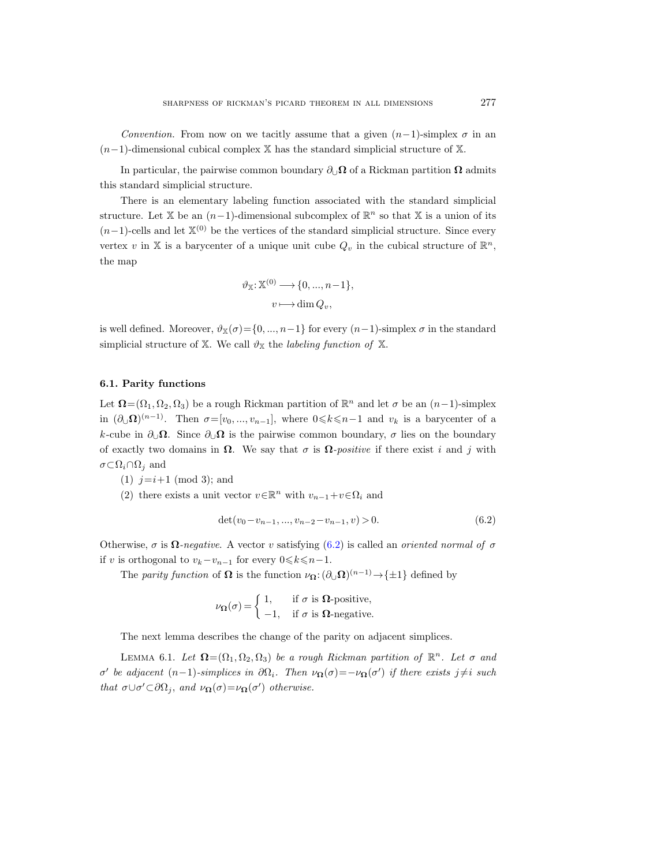Convention. From now on we tacitly assume that a given  $(n-1)$ -simplex  $\sigma$  in an  $(n-1)$ -dimensional cubical complex X has the standard simplicial structure of X.

In particular, the pairwise common boundary  $\partial_{\Box}\Omega$  of a Rickman partition  $\Omega$  admits this standard simplicial structure.

There is an elementary labeling function associated with the standard simplicial structure. Let X be an  $(n-1)$ -dimensional subcomplex of  $\mathbb{R}^n$  so that X is a union of its  $(n-1)$ -cells and let  $\mathbb{X}^{(0)}$  be the vertices of the standard simplicial structure. Since every vertex v in X is a barycenter of a unique unit cube  $Q_v$  in the cubical structure of  $\mathbb{R}^n$ , the map

$$
\vartheta_{\mathbb{X}}:\mathbb{X}^{(0)}\longrightarrow\{0,\ldots,n-1\},\
$$

$$
v\longmapsto\dim Q_v,
$$

is well defined. Moreover,  $\vartheta_{\mathbb{X}}(\sigma) = \{0, ..., n-1\}$  for every  $(n-1)$ -simplex  $\sigma$  in the standard simplicial structure of X. We call  $\vartheta_{\mathbb{X}}$  the *labeling function of* X.

# 6.1. Parity functions

Let  $\mathbf{\Omega} = (\Omega_1, \Omega_2, \Omega_3)$  be a rough Rickman partition of  $\mathbb{R}^n$  and let  $\sigma$  be an  $(n-1)$ -simplex in  $(\partial_{\cup}\Omega)^{(n-1)}$ . Then  $\sigma=[v_0, ..., v_{n-1}],$  where  $0 \leq k \leq n-1$  and  $v_k$  is a barycenter of a k-cube in  $\partial_{\cup}\Omega$ . Since  $\partial_{\cup}\Omega$  is the pairwise common boundary,  $\sigma$  lies on the boundary of exactly two domains in  $\Omega$ . We say that  $\sigma$  is  $\Omega$ -positive if there exist i and j with  $\sigma \subset \Omega_i \cap \Omega_j$  and

(1)  $j=i+1 \pmod{3}$ ; and

(2) there exists a unit vector  $v \in \mathbb{R}^n$  with  $v_{n-1} + v \in \Omega_i$  and

<span id="page-68-0"></span>
$$
\det(v_0 - v_{n-1}, \dots, v_{n-2} - v_{n-1}, v) > 0. \tag{6.2}
$$

Otherwise,  $\sigma$  is  $\Omega$ -negative. A vector v satisfying [\(6.2\)](#page-68-0) is called an oriented normal of  $\sigma$ if v is orthogonal to  $v_k-v_{n-1}$  for every  $0 \le k \le n-1$ .

The parity function of  $\Omega$  is the function  $\nu_{\Omega} : (\partial_{\cup} \Omega)^{(n-1)} \to {\pm 1}$  defined by

$$
\nu_{\Omega}(\sigma) = \begin{cases} 1, & \text{if } \sigma \text{ is } \Omega\text{-positive,} \\ -1, & \text{if } \sigma \text{ is } \Omega\text{-negative.} \end{cases}
$$

The next lemma describes the change of the parity on adjacent simplices.

LEMMA 6.1. Let  $\mathbf{\Omega} = (\Omega_1, \Omega_2, \Omega_3)$  be a rough Rickman partition of  $\mathbb{R}^n$ . Let  $\sigma$  and σ' be adjacent (n-1)-simplices in  $\partial\Omega_i$ . Then  $\nu_{\Omega}(\sigma) = -\nu_{\Omega}(\sigma')$  if there exists j≠i such that  $\sigma \cup \sigma' \subset \partial \Omega_j$ , and  $\nu_{\Omega}(\sigma) = \nu_{\Omega}(\sigma')$  otherwise.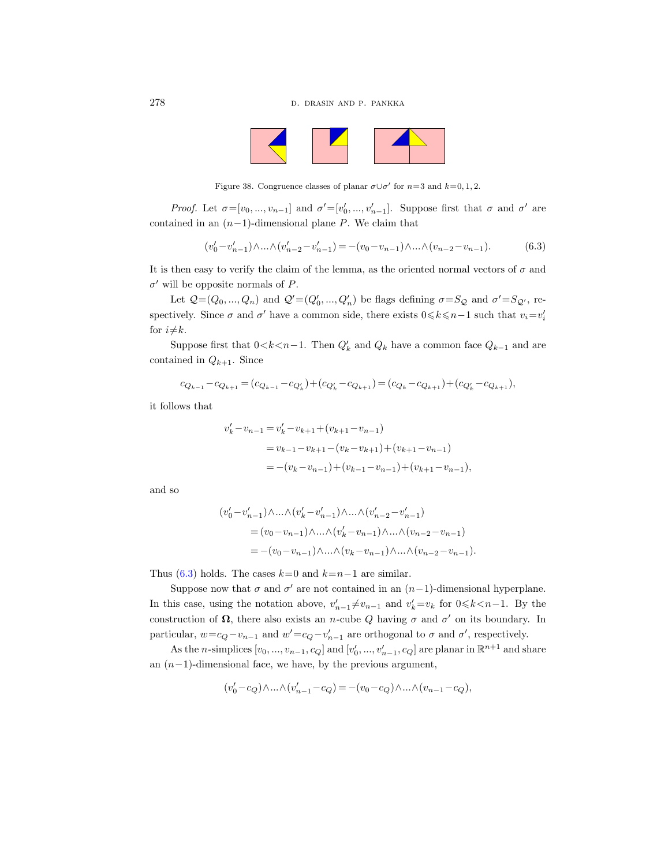

Figure 38. Congruence classes of planar  $\sigma \cup \sigma'$  for  $n=3$  and  $k=0,1,2$ .

Proof. Let  $\sigma=[v_0, ..., v_{n-1}]$  and  $\sigma'=[v'_0, ..., v'_{n-1}]$ . Suppose first that  $\sigma$  and  $\sigma'$  are contained in an  $(n-1)$ -dimensional plane P. We claim that

<span id="page-69-0"></span>
$$
(v'_0 - v'_{n-1}) \wedge \ldots \wedge (v'_{n-2} - v'_{n-1}) = -(v_0 - v_{n-1}) \wedge \ldots \wedge (v_{n-2} - v_{n-1}).
$$
\n(6.3)

It is then easy to verify the claim of the lemma, as the oriented normal vectors of  $\sigma$  and  $\sigma'$  will be opposite normals of P.

Let  $Q=(Q_0, ..., Q_n)$  and  $Q'=(Q'_0, ..., Q'_n)$  be flags defining  $\sigma = S_Q$  and  $\sigma' = S_{Q'}$ , respectively. Since  $\sigma$  and  $\sigma'$  have a common side, there exists  $0 \le k \le n-1$  such that  $v_i = v'_i$ for  $i \neq k$ .

Suppose first that  $0 < k < n-1$ . Then  $Q'_k$  and  $Q_k$  have a common face  $Q_{k-1}$  and are contained in  $Q_{k+1}$ . Since

$$
c_{Q_{k-1}} - c_{Q_{k+1}} = (c_{Q_{k-1}} - c_{Q'_{k}}) + (c_{Q'_{k}} - c_{Q_{k+1}}) = (c_{Q_k} - c_{Q_{k+1}}) + (c_{Q'_{k}} - c_{Q_{k+1}}),
$$

it follows that

$$
v'_{k} - v_{n-1} = v'_{k} - v_{k+1} + (v_{k+1} - v_{n-1})
$$
  
=  $v_{k-1} - v_{k+1} - (v_{k} - v_{k+1}) + (v_{k+1} - v_{n-1})$   
=  $-(v_{k} - v_{n-1}) + (v_{k-1} - v_{n-1}) + (v_{k+1} - v_{n-1}),$ 

and so

$$
\begin{aligned} (v_0'-v_{n-1}')\wedge&\ldots\wedge(v_k'-v_{n-1}')\wedge\ldots\wedge(v_{n-2}'-v_{n-1}')\\&=(v_0-v_{n-1})\wedge\ldots\wedge(v_k'-v_{n-1})\wedge\ldots\wedge(v_{n-2}-v_{n-1})\\&=-(v_0-v_{n-1})\wedge\ldots\wedge(v_k-v_{n-1})\wedge\ldots\wedge(v_{n-2}-v_{n-1}). \end{aligned}
$$

Thus [\(6.3\)](#page-69-0) holds. The cases  $k=0$  and  $k=n-1$  are similar.

Suppose now that  $\sigma$  and  $\sigma'$  are not contained in an  $(n-1)$ -dimensional hyperplane. In this case, using the notation above,  $v'_{n-1} \neq v_{n-1}$  and  $v'_{k} = v_{k}$  for  $0 \le k < n-1$ . By the construction of  $\Omega$ , there also exists an *n*-cube Q having  $\sigma$  and  $\sigma'$  on its boundary. In particular,  $w = c_Q - v_{n-1}$  and  $w' = c_Q - v'_{n-1}$  are orthogonal to  $\sigma$  and  $\sigma'$ , respectively.

As the *n*-simplices  $[v_0, ..., v_{n-1}, c_Q]$  and  $[v'_0, ..., v'_{n-1}, c_Q]$  are planar in  $\mathbb{R}^{n+1}$  and share an  $(n-1)$ -dimensional face, we have, by the previous argument,

$$
(v_0'-c_Q)\wedge\ldots\wedge(v_{n-1}'-c_Q)=-(v_0-c_Q)\wedge\ldots\wedge(v_{n-1}-c_Q),
$$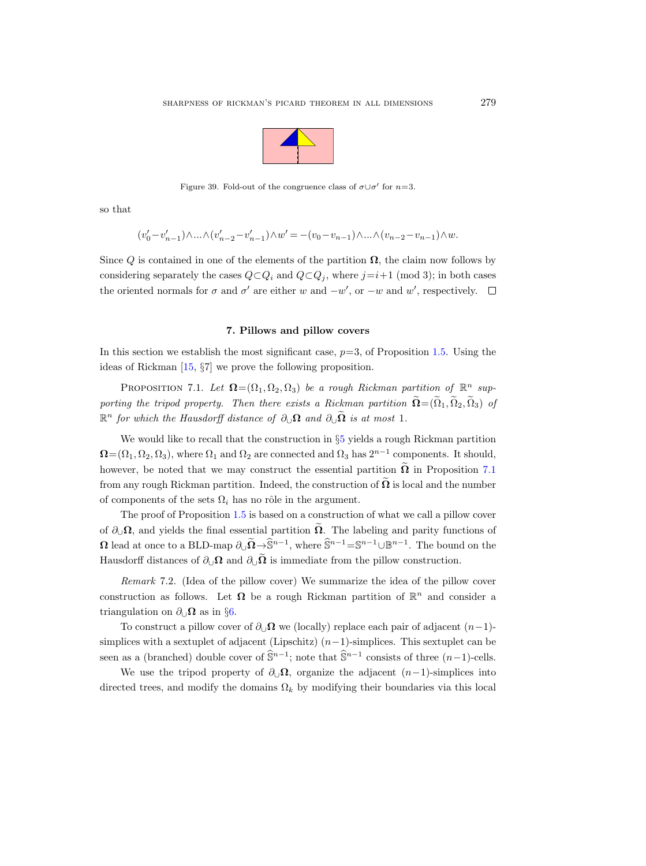

Figure 39. Fold-out of the congruence class of  $\sigma \cup \sigma'$  for  $n=3$ .

so that

$$
(v'_0 - v'_{n-1}) \wedge \ldots \wedge (v'_{n-2} - v'_{n-1}) \wedge w' = -(v_0 - v_{n-1}) \wedge \ldots \wedge (v_{n-2} - v_{n-1}) \wedge w.
$$

Since Q is contained in one of the elements of the partition  $\Omega$ , the claim now follows by considering separately the cases  $Q \subset Q_i$  and  $Q \subset Q_j$ , where  $j=i+1 \pmod{3}$ ; in both cases the oriented normals for  $\sigma$  and  $\sigma'$  are either w and  $-w'$ , or  $-w$  and w', respectively.

#### 7. Pillows and pillow covers

In this section we establish the most significant case,  $p=3$ , of Proposition [1.5.](#page-7-0) Using the ideas of Rickman [\[15,](#page-96-0) §7] we prove the following proposition.

<span id="page-70-0"></span>PROPOSITION 7.1. Let  $\mathbf{\Omega} = (\Omega_1, \Omega_2, \Omega_3)$  be a rough Rickman partition of  $\mathbb{R}^n$  supporting the tripod property. Then there exists a Rickman partition  $\widetilde{\Omega} = (\widetilde{\Omega}_1, \widetilde{\Omega}_2, \widetilde{\Omega}_3)$  of  $\mathbb{R}^n$  for which the Hausdorff distance of  $\partial_{\cup}\Omega$  and  $\partial_{\cup}\tilde{\Omega}$  is at most 1.

We would like to recall that the construction in  $\S5$  $\S5$  yields a rough Rickman partition  $\mathbf{\Omega} = (\Omega_1, \Omega_2, \Omega_3)$ , where  $\Omega_1$  and  $\Omega_2$  are connected and  $\Omega_3$  has  $2^{n-1}$  components. It should, however, be noted that we may construct the essential partition  $\overline{\Omega}$  in Proposition [7.1](#page-70-0) from any rough Rickman partition. Indeed, the construction of  $\Omega$  is local and the number of components of the sets  $\Omega_i$  has no rôle in the argument.

The proof of Proposition [1.5](#page-7-0) is based on a construction of what we call a pillow cover of  $\partial_{\cup}\Omega$ , and yields the final essential partition  $\tilde{\Omega}$ . The labeling and parity functions of  $\Omega$  lead at once to a BLD-map  $\partial_{\cup} \widetilde{\Omega} \to \widetilde{\mathbb{S}}^{n-1}$ , where  $\widehat{\mathbb{S}}^{n-1} = \mathbb{S}^{n-1} \cup \mathbb{B}^{n-1}$ . The bound on the Hausdorff distances of  $\partial_{\cup}\Omega$  and  $\partial_{\cup}\Omega$  is immediate from the pillow construction.

Remark 7.2. (Idea of the pillow cover) We summarize the idea of the pillow cover construction as follows. Let  $\Omega$  be a rough Rickman partition of  $\mathbb{R}^n$  and consider a triangulation on  $\partial_{\Box}\Omega$  as in §[6.](#page-67-1)

To construct a pillow cover of  $\partial_{\mathbf{U}}\mathbf{\Omega}$  we (locally) replace each pair of adjacent  $(n-1)$ simplices with a sextuplet of adjacent (Lipschitz)  $(n-1)$ -simplices. This sextuplet can be seen as a (branched) double cover of  $\hat{\mathbb{S}}^{n-1}$ ; note that  $\hat{\mathbb{S}}^{n-1}$  consists of three  $(n-1)$ -cells.

We use the tripod property of  $\partial_{\cup}\Omega$ , organize the adjacent  $(n-1)$ -simplices into directed trees, and modify the domains  $\Omega_k$  by modifying their boundaries via this local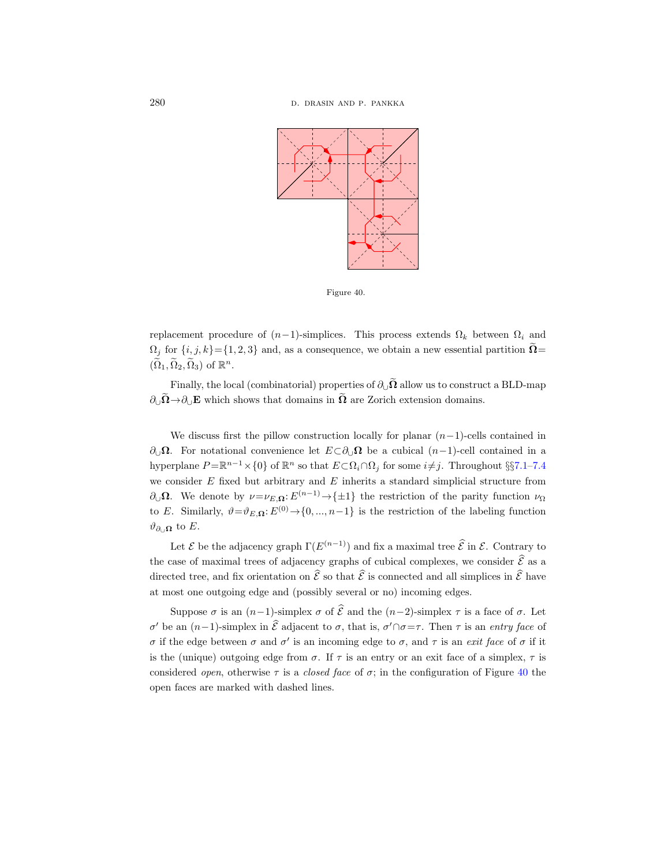

<span id="page-71-0"></span>Figure 40.

replacement procedure of  $(n-1)$ -simplices. This process extends  $\Omega_k$  between  $\Omega_i$  and  $\Omega_j$  for  $\{i, j, k\} = \{1, 2, 3\}$  and, as a consequence, we obtain a new essential partition  $\Omega =$  $(\widetilde{\Omega}_1, \widetilde{\Omega}_2, \widetilde{\Omega}_3)$  of  $\mathbb{R}^n$ .

Finally, the local (combinatorial) properties of  $\partial_{\cup} \tilde{\Omega}$  allow us to construct a BLD-map  $\partial_{\cup} \widetilde{\Omega} \rightarrow \partial_{\cup} E$  which shows that domains in  $\widetilde{\Omega}$  are Zorich extension domains.

We discuss first the pillow construction locally for planar  $(n-1)$ -cells contained in  $\partial_{\mathcal{Q}}\Omega$ . For notational convenience let  $E\subset\partial_{\mathcal{Q}}\Omega$  be a cubical  $(n-1)$ -cell contained in a hyperplane  $P = \mathbb{R}^{n-1} \times \{0\}$  of  $\mathbb{R}^n$  so that  $E \subset \Omega_i \cap \Omega_j$  for some  $i \neq j$ . Throughout §§[7.1–](#page-72-0)[7.4](#page-79-0) we consider  $E$  fixed but arbitrary and  $E$  inherits a standard simplicial structure from  $\partial_{\mathcal{Q}} \Omega$ . We denote by  $\nu = \nu_{E,\Omega} : E^{(n-1)} \to {\pm 1}$  the restriction of the parity function  $\nu_{\Omega}$ to E. Similarly,  $\vartheta = \vartheta_{E,\Omega}: E^{(0)} \to \{0, ..., n-1\}$  is the restriction of the labeling function  $\vartheta_{\partial ∪\Omega}$  to *E*.

Let  $\mathcal E$  be the adjacency graph  $\Gamma(E^{(n-1)})$  and fix a maximal tree  $\hat{\mathcal E}$  in  $\mathcal E$ . Contrary to the case of maximal trees of adjacency graphs of cubical complexes, we consider  $\hat{\mathcal{E}}$  as a directed tree, and fix orientation on  $\hat{\mathcal{E}}$  so that  $\hat{\mathcal{E}}$  is connected and all simplices in  $\hat{\mathcal{E}}$  have at most one outgoing edge and (possibly several or no) incoming edges.

Suppose  $\sigma$  is an  $(n-1)$ -simplex  $\sigma$  of  $\hat{\mathcal{E}}$  and the  $(n-2)$ -simplex  $\tau$  is a face of  $\sigma$ . Let σ' be an  $(n-1)$ -simplex in επειδεύεται to σ, that is, σ' ∩σ=τ. Then τ is an entry face of σ if the edge between σ and σ' is an incoming edge to σ, and  $\tau$  is an *exit face* of σ if it is the (unique) outgoing edge from  $\sigma$ . If  $\tau$  is an entry or an exit face of a simplex,  $\tau$  is considered *open*, otherwise  $\tau$  is a *closed face* of  $\sigma$ ; in the configuration of Figure [40](#page-71-0) the open faces are marked with dashed lines.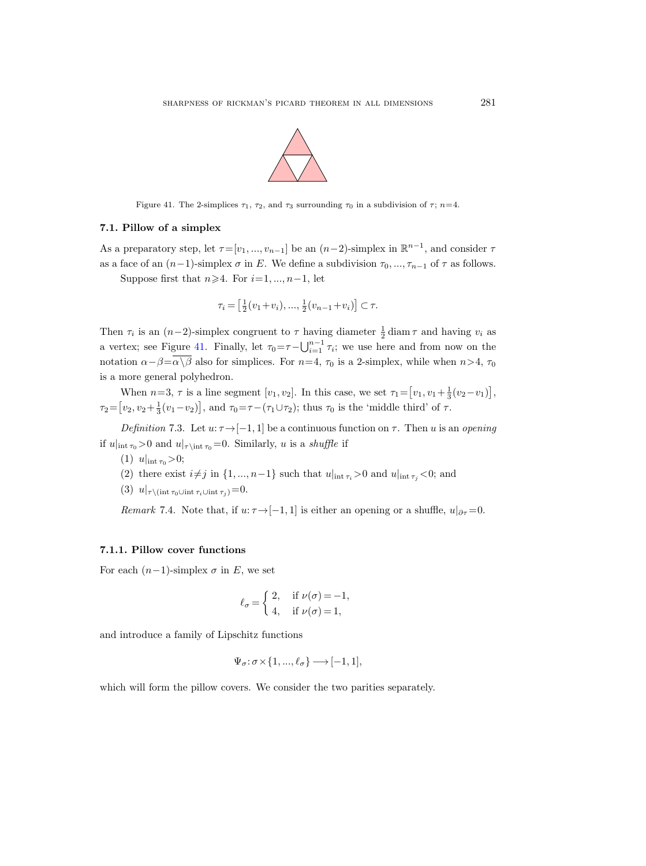

<span id="page-72-0"></span>Figure 41. The 2-simplices  $\tau_1$ ,  $\tau_2$ , and  $\tau_3$  surrounding  $\tau_0$  in a subdivision of  $\tau$ ;  $n=4$ .

#### <span id="page-72-1"></span>7.1. Pillow of a simplex

As a preparatory step, let  $\tau=[v_1, ..., v_{n-1}]$  be an  $(n-2)$ -simplex in  $\mathbb{R}^{n-1}$ , and consider  $\tau$ as a face of an  $(n-1)$ -simplex  $\sigma$  in E. We define a subdivision  $\tau_0, ..., \tau_{n-1}$  of  $\tau$  as follows.

Suppose first that  $n\geqslant 4$ . For  $i=1, ..., n-1$ , let

$$
\tau_i = \left[\frac{1}{2}(v_1 + v_i), \dots, \frac{1}{2}(v_{n-1} + v_i)\right] \subset \tau.
$$

Then  $\tau_i$  is an  $(n-2)$ -simplex congruent to  $\tau$  having diameter  $\frac{1}{2}$  diam $\tau$  and having  $v_i$  as a vertex; see Figure [41.](#page-72-0) Finally, let  $\tau_0 = \tau - \bigcup_{i=1}^{n-1} \tau_i$ ; we use here and from now on the notation  $\alpha-\beta=\alpha\sqrt{\beta}$  also for simplices. For  $n=4$ ,  $\tau_0$  is a 2-simplex, while when  $n>4$ ,  $\tau_0$ is a more general polyhedron.

When  $n=3$ ,  $\tau$  is a line segment  $[v_1, v_2]$ . In this case, we set  $\tau_1 = [v_1, v_1 + \frac{1}{3}(v_2 - v_1)],$  $\tau_2 = [v_2, v_2 + \frac{1}{3}(v_1 - v_2)], \text{ and } \tau_0 = \tau - (\tau_1 \cup \tau_2); \text{ thus } \tau_0 \text{ is the 'middle third' of } \tau.$ 

Definition 7.3. Let  $u: \tau \rightarrow [-1, 1]$  be a continuous function on  $\tau$ . Then u is an opening if  $u|_{\text{int } \tau_0} > 0$  and  $u|_{\tau \setminus \text{int } \tau_0} = 0$ . Similarly, u is a *shuffle* if

- (1)  $u|_{\text{int } \tau_0} > 0;$
- (2) there exist  $i\neq j$  in  $\{1, ..., n-1\}$  such that  $u|_{int \tau_i} > 0$  and  $u|_{int \tau_i} < 0$ ; and
- (3)  $u|_{\tau\setminus(\text{int } \tau_0\cup\text{int }\tau_i\cup\text{int }\tau_j)}=0.$

Remark 7.4. Note that, if  $u: \tau \rightarrow [-1, 1]$  is either an opening or a shuffle,  $u|_{\partial \tau} = 0$ .

### 7.1.1. Pillow cover functions

For each  $(n-1)$ -simplex  $\sigma$  in E, we set

$$
\ell_{\sigma} = \begin{cases} 2, & \text{if } \nu(\sigma) = -1, \\ 4, & \text{if } \nu(\sigma) = 1, \end{cases}
$$

and introduce a family of Lipschitz functions

$$
\Psi_{\sigma} \colon \sigma \times \{1, ..., \ell_{\sigma}\} \longrightarrow [-1, 1],
$$

which will form the pillow covers. We consider the two parities separately.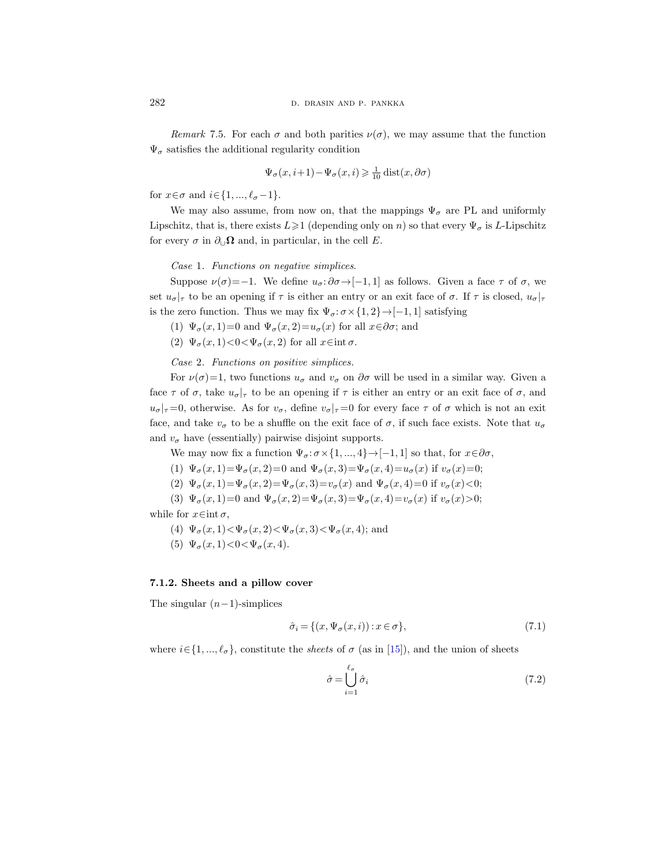Remark 7.5. For each  $\sigma$  and both parities  $\nu(\sigma)$ , we may assume that the function  $\Psi_{\sigma}$  satisfies the additional regularity condition

$$
\Psi_{\sigma}(x,i+1) - \Psi_{\sigma}(x,i) \geq \frac{1}{10} \operatorname{dist}(x,\partial \sigma)
$$

for  $x \in \sigma$  and  $i \in \{1, ..., \ell_{\sigma} - 1\}.$ 

We may also assume, from now on, that the mappings  $\Psi_{\sigma}$  are PL and uniformly Lipschitz, that is, there exists  $L \geq 1$  (depending only on n) so that every  $\Psi_{\sigma}$  is L-Lipschitz for every  $\sigma$  in  $\partial_{\cup} \Omega$  and, in particular, in the cell E.

Case 1. Functions on negative simplices.

Suppose  $\nu(\sigma) = -1$ . We define  $u_{\sigma} : \partial \sigma \rightarrow [-1, 1]$  as follows. Given a face  $\tau$  of  $\sigma$ , we set  $u_{\sigma}|_{\tau}$  to be an opening if  $\tau$  is either an entry or an exit face of  $\sigma$ . If  $\tau$  is closed,  $u_{\sigma}|_{\tau}$ is the zero function. Thus we may fix  $\Psi_{\sigma} : \sigma \times \{1, 2\} \rightarrow [-1, 1]$  satisfying

(1)  $\Psi_{\sigma}(x,1)=0$  and  $\Psi_{\sigma}(x,2)=u_{\sigma}(x)$  for all  $x\in\partial\sigma$ ; and

(2)  $\Psi_{\sigma}(x,1) < 0 < \Psi_{\sigma}(x,2)$  for all  $x \in \text{int } \sigma$ .

Case 2. Functions on positive simplices.

For  $\nu(\sigma)=1$ , two functions  $u_{\sigma}$  and  $v_{\sigma}$  on  $\partial \sigma$  will be used in a similar way. Given a face  $\tau$  of  $\sigma$ , take  $u_{\sigma}|_{\tau}$  to be an opening if  $\tau$  is either an entry or an exit face of  $\sigma$ , and  $u_{\sigma}$ |<sub>τ</sub> =0, otherwise. As for  $v_{\sigma}$ , define  $v_{\sigma}$ |<sub>τ</sub> =0 for every face  $\tau$  of  $\sigma$  which is not an exit face, and take  $v_{\sigma}$  to be a shuffle on the exit face of  $\sigma$ , if such face exists. Note that  $u_{\sigma}$ and  $v_{\sigma}$  have (essentially) pairwise disjoint supports.

We may now fix a function  $\Psi_{\sigma}$ :  $\sigma \times \{1, ..., 4\} \rightarrow [-1, 1]$  so that, for  $x \in \partial \sigma$ ,

(1)  $\Psi_{\sigma}(x, 1) = \Psi_{\sigma}(x, 2) = 0$  and  $\Psi_{\sigma}(x, 3) = \Psi_{\sigma}(x, 4) = u_{\sigma}(x)$  if  $v_{\sigma}(x) = 0$ ;

- (2)  $\Psi_{\sigma}(x,1) = \Psi_{\sigma}(x,2) = \Psi_{\sigma}(x,3) = v_{\sigma}(x)$  and  $\Psi_{\sigma}(x,4) = 0$  if  $v_{\sigma}(x) < 0;$
- (3)  $\Psi_{\sigma}(x,1)=0$  and  $\Psi_{\sigma}(x,2)=\Psi_{\sigma}(x,3)=\Psi_{\sigma}(x,4)=v_{\sigma}(x)$  if  $v_{\sigma}(x)>0;$

while for  $x \in \text{int } \sigma$ ,

- (4)  $\Psi_{\sigma}(x,1) < \Psi_{\sigma}(x,2) < \Psi_{\sigma}(x,3) < \Psi_{\sigma}(x,4)$ ; and
- (5)  $\Psi_{\sigma}(x,1) < 0 < \Psi_{\sigma}(x,4)$ .

## 7.1.2. Sheets and a pillow cover

The singular  $(n-1)$ -simplices

$$
\hat{\sigma}_i = \{ (x, \Psi_{\sigma}(x, i)) : x \in \sigma \},\tag{7.1}
$$

where  $i \in \{1, ..., \ell_{\sigma}\}\)$ , constitute the *sheets* of  $\sigma$  (as in [\[15\]](#page-96-0)), and the union of sheets

$$
\hat{\sigma} = \bigcup_{i=1}^{\ell_{\sigma}} \hat{\sigma}_i \tag{7.2}
$$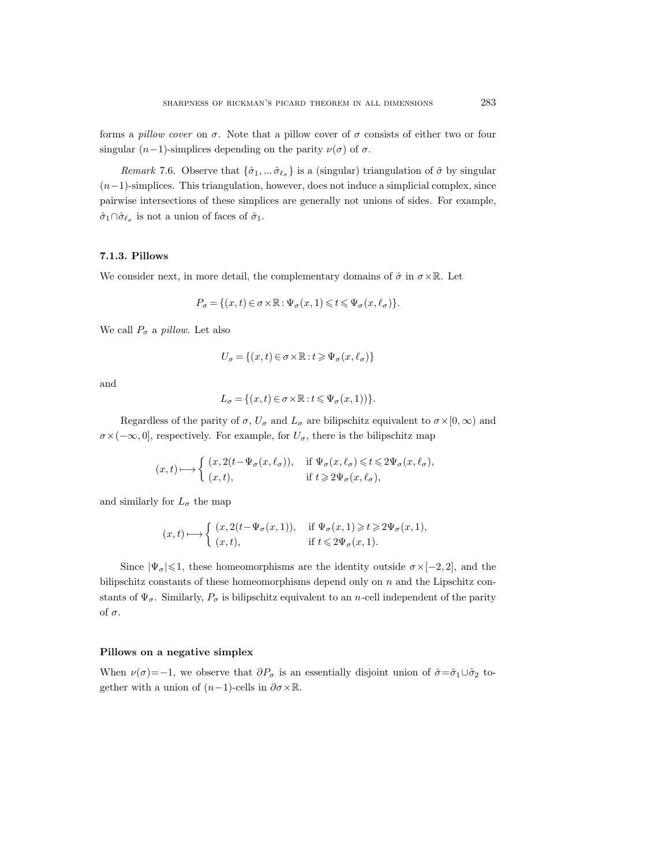forms a *pillow cover* on  $\sigma$ . Note that a pillow cover of  $\sigma$  consists of either two or four singular  $(n-1)$ -simplices depending on the parity  $\nu(\sigma)$  of  $\sigma$ .

*Remark* 7.6. Observe that  $\{\hat{\sigma}_1, \dots, \hat{\sigma}_{\ell_{\sigma}}\}$  is a (singular) triangulation of  $\hat{\sigma}$  by singular  $(n-1)$ -simplices. This triangulation, however, does not induce a simplicial complex, since pairwise intersections of these simplices are generally not unions of sides. For example,  $\hat{\sigma}_1 \cap \hat{\sigma}_{\ell_{\sigma}}$  is not a union of faces of  $\hat{\sigma}_1$ .

## 7.1.3. Pillows

We consider next, in more detail, the complementary domains of  $\hat{\sigma}$  in  $\sigma \times \mathbb{R}$ . Let

$$
P_{\sigma} = \{ (x, t) \in \sigma \times \mathbb{R} : \Psi_{\sigma}(x, 1) \leqslant t \leqslant \Psi_{\sigma}(x, \ell_{\sigma}) \}.
$$

We call  $P_{\sigma}$  a pillow. Let also

$$
U_{\sigma} = \{(x, t) \in \sigma \times \mathbb{R} : t \geq \Psi_{\sigma}(x, \ell_{\sigma})\}
$$

and

$$
L_{\sigma} = \{ (x, t) \in \sigma \times \mathbb{R} : t \leq \Psi_{\sigma}(x, 1)) \}.
$$

Regardless of the parity of  $\sigma$ ,  $U_{\sigma}$  and  $L_{\sigma}$  are bilipschitz equivalent to  $\sigma \times [0,\infty)$  and  $\sigma \times (-\infty, 0]$ , respectively. For example, for  $U_{\sigma}$ , there is the bilipschitz map

$$
(x,t)\longmapsto \left\{ \begin{array}{ll} (x,2(t-\Psi_\sigma(x,\ell_\sigma)), & \text{ if } \Psi_\sigma(x,\ell_\sigma)\leqslant t\leqslant 2\Psi_\sigma(x,\ell_\sigma),\\ (x,t), & \text{ if } t\geqslant 2\Psi_\sigma(x,\ell_\sigma), \end{array} \right.
$$

and similarly for  $L_{\sigma}$  the map

$$
(x,t)\longmapsto \left\{\begin{array}{ll} (x,2(t-\Psi_\sigma(x,1)),&\text{ if }\Psi_\sigma(x,1)\geqslant t\geqslant 2\Psi_\sigma(x,1),\\ (x,t),&\text{ if }t\leqslant 2\Psi_\sigma(x,1). \end{array}\right.
$$

Since  $|\Psi_{\sigma}| \leq 1$ , these homeomorphisms are the identity outside  $\sigma \times [-2, 2]$ , and the bilipschitz constants of these homeomorphisms depend only on n and the Lipschitz constants of  $\Psi_{\sigma}$ . Similarly,  $P_{\sigma}$  is bilipschitz equivalent to an n-cell independent of the parity of  $\sigma$ .

#### Pillows on a negative simplex

When  $\nu(\sigma)=-1$ , we observe that  $\partial P_{\sigma}$  is an essentially disjoint union of  $\hat{\sigma}=\hat{\sigma}_1\cup\hat{\sigma}_2$  together with a union of  $(n-1)$ -cells in  $\partial \sigma \times \mathbb{R}$ .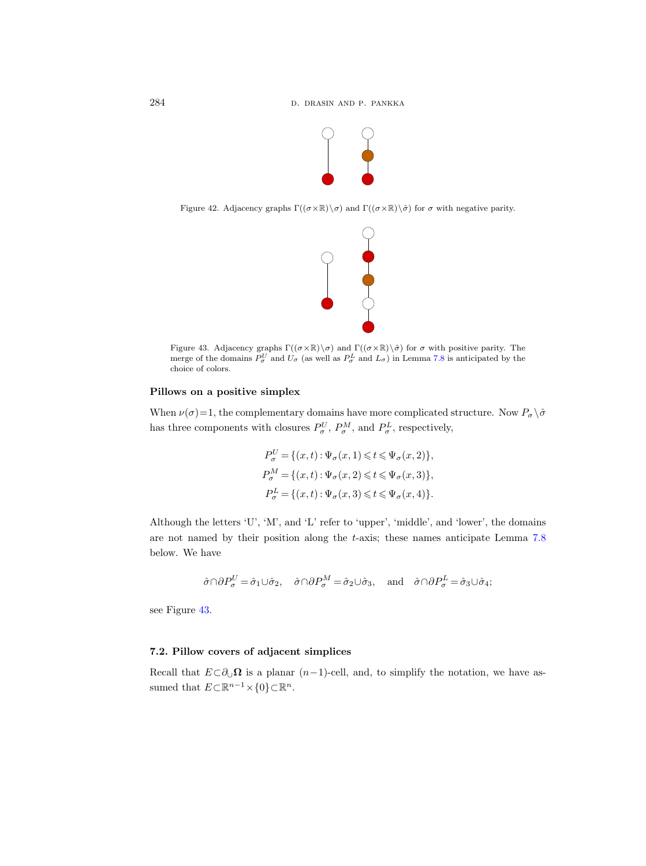

Figure 42. Adjacency graphs  $\Gamma((\sigma \times \mathbb{R}) \setminus \sigma)$  and  $\Gamma((\sigma \times \mathbb{R}) \setminus \hat{\sigma})$  for  $\sigma$  with negative parity.



<span id="page-75-0"></span>Figure 43. Adjacency graphs  $\Gamma((\sigma \times \mathbb{R}) \setminus \sigma)$  and  $\Gamma((\sigma \times \mathbb{R}) \setminus \hat{\sigma})$  for  $\sigma$  with positive parity. The merge of the domains  $P^U_\sigma$  and  $U_\sigma$  (as well as  $P^L_\sigma$  and  $L_\sigma$ ) in Lemma [7.8](#page-76-0) is anticipated by the choice of colors.

# Pillows on a positive simplex

When  $\nu(\sigma)=1$ , the complementary domains have more complicated structure. Now  $P_{\sigma} \setminus \hat{\sigma}$ has three components with closures  $P^U_\sigma$ ,  $P^M_\sigma$ , and  $P^L_\sigma$ , respectively,

$$
P_{\sigma}^{U} = \{ (x, t) : \Psi_{\sigma}(x, 1) \leq t \leq \Psi_{\sigma}(x, 2) \},
$$
  
\n
$$
P_{\sigma}^{M} = \{ (x, t) : \Psi_{\sigma}(x, 2) \leq t \leq \Psi_{\sigma}(x, 3) \},
$$
  
\n
$$
P_{\sigma}^{L} = \{ (x, t) : \Psi_{\sigma}(x, 3) \leq t \leq \Psi_{\sigma}(x, 4) \}.
$$

Although the letters 'U', 'M', and 'L' refer to 'upper', 'middle', and 'lower', the domains are not named by their position along the t-axis; these names anticipate Lemma [7.8](#page-76-0) below. We have

$$
\hat{\sigma} \cap \partial P_{\sigma}^{U} = \hat{\sigma}_1 \cup \hat{\sigma}_2, \quad \hat{\sigma} \cap \partial P_{\sigma}^{M} = \hat{\sigma}_2 \cup \hat{\sigma}_3, \quad \text{and} \quad \hat{\sigma} \cap \partial P_{\sigma}^{L} = \hat{\sigma}_3 \cup \hat{\sigma}_4;
$$

see Figure [43.](#page-75-0)

# <span id="page-75-1"></span>7.2. Pillow covers of adjacent simplices

Recall that  $E\subset \partial_{\bigcup}\Omega$  is a planar  $(n-1)$ -cell, and, to simplify the notation, we have assumed that  $E \subset \mathbb{R}^{n-1} \times \{0\} \subset \mathbb{R}^n$ .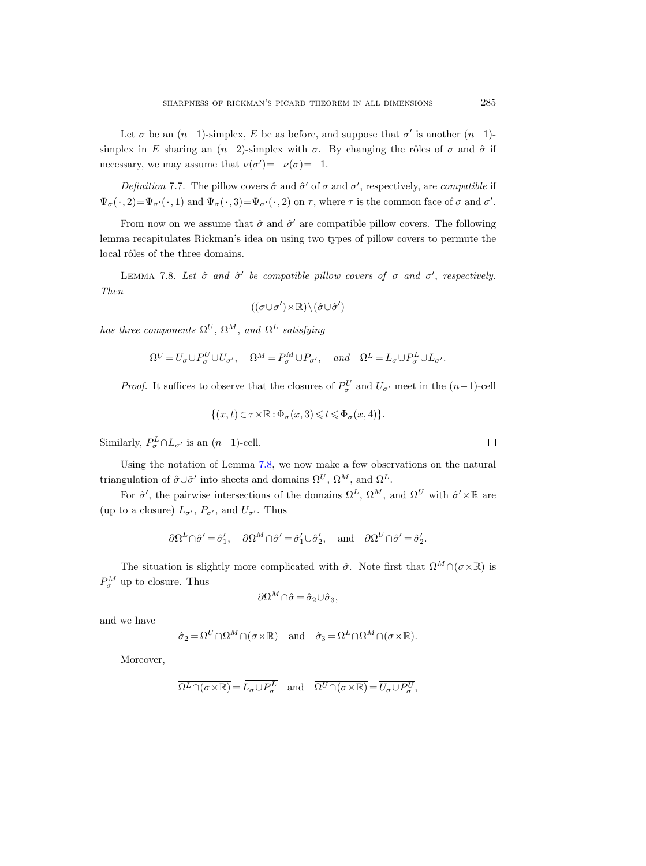Let  $\sigma$  be an  $(n-1)$ -simplex, E be as before, and suppose that  $\sigma'$  is another  $(n-1)$ simplex in E sharing an  $(n-2)$ -simplex with  $\sigma$ . By changing the rôles of  $\sigma$  and  $\hat{\sigma}$  if necessary, we may assume that  $\nu(\sigma') = -\nu(\sigma) = -1$ .

<span id="page-76-1"></span>Definition 7.7. The pillow covers  $\hat{\sigma}$  and  $\hat{\sigma}'$  of  $\sigma$  and  $\sigma'$ , respectively, are *compatible* if  $\Psi_{\sigma}(\cdot, 2) = \Psi_{\sigma}(\cdot, 1)$  and  $\Psi_{\sigma}(\cdot, 3) = \Psi_{\sigma}(\cdot, 2)$  on  $\tau$ , where  $\tau$  is the common face of  $\sigma$  and  $\sigma'$ .

From now on we assume that  $\hat{\sigma}$  and  $\hat{\sigma}'$  are compatible pillow covers. The following lemma recapitulates Rickman's idea on using two types of pillow covers to permute the local rôles of the three domains.

<span id="page-76-0"></span>LEMMA 7.8. Let  $\hat{\sigma}$  and  $\hat{\sigma}'$  be compatible pillow covers of  $\sigma$  and  $\sigma'$ , respectively. Then

$$
((\sigma \cup \sigma') \times \mathbb{R}) \backslash (\hat{\sigma} \cup \hat{\sigma}')
$$

has three components  $\Omega^U$ ,  $\Omega^M$ , and  $\Omega^L$  satisfying

$$
\overline{\Omega^U}=U_\sigma\cup P_\sigma^U\cup U_{\sigma'},\quad \overline{\Omega^M}=P_\sigma^M\cup P_{\sigma'},\quad \textit{and}\quad \overline{\Omega^L}=L_\sigma\cup P_\sigma^L\cup L_{\sigma'}.
$$

*Proof.* It suffices to observe that the closures of  $P^U_\sigma$  and  $U_{\sigma'}$  meet in the  $(n-1)$ -cell

$$
\{(x,t)\in\tau\times\mathbb{R}:\Phi_{\sigma}(x,3)\leqslant t\leqslant\Phi_{\sigma}(x,4)\}.
$$

Similarly,  $P^L_{\sigma} \cap L_{\sigma'}$  is an  $(n-1)$ -cell.

Using the notation of Lemma [7.8,](#page-76-0) we now make a few observations on the natural triangulation of  $\hat{\sigma} \cup \hat{\sigma}'$  into sheets and domains  $\Omega^U$ ,  $\Omega^M$ , and  $\Omega^L$ .

For  $\hat{\sigma}'$ , the pairwise intersections of the domains  $\Omega^L$ ,  $\Omega^M$ , and  $\Omega^U$  with  $\hat{\sigma}' \times \mathbb{R}$  are (up to a closure)  $L_{\sigma'}$ ,  $P_{\sigma'}$ , and  $U_{\sigma'}$ . Thus

$$
\partial \Omega^L \cap \hat{\sigma}' = \hat{\sigma}'_1, \quad \partial \Omega^M \cap \hat{\sigma}' = \hat{\sigma}'_1 \cup \hat{\sigma}'_2, \quad \text{and} \quad \partial \Omega^U \cap \hat{\sigma}' = \hat{\sigma}'_2.
$$

The situation is slightly more complicated with  $\hat{\sigma}$ . Note first that  $\Omega^M \cap (\sigma \times \mathbb{R})$  is  $P_{\sigma}^{M}$  up to closure. Thus

$$
\partial \Omega^M \cap \hat{\sigma} = \hat{\sigma}_2 \cup \hat{\sigma}_3,
$$

and we have

$$
\hat{\sigma}_2 = \Omega^U \cap \Omega^M \cap (\sigma \times \mathbb{R}) \quad \text{and} \quad \hat{\sigma}_3 = \Omega^L \cap \Omega^M \cap (\sigma \times \mathbb{R}).
$$

Moreover,

$$
\overline{\Omega^L \cap (\sigma \times \mathbb{R})} = \overline{L_{\sigma} \cup P_{\sigma}^L} \quad \text{and} \quad \overline{\Omega^U \cap (\sigma \times \mathbb{R})} = \overline{U_{\sigma} \cup P_{\sigma}^U},
$$

 $\Box$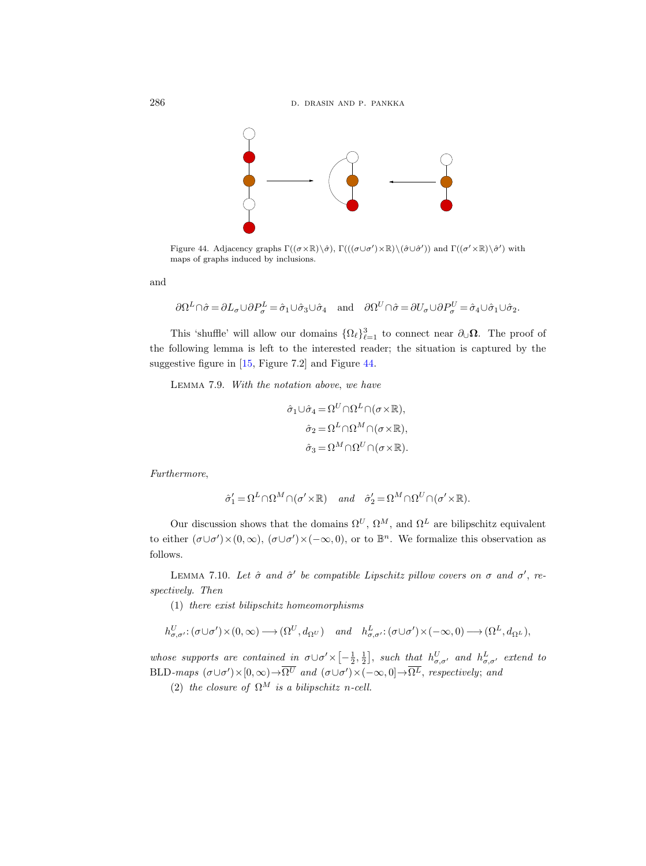

<span id="page-77-0"></span>Figure 44. Adjacency graphs  $\Gamma((\sigma \times \mathbb{R}) \setminus \hat{\sigma})$ ,  $\Gamma(((\sigma \cup \sigma') \times \mathbb{R}) \setminus (\hat{\sigma} \cup \hat{\sigma}'))$  and  $\Gamma((\sigma' \times \mathbb{R}) \setminus \hat{\sigma}')$  with maps of graphs induced by inclusions.

and

$$
\partial \Omega^L \cap \hat{\sigma} = \partial L_{\sigma} \cup \partial P_{\sigma}^L = \hat{\sigma}_1 \cup \hat{\sigma}_3 \cup \hat{\sigma}_4 \quad \text{and} \quad \partial \Omega^U \cap \hat{\sigma} = \partial U_{\sigma} \cup \partial P_{\sigma}^U = \hat{\sigma}_4 \cup \hat{\sigma}_1 \cup \hat{\sigma}_2.
$$

This 'shuffle' will allow our domains  $\{\Omega_\ell\}_{\ell=1}^3$  to connect near  $\partial_{\cup}\Omega$ . The proof of the following lemma is left to the interested reader; the situation is captured by the suggestive figure in [\[15,](#page-96-0) Figure 7.2] and Figure [44.](#page-77-0)

Lemma 7.9. With the notation above, we have

$$
\hat{\sigma}_1 \cup \hat{\sigma}_4 = \Omega^U \cap \Omega^L \cap (\sigma \times \mathbb{R}),
$$

$$
\hat{\sigma}_2 = \Omega^L \cap \Omega^M \cap (\sigma \times \mathbb{R}),
$$

$$
\hat{\sigma}_3 = \Omega^M \cap \Omega^U \cap (\sigma \times \mathbb{R}).
$$

Furthermore,

$$
\hat{\sigma}'_1 = \Omega^L \cap \Omega^M \cap (\sigma' \times \mathbb{R}) \quad and \quad \hat{\sigma}'_2 = \Omega^M \cap \Omega^U \cap (\sigma' \times \mathbb{R}).
$$

Our discussion shows that the domains  $\Omega^U$ ,  $\Omega^M$ , and  $\Omega^L$  are bilipschitz equivalent to either  $(\sigma \cup \sigma') \times (0, \infty)$ ,  $(\sigma \cup \sigma') \times (-\infty, 0)$ , or to  $\mathbb{B}^n$ . We formalize this observation as follows.

<span id="page-77-1"></span>LEMMA 7.10. Let  $\hat{\sigma}$  and  $\hat{\sigma}'$  be compatible Lipschitz pillow covers on  $\sigma$  and  $\sigma'$ , respectively. Then

(1) there exist bilipschitz homeomorphisms

$$
h^U_{\sigma,\sigma'}: (\sigma \cup \sigma') \times (0,\infty) \longrightarrow (\Omega^U, d_{\Omega^U}) \quad and \quad h^L_{\sigma,\sigma'}: (\sigma \cup \sigma') \times (-\infty,0) \longrightarrow (\Omega^L, d_{\Omega^L}),
$$

whose supports are contained in  $\sigma \cup \sigma' \times [-\frac{1}{2},\frac{1}{2}],$  such that  $h^U_{\sigma,\sigma'}$  and  $h^L_{\sigma,\sigma'}$  extend to BLD-maps  $(\sigma \cup \sigma') \times [0, \infty) \to \overline{\Omega^U}$  and  $(\sigma \cup \sigma') \times (-\infty, 0] \to \overline{\Omega^L}$ , respectively; and

(2) the closure of  $\Omega^M$  is a bilipschitz n-cell.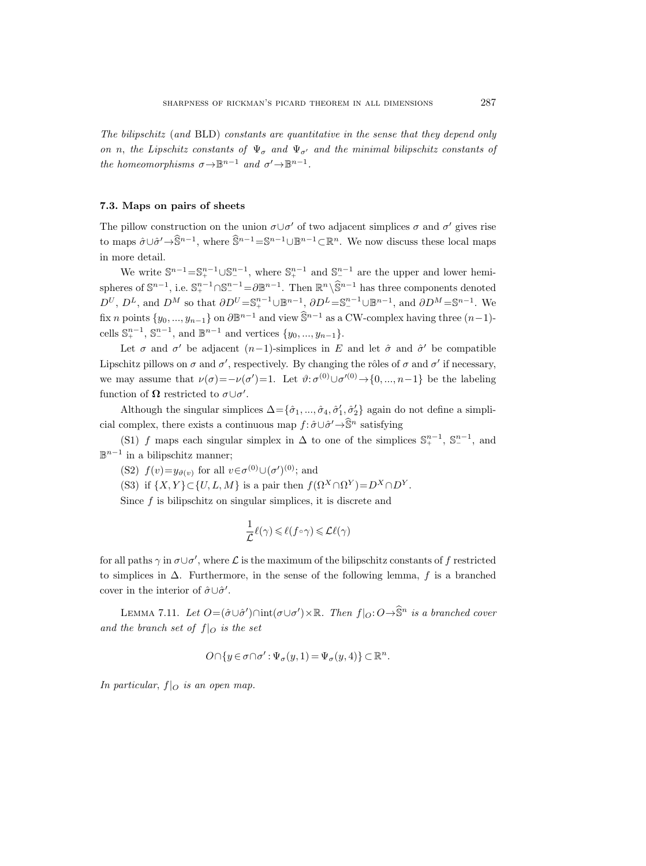The bilipschitz (and BLD) constants are quantitative in the sense that they depend only on n, the Lipschitz constants of  $\Psi_{\sigma}$  and  $\Psi_{\sigma'}$  and the minimal bilipschitz constants of the homeomorphisms  $\sigma \rightarrow \mathbb{B}^{n-1}$  and  $\sigma' \rightarrow \mathbb{B}^{n-1}$ .

#### <span id="page-78-0"></span>7.3. Maps on pairs of sheets

The pillow construction on the union  $\sigma \cup \sigma'$  of two adjacent simplices  $\sigma$  and  $\sigma'$  gives rise to maps  $\hat{\sigma} \cup \hat{\sigma}' \to \hat{\mathbb{S}}^{n-1}$ , where  $\hat{\mathbb{S}}^{n-1} = \mathbb{S}^{n-1} \cup \mathbb{B}^{n-1} \subset \mathbb{R}^n$ . We now discuss these local maps in more detail.

We write  $\mathbb{S}^{n-1} = \mathbb{S}^{n-1}_+ \cup \mathbb{S}^{n-1}_-$ , where  $\mathbb{S}^{n-1}_+$  and  $\mathbb{S}^{n-1}_-$  are the upper and lower hemispheres of  $\mathbb{S}^{n-1}$ , i.e.  $\mathbb{S}^{n-1}_+ \cap \mathbb{S}^{n-1}_- = \partial \mathbb{B}^{n-1}$ . Then  $\mathbb{R}^n \setminus \widehat{\mathbb{S}}^{n-1}$  has three components denoted  $D^U$ ,  $D^L$ , and  $D^M$  so that  $\partial D^U = \mathbb{S}_+^{n-1} \cup \mathbb{B}^{n-1}$ ,  $\partial D^L = \mathbb{S}_-^{n-1} \cup \mathbb{B}^{n-1}$ , and  $\partial D^M = \mathbb{S}^{n-1}$ . We fix *n* points  $\{y_0, ..., y_{n-1}\}$  on  $\partial \mathbb{B}^{n-1}$  and view  $\widehat{\mathbb{S}}^{n-1}$  as a CW-complex having three  $(n-1)$ cells  $\mathbb{S}^{n-1}_+$ ,  $\mathbb{S}^{n-1}_-$ , and  $\mathbb{B}^{n-1}$  and vertices  $\{y_0, ..., y_{n-1}\}.$ 

Let  $\sigma$  and  $\sigma'$  be adjacent  $(n-1)$ -simplices in E and let  $\hat{\sigma}$  and  $\hat{\sigma}'$  be compatible Lipschitz pillows on  $\sigma$  and  $\sigma'$ , respectively. By changing the rôles of  $\sigma$  and  $\sigma'$  if necessary, we may assume that  $\nu(\sigma) = -\nu(\sigma') = 1$ . Let  $\vartheta: \sigma^{(0)} \cup \sigma'^{(0)} \to \{0, ..., n-1\}$  be the labeling function of  $\Omega$  restricted to  $\sigma \cup \sigma'$ .

Although the singular simplices  $\Delta = \{\hat{\sigma}_1, ..., \hat{\sigma}_4, \hat{\sigma}'_1, \hat{\sigma}'_2\}$  again do not define a simplicial complex, there exists a continuous map  $f: \hat{\sigma} \cup \hat{\sigma}' \rightarrow \hat{\mathbb{S}}^n$  satisfying

(S1) f maps each singular simplex in  $\Delta$  to one of the simplices  $\mathbb{S}_{+}^{n-1}$ ,  $\mathbb{S}_{-}^{n-1}$ , and  $\mathbb{B}^{n-1}$  in a bilipschitz manner;

(S2)  $f(v)=y_{\vartheta(v)}$  for all  $v \in \sigma^{(0)} \cup (\sigma')^{(0)}$ ; and

(S3) if  $\{X, Y\} \subset \{U, L, M\}$  is a pair then  $f(\Omega^X \cap \Omega^Y) = D^X \cap D^Y$ .

Since  $f$  is bilipschitz on singular simplices, it is discrete and

$$
\frac{1}{\mathcal{L}}\ell(\gamma) \leqslant \ell(f \circ \gamma) \leqslant \mathcal{L}\ell(\gamma)
$$

for all paths  $\gamma$  in  $\sigma \cup \sigma'$ , where  $\mathcal L$  is the maximum of the bilipschitz constants of f restricted to simplices in  $\Delta$ . Furthermore, in the sense of the following lemma, f is a branched cover in the interior of  $\hat{\sigma} \cup \hat{\sigma}'$ .

LEMMA 7.11. Let  $O = (\hat{\sigma} \cup \hat{\sigma}') \cap \text{int}(\sigma \cup \sigma') \times \mathbb{R}$ . Then  $f|_O: O \to \hat{\mathbb{S}}^n$  is a branched cover and the branch set of  $f|_O$  is the set

$$
O \cap \{y \in \sigma \cap \sigma' : \Psi_{\sigma}(y,1) = \Psi_{\sigma}(y,4)\} \subset \mathbb{R}^n.
$$

In particular,  $f|_O$  is an open map.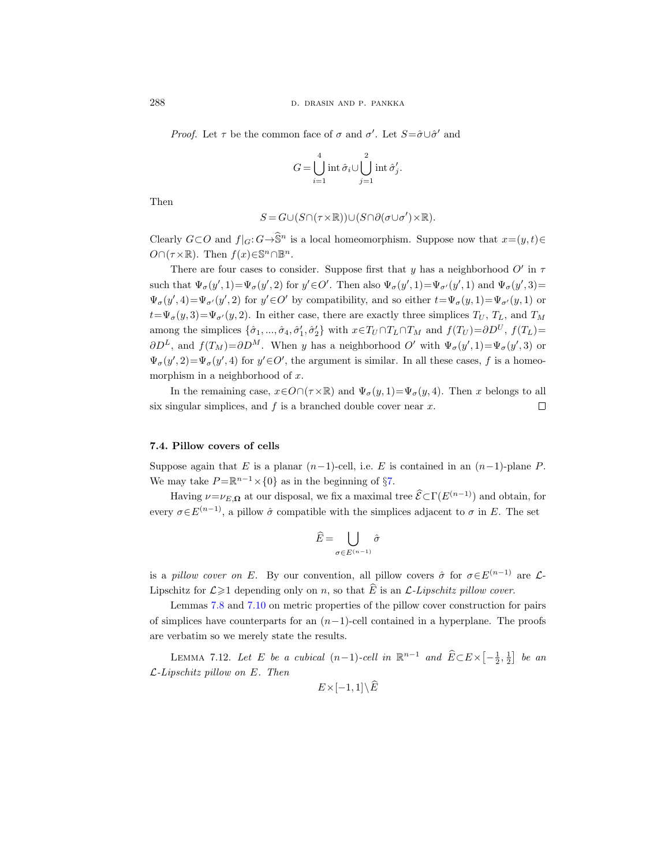*Proof.* Let  $\tau$  be the common face of  $\sigma$  and  $\sigma'$ . Let  $S = \hat{\sigma} \cup \hat{\sigma}'$  and

$$
G = \bigcup_{i=1}^4 \operatorname{int} \hat{\sigma}_i \cup \bigcup_{j=1}^2 \operatorname{int} \hat{\sigma}'_j.
$$

Then

$$
S = G \cup (S \cap (\tau \times \mathbb{R})) \cup (S \cap \partial(\sigma \cup \sigma') \times \mathbb{R}).
$$

Clearly  $G \subset O$  and  $f|_G : G \to \hat{\mathbb{S}}^n$  is a local homeomorphism. Suppose now that  $x=(y, t) \in$  $O \cap (\tau \times \mathbb{R})$ . Then  $f(x) \in \mathbb{S}^n \cap \mathbb{B}^n$ .

There are four cases to consider. Suppose first that y has a neighborhood  $O'$  in  $\tau$ such that  $\Psi_{\sigma}(y', 1) = \Psi_{\sigma}(y', 2)$  for  $y' \in O'$ . Then also  $\Psi_{\sigma}(y', 1) = \Psi_{\sigma'}(y', 1)$  and  $\Psi_{\sigma}(y', 3) =$  $\Psi_{\sigma}(y', 4) = \Psi_{\sigma'}(y', 2)$  for  $y' \in O'$  by compatibility, and so either  $t = \Psi_{\sigma}(y, 1) = \Psi_{\sigma'}(y, 1)$  or  $t=\Psi_{\sigma}(y, 3)=\Psi_{\sigma}(y, 2)$ . In either case, there are exactly three simplices  $T_U$ ,  $T_L$ , and  $T_M$ among the simplices  $\{\hat{\sigma}_1, ..., \hat{\sigma}_4, \hat{\sigma}'_1, \hat{\sigma}'_2\}$  with  $x \in T_U \cap T_L \cap T_M$  and  $f(T_U) = \partial D^U$ ,  $f(T_L) =$  $\partial D^L$ , and  $f(T_M) = \partial D^M$ . When y has a neighborhood O' with  $\Psi_{\sigma}(y', 1) = \Psi_{\sigma}(y', 3)$  or  $\Psi_{\sigma}(y', 2) = \Psi_{\sigma}(y', 4)$  for  $y' \in O'$ , the argument is similar. In all these cases, f is a homeomorphism in a neighborhood of  $x$ .

In the remaining case,  $x \in O \cap (\tau \times \mathbb{R})$  and  $\Psi_{\sigma}(y, 1) = \Psi_{\sigma}(y, 4)$ . Then x belongs to all six singular simplices, and  $f$  is a branched double cover near  $x$ .  $\Box$ 

# 7.4. Pillow covers of cells

Suppose again that E is a planar  $(n-1)$ -cell, i.e. E is contained in an  $(n-1)$ -plane P. We may take  $P = \mathbb{R}^{n-1} \times \{0\}$  as in the beginning of §[7.](#page-70-0)

Having  $\nu = \nu_{E,\Omega}$  at our disposal, we fix a maximal tree  $\widehat{\mathcal{E}} \subset \Gamma(E^{(n-1)})$  and obtain, for every  $\sigma \in E^{(n-1)}$ , a pillow  $\hat{\sigma}$  compatible with the simplices adjacent to  $\sigma$  in E. The set

$$
\widehat{E} = \bigcup_{\sigma \in E^{(n-1)}} \hat{\sigma}
$$

is a pillow cover on E. By our convention, all pillow covers  $\hat{\sigma}$  for  $\sigma \in E^{(n-1)}$  are  $\mathcal{L}$ -Lipschitz for  $\mathcal{L} \geq 1$  depending only on n, so that  $\widehat{E}$  is an  $\mathcal{L}$ -Lipschitz pillow cover.

Lemmas [7.8](#page-76-0) and [7.10](#page-77-1) on metric properties of the pillow cover construction for pairs of simplices have counterparts for an  $(n-1)$ -cell contained in a hyperplane. The proofs are verbatim so we merely state the results.

<span id="page-79-0"></span>LEMMA 7.12. Let E be a cubical  $(n-1)$ -cell in  $\mathbb{R}^{n-1}$  and  $\widehat{E} \subset E \times \left[-\frac{1}{2},\frac{1}{2}\right]$  be an  $\mathcal{L}\text{-}Lipschitz$  pillow on E. Then

$$
E\times [-1,1]\backslash \widehat{E}
$$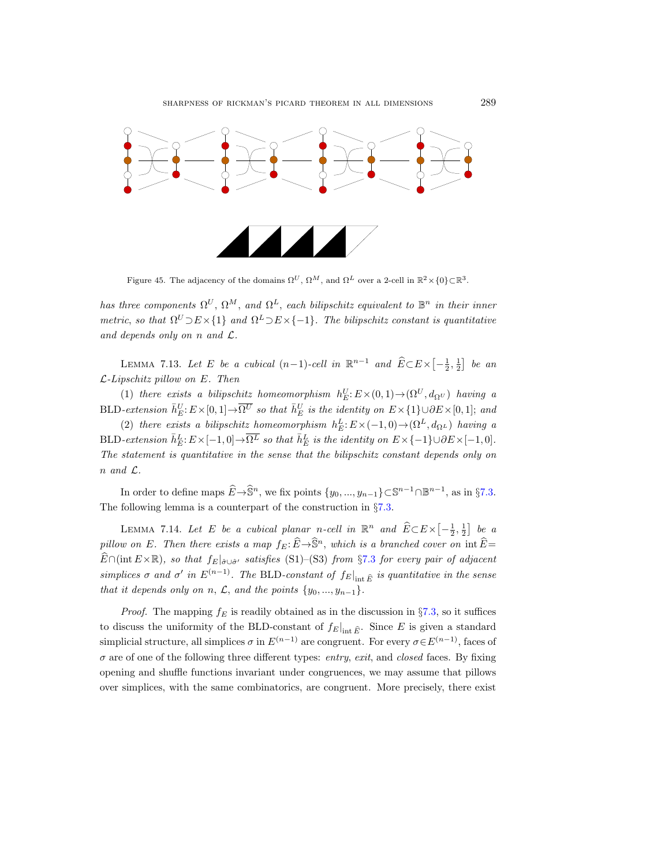

Figure 45. The adjacency of the domains  $\Omega^U$ ,  $\Omega^M$ , and  $\Omega^L$  over a 2-cell in  $\mathbb{R}^2 \times \{0\} \subset \mathbb{R}^3$ .

has three components  $\Omega^U$ ,  $\Omega^M$ , and  $\Omega^L$ , each bilipschitz equivalent to  $\mathbb{B}^n$  in their inner metric, so that  $\Omega^U \supset E \times \{1\}$  and  $\Omega^L \supset E \times \{-1\}$ . The bilipschitz constant is quantitative and depends only on n and  $\mathcal{L}$ .

LEMMA 7.13. Let E be a cubical  $(n-1)$ -cell in  $\mathbb{R}^{n-1}$  and  $\widehat{E} \subset E \times \left[-\frac{1}{2},\frac{1}{2}\right]$  be an  $\mathcal{L}\text{-Lipschitz }pillow\; on\; E.$  Then

(1) there exists a bilipschitz homeomorphism  $h_E^U: E \times (0, 1) \to (\Omega^U, d_{\Omega^U})$  having a BLD-extension  $\bar{h}_E^U$ :  $E \times [0,1] \to \overline{\Omega^U}$  so that  $\bar{h}_E^U$  is the identity on  $E \times \{1\} \cup \partial E \times [0,1]$ ; and

(2) there exists a bilipschitz homeomorphism  $h_E^L: E \times (-1,0) \to (\Omega^L, d_{\Omega^L})$  having a BLD-extension  $\bar{h}_E^L: E \times [-1,0] \to \overline{\Omega^L}$  so that  $\bar{h}_E^L$  is the identity on  $E \times \{-1\} \cup \partial E \times [-1,0]$ . The statement is quantitative in the sense that the bilipschitz constant depends only on n and L.

In order to define maps  $\widehat{E}\to \widehat{\mathbb{S}}^n$ , we fix points  $\{y_0, ..., y_{n-1}\}\subset \mathbb{S}^{n-1}\cap \mathbb{B}^{n-1}$ , as in §[7.3.](#page-78-0) The following lemma is a counterpart of the construction in §[7.3.](#page-78-0)

<span id="page-80-0"></span>LEMMA 7.14. Let E be a cubical planar n-cell in  $\mathbb{R}^n$  and  $\widehat{E} \subset E \times \left[-\frac{1}{2},\frac{1}{2}\right]$  be a pillow on E. Then there exists a map  $f_E: \widehat{E} \to \widehat{S}^n$ , which is a branched cover on  $\inf \widehat{E} =$  $\widehat{E}\cap(\text{int }E\times\mathbb{R})$ , so that  $f_E|_{\widehat{\sigma}\cup\widehat{\sigma}'}$  satisfies (S1)–(S3) from §[7.3](#page-78-0) for every pair of adjacent simplices  $\sigma$  and  $\sigma'$  in  $E^{(n-1)}$ . The BLD-constant of  $f_E|_{\text{int }\widehat{E}}$  is quantitative in the sense that it depends only on n,  $\mathcal{L}$ , and the points  $\{y_0, ..., y_{n-1}\}.$ 

*Proof.* The mapping  $f_E$  is readily obtained as in the discussion in §[7.3,](#page-78-0) so it suffices to discuss the uniformity of the BLD-constant of  $f_E|_{\text{int }\hat{E}}$ . Since E is given a standard simplicial structure, all simplices  $\sigma$  in  $E^{(n-1)}$  are congruent. For every  $\sigma \in E^{(n-1)}$ , faces of  $\sigma$  are of one of the following three different types: entry, exit, and closed faces. By fixing opening and shuffle functions invariant under congruences, we may assume that pillows over simplices, with the same combinatorics, are congruent. More precisely, there exist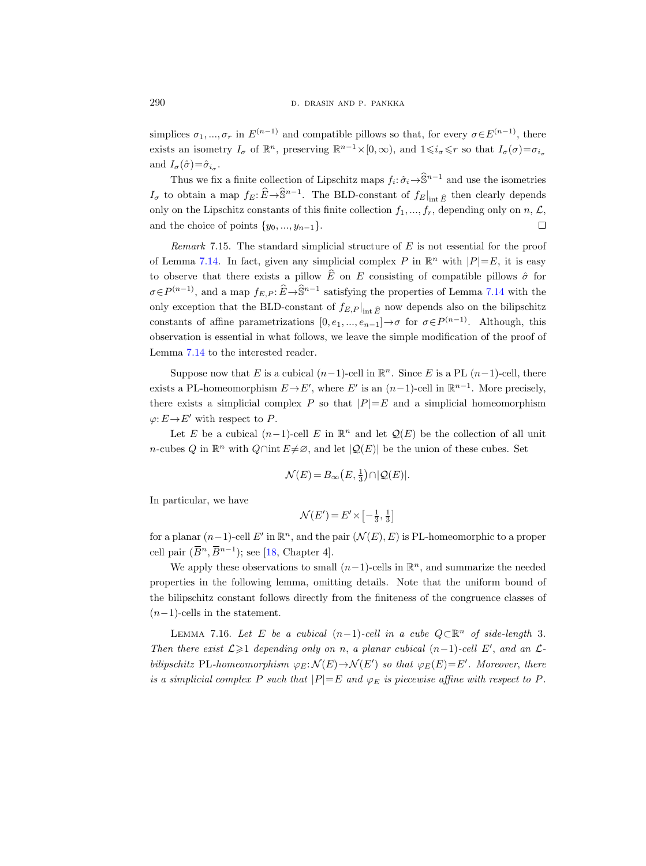simplices  $\sigma_1, ..., \sigma_r$  in  $E^{(n-1)}$  and compatible pillows so that, for every  $\sigma \in E^{(n-1)}$ , there exists an isometry  $I_{\sigma}$  of  $\mathbb{R}^n$ , preserving  $\mathbb{R}^{n-1}\times[0,\infty)$ , and  $1\leqslant i_{\sigma}\leqslant r$  so that  $I_{\sigma}(\sigma)=\sigma_{i_{\sigma}}$ and  $I_{\sigma}(\hat{\sigma}) = \hat{\sigma}_{i_{\sigma}}$ .

Thus we fix a finite collection of Lipschitz maps  $f_i: \hat{\sigma}_i \to \hat{\mathbb{S}}^{n-1}$  and use the isometries  $I_{\sigma}$  to obtain a map  $f_E: \widehat{E} \to \widehat{\mathbb{S}}^{n-1}$ . The BLD-constant of  $f_E|_{\text{int } \widehat{E}}$  then clearly depends only on the Lipschitz constants of this finite collection  $f_1, ..., f_r$ , depending only on  $n, \mathcal{L}$ , and the choice of points  $\{y_0, ..., y_{n-1}\}.$  $\Box$ 

<span id="page-81-1"></span>Remark 7.15. The standard simplicial structure of  $E$  is not essential for the proof of Lemma [7.14.](#page-80-0) In fact, given any simplicial complex P in  $\mathbb{R}^n$  with  $|P|=E$ , it is easy to observe that there exists a pillow  $\widehat{E}$  on E consisting of compatible pillows  $\widehat{\sigma}$  for  $\sigma \in P^{(n-1)}$ , and a map  $f_{E,P}$ :  $\widehat{E} \to \widehat{\mathbb{S}}^{n-1}$  satisfying the properties of Lemma [7.14](#page-80-0) with the only exception that the BLD-constant of  $f_{E,P}|_{int \widehat{E}}$  now depends also on the bilipschitz constants of affine parametrizations  $[0, e_1, ..., e_{n-1}] \rightarrow \sigma$  for  $\sigma \in P^{(n-1)}$ . Although, this observation is essential in what follows, we leave the simple modification of the proof of Lemma [7.14](#page-80-0) to the interested reader.

Suppose now that E is a cubical  $(n-1)$ -cell in  $\mathbb{R}^n$ . Since E is a PL  $(n-1)$ -cell, there exists a PL-homeomorphism  $E \to E'$ , where  $E'$  is an  $(n-1)$ -cell in  $\mathbb{R}^{n-1}$ . More precisely, there exists a simplicial complex P so that  $|P|=E$  and a simplicial homeomorphism  $\varphi: E \to E'$  with respect to P.

Let E be a cubical  $(n-1)$ -cell E in  $\mathbb{R}^n$  and let  $\mathcal{Q}(E)$  be the collection of all unit n-cubes Q in  $\mathbb{R}^n$  with  $Q \cap \text{int } E \neq \emptyset$ , and let  $|Q(E)|$  be the union of these cubes. Set

$$
\mathcal{N}(E) = B_{\infty}(E, \frac{1}{3}) \cap |\mathcal{Q}(E)|.
$$

In particular, we have

$$
\mathcal{N}(E') = E' \times \left[ -\frac{1}{3}, \frac{1}{3} \right]
$$

for a planar  $(n-1)$ -cell  $E'$  in  $\mathbb{R}^n$ , and the pair  $(\mathcal{N}(E), E)$  is PL-homeomorphic to a proper cell pair  $(\overline{B}^n, \overline{B}^{n-1})$ ; see [\[18,](#page-97-0) Chapter 4].

We apply these observations to small  $(n-1)$ -cells in  $\mathbb{R}^n$ , and summarize the needed properties in the following lemma, omitting details. Note that the uniform bound of the bilipschitz constant follows directly from the finiteness of the congruence classes of  $(n-1)$ -cells in the statement.

<span id="page-81-0"></span>LEMMA 7.16. Let E be a cubical  $(n-1)$ -cell in a cube  $Q \subset \mathbb{R}^n$  of side-length 3. Then there exist  $\mathcal{L} \geq 1$  depending only on n, a planar cubical  $(n-1)$ -cell E', and an  $\mathcal{L}$ bilipschitz PL-homeomorphism  $\varphi_E : \mathcal{N}(E) \to \mathcal{N}(E')$  so that  $\varphi_E(E) = E'$ . Moreover, there is a simplicial complex P such that  $|P|=E$  and  $\varphi_E$  is piecewise affine with respect to P.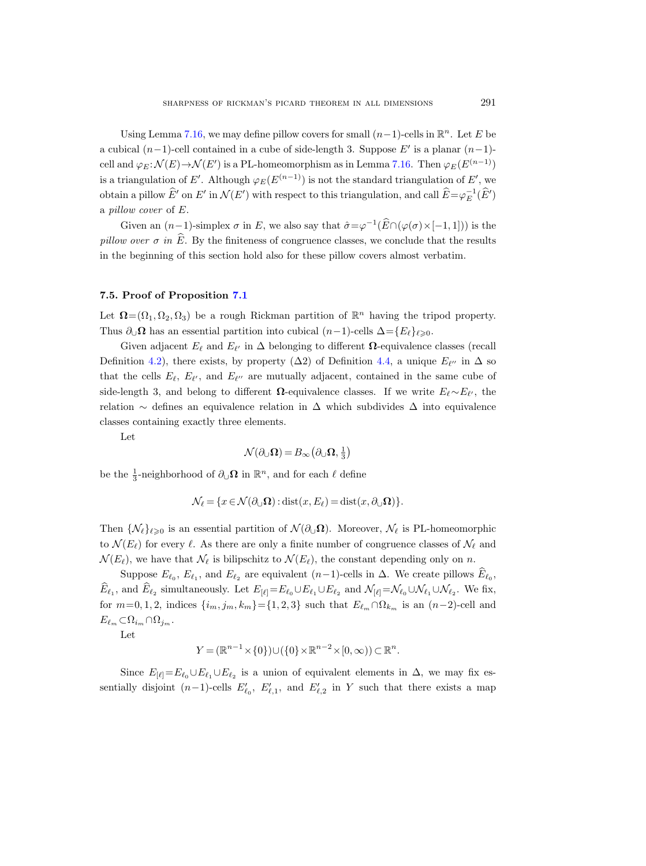Using Lemma [7.16,](#page-81-0) we may define pillow covers for small  $(n-1)$ -cells in  $\mathbb{R}^n$ . Let E be a cubical  $(n-1)$ -cell contained in a cube of side-length 3. Suppose E' is a planar  $(n-1)$ cell and  $\varphi_E : \mathcal{N}(E) \to \mathcal{N}(E')$  is a PL-homeomorphism as in Lemma [7.16.](#page-81-0) Then  $\varphi_E(E^{(n-1)})$ is a triangulation of E'. Although  $\varphi_E(E^{(n-1)})$  is not the standard triangulation of E', we obtain a pillow  $\hat{E}'$  on  $E'$  in  $\mathcal{N}(E')$  with respect to this triangulation, and call  $\hat{E}=\varphi_E^{-1}(\hat{E}')$ a pillow cover of E.

Given an  $(n-1)$ -simplex  $\sigma$  in E, we also say that  $\hat{\sigma} = \varphi^{-1}(\widehat{E} \cap (\varphi(\sigma) \times [-1, 1]))$  is the pillow over  $\sigma$  in  $\widehat{E}$ . By the finiteness of congruence classes, we conclude that the results in the beginning of this section hold also for these pillow covers almost verbatim.

### 7.5. Proof of Proposition [7.1](#page-70-1)

Let  $\Omega = (\Omega_1, \Omega_2, \Omega_3)$  be a rough Rickman partition of  $\mathbb{R}^n$  having the tripod property. Thus  $\partial_{\mathcal{U}}\Omega$  has an essential partition into cubical  $(n-1)$ -cells  $\Delta = \{E_\ell\}_{\ell \geq 0}$ .

Given adjacent  $E_\ell$  and  $E_{\ell'}$  in  $\Delta$  belonging to different  $\Omega$ -equivalence classes (recall Definition [4.2\)](#page-23-0), there exists, by property  $(\Delta 2)$  of Definition [4.4,](#page-23-1) a unique  $E_{\ell''}$  in  $\Delta$  so that the cells  $E_{\ell}, E_{\ell'}$ , and  $E_{\ell''}$  are mutually adjacent, contained in the same cube of side-length 3, and belong to different  $\Omega$ -equivalence classes. If we write  $E_{\ell} \sim E_{\ell'}$ , the relation  $\sim$  defines an equivalence relation in  $\Delta$  which subdivides  $\Delta$  into equivalence classes containing exactly three elements.

Let

$$
\mathcal{N}(\partial_{\cup}\Omega)=B_{\infty}\big(\partial_{\cup}\Omega,\frac{1}{3}\big)
$$

be the  $\frac{1}{3}$ -neighborhood of  $\partial_{\cup}\Omega$  in  $\mathbb{R}^n$ , and for each  $\ell$  define

$$
\mathcal{N}_{\ell} = \{x \in \mathcal{N}(\partial_{\cup} \Omega) : \text{dist}(x, E_{\ell}) = \text{dist}(x, \partial_{\cup} \Omega)\}.
$$

Then  $\{\mathcal{N}_\ell\}_{\ell\geq 0}$  is an essential partition of  $\mathcal{N}(\partial_\mathcal{U}\Omega)$ . Moreover,  $\mathcal{N}_\ell$  is PL-homeomorphic to  $\mathcal{N}(E_\ell)$  for every  $\ell$ . As there are only a finite number of congruence classes of  $\mathcal{N}_\ell$  and  $\mathcal{N}(E_{\ell})$ , we have that  $\mathcal{N}_{\ell}$  is bilipschitz to  $\mathcal{N}(E_{\ell})$ , the constant depending only on n.

Suppose  $E_{\ell_0}$ ,  $E_{\ell_1}$ , and  $E_{\ell_2}$  are equivalent  $(n-1)$ -cells in  $\Delta$ . We create pillows  $E_{\ell_0}$ ,  $E_{\ell_1}$ , and  $E_{\ell_2}$  simultaneously. Let  $E_{[\ell]} = E_{\ell_0} \cup E_{\ell_1} \cup E_{\ell_2}$  and  $\mathcal{N}_{[\ell]} = \mathcal{N}_{\ell_0} \cup \mathcal{N}_{\ell_1} \cup \mathcal{N}_{\ell_2}$ . We fix, for  $m=0, 1, 2$ , indices  $\{i_m, j_m, k_m\}$ ={1,2,3} such that  $E_{\ell_m} \cap \Omega_{k_m}$  is an  $(n-2)$ -cell and  $E_{\ell_m} \subset \Omega_{i_m} \cap \Omega_{j_m}.$ 

Let

$$
Y = (\mathbb{R}^{n-1} \times \{0\}) \cup (\{0\} \times \mathbb{R}^{n-2} \times [0, \infty)) \subset \mathbb{R}^n.
$$

Since  $E_{[\ell]}=E_{\ell_0}\cup E_{\ell_1}\cup E_{\ell_2}$  is a union of equivalent elements in  $\Delta$ , we may fix essentially disjoint  $(n-1)$ -cells  $E'_{\ell_0}$ ,  $E'_{\ell,1}$ , and  $E'_{\ell,2}$  in Y such that there exists a map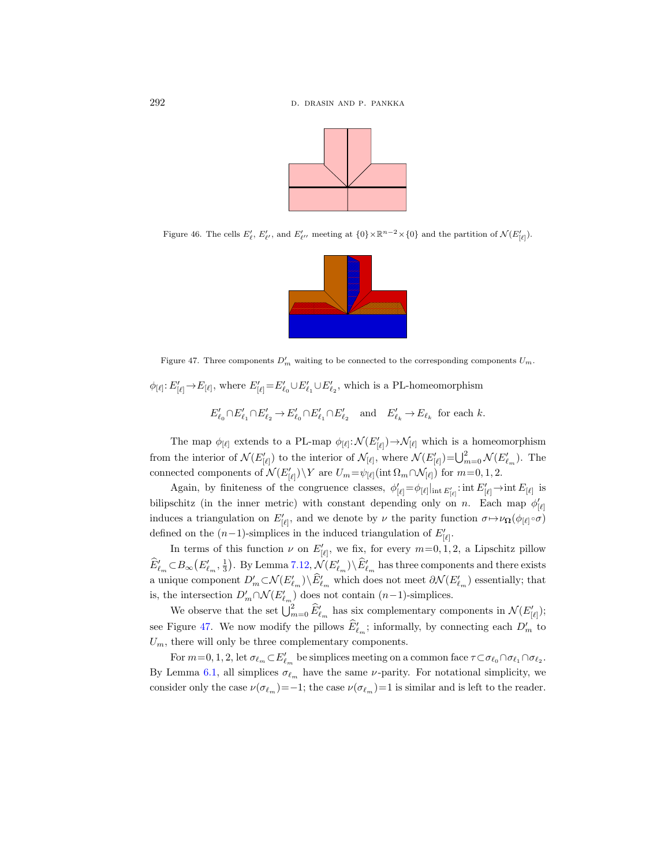

Figure 46. The cells  $E'_\ell$ ,  $E'_{\ell'}$ , and  $E'_{\ell''}$  meeting at  $\{0\} \times \mathbb{R}^{n-2} \times \{0\}$  and the partition of  $\mathcal{N}(E'_{[\ell]})$ .



<span id="page-83-0"></span>Figure 47. Three components  $D'_m$  waiting to be connected to the corresponding components  $U_m$ .

 $\phi_{[\ell]}: E'_{[\ell]} \to E_{[\ell]}$ , where  $E'_{[\ell]} = E'_{\ell_0} \cup E'_{\ell_1} \cup E'_{\ell_2}$ , which is a PL-homeomorphism

$$
E'_{\ell_0}\cap E'_{\ell_1}\cap E'_{\ell_2}\to E'_{\ell_0}\cap E'_{\ell_1}\cap E'_{\ell_2}\quad\text{and}\quad E'_{\ell_k}\to E_{\ell_k}\text{ for each }k.
$$

The map  $\phi_{[\ell]}$  extends to a PL-map  $\phi_{[\ell]} : \mathcal{N}(E'_{[\ell]}) \to \mathcal{N}_{[\ell]}$  which is a homeomorphism from the interior of  $\mathcal{N}(E'_{[\ell]})$  to the interior of  $\mathcal{N}_{[\ell]}$ , where  $\mathcal{N}(E'_{[\ell]}) = \bigcup_{m=0}^{2} \mathcal{N}(E'_{\ell_m})$ . The connected components of  $\mathcal{N}(E'_{[\ell]}) \backslash Y$  are  $U_m = \psi_{[\ell]}(\text{int } \Omega_m \cap \mathcal{N}_{[\ell]})$  for  $m=0, 1, 2$ .

Again, by finiteness of the congruence classes,  $\phi'_{[\ell]} = \phi_{[\ell]}|_{int E'_{[\ell]}}$ : int  $E'_{[\ell]} \to$ int  $E_{[\ell]}$  is bilipschitz (in the inner metric) with constant depending only on n. Each map  $\phi'_{\lbrack \ell \rbrack}$ induces a triangulation on  $E'_{[\ell]}$ , and we denote by  $\nu$  the parity function  $\sigma \mapsto \nu_{\Omega}(\phi_{[\ell]}\circ \sigma)$ defined on the  $(n-1)$ -simplices in the induced triangulation of  $E'_{[\ell]}$ .

In terms of this function  $\nu$  on  $E'_{[\ell]}$ , we fix, for every  $m=0, 1, 2$ , a Lipschitz pillow  $\widehat{E}'_{\ell_m} \subset B_{\infty}(E'_{\ell_m}, \frac{1}{3})$ . By Lemma [7.12,](#page-79-0)  $\mathcal{N}(E'_{\ell_m}) \setminus \widehat{E}'_{\ell_m}$  has three components and there exists a unique component  $D'_m \subset \mathcal{N}(E'_{\ell_m}) \setminus \widehat{E}'_{\ell_m}$  which does not meet  $\partial \mathcal{N}(E'_{\ell_m})$  essentially; that is, the intersection  $D'_m \cap \mathcal{N}(E'_{\ell_m})$  does not contain  $(n-1)$ -simplices.

We observe that the set  $\bigcup_{m=0}^2 \widehat{E}'_{\ell_m}$  has six complementary components in  $\mathcal{N}(E'_{[\ell]})$ ; see Figure [47.](#page-83-0) We now modify the pillows  $\widehat{E}'_{\ell_m}$ ; informally, by connecting each  $D'_m$  to  $U_m$ , there will only be three complementary components.

For  $m=0, 1, 2$ , let  $\sigma_{\ell_m} \subset E'_{\ell_m}$  be simplices meeting on a common face  $\tau \subset \sigma_{\ell_0} \cap \sigma_{\ell_1} \cap \sigma_{\ell_2}$ . By Lemma [6.1,](#page-68-0) all simplices  $\sigma_{\ell_m}$  have the same *ν*-parity. For notational simplicity, we consider only the case  $\nu(\sigma_{\ell_m})=-1$ ; the case  $\nu(\sigma_{\ell_m})=1$  is similar and is left to the reader.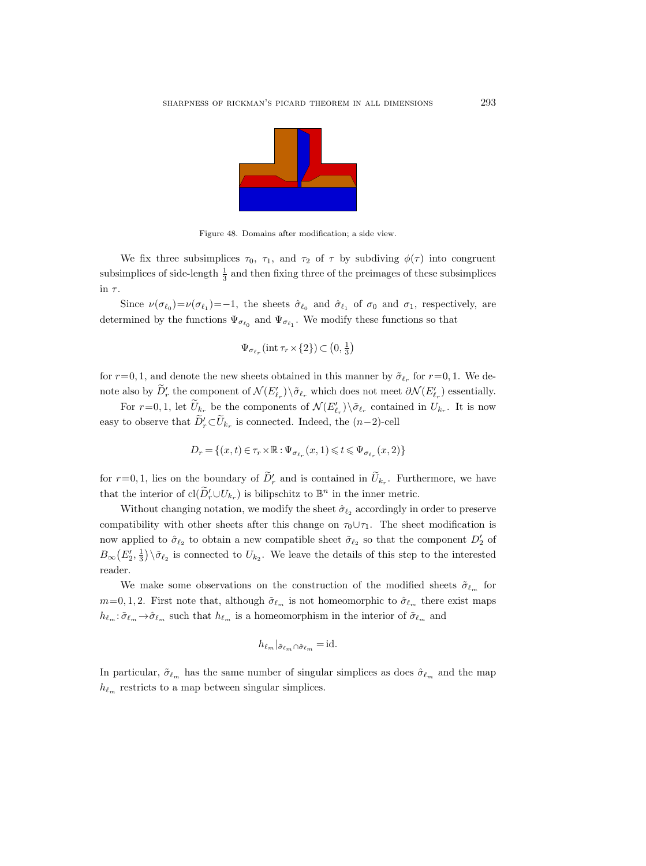

Figure 48. Domains after modification; a side view.

We fix three subsimplices  $\tau_0$ ,  $\tau_1$ , and  $\tau_2$  of  $\tau$  by subdiving  $\phi(\tau)$  into congruent subsimplices of side-length  $\frac{1}{3}$  and then fixing three of the preimages of these subsimplices in  $\tau$ .

Since  $\nu(\sigma_{\ell_0})=\nu(\sigma_{\ell_1})=-1$ , the sheets  $\hat{\sigma}_{\ell_0}$  and  $\hat{\sigma}_{\ell_1}$  of  $\sigma_0$  and  $\sigma_1$ , respectively, are determined by the functions  $\Psi_{\sigma_{\ell_0}}$  and  $\Psi_{\sigma_{\ell_1}}$ . We modify these functions so that

$$
\Psi_{\sigma_{\ell_r}}(\text{int } \tau_r \times \{2\}) \subset \left(0, \frac{1}{3}\right)
$$

for  $r=0, 1$ , and denote the new sheets obtained in this manner by  $\tilde{\sigma}_{\ell_r}$  for  $r=0, 1$ . We denote also by  $D'_r$  the component of  $\mathcal{N}(E'_{\ell_r})\setminus\tilde{\sigma}_{\ell_r}$  which does not meet  $\partial\mathcal{N}(E'_{\ell_r})$  essentially.

For  $r=0,1$ , let  $\overline{U}_{k_r}$  be the components of  $\mathcal{N}(E'_{\ell_r})\backslash \tilde{\sigma}_{\ell_r}$  contained in  $U_{k_r}$ . It is now easy to observe that  $\overline{D'_r} \subset \overline{U}_{k_r}$  is connected. Indeed, the  $(n-2)$ -cell

$$
D_r = \{(x,t) \in \tau_r \times \mathbb{R} : \Psi_{\sigma_{\ell_r}}(x,1) \leqslant t \leqslant \Psi_{\sigma_{\ell_r}}(x,2)\}
$$

for  $r=0,1$ , lies on the boundary of  $\tilde{D}'_r$  and is contained in  $\tilde{U}_{k_r}$ . Furthermore, we have that the interior of  $\text{cl}(\widetilde{D}_r' \cup U_{k_r})$  is bilipschitz to  $\mathbb{B}^n$  in the inner metric.

Without changing notation, we modify the sheet  $\hat{\sigma}_{\ell_2}$  accordingly in order to preserve compatibility with other sheets after this change on  $\tau_0 \cup \tau_1$ . The sheet modification is now applied to  $\hat{\sigma}_{\ell_2}$  to obtain a new compatible sheet  $\tilde{\sigma}_{\ell_2}$  so that the component  $D_2'$  of  $B_{\infty}(E_2', \frac{1}{3}) \setminus \tilde{\sigma}_{\ell_2}$  is connected to  $U_{k_2}$ . We leave the details of this step to the interested reader.

We make some observations on the construction of the modified sheets  $\tilde{\sigma}_{\ell_m}$  for  $m=0, 1, 2$ . First note that, although  $\tilde{\sigma}_{\ell_m}$  is not homeomorphic to  $\hat{\sigma}_{\ell_m}$  there exist maps  $h_{\ell_m}\!:\!\tilde\sigma_{\ell_m}\!\to\!\hat\sigma_{\ell_m}$  such that  $h_{\ell_m}$  is a homeomorphism in the interior of  $\tilde\sigma_{\ell_m}$  and

$$
h_{\ell_m}|_{\tilde{\sigma}_{\ell_m} \cap \hat{\sigma}_{\ell_m}} = \mathrm{id}.
$$

In particular,  $\tilde{\sigma}_{\ell_m}$  has the same number of singular simplices as does  $\hat{\sigma}_{\ell_m}$  and the map  $h_{\ell_m}$  restricts to a map between singular simplices.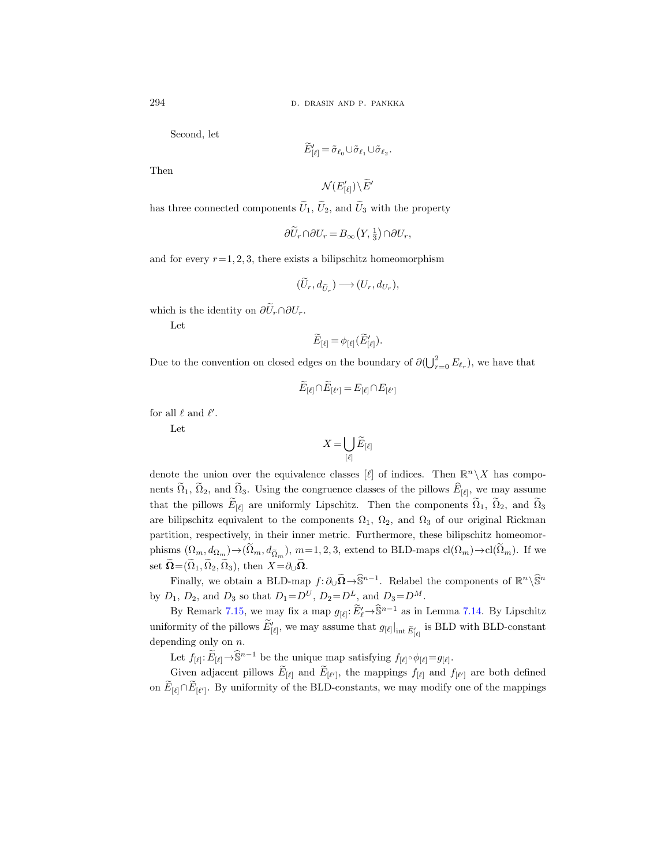Second, let

$$
\widetilde{E}'_{[\ell]} = \widetilde{\sigma}_{\ell_0} \cup \widetilde{\sigma}_{\ell_1} \cup \widetilde{\sigma}_{\ell_2}.
$$

Then

$$
\mathcal{N}(E'_{[\ell]}) \!\setminus\! \widetilde{E}'
$$

has three connected components  $\tilde{U}_1$ ,  $\tilde{U}_2$ , and  $\tilde{U}_3$  with the property

$$
\partial \tilde{U}_r \cap \partial U_r = B_\infty \left( Y, \frac{1}{3} \right) \cap \partial U_r,
$$

and for every  $r=1, 2, 3$ , there exists a bilipschitz homeomorphism

$$
(\widetilde{U}_r, d_{\widetilde{U}_r}) \longrightarrow (U_r, d_{U_r}),
$$

which is the identity on  $\partial \widetilde{U}_r \cap \partial U_r$ .

Let

$$
\widetilde{E}_{[\ell]} = \phi_{[\ell]}(\widetilde{E}'_{[\ell]}).
$$

Due to the convention on closed edges on the boundary of  $\partial(\bigcup_{r=0}^2 E_{\ell_r})$ , we have that

$$
\widetilde{E}_{[\ell]}\cap \widetilde{E}_{[\ell']}=E_{[\ell]}\cap E_{[\ell']}
$$

for all  $\ell$  and  $\ell'$ .

Let

$$
X=\bigcup_{[\ell]}\widetilde{E}_{[\ell]}
$$

denote the union over the equivalence classes [ $\ell$ ] of indices. Then  $\mathbb{R}^n \setminus X$  has components  $\Omega_1, \Omega_2$ , and  $\Omega_3$ . Using the congruence classes of the pillows  $E_{[\ell]},$  we may assume that the pillows  $E_{[\ell]}$  are uniformly Lipschitz. Then the components  $\Omega_1$ ,  $\Omega_2$ , and  $\Omega_3$ are bilipschitz equivalent to the components  $\Omega_1$ ,  $\Omega_2$ , and  $\Omega_3$  of our original Rickman partition, respectively, in their inner metric. Furthermore, these bilipschitz homeomorphisms  $(\Omega_m, d_{\Omega_m}) \to (\Omega_m, d_{\widetilde{\Omega}_m}), m=1, 2, 3$ , extend to BLD-maps  $cl(\Omega_m) \to cl(\Omega_m)$ . If we set  $\widetilde{\Omega} = (\widetilde{\Omega}_1, \widetilde{\Omega}_2, \widetilde{\Omega}_3)$ , then  $X = \partial_{\cup} \widetilde{\Omega}$ .

Finally, we obtain a BLD-map  $f: \partial_{\cup} \widetilde{\Omega} \to \widehat{\mathbb{S}}^{n-1}$ . Relabel the components of  $\mathbb{R}^n \setminus \widehat{\mathbb{S}}^n$ by  $D_1$ ,  $D_2$ , and  $D_3$  so that  $D_1 = D^U$ ,  $D_2 = D^L$ , and  $D_3 = D^M$ .

By Remark [7.15,](#page-81-1) we may fix a map  $g_{[\ell]}: \widetilde{E}'_{\ell} \to \widehat{\mathbb{S}}^{n-1}$  as in Lemma [7.14.](#page-80-0) By Lipschitz uniformity of the pillows  $\tilde{E}'_{[\ell]}$ , we may assume that  $g_{[\ell]}|_{\text{int } \tilde{E}'_{[\ell]}}$  is BLD with BLD-constant depending only on  $n$ .

Let  $f_{[\ell]} \colon \widetilde{E}_{[\ell]} \to \widehat{\mathbb{S}}^{n-1}$  be the unique map satisfying  $f_{[\ell]} \circ \phi_{[\ell]} = g_{[\ell]}$ .

Given adjacent pillows  $E_{[\ell]}$  and  $E_{[\ell']}$ , the mappings  $f_{[\ell]}$  and  $f_{[\ell']}$  are both defined on  $E_{[\ell]} \cap E_{[\ell']}$ . By uniformity of the BLD-constants, we may modify one of the mappings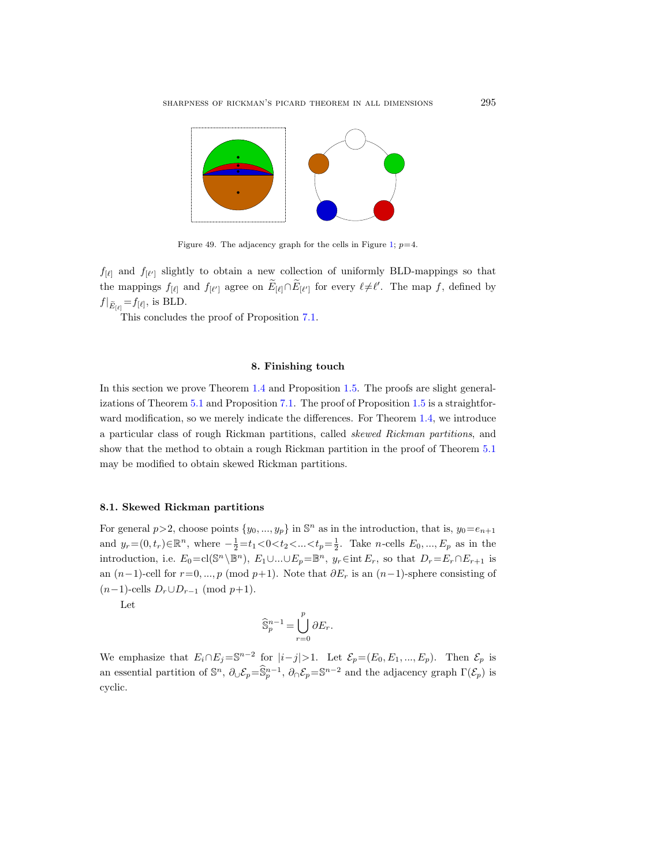

Figure 49. The adjacency graph for the cells in Figure [1;](#page-4-0)  $p=4$ .

 $f_{\lbrack \ell \rbrack}$  and  $f_{\lbrack \ell' \rbrack}$  slightly to obtain a new collection of uniformly BLD-mappings so that the mappings  $f_{[\ell]}$  and  $f_{[\ell']}$  agree on  $\tilde{E}_{[\ell]} \cap \tilde{E}_{[\ell']}$  for every  $\ell \neq \ell'$ . The map f, defined by  $f|_{\widetilde{E}_{\lbrack \ell \rbrack}} = f_{\lbrack \ell \rbrack}$ , is BLD.

This concludes the proof of Proposition [7.1.](#page-70-1)

#### 8. Finishing touch

In this section we prove Theorem [1.4](#page-6-0) and Proposition [1.5.](#page-7-0) The proofs are slight generalizations of Theorem [5.1](#page-38-0) and Proposition [7.1.](#page-70-1) The proof of Proposition [1.5](#page-7-0) is a straightforward modification, so we merely indicate the differences. For Theorem [1.4,](#page-6-0) we introduce a particular class of rough Rickman partitions, called skewed Rickman partitions, and show that the method to obtain a rough Rickman partition in the proof of Theorem [5.1](#page-38-0) may be modified to obtain skewed Rickman partitions.

### 8.1. Skewed Rickman partitions

For general  $p > 2$ , choose points  $\{y_0, ..., y_p\}$  in  $\mathbb{S}^n$  as in the introduction, that is,  $y_0 = e_{n+1}$ and  $y_r = (0, t_r) \in \mathbb{R}^n$ , where  $-\frac{1}{2} = t_1 < 0 < t_2 < ... < t_p = \frac{1}{2}$ . Take *n*-cells  $E_0, ..., E_p$  as in the introduction, i.e.  $E_0 = \text{cl}(\mathbb{S}^n \setminus \mathbb{B}^n)$ ,  $E_1 \cup ... \cup E_p = \mathbb{B}^n$ ,  $y_r \in \text{int } E_r$ , so that  $D_r = E_r \cap E_{r+1}$  is an  $(n-1)$ -cell for  $r=0, ..., p \pmod{p+1}$ . Note that  $\partial E_r$  is an  $(n-1)$ -sphere consisting of  $(n-1)$ -cells  $D_r \cup D_{r-1} \pmod{p+1}$ .

Let

$$
\widehat{\mathbb{S}}_p^{n-1} = \bigcup_{r=0}^p \partial E_r.
$$

We emphasize that  $E_i \cap E_j = \mathbb{S}^{n-2}$  for  $|i-j|>1$ . Let  $\mathcal{E}_p = (E_0, E_1, ..., E_p)$ . Then  $\mathcal{E}_p$  is an essential partition of  $\mathbb{S}^n$ ,  $\partial_{\cup} \mathcal{E}_p = \widehat{\mathbb{S}}_p^{n-1}$ ,  $\partial_{\cap} \mathcal{E}_p = \mathbb{S}^{n-2}$  and the adjacency graph  $\Gamma(\mathcal{E}_p)$  is cyclic.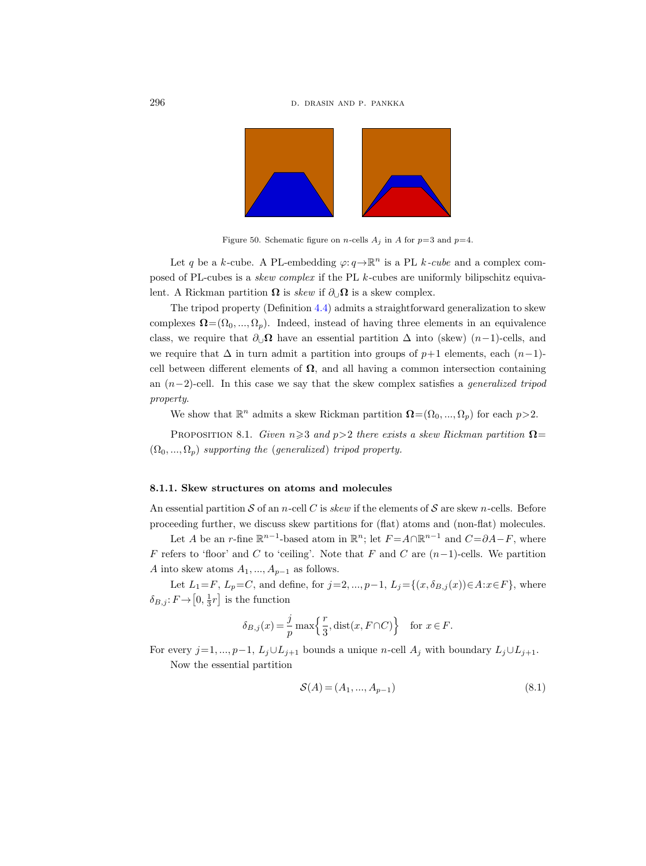

Figure 50. Schematic figure on *n*-cells  $A_i$  in A for  $p=3$  and  $p=4$ .

Let q be a k-cube. A PL-embedding  $\varphi: q \to \mathbb{R}^n$  is a PL k-cube and a complex composed of PL-cubes is a skew complex if the PL k-cubes are uniformly bilipschitz equivalent. A Rickman partition  $\Omega$  is skew if  $\partial_{\mathcal{U}}\Omega$  is a skew complex.

The tripod property (Definition [4.4\)](#page-23-1) admits a straightforward generalization to skew complexes  $\Omega = (\Omega_0, ..., \Omega_n)$ . Indeed, instead of having three elements in an equivalence class, we require that  $\partial_{\mathcal{Q}} \Omega$  have an essential partition  $\Delta$  into (skew)  $(n-1)$ -cells, and we require that  $\Delta$  in turn admit a partition into groups of  $p+1$  elements, each  $(n-1)$ cell between different elements of  $\Omega$ , and all having a common intersection containing an  $(n-2)$ -cell. In this case we say that the skew complex satisfies a *generalized tripod* property.

We show that  $\mathbb{R}^n$  admits a skew Rickman partition  $\mathbf{\Omega} = (\Omega_0, ..., \Omega_p)$  for each  $p > 2$ .

<span id="page-87-1"></span>PROPOSITION 8.1. Given  $n\geqslant 3$  and  $p>2$  there exists a skew Rickman partition  $\Omega$ =  $(\Omega_0, ..., \Omega_p)$  supporting the (generalized) tripod property.

### 8.1.1. Skew structures on atoms and molecules

An essential partition S of an n-cell C is skew if the elements of S are skew n-cells. Before proceeding further, we discuss skew partitions for (flat) atoms and (non-flat) molecules.

Let A be an r-fine  $\mathbb{R}^{n-1}$ -based atom in  $\mathbb{R}^n$ ; let  $F = A \cap \mathbb{R}^{n-1}$  and  $C = \partial A - F$ , where F refers to 'floor' and C to 'ceiling'. Note that F and C are  $(n-1)$ -cells. We partition A into skew atoms  $A_1, ..., A_{p-1}$  as follows.

Let  $L_1=F, L_p=C$ , and define, for  $j=2,...,p-1,$   $L_j={\{(x,\delta_{B,j}(x))\!\in\!A\!:\!x\!\in\!F\}},$  where  $\delta_{B,j} : F \to [0, \frac{1}{3}r]$  is the function

$$
\delta_{B,j}(x) = \frac{j}{p} \max\left\{ \frac{r}{3}, \text{dist}(x, F \cap C) \right\} \quad \text{for } x \in F.
$$

For every j=1, ..., p−1,  $L_j \cup L_{j+1}$  bounds a unique n-cell  $A_j$  with boundary  $L_j \cup L_{j+1}$ .

Now the essential partition

<span id="page-87-0"></span>
$$
\mathcal{S}(A) = (A_1, ..., A_{p-1})
$$
\n(8.1)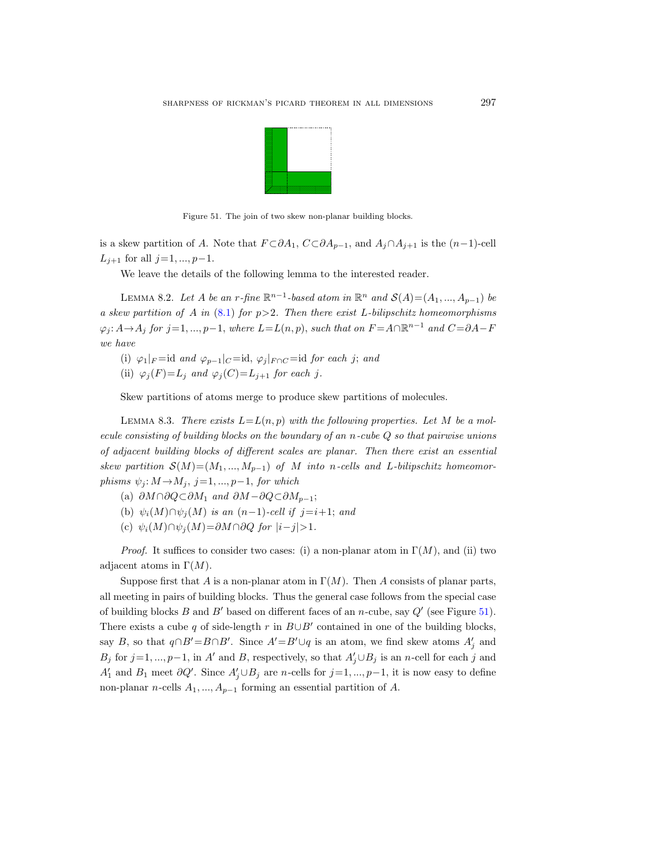

<span id="page-88-0"></span>Figure 51. The join of two skew non-planar building blocks.

is a skew partition of A. Note that  $F \subset \partial A_1$ ,  $C \subset \partial A_{p-1}$ , and  $A_j \cap A_{j+1}$  is the  $(n-1)$ -cell  $L_{j+1}$  for all  $j=1, ..., p-1$ .

We leave the details of the following lemma to the interested reader.

<span id="page-88-1"></span>LEMMA 8.2. Let A be an r-fine  $\mathbb{R}^{n-1}$ -based atom in  $\mathbb{R}^n$  and  $\mathcal{S}(A) = (A_1, ..., A_{p-1})$  be a skew partition of A in  $(8.1)$  for  $p>2$ . Then there exist L-bilipschitz homeomorphisms  $\varphi_j: A \to A_j$  for  $j=1, ..., p-1$ , where  $L=L(n, p)$ , such that on  $F = A \cap \mathbb{R}^{n-1}$  and  $C = \partial A - F$ we have

- (i)  $\varphi_1|_F = id$  and  $\varphi_{p-1}|_C = id$ ,  $\varphi_j|_{F \cap C} = id$  for each j; and
- (ii)  $\varphi_i(F)=L_i$  and  $\varphi_i(C)=L_{i+1}$  for each j.

Skew partitions of atoms merge to produce skew partitions of molecules.

<span id="page-88-2"></span>LEMMA 8.3. There exists  $L = L(n, p)$  with the following properties. Let M be a molecule consisting of building blocks on the boundary of an n-cube Q so that pairwise unions of adjacent building blocks of different scales are planar. Then there exist an essential skew partition  $\mathcal{S}(M)=(M_1, ..., M_{p-1})$  of M into n-cells and L-bilipschitz homeomorphisms  $\psi_j : M \rightarrow M_j$ , j=1, ..., p-1, for which

- (a)  $\partial M \cap \partial Q \subset \partial M_1$  and  $\partial M \partial Q \subset \partial M_{p-1}$ ;
- (b)  $\psi_i(M) \cap \psi_i(M)$  is an  $(n-1)$ -cell if  $j=i+1$ ; and
- (c)  $\psi_i(M) \cap \psi_j(M) = \partial M \cap \partial Q$  for  $|i-j|>1$ .

*Proof.* It suffices to consider two cases: (i) a non-planar atom in  $\Gamma(M)$ , and (ii) two adjacent atoms in  $\Gamma(M)$ .

Suppose first that A is a non-planar atom in  $\Gamma(M)$ . Then A consists of planar parts, all meeting in pairs of building blocks. Thus the general case follows from the special case of building blocks B and B' based on different faces of an n-cube, say  $Q'$  (see Figure [51\)](#page-88-0). There exists a cube q of side-length r in  $B\cup B'$  contained in one of the building blocks, say B, so that  $q \cap B' = B \cap B'$ . Since  $A' = B' \cup q$  is an atom, we find skew atoms  $A'_j$  and B<sub>j</sub> for  $j=1, ..., p-1$ , in A' and B, respectively, so that  $A'_j \cup B_j$  is an n-cell for each j and  $A'_1$  and  $B_1$  meet  $\partial Q'$ . Since  $A'_j \cup B_j$  are n-cells for  $j=1, ..., p-1$ , it is now easy to define non-planar n-cells  $A_1, ..., A_{p-1}$  forming an essential partition of A.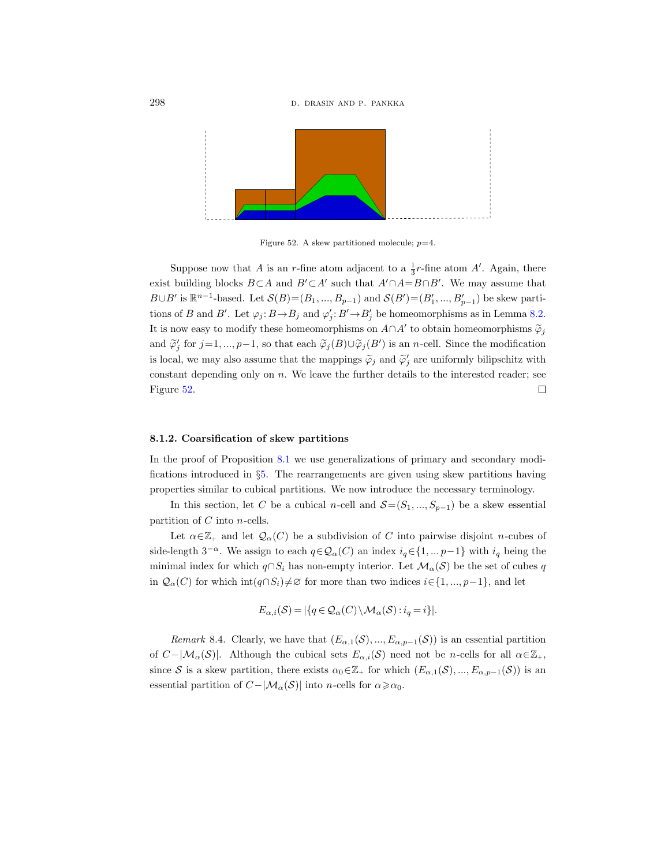

<span id="page-89-0"></span>Figure 52. A skew partitioned molecule;  $p=4$ .

Suppose now that A is an r-fine atom adjacent to a  $\frac{1}{3}r$ -fine atom A'. Again, there exist building blocks  $B\subset A$  and  $B'\subset A'$  such that  $A'\cap A=B\cap B'$ . We may assume that  $B\cup B'$  is  $\mathbb{R}^{n-1}$ -based. Let  $\mathcal{S}(B) = (B_1, ..., B_{p-1})$  and  $\mathcal{S}(B') = (B'_1, ..., B'_{p-1})$  be skew partitions of B and B'. Let  $\varphi_j: B \to B_j$  and  $\varphi'_j: B' \to B'_j$  be homeomorphisms as in Lemma [8.2.](#page-88-1) It is now easy to modify these homeomorphisms on  $A \cap A'$  to obtain homeomorphisms  $\widetilde{\varphi}_j$ and  $\widetilde{\varphi}'_j$  for  $j=1,\ldots,p-1$ , so that each  $\widetilde{\varphi}_j(B)\cup\widetilde{\varphi}_j(B')$  is an *n*-cell. Since the modification is local, we may also assume that the mappings  $\tilde{\varphi}_j$  and  $\tilde{\varphi}'_j$  are uniformly bilipschitz with constant depending only on  $n$ . We leave the further details to the interested reader; see  $\Box$ Figure [52.](#page-89-0)

## 8.1.2. Coarsification of skew partitions

In the proof of Proposition [8.1](#page-87-1) we use generalizations of primary and secondary modifications introduced in §[5.](#page-38-1) The rearrangements are given using skew partitions having properties similar to cubical partitions. We now introduce the necessary terminology.

In this section, let C be a cubical n-cell and  $S=(S_1, ..., S_{p-1})$  be a skew essential partition of  $C$  into  $n$ -cells.

Let  $\alpha \in \mathbb{Z}_+$  and let  $\mathcal{Q}_{\alpha}(C)$  be a subdivision of C into pairwise disjoint n-cubes of side-length  $3^{-\alpha}$ . We assign to each  $q \in \mathcal{Q}_\alpha(C)$  an index  $i_q \in \{1, ..., p-1\}$  with  $i_q$  being the minimal index for which  $q \cap S_i$  has non-empty interior. Let  $\mathcal{M}_{\alpha}(\mathcal{S})$  be the set of cubes q in  $\mathcal{Q}_{\alpha}(C)$  for which int $(q \cap S_i) \neq \emptyset$  for more than two indices  $i \in \{1, ..., p-1\}$ , and let

$$
E_{\alpha,i}(\mathcal{S}) = |\{q \in \mathcal{Q}_{\alpha}(C) \setminus \mathcal{M}_{\alpha}(\mathcal{S}) : i_q = i\}|.
$$

Remark 8.4. Clearly, we have that  $(E_{\alpha,1}(S), ..., E_{\alpha,p-1}(S))$  is an essential partition of  $C-|\mathcal{M}_\alpha(\mathcal{S})|$ . Although the cubical sets  $E_{\alpha,i}(\mathcal{S})$  need not be n-cells for all  $\alpha \in \mathbb{Z}_+$ , since S is a skew partition, there exists  $\alpha_0 \in \mathbb{Z}_+$  for which  $(E_{\alpha,1}(S),...,E_{\alpha,p-1}(S))$  is an essential partition of  $C-|\mathcal{M}_{\alpha}(\mathcal{S})|$  into n-cells for  $\alpha \geq \alpha_0$ .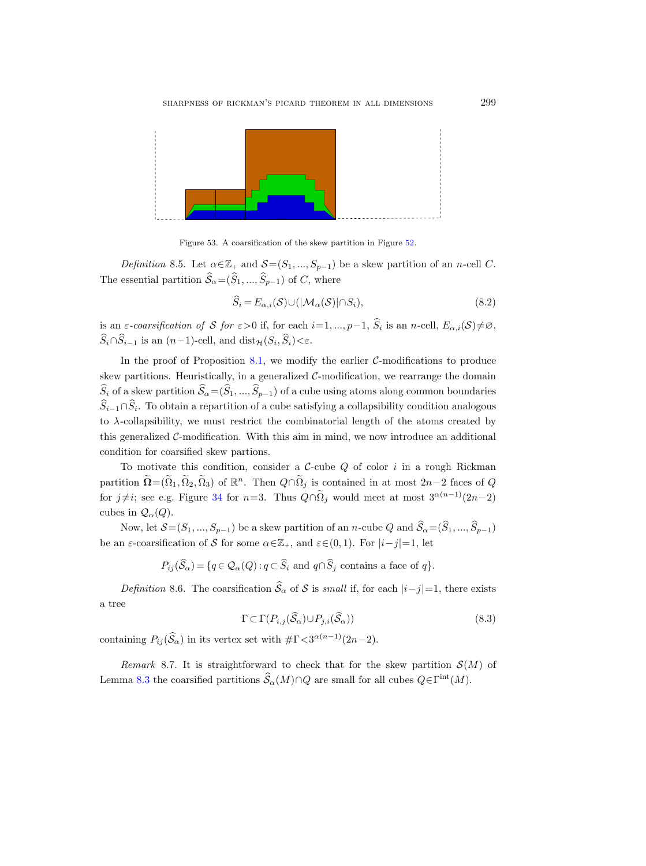

Figure 53. A coarsification of the skew partition in Figure [52.](#page-89-0)

Definition 8.5. Let  $\alpha \in \mathbb{Z}_+$  and  $\mathcal{S}=(S_1, ..., S_{p-1})$  be a skew partition of an n-cell C. The essential partition  $\widehat{S}_{\alpha} = (\widehat{S}_1, ..., \widehat{S}_{p-1})$  of C, where

<span id="page-90-0"></span>
$$
\widehat{S}_i = E_{\alpha,i}(S) \cup (|\mathcal{M}_\alpha(S)| \cap S_i), \tag{8.2}
$$

is an  $\varepsilon$ -coarsification of S for  $\varepsilon > 0$  if, for each  $i = 1, ..., p-1$ ,  $\widehat{S}_i$  is an n-cell,  $E_{\alpha,i}(S) \neq \emptyset$ ,  $S_i \cap S_{i-1}$  is an  $(n-1)$ -cell, and  $dist_{\mathcal{H}}(S_i, S_i) < \varepsilon$ .

In the proof of Proposition [8.1,](#page-87-1) we modify the earlier  $C$ -modifications to produce skew partitions. Heuristically, in a generalized  $C$ -modification, we rearrange the domain  $\widehat{S}_i$  of a skew partition  $\widehat{S}_\alpha=(\widehat{S}_1, ..., \widehat{S}_{p-1})$  of a cube using atoms along common boundaries  $S_{i-1}\cap S_i$ . To obtain a repartition of a cube satisfying a collapsibility condition analogous to  $\lambda$ -collapsibility, we must restrict the combinatorial length of the atoms created by this generalized  $C$ -modification. With this aim in mind, we now introduce an additional condition for coarsified skew partions.

To motivate this condition, consider a  $C$ -cube  $Q$  of color i in a rough Rickman partition  $\widetilde{\mathbf{\Omega}} = (\widetilde{\Omega}_1, \widetilde{\Omega}_2, \widetilde{\Omega}_3)$  of  $\mathbb{R}^n$ . Then  $Q \cap \widetilde{\Omega}_j$  is contained in at most  $2n-2$  faces of  $Q$ for  $j\neq i$ ; see e.g. Figure [34](#page-63-0) for n=3. Thus  $Q\cap\tilde{\Omega}_j$  would meet at most  $3^{\alpha(n-1)}(2n-2)$ cubes in  $\mathcal{Q}_{\alpha}(Q)$ .

Now, let  $\mathcal{S}=(S_1,...,S_{p-1})$  be a skew partition of an n-cube  $Q$  and  $\widehat{\mathcal{S}}_{\alpha}=(\widehat{S}_1,...,\widehat{S}_{p-1})$ be an  $\varepsilon$ -coarsification of S for some  $\alpha \in \mathbb{Z}_+$ , and  $\varepsilon \in (0,1)$ . For  $|i-j|=1$ , let

 $P_{ij}(\widehat{S}_\alpha) = \{q \in \mathcal{Q}_\alpha(Q) : q \subset \widehat{S}_i \text{ and } q \cap \widehat{S}_j \text{ contains a face of } q\}.$ 

Definition 8.6. The coarsification  $\widehat{S}_{\alpha}$  of S is small if, for each  $|i-j|=1$ , there exists a tree

<span id="page-90-1"></span>
$$
\Gamma \subset \Gamma(P_{i,j}(\widehat{\mathcal{S}}_{\alpha}) \cup P_{j,i}(\widehat{\mathcal{S}}_{\alpha}))
$$
\n(8.3)

containing  $P_{ij}(\hat{S}_{\alpha})$  in its vertex set with  $\#\Gamma \langle 3^{\alpha(n-1)}(2n-2)$ .

Remark 8.7. It is straightforward to check that for the skew partition  $\mathcal{S}(M)$  of Lemma [8.3](#page-88-2) the coarsified partitions  $\widehat{\mathcal{S}}_{\alpha}(M) \cap Q$  are small for all cubes  $Q \in \Gamma^{\text{int}}(M)$ .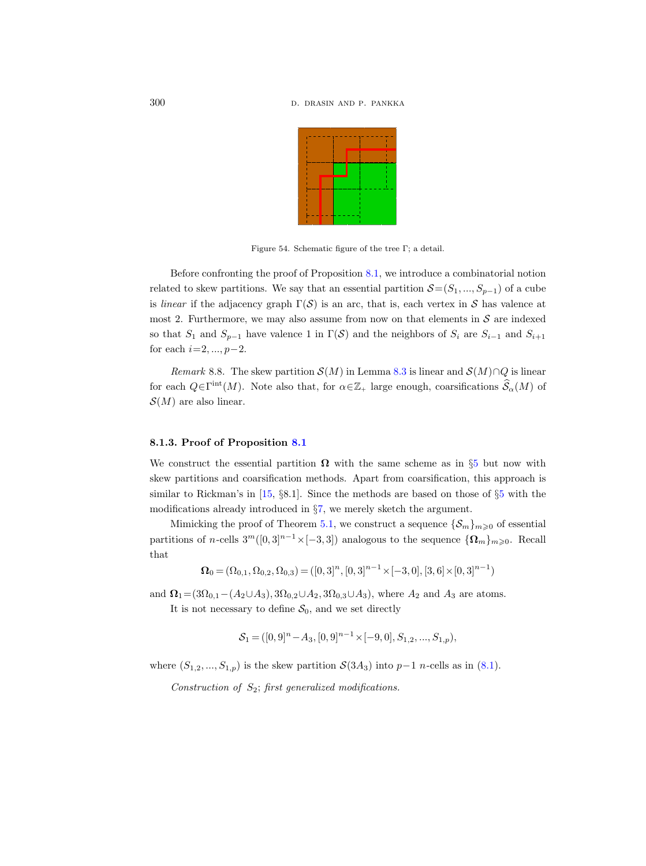

Figure 54. Schematic figure of the tree Γ; a detail.

Before confronting the proof of Proposition [8.1,](#page-87-1) we introduce a combinatorial notion related to skew partitions. We say that an essential partition  $S=(S_1, ..., S_{p-1})$  of a cube is *linear* if the adjacency graph  $\Gamma(S)$  is an arc, that is, each vertex in S has valence at most 2. Furthermore, we may also assume from now on that elements in  $S$  are indexed so that  $S_1$  and  $S_{p-1}$  have valence 1 in  $\Gamma(\mathcal{S})$  and the neighbors of  $S_i$  are  $S_{i-1}$  and  $S_{i+1}$ for each  $i=2, ..., p-2$ .

Remark 8.8. The skew partition  $\mathcal{S}(M)$  in Lemma [8.3](#page-88-2) is linear and  $\mathcal{S}(M) \cap Q$  is linear for each  $Q \in \Gamma^{\text{int}}(M)$ . Note also that, for  $\alpha \in \mathbb{Z}_+$  large enough, coarsifications  $\widehat{\mathcal{S}}_{\alpha}(M)$  of  $\mathcal{S}(M)$  are also linear.

#### 8.1.3. Proof of Proposition [8.1](#page-87-1)

We construct the essential partition  $\Omega$  with the same scheme as in §[5](#page-38-1) but now with skew partitions and coarsification methods. Apart from coarsification, this approach is similar to Rickman's in [\[15,](#page-96-0) §8.1]. Since the methods are based on those of §[5](#page-38-1) with the modifications already introduced in §[7,](#page-70-0) we merely sketch the argument.

Mimicking the proof of Theorem [5.1,](#page-38-0) we construct a sequence  $\{\mathcal{S}_m\}_{m\geq 0}$  of essential partitions of n-cells  $3^m([0,3]^{n-1}\times[-3,3])$  analogous to the sequence  $\{\Omega_m\}_{m\geqslant0}$ . Recall that

$$
\mathbf{\Omega}_0 = (\Omega_{0,1}, \Omega_{0,2}, \Omega_{0,3}) = ([0,3]^n, [0,3]^{n-1} \times [-3,0], [3,6] \times [0,3]^{n-1})
$$

and  $\Omega_1 = (3\Omega_{0,1} - (A_2 \cup A_3), 3\Omega_{0,2} \cup A_2, 3\Omega_{0,3} \cup A_3)$ , where  $A_2$  and  $A_3$  are atoms.

It is not necessary to define  $S_0$ , and we set directly

$$
\mathcal{S}_1 = ([0,9]^n - A_3, [0,9]^{n-1} \times [-9,0], S_{1,2},...,S_{1,p}),
$$

where  $(S_{1,2},...,S_{1,p})$  is the skew partition  $\mathcal{S}(3A_3)$  into  $p-1$  n-cells as in  $(8.1)$ .

Construction of  $S_2$ ; first generalized modifications.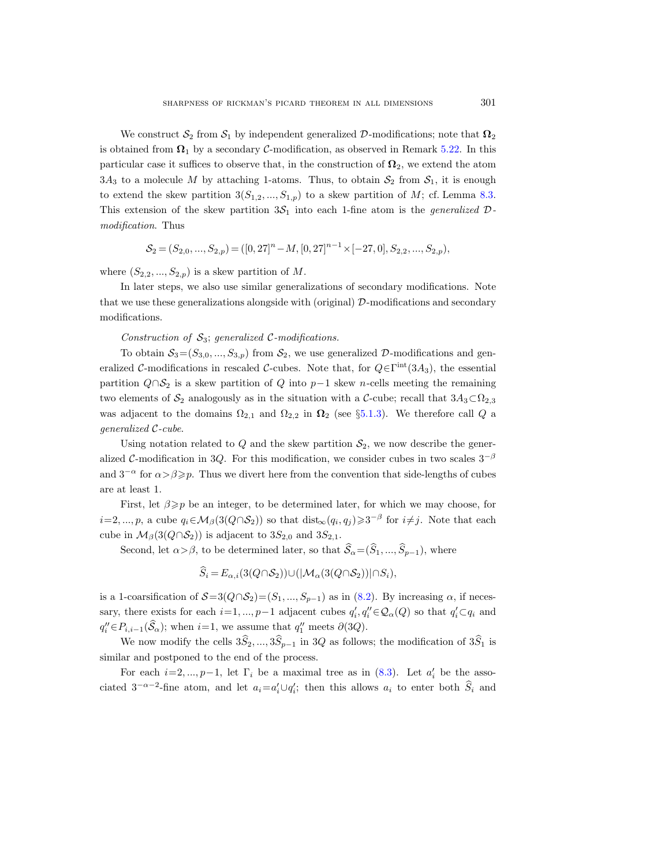We construct  $S_2$  from  $S_1$  by independent generalized D-modifications; note that  $\Omega_2$ is obtained from  $\Omega_1$  by a secondary C-modification, as observed in Remark [5.22.](#page-52-0) In this particular case it suffices to observe that, in the construction of  $\Omega_2$ , we extend the atom  $3A_3$  to a molecule M by attaching 1-atoms. Thus, to obtain  $S_2$  from  $S_1$ , it is enough to extend the skew partition  $3(S_{1,2},...,S_{1,p})$  to a skew partition of M; cf. Lemma [8.3.](#page-88-2) This extension of the skew partition  $3S_1$  into each 1-fine atom is the *generalized*  $\mathcal{D}$ modification. Thus

$$
\mathcal{S}_2 = (S_{2,0},...,S_{2,p}) = ([0,27]^n - M, [0,27]^{n-1} \times [-27,0], S_{2,2},...,S_{2,p}),
$$

where  $(S_{2,2},...,S_{2,p})$  is a skew partition of M.

In later steps, we also use similar generalizations of secondary modifications. Note that we use these generalizations alongside with (original)  $\mathcal{D}$ -modifications and secondary modifications.

Construction of  $S_3$ ; generalized C-modifications.

To obtain  $S_3 = (S_{3,0}, ..., S_{3,p})$  from  $S_2$ , we use generalized D-modifications and generalized C-modifications in rescaled C-cubes. Note that, for  $Q \in \Gamma^{\text{int}}(3A_3)$ , the essential partition  $Q \cap S_2$  is a skew partition of Q into p-1 skew n-cells meeting the remaining two elements of  $S_2$  analogously as in the situation with a C-cube; recall that  $3A_3\subset\Omega_{2,3}$ was adjacent to the domains  $\Omega_{2,1}$  and  $\Omega_{2,2}$  in  $\Omega_2$  (see §[5.1.3\)](#page-41-0). We therefore call Q a generalized C-cube.

Using notation related to Q and the skew partition  $S_2$ , we now describe the generalized C-modification in 3Q. For this modification, we consider cubes in two scales  $3^{-\beta}$ and  $3^{-\alpha}$  for  $\alpha > \beta \geqslant p$ . Thus we divert here from the convention that side-lengths of cubes are at least 1.

First, let  $\beta \geqslant p$  be an integer, to be determined later, for which we may choose, for  $i=2,...,p$ , a cube  $q_i \in M_\beta(3(Q \cap S_2))$  so that  $dist_\infty(q_i,q_j) \geq 3^{-\beta}$  for  $i \neq j$ . Note that each cube in  $\mathcal{M}_{\beta}(3(Q \cap \mathcal{S}_2))$  is adjacent to  $3S_{2,0}$  and  $3S_{2,1}$ .

Second, let  $\alpha > \beta$ , to be determined later, so that  $\widehat{S}_\alpha = (\widehat{S}_1, ..., \widehat{S}_{p-1})$ , where

$$
S_i = E_{\alpha,i}(3(Q \cap S_2)) \cup (|\mathcal{M}_{\alpha}(3(Q \cap S_2))| \cap S_i),
$$

is a 1-coarsification of  $S=3(Q\cap S_2)=(S_1, ..., S_{p-1})$  as in [\(8.2\)](#page-90-0). By increasing  $\alpha$ , if necessary, there exists for each  $i=1, ..., p-1$  adjacent cubes  $q'_i, q''_i \in \mathcal{Q}_{\alpha}(Q)$  so that  $q'_i \subset q_i$  and  $q''_i \in P_{i,i-1}(\widehat{S}_\alpha)$ ; when  $i=1$ , we assume that  $q''_1$  meets  $\partial(3Q)$ .

We now modify the cells  $3\hat{S}_2, ..., 3\hat{S}_{p-1}$  in 3Q as follows; the modification of  $3\hat{S}_1$  is similar and postponed to the end of the process.

For each  $i=2, ..., p-1$ , let  $\Gamma_i$  be a maximal tree as in [\(8.3\)](#page-90-1). Let  $a'_i$  be the associated  $3^{-\alpha-2}$ -fine atom, and let  $a_i = a'_i \cup q'_i$ ; then this allows  $a_i$  to enter both  $\hat{S}_i$  and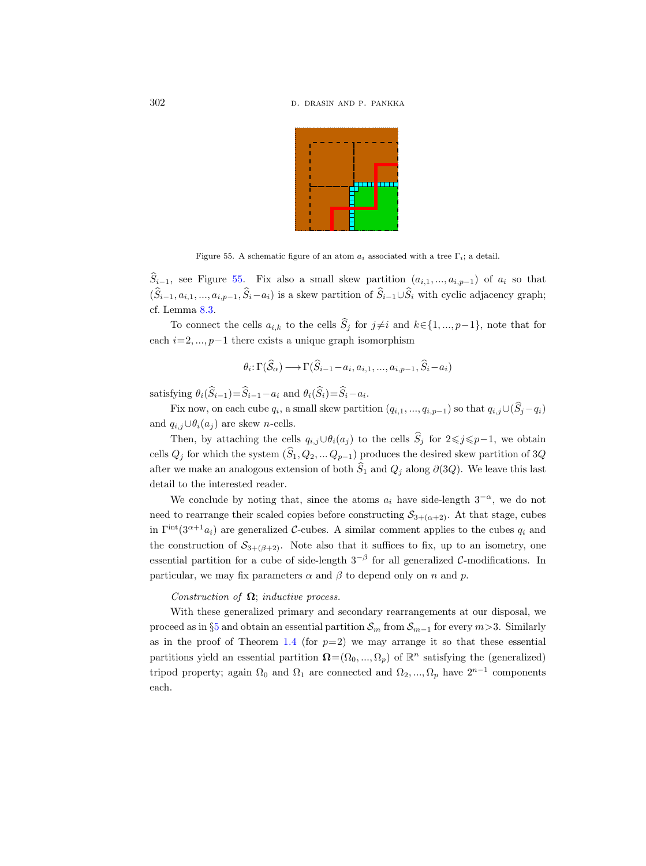

<span id="page-93-0"></span>Figure 55. A schematic figure of an atom  $a_i$  associated with a tree  $\Gamma_i$ ; a detail.

 $\widehat{S}_{i-1}$ , see Figure [55.](#page-93-0) Fix also a small skew partition  $(a_{i,1},...,a_{i,p-1})$  of  $a_i$  so that  $(\widehat{S}_{i-1}, a_{i,1}, ..., a_{i,p-1}, \widehat{S}_{i}-a_i)$  is a skew partition of  $\widehat{S}_{i-1}\cup\widehat{S}_{i}$  with cyclic adjacency graph; cf. Lemma [8.3.](#page-88-2)

To connect the cells  $a_{i,k}$  to the cells  $\widehat{S}_j$  for  $j\neq i$  and  $k\in\{1, ..., p-1\}$ , note that for each  $i=2, ..., p-1$  there exists a unique graph isomorphism

$$
\theta_i: \Gamma(\widehat{S}_{\alpha}) \longrightarrow \Gamma(\widehat{S}_{i-1} - a_i, a_{i,1}, ..., a_{i,p-1}, \widehat{S}_i - a_i)
$$

satisfying  $\theta_i(S_{i-1}) = S_{i-1} - a_i$  and  $\theta_i(S_i) = S_i - a_i$ .

Fix now, on each cube  $q_i$ , a small skew partition  $(q_{i,1}, ..., q_{i,p-1})$  so that  $q_{i,j} \cup (S_j - q_i)$ and  $q_{i,j}\cup\theta_i(a_j)$  are skew *n*-cells.

Then, by attaching the cells  $q_{i,j}\cup\theta_i(a_j)$  to the cells  $\widehat{S}_j$  for  $2\leq j\leq p-1$ , we obtain cells  $Q_j$  for which the system  $(\widehat{S}_1, Q_2, \ldots Q_{p-1})$  produces the desired skew partition of 3Q after we make an analogous extension of both  $S_1$  and  $Q_j$  along ∂(3Q). We leave this last detail to the interested reader.

We conclude by noting that, since the atoms  $a_i$  have side-length  $3^{-\alpha}$ , we do not need to rearrange their scaled copies before constructing  $S_{3+(\alpha+2)}$ . At that stage, cubes in  $\Gamma^{\text{int}}(3^{\alpha+1}a_i)$  are generalized C-cubes. A similar comment applies to the cubes  $q_i$  and the construction of  $S_{3+(\beta+2)}$ . Note also that it suffices to fix, up to an isometry, one essential partition for a cube of side-length  $3^{-\beta}$  for all generalized C-modifications. In particular, we may fix parameters  $\alpha$  and  $\beta$  to depend only on n and p.

# Construction of  $\Omega$ ; inductive process.

With these generalized primary and secondary rearrangements at our disposal, we proceed as in §[5](#page-38-1) and obtain an essential partition  $S_m$  from  $S_{m-1}$  for every  $m>3$ . Similarly as in the proof of Theorem [1.4](#page-6-0) (for  $p=2$ ) we may arrange it so that these essential partitions yield an essential partition  $\mathbf{\Omega} = (\Omega_0, ..., \Omega_p)$  of  $\mathbb{R}^n$  satisfying the (generalized) tripod property; again  $\Omega_0$  and  $\Omega_1$  are connected and  $\Omega_2, ..., \Omega_p$  have  $2^{n-1}$  components each.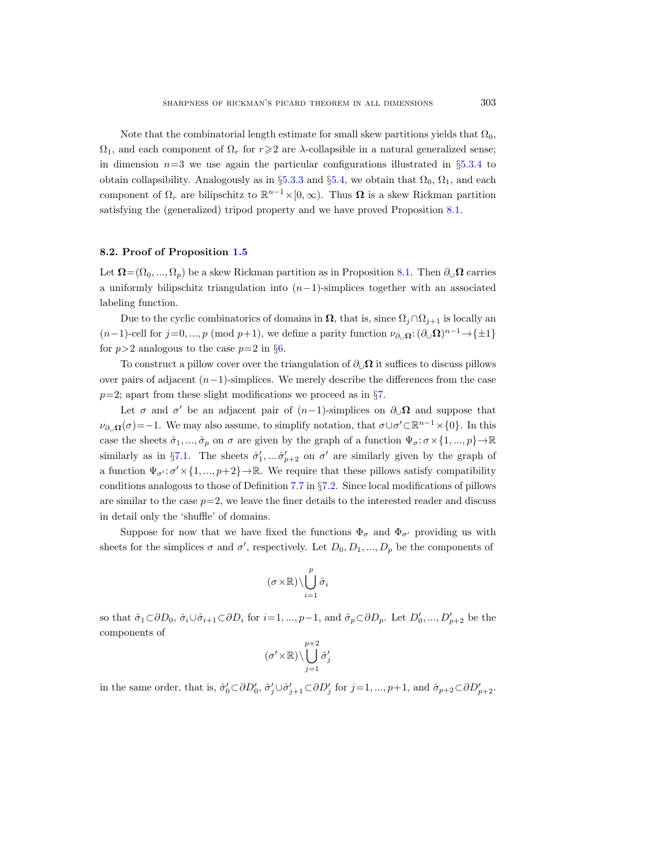Note that the combinatorial length estimate for small skew partitions yields that  $\Omega_0$ ,  $\Omega_1$ , and each component of  $\Omega_r$  for  $r \geqslant 2$  are  $\lambda$ -collapsible in a natural generalized sense; in dimension  $n=3$  we use again the particular configurations illustrated in §[5.3.4](#page-61-0) to obtain collapsibility. Analogously as in §[5.3.3](#page-58-0) and §[5.4,](#page-66-0) we obtain that  $\Omega_0$ ,  $\Omega_1$ , and each component of  $\Omega_r$  are bilipschitz to  $\mathbb{R}^{n-1}\times[0,\infty)$ . Thus  $\Omega$  is a skew Rickman partition satisfying the (generalized) tripod property and we have proved Proposition [8.1.](#page-87-1)

## 8.2. Proof of Proposition [1.5](#page-7-0)

Let  $\Omega = (\Omega_0, ..., \Omega_n)$  be a skew Rickman partition as in Proposition [8.1.](#page-87-1) Then  $\partial_{\mathcal{Q}}\Omega$  carries a uniformly bilipschitz triangulation into  $(n-1)$ -simplices together with an associated labeling function.

Due to the cyclic combinatorics of domains in  $\Omega$ , that is, since  $\Omega_i \cap \Omega_{i+1}$  is locally an  $(n-1)$ -cell for  $j=0, ..., p \pmod{p+1}$ , we define a parity function  $\nu_{\partial_{\mathcal{Q}}}\Omega: (\partial_{\mathcal{Q}}\Omega)^{n-1} \to {\pm 1}$ for  $p>2$  analogous to the case  $p=2$  in §[6.](#page-67-0)

To construct a pillow cover over the triangulation of  $\partial_{\mathcal{U}}\Omega$  it suffices to discuss pillows over pairs of adjacent  $(n-1)$ -simplices. We merely describe the differences from the case  $p=2$ ; apart from these slight modifications we proceed as in §[7.](#page-70-0)

Let  $\sigma$  and  $\sigma'$  be an adjacent pair of  $(n-1)$ -simplices on  $\partial_{\cup} \Omega$  and suppose that  $\nu_{\partial_{\mathcal{O}} \Omega}(\sigma) = -1$ . We may also assume, to simplify notation, that  $\sigma \cup \sigma' \subset \mathbb{R}^{n-1} \times \{0\}$ . In this case the sheets  $\hat{\sigma}_1, ..., \hat{\sigma}_p$  on  $\sigma$  are given by the graph of a function  $\Psi_{\sigma}: \sigma \times \{1, ..., p\} \to \mathbb{R}$ similarly as in §[7.1.](#page-72-1) The sheets  $\hat{\sigma}'_1, \dots \hat{\sigma}'_{p+2}$  on  $\sigma'$  are similarly given by the graph of a function  $\Psi_{\sigma'}: \sigma' \times \{1, ..., p+2\} \to \mathbb{R}$ . We require that these pillows satisfy compatibility conditions analogous to those of Definition [7.7](#page-76-1) in §[7.2.](#page-75-1) Since local modifications of pillows are similar to the case  $p=2$ , we leave the finer details to the interested reader and discuss in detail only the 'shuffle' of domains.

Suppose for now that we have fixed the functions  $\Phi_{\sigma}$  and  $\Phi_{\sigma'}$  providing us with sheets for the simplices  $\sigma$  and  $\sigma'$ , respectively. Let  $D_0, D_1, ..., D_p$  be the components of

$$
(\sigma\!\times\!\mathbb{R})\!\setminus\!\bigcup_{i=1}^p\hat\sigma_i
$$

so that  $\hat{\sigma}_1 \subset \partial D_0$ ,  $\hat{\sigma}_i \cup \hat{\sigma}_{i+1} \subset \partial D_i$  for  $i=1, ..., p-1$ , and  $\hat{\sigma}_p \subset \partial D_p$ . Let  $D'_0, ..., D'_{p+2}$  be the components of

$$
(\sigma'{\times}\mathbb{R})\backslash \bigcup_{j=1}^{p+2}\hat{\sigma}'_j
$$

in the same order, that is,  $\hat{\sigma}'_0 \subset \partial D'_0$ ,  $\hat{\sigma}'_j \cup \hat{\sigma}'_{j+1} \subset \partial D'_j$  for  $j=1,\dots,p+1$ , and  $\hat{\sigma}_{p+2} \subset \partial D'_{p+2}$ .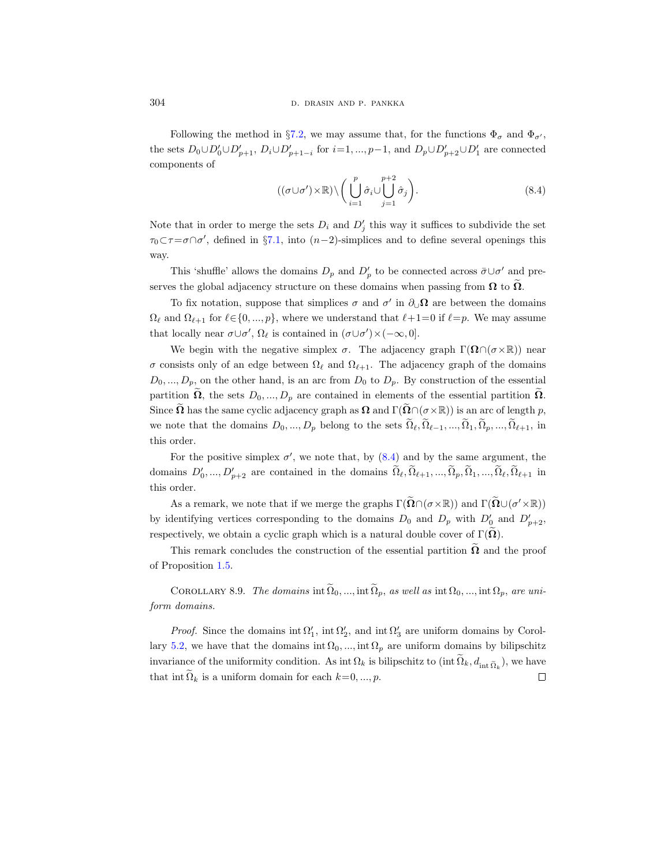Following the method in §[7.2,](#page-75-1) we may assume that, for the functions  $\Phi_{\sigma}$  and  $\Phi_{\sigma'}$ , the sets  $D_0 \cup D'_0 \cup D'_{p+1}$ ,  $D_i \cup D'_{p+1-i}$  for  $i=1, ..., p-1$ , and  $D_p \cup D'_{p+2} \cup D'_1$  are connected components of

<span id="page-95-0"></span>
$$
((\sigma \cup \sigma') \times \mathbb{R}) \setminus \left( \bigcup_{i=1}^{p} \hat{\sigma}_i \cup \bigcup_{j=1}^{p+2} \hat{\sigma}_j \right). \tag{8.4}
$$

Note that in order to merge the sets  $D_i$  and  $D'_j$  this way it suffices to subdivide the set  $\tau_0 \subset \tau = \sigma \cap \sigma'$ , defined in §[7.1,](#page-72-1) into  $(n-2)$ -simplices and to define several openings this way.

This 'shuffle' allows the domains  $D_p$  and  $D'_p$  to be connected across  $\bar{\sigma} \cup \sigma'$  and preserves the global adjacency structure on these domains when passing from  $\Omega$  to  $\Omega$ .

To fix notation, suppose that simplices  $\sigma$  and  $\sigma'$  in  $\partial_{\cup} \Omega$  are between the domains  $\Omega_{\ell}$  and  $\Omega_{\ell+1}$  for  $\ell \in \{0, ..., p\}$ , where we understand that  $\ell+1=0$  if  $\ell=p$ . We may assume that locally near  $\sigma \cup \sigma'$ ,  $\Omega_{\ell}$  is contained in  $(\sigma \cup \sigma') \times (-\infty, 0]$ .

We begin with the negative simplex  $\sigma$ . The adjacency graph  $\Gamma(\Omega \cap (\sigma \times \mathbb{R}))$  near σ consists only of an edge between  $\Omega_\ell$  and  $\Omega_{\ell+1}$ . The adjacency graph of the domains  $D_0, ..., D_p$ , on the other hand, is an arc from  $D_0$  to  $D_p$ . By construction of the essential partition  $\tilde{\Omega}$ , the sets  $D_0, ..., D_p$  are contained in elements of the essential partition  $\tilde{\Omega}$ . Since  $\Omega$  has the same cyclic adjacency graph as  $\Omega$  and  $\Gamma(\Omega \cap (\sigma \times \mathbb{R}))$  is an arc of length p, we note that the domains  $D_0, ..., D_p$  belong to the sets  $\tilde{\Omega}_{\ell}, \tilde{\Omega}_{\ell-1}, ..., \tilde{\Omega}_1, \tilde{\Omega}_p, ..., \tilde{\Omega}_{\ell+1}$ , in this order.

For the positive simplex  $\sigma'$ , we note that, by  $(8.4)$  and by the same argument, the domains  $D'_0, ..., D'_{p+2}$  are contained in the domains  $\Omega_\ell, \Omega_{\ell+1}, ..., \Omega_p, \Omega_1, ..., \Omega_\ell, \Omega_{\ell+1}$  in this order.

As a remark, we note that if we merge the graphs  $\Gamma(\widetilde{\Omega} \cap (\sigma \times \mathbb{R}))$  and  $\Gamma(\widetilde{\Omega} \cup (\sigma' \times \mathbb{R}))$ by identifying vertices corresponding to the domains  $D_0$  and  $D_p$  with  $D'_0$  and  $D'_{p+2}$ , respectively, we obtain a cyclic graph which is a natural double cover of  $\Gamma(\Omega)$ .

This remark concludes the construction of the essential partition  $\Omega$  and the proof of Proposition [1.5.](#page-7-0)

COROLLARY 8.9. The domains int  $\tilde{\Omega}_0, ...,$  int  $\tilde{\Omega}_p$ , as well as int  $\Omega_0, ...,$  int  $\Omega_p$ , are uniform domains.

*Proof.* Since the domains  $int \Omega'_1$ ,  $int \Omega'_2$ , and  $int \Omega'_3$  are uniform domains by Corol-lary [5.2,](#page-39-0) we have that the domains int  $\Omega_0$ , ..., int  $\Omega_p$  are uniform domains by bilipschitz invariance of the uniformity condition. As int  $\Omega_k$  is bilipschitz to  $(\text{int } \Omega_k, d_{\text{int } \tilde{\Omega}_k})$ , we have that int  $\Omega_k$  is a uniform domain for each  $k=0, ..., p$ .  $\Box$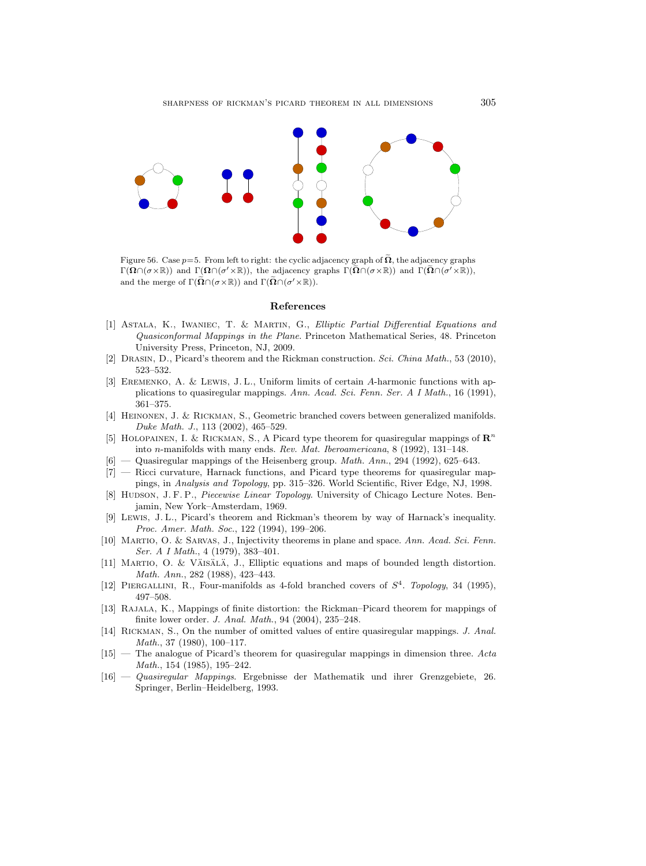

Figure 56. Case  $p=5$ . From left to right: the cyclic adjacency graph of  $\widetilde{\Omega}$ , the adjacency graphs  $\Gamma(\Omega \cap (\sigma \times \mathbb{R}))$  and  $\Gamma(\Omega \cap (\sigma' \times \mathbb{R}))$ , the adjacency graphs  $\Gamma(\Omega \cap (\sigma \times \mathbb{R}))$  and  $\Gamma(\Omega \cap (\sigma' \times \mathbb{R}))$ , and the merge of  $\Gamma(\tilde{\Omega} \cap (\sigma \times \mathbb{R}))$  and  $\Gamma(\tilde{\Omega} \cap (\sigma' \times \mathbb{R}))$ .

## References

- [1] Astala, K., Iwaniec, T. & Martin, G., Elliptic Partial Differential Equations and Quasiconformal Mappings in the Plane. Princeton Mathematical Series, 48. Princeton University Press, Princeton, NJ, 2009.
- [2] Drasin, D., Picard's theorem and the Rickman construction. Sci. China Math., 53 (2010), 523–532.
- [3] Eremenko, A. & Lewis, J. L., Uniform limits of certain A-harmonic functions with applications to quasiregular mappings. Ann. Acad. Sci. Fenn. Ser. A I Math., 16 (1991), 361–375.
- [4] Heinonen, J. & Rickman, S., Geometric branched covers between generalized manifolds. Duke Math. J., 113 (2002), 465–529.
- [5] HOLOPAINEN, I. & RICKMAN, S., A Picard type theorem for quasiregular mappings of  $\mathbb{R}^n$ into n-manifolds with many ends. Rev. Mat. Iberoamericana, 8 (1992), 131–148.
- Quasiregular mappings of the Heisenberg group. *Math. Ann.*, 294 (1992), 625–643.
- [7] Ricci curvature, Harnack functions, and Picard type theorems for quasiregular mappings, in Analysis and Topology, pp. 315–326. World Scientific, River Edge, NJ, 1998.
- [8] HUDSON, J. F. P., Piecewise Linear Topology. University of Chicago Lecture Notes. Benjamin, New York–Amsterdam, 1969.
- [9] Lewis, J. L., Picard's theorem and Rickman's theorem by way of Harnack's inequality. Proc. Amer. Math. Soc., 122 (1994), 199–206.
- [10] MARTIO, O. & SARVAS, J., Injectivity theorems in plane and space. Ann. Acad. Sci. Fenn. Ser. A I Math., 4 (1979), 383–401.
- [11] MARTIO, O. & VÄISÄLÄ, J., Elliptic equations and maps of bounded length distortion. Math. Ann., 282 (1988), 423–443.
- [12] PIERGALLINI, R., Four-manifolds as 4-fold branched covers of  $S<sup>4</sup>$ . Topology, 34 (1995), 497–508.
- [13] Rajala, K., Mappings of finite distortion: the Rickman–Picard theorem for mappings of finite lower order. J. Anal. Math., 94 (2004), 235–248.
- [14] Rickman, S., On the number of omitted values of entire quasiregular mappings. J. Anal. *Math.*, 37 (1980), 100–117.
- <span id="page-96-0"></span>[15] — The analogue of Picard's theorem for quasiregular mappings in dimension three. Acta Math., 154 (1985), 195–242.
- [16] Quasiregular Mappings. Ergebnisse der Mathematik und ihrer Grenzgebiete, 26. Springer, Berlin–Heidelberg, 1993.